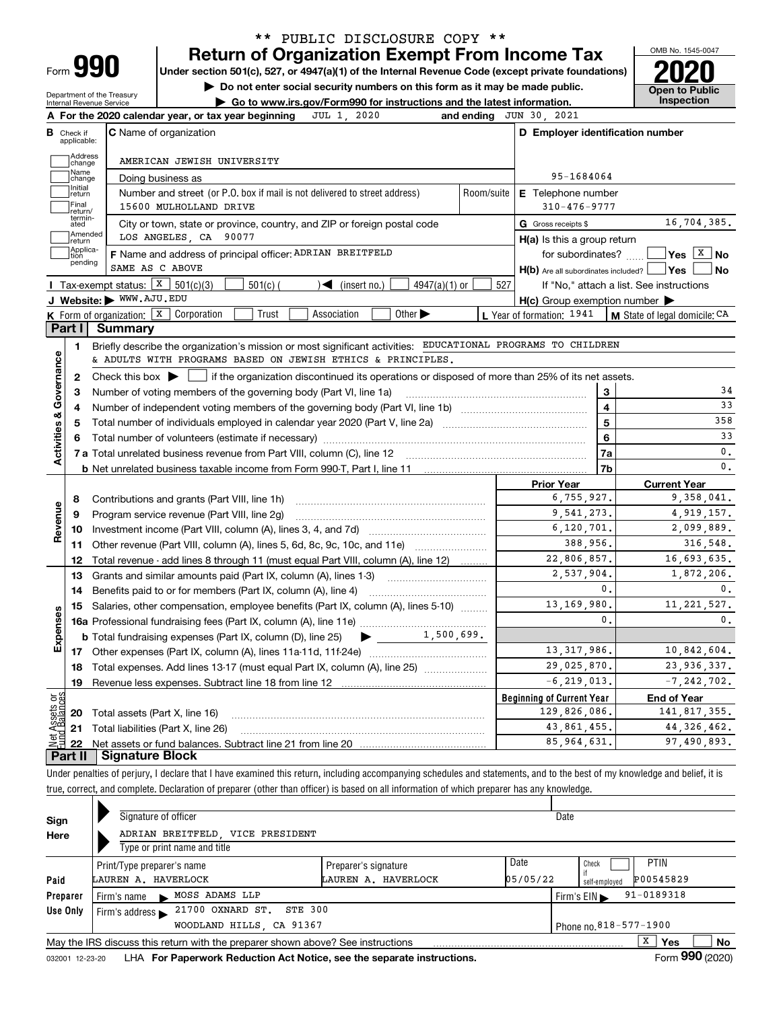| ⊢orm |  |
|------|--|

## **Return of Organization Exempt From Income Tax** \*\* PUBLIC DISCLOSURE COPY \*\*

**Under section 501(c), 527, or 4947(a)(1) of the Internal Revenue Code (except private foundations) 2020**

**| Do not enter social security numbers on this form as it may be made public.**

Department of the Treasury Internal Revenue Service

**| Go to www.irs.gov/Form990 for instructions and the latest information. Inspection**

OMB No. 1545-0047 **Open to Public** 

| в                        | Check if<br>applicable:     | <b>C</b> Name of organization                                                                                                                                               |                | D Employer identification number                    |                              |                                                                                |
|--------------------------|-----------------------------|-----------------------------------------------------------------------------------------------------------------------------------------------------------------------------|----------------|-----------------------------------------------------|------------------------------|--------------------------------------------------------------------------------|
|                          | Address<br>change           | AMERICAN JEWISH UNIVERSITY                                                                                                                                                  |                |                                                     |                              |                                                                                |
|                          | Name<br>change              | Doing business as                                                                                                                                                           |                | 95-1684064                                          |                              |                                                                                |
|                          | Initial<br>return           | Number and street (or P.O. box if mail is not delivered to street address)                                                                                                  | Room/suite     | E Telephone number                                  |                              |                                                                                |
|                          | Final<br>return/            | 15600 MULHOLLAND DRIVE                                                                                                                                                      |                | $310 - 476 - 9777$                                  |                              |                                                                                |
|                          | termin-<br>ated             | City or town, state or province, country, and ZIP or foreign postal code                                                                                                    |                | G Gross receipts \$                                 |                              | 16,704,385.                                                                    |
|                          | Amended<br>Ireturn          | LOS ANGELES, CA 90077                                                                                                                                                       |                | $H(a)$ is this a group return                       |                              |                                                                                |
|                          | Applica-<br>tion<br>pending | F Name and address of principal officer: ADRIAN BREITFELD                                                                                                                   |                | for subordinates? $\Box$                            |                              | $\sqrt{\mathsf{Yes}}$ $\sqrt{\mathsf{X}}$ No                                   |
|                          |                             | SAME AS C ABOVE                                                                                                                                                             |                | $H(b)$ Are all subordinates included? $\Box$ Yes    |                              | No                                                                             |
|                          |                             | Tax-exempt status: $X \ 501(c)(3)$<br>$\sqrt{\frac{2}{1}}$ (insert no.)<br>$501(c)$ (<br>$4947(a)(1)$ or                                                                    | 527            |                                                     |                              | If "No," attach a list. See instructions                                       |
|                          |                             | J Website: WWW.AJU.EDU                                                                                                                                                      |                | $H(c)$ Group exemption number $\blacktriangleright$ |                              |                                                                                |
|                          | Part I                      | K Form of organization: X Corporation<br>Trust<br>Association<br>Other $\blacktriangleright$<br>Summary                                                                     |                | L Year of formation: 1941                           |                              | M State of legal domicile: CA                                                  |
|                          |                             |                                                                                                                                                                             |                |                                                     |                              |                                                                                |
|                          | 1.                          | Briefly describe the organization's mission or most significant activities: EDUCATIONAL PROGRAMS TO CHILDREN<br>& ADULTS WITH PROGRAMS BASED ON JEWISH ETHICS & PRINCIPLES. |                |                                                     |                              |                                                                                |
|                          |                             |                                                                                                                                                                             |                |                                                     |                              |                                                                                |
| Governance               | $\mathbf{2}$                | Check this box $\blacktriangleright$ $\blacksquare$ if the organization discontinued its operations or disposed of more than 25% of its net assets.                         |                |                                                     |                              | 34                                                                             |
|                          | 3                           | Number of voting members of the governing body (Part VI, line 1a)                                                                                                           |                |                                                     | 3<br>$\overline{\mathbf{4}}$ | 33                                                                             |
|                          | 4                           |                                                                                                                                                                             |                | 5                                                   | 358                          |                                                                                |
| <b>Activities &amp;</b>  | 5<br>6                      |                                                                                                                                                                             | 6              | 33                                                  |                              |                                                                                |
|                          |                             |                                                                                                                                                                             |                |                                                     | 7a                           | 0.                                                                             |
|                          |                             |                                                                                                                                                                             |                |                                                     | 7b                           | 0.                                                                             |
|                          |                             |                                                                                                                                                                             |                | <b>Prior Year</b>                                   |                              | <b>Current Year</b>                                                            |
|                          | 8                           | Contributions and grants (Part VIII, line 1h)                                                                                                                               |                | 6, 755, 927.                                        |                              | 9,358,041.                                                                     |
| Revenue                  | 9                           | Program service revenue (Part VIII, line 2g)                                                                                                                                |                | 9,541,273.                                          |                              | 4,919,157.                                                                     |
|                          | 10                          |                                                                                                                                                                             |                | 6,120,701.                                          |                              | 2,099,889.                                                                     |
|                          | 11                          | Other revenue (Part VIII, column (A), lines 5, 6d, 8c, 9c, 10c, and 11e)                                                                                                    |                | 388,956.                                            |                              | 316,548.                                                                       |
|                          | 12                          | Total revenue - add lines 8 through 11 (must equal Part VIII, column (A), line 12)                                                                                          |                | 22,806,857.                                         |                              | 16,693,635.                                                                    |
|                          | 13                          | Grants and similar amounts paid (Part IX, column (A), lines 1-3)                                                                                                            |                | 2,537,904.                                          |                              | 1,872,206.                                                                     |
|                          | 14                          | Benefits paid to or for members (Part IX, column (A), line 4)                                                                                                               |                |                                                     | $\mathbf{0}$ .               | 0.                                                                             |
|                          |                             | Salaries, other compensation, employee benefits (Part IX, column (A), lines 5-10)                                                                                           |                | 13, 169, 980.                                       |                              | 11, 221, 527.                                                                  |
|                          | 15                          |                                                                                                                                                                             | $\mathbf{0}$ . | 0.                                                  |                              |                                                                                |
|                          |                             |                                                                                                                                                                             |                |                                                     |                              |                                                                                |
|                          |                             | 1,500,699.<br><b>b</b> Total fundraising expenses (Part IX, column (D), line $25$ )                                                                                         |                |                                                     |                              |                                                                                |
|                          |                             |                                                                                                                                                                             |                | 13, 317, 986.                                       |                              |                                                                                |
|                          | 18                          |                                                                                                                                                                             |                | 29,025,870.                                         |                              |                                                                                |
|                          | 19                          | Total expenses. Add lines 13-17 (must equal Part IX, column (A), line 25)                                                                                                   |                | $-6, 219, 013.$                                     |                              |                                                                                |
|                          |                             |                                                                                                                                                                             |                | <b>Beginning of Current Year</b>                    |                              | <b>End of Year</b>                                                             |
|                          | 20                          | Total assets (Part X, line 16)                                                                                                                                              |                | 129,826,086.                                        |                              |                                                                                |
| Expenses<br>កង្ក<br>sets | 21                          | Total liabilities (Part X, line 26)                                                                                                                                         |                | 43,861,455.                                         |                              | 10,842,604.<br>23,936,337.<br>$-7, 242, 702.$<br>141,817,355.<br>44, 326, 462. |

Under penalties of perjury, I declare that I have examined this return, including accompanying schedules and statements, and to the best of my knowledge and belief, it is true, correct, and complete. Declaration of preparer (other than officer) is based on all information of which preparer has any knowledge.

| Sign     |                                                          | Signature of officer                                                            |                      |      | Date         |                 |    |  |  |
|----------|----------------------------------------------------------|---------------------------------------------------------------------------------|----------------------|------|--------------|-----------------|----|--|--|
| Here     |                                                          | ADRIAN BREITFELD, VICE PRESIDENT                                                |                      |      |              |                 |    |  |  |
|          |                                                          | Type or print name and title                                                    |                      |      |              |                 |    |  |  |
|          |                                                          | Print/Type preparer's name                                                      | Preparer's signature | Date | Check        | <b>PTIN</b>     |    |  |  |
| Paid     | 05/05/22<br>LAUREN A. HAVERLOCK<br>LAUREN A. HAVERLOCK   |                                                                                 |                      |      |              | P00545829       |    |  |  |
| Preparer |                                                          | MOSS ADAMS LLP<br>Firm's name                                                   |                      |      | Firm's $EIN$ | $91 - 0189318$  |    |  |  |
| Use Only | Firm's address $\triangleright$ 21700 OXNARD ST. STE 300 |                                                                                 |                      |      |              |                 |    |  |  |
|          | WOODLAND HILLS, CA 91367<br>Phone no. 818-577-1900       |                                                                                 |                      |      |              |                 |    |  |  |
|          |                                                          | May the IRS discuss this return with the preparer shown above? See instructions |                      |      |              | x<br><b>Yes</b> | No |  |  |
|          |                                                          |                                                                                 |                      |      |              | nnn.            |    |  |  |

032001 12-23-20 LHA **For Paperwork Reduction Act Notice, see the separate instructions. Form 990 (2020)**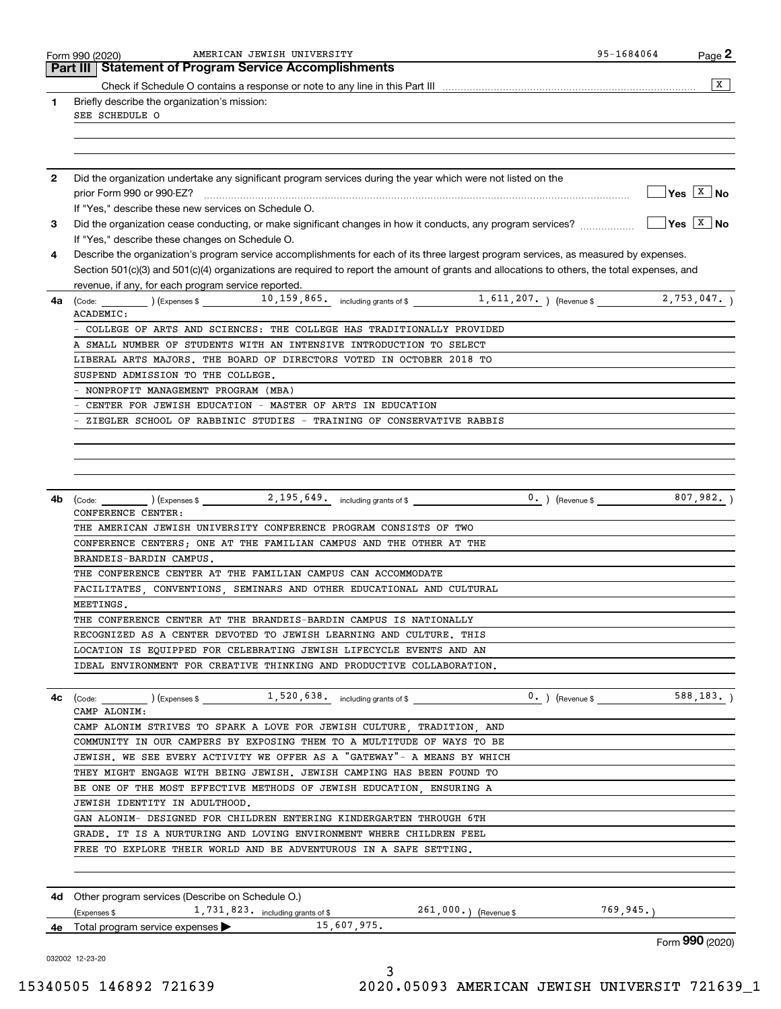| Briefly describe the organization's mission:<br>1<br>SEE SCHEDULE O<br>Did the organization undertake any significant program services during the year which were not listed on the<br>$\mathbf{2}$<br>If "Yes," describe these new services on Schedule O.<br>Did the organization cease conducting, or make significant changes in how it conducts, any program services?<br>3<br>If "Yes," describe these changes on Schedule O.<br>Describe the organization's program service accomplishments for each of its three largest program services, as measured by expenses.<br>4<br>Section 501(c)(3) and 501(c)(4) organizations are required to report the amount of grants and allocations to others, the total expenses, and<br>revenue, if any, for each program service reported.<br>4a<br>ACADEMIC:<br>COLLEGE OF ARTS AND SCIENCES: THE COLLEGE HAS TRADITIONALLY PROVIDED<br>A SMALL NUMBER OF STUDENTS WITH AN INTENSIVE INTRODUCTION TO SELECT<br>LIBERAL ARTS MAJORS. THE BOARD OF DIRECTORS VOTED IN OCTOBER 2018 TO<br>SUSPEND ADMISSION TO THE COLLEGE.<br>NONPROFIT MANAGEMENT PROGRAM (MBA)<br>CENTER FOR JEWISH EDUCATION - MASTER OF ARTS IN EDUCATION<br>ZIEGLER SCHOOL OF RABBINIC STUDIES - TRAINING OF CONSERVATIVE RABBIS<br>$\frac{1}{2}$ (Code: $\frac{1}{2}$ ) (Expenses \$ $\frac{2}{195}$ , 549. including grants of \$<br>$0.$ ) (Revenue \$<br>4b<br>CONFERENCE CENTER:<br>THE AMERICAN JEWISH UNIVERSITY CONFERENCE PROGRAM CONSISTS OF TWO<br>CONFERENCE CENTERS; ONE AT THE FAMILIAN CAMPUS AND THE OTHER AT THE<br>BRANDEIS-BARDIN CAMPUS.<br>THE CONFERENCE CENTER AT THE FAMILIAN CAMPUS CAN ACCOMMODATE<br>FACILITATES, CONVENTIONS, SEMINARS AND OTHER EDUCATIONAL AND CULTURAL<br>MEETINGS.<br>THE CONFERENCE CENTER AT THE BRANDEIS-BARDIN CAMPUS IS NATIONALLY<br>RECOGNIZED AS A CENTER DEVOTED TO JEWISH LEARNING AND CULTURE. THIS<br>LOCATION IS EQUIPPED FOR CELEBRATING JEWISH LIFECYCLE EVENTS AND AN<br>IDEAL ENVIRONMENT FOR CREATIVE THINKING AND PRODUCTIVE COLLABORATION.<br>$0.$ ) (Revenue \$ 588, 183.)<br>$\left(\text{Code:}\begin{array}{c}\text{________}\end{array}\right)$ (Expenses \$ $\frac{1,520,638.}{2}$ including grants of \$<br>4с<br>CAMP ALONIM:<br>CAMP ALONIM STRIVES TO SPARK A LOVE FOR JEWISH CULTURE, TRADITION, AND<br>COMMUNITY IN OUR CAMPERS BY EXPOSING THEM TO A MULTITUDE OF WAYS TO BE<br>JEWISH. WE SEE EVERY ACTIVITY WE OFFER AS A "GATEWAY"- A MEANS BY WHICH<br>THEY MIGHT ENGAGE WITH BEING JEWISH. JEWISH CAMPING HAS BEEN FOUND TO<br>BE ONE OF THE MOST EFFECTIVE METHODS OF JEWISH EDUCATION, ENSURING A<br>JEWISH IDENTITY IN ADULTHOOD.<br>GAN ALONIM- DESIGNED FOR CHILDREN ENTERING KINDERGARTEN THROUGH 6TH<br>GRADE. IT IS A NURTURING AND LOVING ENVIRONMENT WHERE CHILDREN FEEL<br>FREE TO EXPLORE THEIR WORLD AND BE ADVENTUROUS IN A SAFE SETTING.<br><b>4d</b> Other program services (Describe on Schedule O.)<br>(Expenses \$ 1,731,823. including grants of \$ 261,000.) (Revenue \$ 769,945.)<br>4e Total program service expenses 15,607,975.<br>032002 12-23-20 | AMERICAN JEWISH UNIVERSITY<br>Form 990 (2020)<br><b>Part III Statement of Program Service Accomplishments</b> | 95-1684064 | $Page$ 2                 |
|------------------------------------------------------------------------------------------------------------------------------------------------------------------------------------------------------------------------------------------------------------------------------------------------------------------------------------------------------------------------------------------------------------------------------------------------------------------------------------------------------------------------------------------------------------------------------------------------------------------------------------------------------------------------------------------------------------------------------------------------------------------------------------------------------------------------------------------------------------------------------------------------------------------------------------------------------------------------------------------------------------------------------------------------------------------------------------------------------------------------------------------------------------------------------------------------------------------------------------------------------------------------------------------------------------------------------------------------------------------------------------------------------------------------------------------------------------------------------------------------------------------------------------------------------------------------------------------------------------------------------------------------------------------------------------------------------------------------------------------------------------------------------------------------------------------------------------------------------------------------------------------------------------------------------------------------------------------------------------------------------------------------------------------------------------------------------------------------------------------------------------------------------------------------------------------------------------------------------------------------------------------------------------------------------------------------------------------------------------------------------------------------------------------------------------------------------------------------------------------------------------------------------------------------------------------------------------------------------------------------------------------------------------------------------------------------------------------------------------------------------------------------------------------------------------------------------------------------------------------------------------------------------------------------------------------------------------------------------------------------------------------------------------------------------------------------------------|---------------------------------------------------------------------------------------------------------------|------------|--------------------------|
|                                                                                                                                                                                                                                                                                                                                                                                                                                                                                                                                                                                                                                                                                                                                                                                                                                                                                                                                                                                                                                                                                                                                                                                                                                                                                                                                                                                                                                                                                                                                                                                                                                                                                                                                                                                                                                                                                                                                                                                                                                                                                                                                                                                                                                                                                                                                                                                                                                                                                                                                                                                                                                                                                                                                                                                                                                                                                                                                                                                                                                                                                    |                                                                                                               |            | $\overline{X}$           |
|                                                                                                                                                                                                                                                                                                                                                                                                                                                                                                                                                                                                                                                                                                                                                                                                                                                                                                                                                                                                                                                                                                                                                                                                                                                                                                                                                                                                                                                                                                                                                                                                                                                                                                                                                                                                                                                                                                                                                                                                                                                                                                                                                                                                                                                                                                                                                                                                                                                                                                                                                                                                                                                                                                                                                                                                                                                                                                                                                                                                                                                                                    |                                                                                                               |            |                          |
|                                                                                                                                                                                                                                                                                                                                                                                                                                                                                                                                                                                                                                                                                                                                                                                                                                                                                                                                                                                                                                                                                                                                                                                                                                                                                                                                                                                                                                                                                                                                                                                                                                                                                                                                                                                                                                                                                                                                                                                                                                                                                                                                                                                                                                                                                                                                                                                                                                                                                                                                                                                                                                                                                                                                                                                                                                                                                                                                                                                                                                                                                    |                                                                                                               |            |                          |
|                                                                                                                                                                                                                                                                                                                                                                                                                                                                                                                                                                                                                                                                                                                                                                                                                                                                                                                                                                                                                                                                                                                                                                                                                                                                                                                                                                                                                                                                                                                                                                                                                                                                                                                                                                                                                                                                                                                                                                                                                                                                                                                                                                                                                                                                                                                                                                                                                                                                                                                                                                                                                                                                                                                                                                                                                                                                                                                                                                                                                                                                                    |                                                                                                               |            |                          |
|                                                                                                                                                                                                                                                                                                                                                                                                                                                                                                                                                                                                                                                                                                                                                                                                                                                                                                                                                                                                                                                                                                                                                                                                                                                                                                                                                                                                                                                                                                                                                                                                                                                                                                                                                                                                                                                                                                                                                                                                                                                                                                                                                                                                                                                                                                                                                                                                                                                                                                                                                                                                                                                                                                                                                                                                                                                                                                                                                                                                                                                                                    |                                                                                                               |            |                          |
|                                                                                                                                                                                                                                                                                                                                                                                                                                                                                                                                                                                                                                                                                                                                                                                                                                                                                                                                                                                                                                                                                                                                                                                                                                                                                                                                                                                                                                                                                                                                                                                                                                                                                                                                                                                                                                                                                                                                                                                                                                                                                                                                                                                                                                                                                                                                                                                                                                                                                                                                                                                                                                                                                                                                                                                                                                                                                                                                                                                                                                                                                    |                                                                                                               |            |                          |
|                                                                                                                                                                                                                                                                                                                                                                                                                                                                                                                                                                                                                                                                                                                                                                                                                                                                                                                                                                                                                                                                                                                                                                                                                                                                                                                                                                                                                                                                                                                                                                                                                                                                                                                                                                                                                                                                                                                                                                                                                                                                                                                                                                                                                                                                                                                                                                                                                                                                                                                                                                                                                                                                                                                                                                                                                                                                                                                                                                                                                                                                                    |                                                                                                               |            |                          |
|                                                                                                                                                                                                                                                                                                                                                                                                                                                                                                                                                                                                                                                                                                                                                                                                                                                                                                                                                                                                                                                                                                                                                                                                                                                                                                                                                                                                                                                                                                                                                                                                                                                                                                                                                                                                                                                                                                                                                                                                                                                                                                                                                                                                                                                                                                                                                                                                                                                                                                                                                                                                                                                                                                                                                                                                                                                                                                                                                                                                                                                                                    |                                                                                                               |            | $Yes \quad X \quad No$   |
|                                                                                                                                                                                                                                                                                                                                                                                                                                                                                                                                                                                                                                                                                                                                                                                                                                                                                                                                                                                                                                                                                                                                                                                                                                                                                                                                                                                                                                                                                                                                                                                                                                                                                                                                                                                                                                                                                                                                                                                                                                                                                                                                                                                                                                                                                                                                                                                                                                                                                                                                                                                                                                                                                                                                                                                                                                                                                                                                                                                                                                                                                    |                                                                                                               |            |                          |
|                                                                                                                                                                                                                                                                                                                                                                                                                                                                                                                                                                                                                                                                                                                                                                                                                                                                                                                                                                                                                                                                                                                                                                                                                                                                                                                                                                                                                                                                                                                                                                                                                                                                                                                                                                                                                                                                                                                                                                                                                                                                                                                                                                                                                                                                                                                                                                                                                                                                                                                                                                                                                                                                                                                                                                                                                                                                                                                                                                                                                                                                                    |                                                                                                               |            | $Yes \quad \boxed{X}$ No |
|                                                                                                                                                                                                                                                                                                                                                                                                                                                                                                                                                                                                                                                                                                                                                                                                                                                                                                                                                                                                                                                                                                                                                                                                                                                                                                                                                                                                                                                                                                                                                                                                                                                                                                                                                                                                                                                                                                                                                                                                                                                                                                                                                                                                                                                                                                                                                                                                                                                                                                                                                                                                                                                                                                                                                                                                                                                                                                                                                                                                                                                                                    |                                                                                                               |            |                          |
|                                                                                                                                                                                                                                                                                                                                                                                                                                                                                                                                                                                                                                                                                                                                                                                                                                                                                                                                                                                                                                                                                                                                                                                                                                                                                                                                                                                                                                                                                                                                                                                                                                                                                                                                                                                                                                                                                                                                                                                                                                                                                                                                                                                                                                                                                                                                                                                                                                                                                                                                                                                                                                                                                                                                                                                                                                                                                                                                                                                                                                                                                    |                                                                                                               |            |                          |
|                                                                                                                                                                                                                                                                                                                                                                                                                                                                                                                                                                                                                                                                                                                                                                                                                                                                                                                                                                                                                                                                                                                                                                                                                                                                                                                                                                                                                                                                                                                                                                                                                                                                                                                                                                                                                                                                                                                                                                                                                                                                                                                                                                                                                                                                                                                                                                                                                                                                                                                                                                                                                                                                                                                                                                                                                                                                                                                                                                                                                                                                                    |                                                                                                               |            |                          |
|                                                                                                                                                                                                                                                                                                                                                                                                                                                                                                                                                                                                                                                                                                                                                                                                                                                                                                                                                                                                                                                                                                                                                                                                                                                                                                                                                                                                                                                                                                                                                                                                                                                                                                                                                                                                                                                                                                                                                                                                                                                                                                                                                                                                                                                                                                                                                                                                                                                                                                                                                                                                                                                                                                                                                                                                                                                                                                                                                                                                                                                                                    |                                                                                                               |            |                          |
|                                                                                                                                                                                                                                                                                                                                                                                                                                                                                                                                                                                                                                                                                                                                                                                                                                                                                                                                                                                                                                                                                                                                                                                                                                                                                                                                                                                                                                                                                                                                                                                                                                                                                                                                                                                                                                                                                                                                                                                                                                                                                                                                                                                                                                                                                                                                                                                                                                                                                                                                                                                                                                                                                                                                                                                                                                                                                                                                                                                                                                                                                    |                                                                                                               |            |                          |
|                                                                                                                                                                                                                                                                                                                                                                                                                                                                                                                                                                                                                                                                                                                                                                                                                                                                                                                                                                                                                                                                                                                                                                                                                                                                                                                                                                                                                                                                                                                                                                                                                                                                                                                                                                                                                                                                                                                                                                                                                                                                                                                                                                                                                                                                                                                                                                                                                                                                                                                                                                                                                                                                                                                                                                                                                                                                                                                                                                                                                                                                                    |                                                                                                               |            |                          |
|                                                                                                                                                                                                                                                                                                                                                                                                                                                                                                                                                                                                                                                                                                                                                                                                                                                                                                                                                                                                                                                                                                                                                                                                                                                                                                                                                                                                                                                                                                                                                                                                                                                                                                                                                                                                                                                                                                                                                                                                                                                                                                                                                                                                                                                                                                                                                                                                                                                                                                                                                                                                                                                                                                                                                                                                                                                                                                                                                                                                                                                                                    |                                                                                                               |            |                          |
|                                                                                                                                                                                                                                                                                                                                                                                                                                                                                                                                                                                                                                                                                                                                                                                                                                                                                                                                                                                                                                                                                                                                                                                                                                                                                                                                                                                                                                                                                                                                                                                                                                                                                                                                                                                                                                                                                                                                                                                                                                                                                                                                                                                                                                                                                                                                                                                                                                                                                                                                                                                                                                                                                                                                                                                                                                                                                                                                                                                                                                                                                    |                                                                                                               |            |                          |
|                                                                                                                                                                                                                                                                                                                                                                                                                                                                                                                                                                                                                                                                                                                                                                                                                                                                                                                                                                                                                                                                                                                                                                                                                                                                                                                                                                                                                                                                                                                                                                                                                                                                                                                                                                                                                                                                                                                                                                                                                                                                                                                                                                                                                                                                                                                                                                                                                                                                                                                                                                                                                                                                                                                                                                                                                                                                                                                                                                                                                                                                                    |                                                                                                               |            |                          |
|                                                                                                                                                                                                                                                                                                                                                                                                                                                                                                                                                                                                                                                                                                                                                                                                                                                                                                                                                                                                                                                                                                                                                                                                                                                                                                                                                                                                                                                                                                                                                                                                                                                                                                                                                                                                                                                                                                                                                                                                                                                                                                                                                                                                                                                                                                                                                                                                                                                                                                                                                                                                                                                                                                                                                                                                                                                                                                                                                                                                                                                                                    |                                                                                                               |            |                          |
|                                                                                                                                                                                                                                                                                                                                                                                                                                                                                                                                                                                                                                                                                                                                                                                                                                                                                                                                                                                                                                                                                                                                                                                                                                                                                                                                                                                                                                                                                                                                                                                                                                                                                                                                                                                                                                                                                                                                                                                                                                                                                                                                                                                                                                                                                                                                                                                                                                                                                                                                                                                                                                                                                                                                                                                                                                                                                                                                                                                                                                                                                    |                                                                                                               |            |                          |
|                                                                                                                                                                                                                                                                                                                                                                                                                                                                                                                                                                                                                                                                                                                                                                                                                                                                                                                                                                                                                                                                                                                                                                                                                                                                                                                                                                                                                                                                                                                                                                                                                                                                                                                                                                                                                                                                                                                                                                                                                                                                                                                                                                                                                                                                                                                                                                                                                                                                                                                                                                                                                                                                                                                                                                                                                                                                                                                                                                                                                                                                                    |                                                                                                               |            |                          |
|                                                                                                                                                                                                                                                                                                                                                                                                                                                                                                                                                                                                                                                                                                                                                                                                                                                                                                                                                                                                                                                                                                                                                                                                                                                                                                                                                                                                                                                                                                                                                                                                                                                                                                                                                                                                                                                                                                                                                                                                                                                                                                                                                                                                                                                                                                                                                                                                                                                                                                                                                                                                                                                                                                                                                                                                                                                                                                                                                                                                                                                                                    |                                                                                                               |            |                          |
|                                                                                                                                                                                                                                                                                                                                                                                                                                                                                                                                                                                                                                                                                                                                                                                                                                                                                                                                                                                                                                                                                                                                                                                                                                                                                                                                                                                                                                                                                                                                                                                                                                                                                                                                                                                                                                                                                                                                                                                                                                                                                                                                                                                                                                                                                                                                                                                                                                                                                                                                                                                                                                                                                                                                                                                                                                                                                                                                                                                                                                                                                    |                                                                                                               |            |                          |
|                                                                                                                                                                                                                                                                                                                                                                                                                                                                                                                                                                                                                                                                                                                                                                                                                                                                                                                                                                                                                                                                                                                                                                                                                                                                                                                                                                                                                                                                                                                                                                                                                                                                                                                                                                                                                                                                                                                                                                                                                                                                                                                                                                                                                                                                                                                                                                                                                                                                                                                                                                                                                                                                                                                                                                                                                                                                                                                                                                                                                                                                                    |                                                                                                               |            |                          |
|                                                                                                                                                                                                                                                                                                                                                                                                                                                                                                                                                                                                                                                                                                                                                                                                                                                                                                                                                                                                                                                                                                                                                                                                                                                                                                                                                                                                                                                                                                                                                                                                                                                                                                                                                                                                                                                                                                                                                                                                                                                                                                                                                                                                                                                                                                                                                                                                                                                                                                                                                                                                                                                                                                                                                                                                                                                                                                                                                                                                                                                                                    |                                                                                                               |            |                          |
|                                                                                                                                                                                                                                                                                                                                                                                                                                                                                                                                                                                                                                                                                                                                                                                                                                                                                                                                                                                                                                                                                                                                                                                                                                                                                                                                                                                                                                                                                                                                                                                                                                                                                                                                                                                                                                                                                                                                                                                                                                                                                                                                                                                                                                                                                                                                                                                                                                                                                                                                                                                                                                                                                                                                                                                                                                                                                                                                                                                                                                                                                    |                                                                                                               |            |                          |
|                                                                                                                                                                                                                                                                                                                                                                                                                                                                                                                                                                                                                                                                                                                                                                                                                                                                                                                                                                                                                                                                                                                                                                                                                                                                                                                                                                                                                                                                                                                                                                                                                                                                                                                                                                                                                                                                                                                                                                                                                                                                                                                                                                                                                                                                                                                                                                                                                                                                                                                                                                                                                                                                                                                                                                                                                                                                                                                                                                                                                                                                                    |                                                                                                               |            | 807,982.                 |
|                                                                                                                                                                                                                                                                                                                                                                                                                                                                                                                                                                                                                                                                                                                                                                                                                                                                                                                                                                                                                                                                                                                                                                                                                                                                                                                                                                                                                                                                                                                                                                                                                                                                                                                                                                                                                                                                                                                                                                                                                                                                                                                                                                                                                                                                                                                                                                                                                                                                                                                                                                                                                                                                                                                                                                                                                                                                                                                                                                                                                                                                                    |                                                                                                               |            |                          |
|                                                                                                                                                                                                                                                                                                                                                                                                                                                                                                                                                                                                                                                                                                                                                                                                                                                                                                                                                                                                                                                                                                                                                                                                                                                                                                                                                                                                                                                                                                                                                                                                                                                                                                                                                                                                                                                                                                                                                                                                                                                                                                                                                                                                                                                                                                                                                                                                                                                                                                                                                                                                                                                                                                                                                                                                                                                                                                                                                                                                                                                                                    |                                                                                                               |            |                          |
|                                                                                                                                                                                                                                                                                                                                                                                                                                                                                                                                                                                                                                                                                                                                                                                                                                                                                                                                                                                                                                                                                                                                                                                                                                                                                                                                                                                                                                                                                                                                                                                                                                                                                                                                                                                                                                                                                                                                                                                                                                                                                                                                                                                                                                                                                                                                                                                                                                                                                                                                                                                                                                                                                                                                                                                                                                                                                                                                                                                                                                                                                    |                                                                                                               |            |                          |
|                                                                                                                                                                                                                                                                                                                                                                                                                                                                                                                                                                                                                                                                                                                                                                                                                                                                                                                                                                                                                                                                                                                                                                                                                                                                                                                                                                                                                                                                                                                                                                                                                                                                                                                                                                                                                                                                                                                                                                                                                                                                                                                                                                                                                                                                                                                                                                                                                                                                                                                                                                                                                                                                                                                                                                                                                                                                                                                                                                                                                                                                                    |                                                                                                               |            |                          |
|                                                                                                                                                                                                                                                                                                                                                                                                                                                                                                                                                                                                                                                                                                                                                                                                                                                                                                                                                                                                                                                                                                                                                                                                                                                                                                                                                                                                                                                                                                                                                                                                                                                                                                                                                                                                                                                                                                                                                                                                                                                                                                                                                                                                                                                                                                                                                                                                                                                                                                                                                                                                                                                                                                                                                                                                                                                                                                                                                                                                                                                                                    |                                                                                                               |            |                          |
|                                                                                                                                                                                                                                                                                                                                                                                                                                                                                                                                                                                                                                                                                                                                                                                                                                                                                                                                                                                                                                                                                                                                                                                                                                                                                                                                                                                                                                                                                                                                                                                                                                                                                                                                                                                                                                                                                                                                                                                                                                                                                                                                                                                                                                                                                                                                                                                                                                                                                                                                                                                                                                                                                                                                                                                                                                                                                                                                                                                                                                                                                    |                                                                                                               |            |                          |
|                                                                                                                                                                                                                                                                                                                                                                                                                                                                                                                                                                                                                                                                                                                                                                                                                                                                                                                                                                                                                                                                                                                                                                                                                                                                                                                                                                                                                                                                                                                                                                                                                                                                                                                                                                                                                                                                                                                                                                                                                                                                                                                                                                                                                                                                                                                                                                                                                                                                                                                                                                                                                                                                                                                                                                                                                                                                                                                                                                                                                                                                                    |                                                                                                               |            |                          |
|                                                                                                                                                                                                                                                                                                                                                                                                                                                                                                                                                                                                                                                                                                                                                                                                                                                                                                                                                                                                                                                                                                                                                                                                                                                                                                                                                                                                                                                                                                                                                                                                                                                                                                                                                                                                                                                                                                                                                                                                                                                                                                                                                                                                                                                                                                                                                                                                                                                                                                                                                                                                                                                                                                                                                                                                                                                                                                                                                                                                                                                                                    |                                                                                                               |            |                          |
|                                                                                                                                                                                                                                                                                                                                                                                                                                                                                                                                                                                                                                                                                                                                                                                                                                                                                                                                                                                                                                                                                                                                                                                                                                                                                                                                                                                                                                                                                                                                                                                                                                                                                                                                                                                                                                                                                                                                                                                                                                                                                                                                                                                                                                                                                                                                                                                                                                                                                                                                                                                                                                                                                                                                                                                                                                                                                                                                                                                                                                                                                    |                                                                                                               |            |                          |
|                                                                                                                                                                                                                                                                                                                                                                                                                                                                                                                                                                                                                                                                                                                                                                                                                                                                                                                                                                                                                                                                                                                                                                                                                                                                                                                                                                                                                                                                                                                                                                                                                                                                                                                                                                                                                                                                                                                                                                                                                                                                                                                                                                                                                                                                                                                                                                                                                                                                                                                                                                                                                                                                                                                                                                                                                                                                                                                                                                                                                                                                                    |                                                                                                               |            |                          |
|                                                                                                                                                                                                                                                                                                                                                                                                                                                                                                                                                                                                                                                                                                                                                                                                                                                                                                                                                                                                                                                                                                                                                                                                                                                                                                                                                                                                                                                                                                                                                                                                                                                                                                                                                                                                                                                                                                                                                                                                                                                                                                                                                                                                                                                                                                                                                                                                                                                                                                                                                                                                                                                                                                                                                                                                                                                                                                                                                                                                                                                                                    |                                                                                                               |            |                          |
|                                                                                                                                                                                                                                                                                                                                                                                                                                                                                                                                                                                                                                                                                                                                                                                                                                                                                                                                                                                                                                                                                                                                                                                                                                                                                                                                                                                                                                                                                                                                                                                                                                                                                                                                                                                                                                                                                                                                                                                                                                                                                                                                                                                                                                                                                                                                                                                                                                                                                                                                                                                                                                                                                                                                                                                                                                                                                                                                                                                                                                                                                    |                                                                                                               |            |                          |
|                                                                                                                                                                                                                                                                                                                                                                                                                                                                                                                                                                                                                                                                                                                                                                                                                                                                                                                                                                                                                                                                                                                                                                                                                                                                                                                                                                                                                                                                                                                                                                                                                                                                                                                                                                                                                                                                                                                                                                                                                                                                                                                                                                                                                                                                                                                                                                                                                                                                                                                                                                                                                                                                                                                                                                                                                                                                                                                                                                                                                                                                                    |                                                                                                               |            |                          |
|                                                                                                                                                                                                                                                                                                                                                                                                                                                                                                                                                                                                                                                                                                                                                                                                                                                                                                                                                                                                                                                                                                                                                                                                                                                                                                                                                                                                                                                                                                                                                                                                                                                                                                                                                                                                                                                                                                                                                                                                                                                                                                                                                                                                                                                                                                                                                                                                                                                                                                                                                                                                                                                                                                                                                                                                                                                                                                                                                                                                                                                                                    |                                                                                                               |            |                          |
|                                                                                                                                                                                                                                                                                                                                                                                                                                                                                                                                                                                                                                                                                                                                                                                                                                                                                                                                                                                                                                                                                                                                                                                                                                                                                                                                                                                                                                                                                                                                                                                                                                                                                                                                                                                                                                                                                                                                                                                                                                                                                                                                                                                                                                                                                                                                                                                                                                                                                                                                                                                                                                                                                                                                                                                                                                                                                                                                                                                                                                                                                    |                                                                                                               |            |                          |
|                                                                                                                                                                                                                                                                                                                                                                                                                                                                                                                                                                                                                                                                                                                                                                                                                                                                                                                                                                                                                                                                                                                                                                                                                                                                                                                                                                                                                                                                                                                                                                                                                                                                                                                                                                                                                                                                                                                                                                                                                                                                                                                                                                                                                                                                                                                                                                                                                                                                                                                                                                                                                                                                                                                                                                                                                                                                                                                                                                                                                                                                                    |                                                                                                               |            |                          |
|                                                                                                                                                                                                                                                                                                                                                                                                                                                                                                                                                                                                                                                                                                                                                                                                                                                                                                                                                                                                                                                                                                                                                                                                                                                                                                                                                                                                                                                                                                                                                                                                                                                                                                                                                                                                                                                                                                                                                                                                                                                                                                                                                                                                                                                                                                                                                                                                                                                                                                                                                                                                                                                                                                                                                                                                                                                                                                                                                                                                                                                                                    |                                                                                                               |            |                          |
|                                                                                                                                                                                                                                                                                                                                                                                                                                                                                                                                                                                                                                                                                                                                                                                                                                                                                                                                                                                                                                                                                                                                                                                                                                                                                                                                                                                                                                                                                                                                                                                                                                                                                                                                                                                                                                                                                                                                                                                                                                                                                                                                                                                                                                                                                                                                                                                                                                                                                                                                                                                                                                                                                                                                                                                                                                                                                                                                                                                                                                                                                    |                                                                                                               |            |                          |
|                                                                                                                                                                                                                                                                                                                                                                                                                                                                                                                                                                                                                                                                                                                                                                                                                                                                                                                                                                                                                                                                                                                                                                                                                                                                                                                                                                                                                                                                                                                                                                                                                                                                                                                                                                                                                                                                                                                                                                                                                                                                                                                                                                                                                                                                                                                                                                                                                                                                                                                                                                                                                                                                                                                                                                                                                                                                                                                                                                                                                                                                                    |                                                                                                               |            |                          |
|                                                                                                                                                                                                                                                                                                                                                                                                                                                                                                                                                                                                                                                                                                                                                                                                                                                                                                                                                                                                                                                                                                                                                                                                                                                                                                                                                                                                                                                                                                                                                                                                                                                                                                                                                                                                                                                                                                                                                                                                                                                                                                                                                                                                                                                                                                                                                                                                                                                                                                                                                                                                                                                                                                                                                                                                                                                                                                                                                                                                                                                                                    |                                                                                                               |            |                          |
|                                                                                                                                                                                                                                                                                                                                                                                                                                                                                                                                                                                                                                                                                                                                                                                                                                                                                                                                                                                                                                                                                                                                                                                                                                                                                                                                                                                                                                                                                                                                                                                                                                                                                                                                                                                                                                                                                                                                                                                                                                                                                                                                                                                                                                                                                                                                                                                                                                                                                                                                                                                                                                                                                                                                                                                                                                                                                                                                                                                                                                                                                    |                                                                                                               |            |                          |
|                                                                                                                                                                                                                                                                                                                                                                                                                                                                                                                                                                                                                                                                                                                                                                                                                                                                                                                                                                                                                                                                                                                                                                                                                                                                                                                                                                                                                                                                                                                                                                                                                                                                                                                                                                                                                                                                                                                                                                                                                                                                                                                                                                                                                                                                                                                                                                                                                                                                                                                                                                                                                                                                                                                                                                                                                                                                                                                                                                                                                                                                                    |                                                                                                               |            |                          |
|                                                                                                                                                                                                                                                                                                                                                                                                                                                                                                                                                                                                                                                                                                                                                                                                                                                                                                                                                                                                                                                                                                                                                                                                                                                                                                                                                                                                                                                                                                                                                                                                                                                                                                                                                                                                                                                                                                                                                                                                                                                                                                                                                                                                                                                                                                                                                                                                                                                                                                                                                                                                                                                                                                                                                                                                                                                                                                                                                                                                                                                                                    |                                                                                                               |            |                          |
|                                                                                                                                                                                                                                                                                                                                                                                                                                                                                                                                                                                                                                                                                                                                                                                                                                                                                                                                                                                                                                                                                                                                                                                                                                                                                                                                                                                                                                                                                                                                                                                                                                                                                                                                                                                                                                                                                                                                                                                                                                                                                                                                                                                                                                                                                                                                                                                                                                                                                                                                                                                                                                                                                                                                                                                                                                                                                                                                                                                                                                                                                    |                                                                                                               |            |                          |
|                                                                                                                                                                                                                                                                                                                                                                                                                                                                                                                                                                                                                                                                                                                                                                                                                                                                                                                                                                                                                                                                                                                                                                                                                                                                                                                                                                                                                                                                                                                                                                                                                                                                                                                                                                                                                                                                                                                                                                                                                                                                                                                                                                                                                                                                                                                                                                                                                                                                                                                                                                                                                                                                                                                                                                                                                                                                                                                                                                                                                                                                                    |                                                                                                               |            |                          |
|                                                                                                                                                                                                                                                                                                                                                                                                                                                                                                                                                                                                                                                                                                                                                                                                                                                                                                                                                                                                                                                                                                                                                                                                                                                                                                                                                                                                                                                                                                                                                                                                                                                                                                                                                                                                                                                                                                                                                                                                                                                                                                                                                                                                                                                                                                                                                                                                                                                                                                                                                                                                                                                                                                                                                                                                                                                                                                                                                                                                                                                                                    |                                                                                                               |            |                          |
|                                                                                                                                                                                                                                                                                                                                                                                                                                                                                                                                                                                                                                                                                                                                                                                                                                                                                                                                                                                                                                                                                                                                                                                                                                                                                                                                                                                                                                                                                                                                                                                                                                                                                                                                                                                                                                                                                                                                                                                                                                                                                                                                                                                                                                                                                                                                                                                                                                                                                                                                                                                                                                                                                                                                                                                                                                                                                                                                                                                                                                                                                    |                                                                                                               |            |                          |
|                                                                                                                                                                                                                                                                                                                                                                                                                                                                                                                                                                                                                                                                                                                                                                                                                                                                                                                                                                                                                                                                                                                                                                                                                                                                                                                                                                                                                                                                                                                                                                                                                                                                                                                                                                                                                                                                                                                                                                                                                                                                                                                                                                                                                                                                                                                                                                                                                                                                                                                                                                                                                                                                                                                                                                                                                                                                                                                                                                                                                                                                                    |                                                                                                               |            | Form 990 (2020)          |
|                                                                                                                                                                                                                                                                                                                                                                                                                                                                                                                                                                                                                                                                                                                                                                                                                                                                                                                                                                                                                                                                                                                                                                                                                                                                                                                                                                                                                                                                                                                                                                                                                                                                                                                                                                                                                                                                                                                                                                                                                                                                                                                                                                                                                                                                                                                                                                                                                                                                                                                                                                                                                                                                                                                                                                                                                                                                                                                                                                                                                                                                                    |                                                                                                               |            |                          |
|                                                                                                                                                                                                                                                                                                                                                                                                                                                                                                                                                                                                                                                                                                                                                                                                                                                                                                                                                                                                                                                                                                                                                                                                                                                                                                                                                                                                                                                                                                                                                                                                                                                                                                                                                                                                                                                                                                                                                                                                                                                                                                                                                                                                                                                                                                                                                                                                                                                                                                                                                                                                                                                                                                                                                                                                                                                                                                                                                                                                                                                                                    | 3                                                                                                             |            |                          |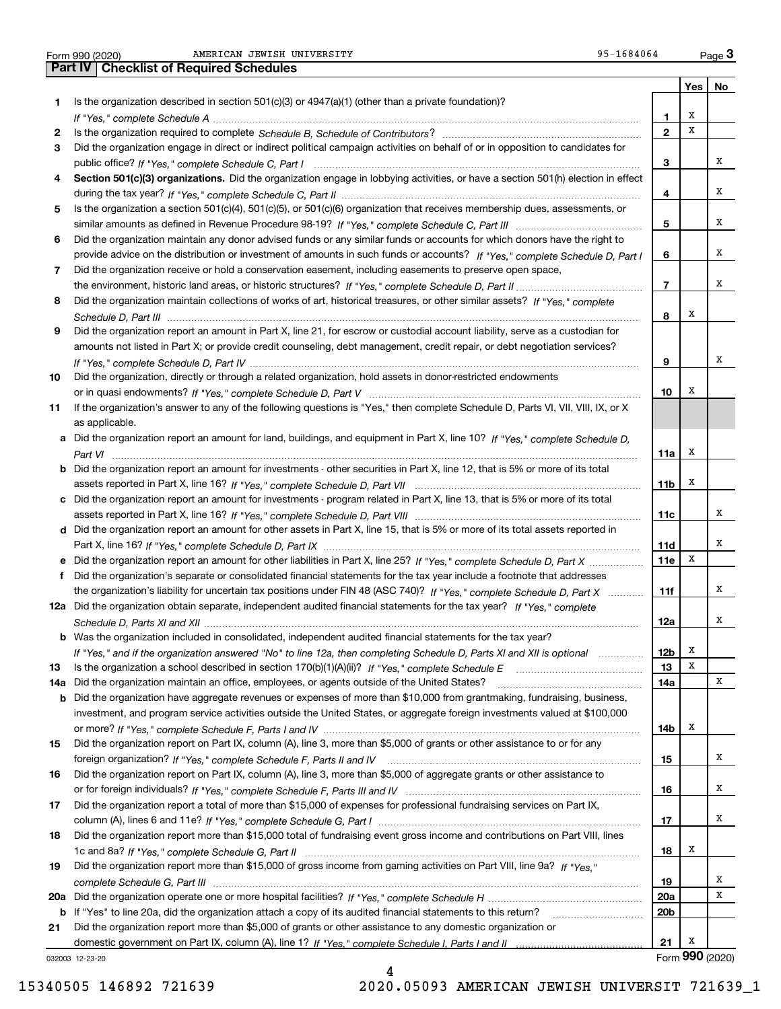| Form 990 (2020 |  |  |
|----------------|--|--|

Form 990 (2020) Page AMERICAN JEWISH UNIVERSITY 95-1684064 **3Part IV Checklist of Required Schedules**

|     |                                                                                                                                       |                 | Yes             | No |
|-----|---------------------------------------------------------------------------------------------------------------------------------------|-----------------|-----------------|----|
| 1.  | Is the organization described in section $501(c)(3)$ or $4947(a)(1)$ (other than a private foundation)?                               |                 |                 |    |
|     |                                                                                                                                       | 1               | х               |    |
| 2   |                                                                                                                                       | $\mathbf{2}$    | х               |    |
| 3   | Did the organization engage in direct or indirect political campaign activities on behalf of or in opposition to candidates for       |                 |                 |    |
|     |                                                                                                                                       | з               |                 | х  |
| 4   | Section 501(c)(3) organizations. Did the organization engage in lobbying activities, or have a section 501(h) election in effect      |                 |                 |    |
|     |                                                                                                                                       | 4               |                 | X  |
| 5   | Is the organization a section 501(c)(4), 501(c)(5), or 501(c)(6) organization that receives membership dues, assessments, or          |                 |                 |    |
|     |                                                                                                                                       | 5               |                 | х  |
| 6   | Did the organization maintain any donor advised funds or any similar funds or accounts for which donors have the right to             |                 |                 |    |
|     | provide advice on the distribution or investment of amounts in such funds or accounts? If "Yes," complete Schedule D, Part I          | 6               |                 | х  |
| 7   | Did the organization receive or hold a conservation easement, including easements to preserve open space,                             |                 |                 |    |
|     |                                                                                                                                       | $\overline{7}$  |                 | X  |
| 8   | Did the organization maintain collections of works of art, historical treasures, or other similar assets? If "Yes," complete          |                 |                 |    |
|     |                                                                                                                                       | 8               | х               |    |
| 9   | Did the organization report an amount in Part X, line 21, for escrow or custodial account liability, serve as a custodian for         |                 |                 |    |
|     | amounts not listed in Part X; or provide credit counseling, debt management, credit repair, or debt negotiation services?             |                 |                 |    |
|     |                                                                                                                                       | 9               |                 | X  |
| 10  | Did the organization, directly or through a related organization, hold assets in donor-restricted endowments                          |                 |                 |    |
|     |                                                                                                                                       | 10              | х               |    |
| 11  | If the organization's answer to any of the following questions is "Yes," then complete Schedule D, Parts VI, VII, VIII, IX, or X      |                 |                 |    |
|     | as applicable.                                                                                                                        |                 |                 |    |
|     | a Did the organization report an amount for land, buildings, and equipment in Part X, line 10? If "Yes," complete Schedule D,         |                 |                 |    |
|     |                                                                                                                                       | 11a l           | х               |    |
|     | <b>b</b> Did the organization report an amount for investments - other securities in Part X, line 12, that is 5% or more of its total |                 | х               |    |
|     |                                                                                                                                       | 11b             |                 |    |
|     | c Did the organization report an amount for investments - program related in Part X, line 13, that is 5% or more of its total         | 11c             |                 | х  |
|     | d Did the organization report an amount for other assets in Part X, line 15, that is 5% or more of its total assets reported in       |                 |                 |    |
|     |                                                                                                                                       | 11d             |                 | X  |
| е   | Did the organization report an amount for other liabilities in Part X, line 25? If "Yes," complete Schedule D, Part X                 | 11e             | х               |    |
| f   | Did the organization's separate or consolidated financial statements for the tax year include a footnote that addresses               |                 |                 |    |
|     | the organization's liability for uncertain tax positions under FIN 48 (ASC 740)? If "Yes," complete Schedule D, Part X                | 11f             |                 | X  |
|     | 12a Did the organization obtain separate, independent audited financial statements for the tax year? If "Yes," complete               |                 |                 |    |
|     |                                                                                                                                       | 12a             |                 | X  |
|     | <b>b</b> Was the organization included in consolidated, independent audited financial statements for the tax year?                    |                 |                 |    |
|     | If "Yes," and if the organization answered "No" to line 12a, then completing Schedule D, Parts XI and XII is optional                 | 12b             | x               |    |
| 13  |                                                                                                                                       | 13              | X               |    |
| 14a | Did the organization maintain an office, employees, or agents outside of the United States?                                           | 14a             |                 | х  |
|     | <b>b</b> Did the organization have aggregate revenues or expenses of more than \$10,000 from grantmaking, fundraising, business,      |                 |                 |    |
|     | investment, and program service activities outside the United States, or aggregate foreign investments valued at \$100,000            |                 |                 |    |
|     |                                                                                                                                       | 14b             | x               |    |
| 15  | Did the organization report on Part IX, column (A), line 3, more than \$5,000 of grants or other assistance to or for any             |                 |                 |    |
|     |                                                                                                                                       | 15              |                 | x  |
| 16  | Did the organization report on Part IX, column (A), line 3, more than \$5,000 of aggregate grants or other assistance to              |                 |                 |    |
|     |                                                                                                                                       | 16              |                 | x  |
| 17  | Did the organization report a total of more than \$15,000 of expenses for professional fundraising services on Part IX,               |                 |                 |    |
|     |                                                                                                                                       | 17              |                 | x  |
| 18  | Did the organization report more than \$15,000 total of fundraising event gross income and contributions on Part VIII, lines          |                 |                 |    |
|     |                                                                                                                                       | 18              | x               |    |
| 19  | Did the organization report more than \$15,000 of gross income from gaming activities on Part VIII, line 9a? If "Yes."                |                 |                 |    |
|     |                                                                                                                                       | 19              |                 | x  |
| 20a |                                                                                                                                       | <b>20a</b>      |                 | х  |
|     | <b>b</b> If "Yes" to line 20a, did the organization attach a copy of its audited financial statements to this return?                 | 20 <sub>b</sub> |                 |    |
| 21  | Did the organization report more than \$5,000 of grants or other assistance to any domestic organization or                           |                 |                 |    |
|     |                                                                                                                                       | 21              | х               |    |
|     | 032003 12-23-20                                                                                                                       |                 | Form 990 (2020) |    |

4

032003 12-23-20

15340505 146892 721639 2020.05093 AMERICAN JEWISH UNIVERSIT 721639\_1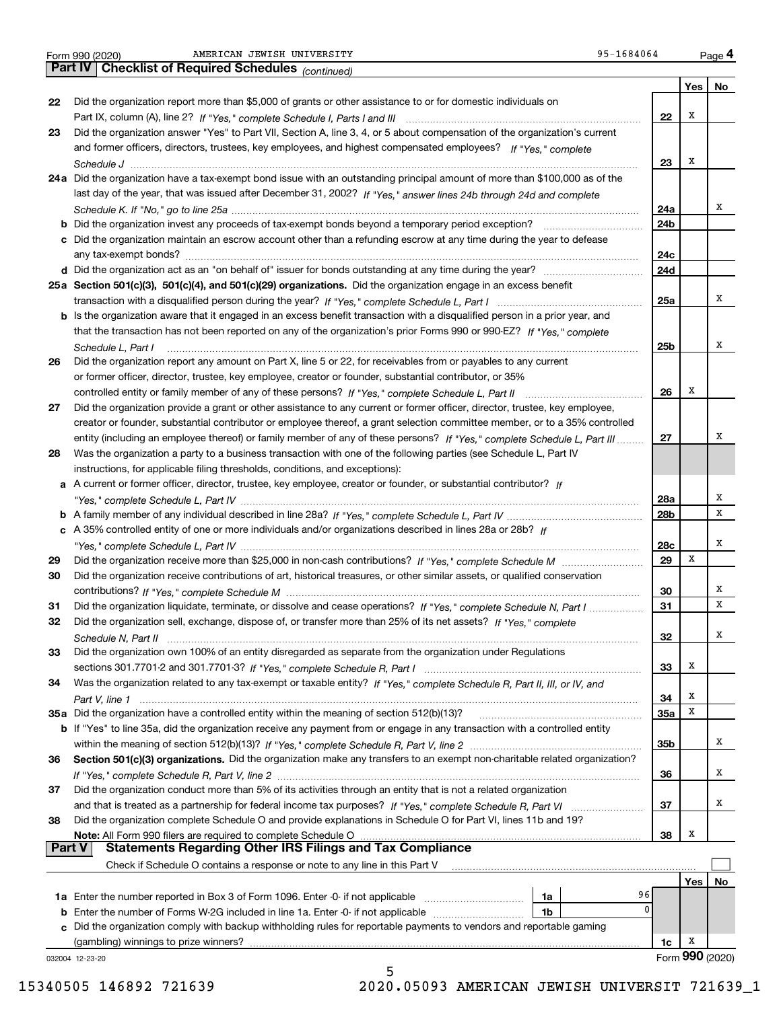|  | Form 990 (2020) |
|--|-----------------|
|  |                 |

Form 990 (2020) Page AMERICAN JEWISH UNIVERSITY 95-1684064

|        | 95-1684064<br>AMERICAN JEWISH UNIVERSITY<br>Form 990 (2020)                                                                 |            |     | Page 4          |
|--------|-----------------------------------------------------------------------------------------------------------------------------|------------|-----|-----------------|
|        | Part IV<br><b>Checklist of Required Schedules</b> (continued)                                                               |            |     |                 |
|        |                                                                                                                             |            | Yes | No              |
| 22     | Did the organization report more than \$5,000 of grants or other assistance to or for domestic individuals on               |            |     |                 |
|        |                                                                                                                             | 22         | Х   |                 |
| 23     | Did the organization answer "Yes" to Part VII, Section A, line 3, 4, or 5 about compensation of the organization's current  |            |     |                 |
|        | and former officers, directors, trustees, key employees, and highest compensated employees? If "Yes," complete              |            |     |                 |
|        |                                                                                                                             | 23         | X   |                 |
|        | 24a Did the organization have a tax-exempt bond issue with an outstanding principal amount of more than \$100,000 as of the |            |     |                 |
|        | last day of the year, that was issued after December 31, 2002? If "Yes," answer lines 24b through 24d and complete          |            |     |                 |
|        |                                                                                                                             | 24a        |     | х               |
|        | Did the organization invest any proceeds of tax-exempt bonds beyond a temporary period exception?                           | 24b        |     |                 |
|        | c Did the organization maintain an escrow account other than a refunding escrow at any time during the year to defease      |            |     |                 |
|        |                                                                                                                             | 24c        |     |                 |
|        |                                                                                                                             | 24d        |     |                 |
|        | 25a Section 501(c)(3), 501(c)(4), and 501(c)(29) organizations. Did the organization engage in an excess benefit            |            |     |                 |
|        |                                                                                                                             | 25a        |     | x               |
|        | Is the organization aware that it engaged in an excess benefit transaction with a disqualified person in a prior year, and  |            |     |                 |
|        | that the transaction has not been reported on any of the organization's prior Forms 990 or 990-EZ? If "Yes," complete       |            |     |                 |
|        | Schedule L, Part I                                                                                                          | 25b        |     | х               |
| 26     | Did the organization report any amount on Part X, line 5 or 22, for receivables from or payables to any current             |            |     |                 |
|        | or former officer, director, trustee, key employee, creator or founder, substantial contributor, or 35%                     |            |     |                 |
|        |                                                                                                                             | 26         | X   |                 |
| 27     | Did the organization provide a grant or other assistance to any current or former officer, director, trustee, key employee, |            |     |                 |
|        | creator or founder, substantial contributor or employee thereof, a grant selection committee member, or to a 35% controlled |            |     |                 |
|        | entity (including an employee thereof) or family member of any of these persons? If "Yes," complete Schedule L, Part III    | 27         |     | х               |
| 28     | Was the organization a party to a business transaction with one of the following parties (see Schedule L, Part IV           |            |     |                 |
|        | instructions, for applicable filing thresholds, conditions, and exceptions):                                                |            |     |                 |
| а      | A current or former officer, director, trustee, key employee, creator or founder, or substantial contributor? If            |            |     |                 |
|        |                                                                                                                             | 28a        |     | х               |
|        |                                                                                                                             | 28b        |     | x               |
|        | c A 35% controlled entity of one or more individuals and/or organizations described in lines 28a or 28b? If                 |            |     |                 |
|        |                                                                                                                             | 28c        |     | Х               |
| 29     |                                                                                                                             | 29         | х   |                 |
| 30     | Did the organization receive contributions of art, historical treasures, or other similar assets, or qualified conservation |            |     |                 |
|        |                                                                                                                             | 30         |     | х               |
| 31     | Did the organization liquidate, terminate, or dissolve and cease operations? If "Yes," complete Schedule N, Part I          | 31         |     | X               |
| 32     | Did the organization sell, exchange, dispose of, or transfer more than 25% of its net assets? If "Yes," complete            |            |     |                 |
|        |                                                                                                                             | 32         |     | x               |
| 33     | Did the organization own 100% of an entity disregarded as separate from the organization under Regulations                  |            |     |                 |
|        |                                                                                                                             | 33         | х   |                 |
| 34     | Was the organization related to any tax-exempt or taxable entity? If "Yes," complete Schedule R, Part II, III, or IV, and   |            |     |                 |
|        |                                                                                                                             | 34         | x   |                 |
|        | 35a Did the organization have a controlled entity within the meaning of section 512(b)(13)?                                 | <b>35a</b> | x   |                 |
|        | b If "Yes" to line 35a, did the organization receive any payment from or engage in any transaction with a controlled entity |            |     |                 |
|        |                                                                                                                             | 35b        |     | x               |
| 36     | Section 501(c)(3) organizations. Did the organization make any transfers to an exempt non-charitable related organization?  |            |     |                 |
|        |                                                                                                                             | 36         |     | x               |
| 37     | Did the organization conduct more than 5% of its activities through an entity that is not a related organization            |            |     |                 |
|        |                                                                                                                             | 37         |     | x               |
| 38     | Did the organization complete Schedule O and provide explanations in Schedule O for Part VI, lines 11b and 19?              |            |     |                 |
|        | Note: All Form 990 filers are required to complete Schedule O                                                               | 38         | x   |                 |
| Part V | <b>Statements Regarding Other IRS Filings and Tax Compliance</b>                                                            |            |     |                 |
|        | Check if Schedule O contains a response or note to any line in this Part V                                                  |            |     |                 |
|        |                                                                                                                             |            | Yes | No              |
|        | 96<br>1a                                                                                                                    |            |     |                 |
| b      | 0<br>Enter the number of Forms W-2G included in line 1a. Enter -0- if not applicable<br>1b                                  |            |     |                 |
| C.     | Did the organization comply with backup withholding rules for reportable payments to vendors and reportable gaming          |            |     |                 |
|        | (gambling) winnings to prize winners?                                                                                       | 1c         | x   |                 |
|        | 032004 12-23-20                                                                                                             |            |     | Form 990 (2020) |
|        | 5                                                                                                                           |            |     |                 |

15340505 146892 721639 2020.05093 AMERICAN JEWISH UNIVERSIT 721639\_1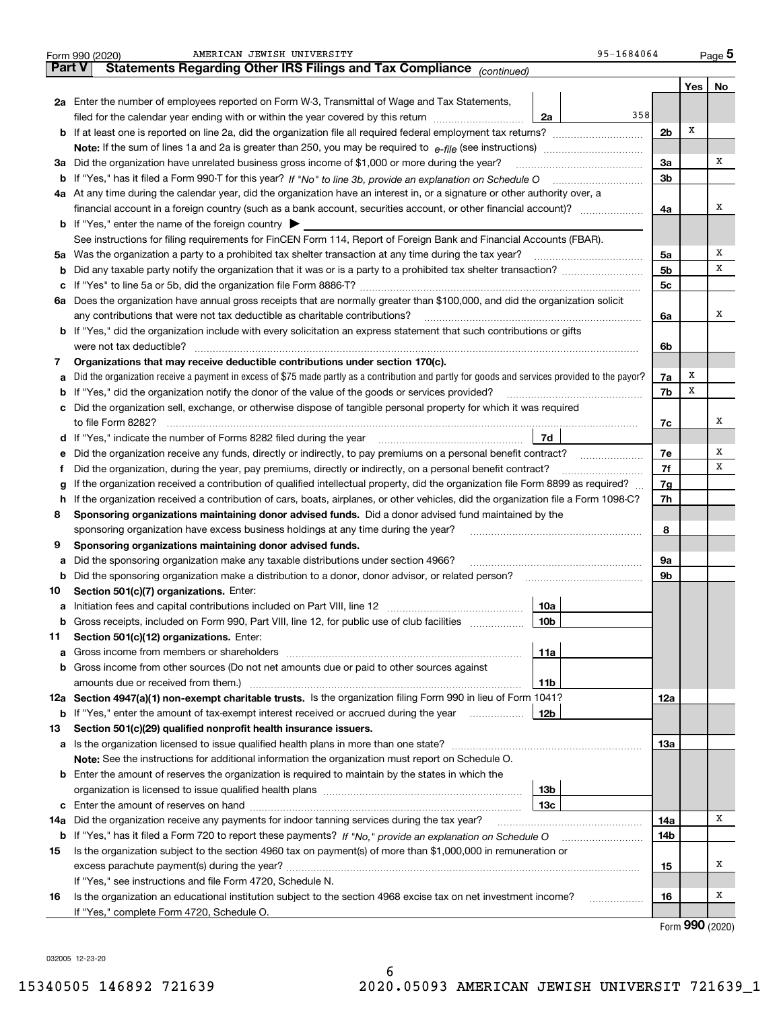|        | 95-1684064<br>AMERICAN JEWISH UNIVERSITY<br>Form 990 (2020)                                                                                                                                                                           |                |       | $_{\text{Page}}$ 5 |  |  |  |
|--------|---------------------------------------------------------------------------------------------------------------------------------------------------------------------------------------------------------------------------------------|----------------|-------|--------------------|--|--|--|
| Part V | Statements Regarding Other IRS Filings and Tax Compliance (continued)                                                                                                                                                                 |                |       |                    |  |  |  |
|        |                                                                                                                                                                                                                                       |                | Yes   | No                 |  |  |  |
|        | 2a Enter the number of employees reported on Form W-3, Transmittal of Wage and Tax Statements,                                                                                                                                        |                |       |                    |  |  |  |
|        | 358<br>filed for the calendar year ending with or within the year covered by this return<br>2a                                                                                                                                        |                |       |                    |  |  |  |
|        | <b>b</b> If at least one is reported on line 2a, did the organization file all required federal employment tax returns?                                                                                                               | 2 <sub>b</sub> | Х     |                    |  |  |  |
|        | <b>Note:</b> If the sum of lines 1a and 2a is greater than 250, you may be required to $e$ -file (see instructions) <i>manimummmmmm</i>                                                                                               |                |       |                    |  |  |  |
|        | 3a Did the organization have unrelated business gross income of \$1,000 or more during the year?                                                                                                                                      | 3a             |       | х                  |  |  |  |
|        | b If "Yes," has it filed a Form 990-T for this year? If "No" to line 3b, provide an explanation on Schedule O                                                                                                                         | 3 <sub>b</sub> |       |                    |  |  |  |
|        | 4a At any time during the calendar year, did the organization have an interest in, or a signature or other authority over, a                                                                                                          |                |       |                    |  |  |  |
|        | financial account in a foreign country (such as a bank account, securities account, or other financial account)?                                                                                                                      | 4a             |       | х                  |  |  |  |
|        | <b>b</b> If "Yes," enter the name of the foreign country $\triangleright$                                                                                                                                                             |                |       |                    |  |  |  |
|        | See instructions for filing requirements for FinCEN Form 114, Report of Foreign Bank and Financial Accounts (FBAR).                                                                                                                   |                |       |                    |  |  |  |
|        | 5a Was the organization a party to a prohibited tax shelter transaction at any time during the tax year?                                                                                                                              | 5a             |       | х                  |  |  |  |
|        |                                                                                                                                                                                                                                       | 5 <sub>b</sub> |       | х                  |  |  |  |
|        |                                                                                                                                                                                                                                       | 5c             |       |                    |  |  |  |
|        | 6a Does the organization have annual gross receipts that are normally greater than \$100,000, and did the organization solicit                                                                                                        |                |       |                    |  |  |  |
|        | any contributions that were not tax deductible as charitable contributions?                                                                                                                                                           | 6a             |       | x                  |  |  |  |
|        | <b>b</b> If "Yes," did the organization include with every solicitation an express statement that such contributions or gifts                                                                                                         |                |       |                    |  |  |  |
|        | were not tax deductible?                                                                                                                                                                                                              | 6b             |       |                    |  |  |  |
| 7      | Organizations that may receive deductible contributions under section 170(c).                                                                                                                                                         |                |       |                    |  |  |  |
| а      | Did the organization receive a payment in excess of \$75 made partly as a contribution and partly for goods and services provided to the payor?                                                                                       | 7a             | х     |                    |  |  |  |
|        | <b>b</b> If "Yes," did the organization notify the donor of the value of the goods or services provided?                                                                                                                              | 7b             | х     |                    |  |  |  |
|        | c Did the organization sell, exchange, or otherwise dispose of tangible personal property for which it was required                                                                                                                   |                |       |                    |  |  |  |
|        | to file Form 8282?                                                                                                                                                                                                                    | 7с             |       | x                  |  |  |  |
|        | 7d                                                                                                                                                                                                                                    |                |       |                    |  |  |  |
| е      | Did the organization receive any funds, directly or indirectly, to pay premiums on a personal benefit contract?                                                                                                                       | 7e             |       | х                  |  |  |  |
| Ť      | Did the organization, during the year, pay premiums, directly or indirectly, on a personal benefit contract?                                                                                                                          |                |       |                    |  |  |  |
| g      | If the organization received a contribution of qualified intellectual property, did the organization file Form 8899 as required?                                                                                                      | 7g             |       |                    |  |  |  |
| h.     | If the organization received a contribution of cars, boats, airplanes, or other vehicles, did the organization file a Form 1098-C?                                                                                                    | 7h             |       |                    |  |  |  |
| 8      | Sponsoring organizations maintaining donor advised funds. Did a donor advised fund maintained by the                                                                                                                                  |                |       |                    |  |  |  |
|        | sponsoring organization have excess business holdings at any time during the year?                                                                                                                                                    | 8              |       |                    |  |  |  |
| 9      | Sponsoring organizations maintaining donor advised funds.                                                                                                                                                                             |                |       |                    |  |  |  |
| а      | Did the sponsoring organization make any taxable distributions under section 4966?                                                                                                                                                    | 9а             |       |                    |  |  |  |
| b      | Did the sponsoring organization make a distribution to a donor, donor advisor, or related person?                                                                                                                                     | 9b             |       |                    |  |  |  |
| 10     | Section 501(c)(7) organizations. Enter:                                                                                                                                                                                               |                |       |                    |  |  |  |
|        | 10a                                                                                                                                                                                                                                   |                |       |                    |  |  |  |
|        | <b>b</b> Gross receipts, included on Form 990, Part VIII, line 12, for public use of club facilities <i>manument</i><br>10b                                                                                                           |                |       |                    |  |  |  |
| 11     | Section 501(c)(12) organizations. Enter:                                                                                                                                                                                              |                |       |                    |  |  |  |
| а      | 11a<br>Gross income from members or shareholders [111] [12] content to the state of the state of the state of the state of the state of the state of the state of the state of the state of the state of the state of the state of th |                |       |                    |  |  |  |
|        | <b>b</b> Gross income from other sources (Do not net amounts due or paid to other sources against                                                                                                                                     |                |       |                    |  |  |  |
|        | amounts due or received from them.)<br>11b                                                                                                                                                                                            |                |       |                    |  |  |  |
|        | 12a Section 4947(a)(1) non-exempt charitable trusts. Is the organization filing Form 990 in lieu of Form 1041?                                                                                                                        | 12a            |       |                    |  |  |  |
|        | <b>b</b> If "Yes," enter the amount of tax-exempt interest received or accrued during the year<br>12b                                                                                                                                 |                |       |                    |  |  |  |
| 13     | Section 501(c)(29) qualified nonprofit health insurance issuers.                                                                                                                                                                      |                |       |                    |  |  |  |
|        |                                                                                                                                                                                                                                       | 13а            |       |                    |  |  |  |
|        | Note: See the instructions for additional information the organization must report on Schedule O.                                                                                                                                     |                |       |                    |  |  |  |
|        | <b>b</b> Enter the amount of reserves the organization is required to maintain by the states in which the                                                                                                                             |                |       |                    |  |  |  |
|        | 13b                                                                                                                                                                                                                                   |                |       |                    |  |  |  |
|        | 13с                                                                                                                                                                                                                                   |                |       |                    |  |  |  |
| 14a    | Did the organization receive any payments for indoor tanning services during the tax year?                                                                                                                                            | 14a            |       | Χ                  |  |  |  |
|        |                                                                                                                                                                                                                                       | 14b            |       |                    |  |  |  |
| 15     | Is the organization subject to the section 4960 tax on payment(s) of more than \$1,000,000 in remuneration or                                                                                                                         |                |       |                    |  |  |  |
|        |                                                                                                                                                                                                                                       | 15             |       | Х                  |  |  |  |
|        | If "Yes," see instructions and file Form 4720, Schedule N.                                                                                                                                                                            |                |       |                    |  |  |  |
| 16     | Is the organization an educational institution subject to the section 4968 excise tax on net investment income?<br>.                                                                                                                  | 16             |       | х                  |  |  |  |
|        | If "Yes," complete Form 4720, Schedule O.                                                                                                                                                                                             |                |       |                    |  |  |  |
|        |                                                                                                                                                                                                                                       |                | ∴ ∩∩∩ |                    |  |  |  |

Form (2020) **990**

032005 12-23-20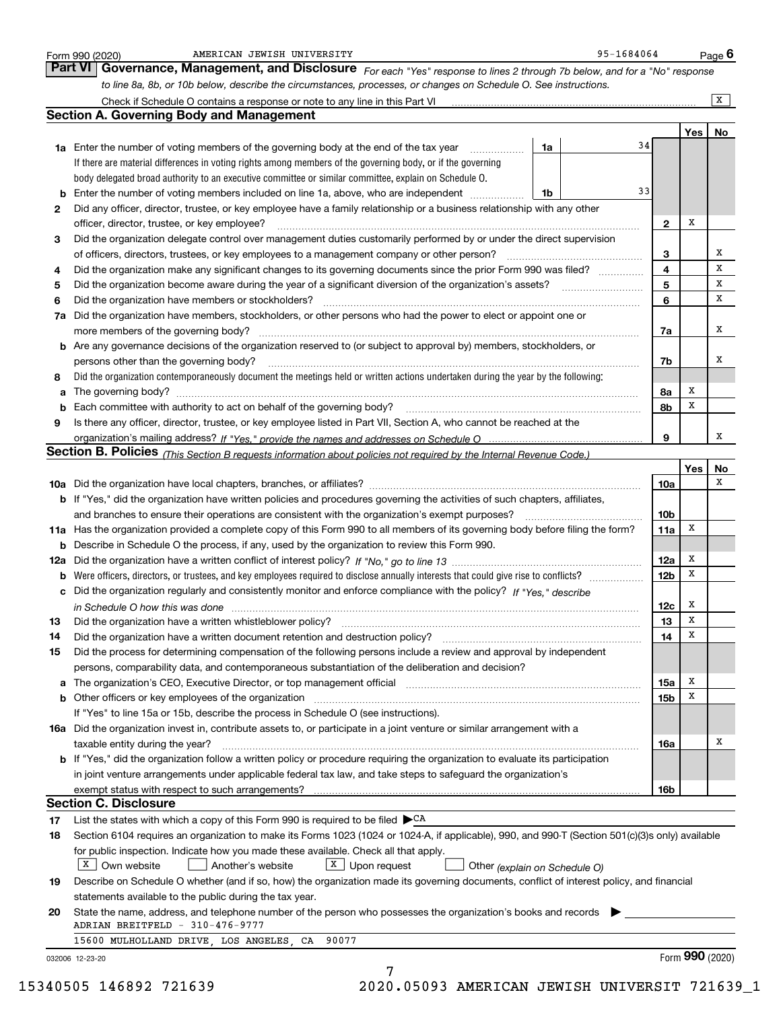|     | to line 8a, 8b, or 10b below, describe the circumstances, processes, or changes on Schedule O. See instructions.                                                                                                               |    |                 |     | $\overline{X}$ |
|-----|--------------------------------------------------------------------------------------------------------------------------------------------------------------------------------------------------------------------------------|----|-----------------|-----|----------------|
|     | <b>Section A. Governing Body and Management</b>                                                                                                                                                                                |    |                 |     |                |
|     |                                                                                                                                                                                                                                |    |                 | Yes | No             |
|     | 1a Enter the number of voting members of the governing body at the end of the tax year                                                                                                                                         | 1a | 34              |     |                |
|     | If there are material differences in voting rights among members of the governing body, or if the governing                                                                                                                    |    |                 |     |                |
|     | body delegated broad authority to an executive committee or similar committee, explain on Schedule O.                                                                                                                          |    |                 |     |                |
| b   | Enter the number of voting members included on line 1a, above, who are independent                                                                                                                                             | 1b | 33              |     |                |
| 2   | Did any officer, director, trustee, or key employee have a family relationship or a business relationship with any other                                                                                                       |    |                 |     |                |
|     | officer, director, trustee, or key employee?                                                                                                                                                                                   |    | $\mathbf{2}$    | Х   |                |
| 3   | Did the organization delegate control over management duties customarily performed by or under the direct supervision                                                                                                          |    |                 |     |                |
|     |                                                                                                                                                                                                                                |    | 3               |     | х              |
| 4   | Did the organization make any significant changes to its governing documents since the prior Form 990 was filed?                                                                                                               |    | 4               |     | X              |
| 5   |                                                                                                                                                                                                                                |    | 5               |     | x              |
| 6   | Did the organization have members or stockholders?                                                                                                                                                                             |    | 6               |     | x              |
| 7a  | Did the organization have members, stockholders, or other persons who had the power to elect or appoint one or                                                                                                                 |    |                 |     |                |
|     |                                                                                                                                                                                                                                |    | 7a              |     | х              |
|     | b Are any governance decisions of the organization reserved to (or subject to approval by) members, stockholders, or                                                                                                           |    |                 |     |                |
|     | persons other than the governing body?                                                                                                                                                                                         |    | 7b              |     | Х              |
| 8   | Did the organization contemporaneously document the meetings held or written actions undertaken during the year by the following:                                                                                              |    |                 |     |                |
| а   |                                                                                                                                                                                                                                |    | 8а              | x   |                |
| b   | Each committee with authority to act on behalf of the governing body? [11] manufactures manufactures with authority to act on behalf of the governing body? [11] manufactures manufactures with authority of the state with an |    | 8b              | X   |                |
| 9   | Is there any officer, director, trustee, or key employee listed in Part VII, Section A, who cannot be reached at the                                                                                                           |    |                 |     |                |
|     |                                                                                                                                                                                                                                |    | 9               |     | х              |
|     | Section B. Policies <i>(This Section B requests information about policies not required by the Internal Revenue Code.)</i>                                                                                                     |    |                 |     |                |
|     |                                                                                                                                                                                                                                |    |                 | Yes | No             |
|     |                                                                                                                                                                                                                                |    | <b>10a</b>      |     | х              |
|     | <b>b</b> If "Yes," did the organization have written policies and procedures governing the activities of such chapters, affiliates,                                                                                            |    |                 |     |                |
|     |                                                                                                                                                                                                                                |    | 10 <sub>b</sub> |     |                |
|     | 11a Has the organization provided a complete copy of this Form 990 to all members of its governing body before filing the form?                                                                                                |    | 11a             | х   |                |
| b   | Describe in Schedule O the process, if any, used by the organization to review this Form 990.                                                                                                                                  |    |                 |     |                |
| 12a |                                                                                                                                                                                                                                |    | 12a             | x   |                |
| b   | Were officers, directors, or trustees, and key employees required to disclose annually interests that could give rise to conflicts?                                                                                            |    | 12 <sub>b</sub> | х   |                |
|     | Did the organization regularly and consistently monitor and enforce compliance with the policy? If "Yes," describe                                                                                                             |    |                 |     |                |
|     | in Schedule O how this was done measurements and contained a state of the state of the state of the state of t                                                                                                                 |    | 12c             | х   |                |
| 13  | Did the organization have a written whistleblower policy?                                                                                                                                                                      |    | 13              | X   |                |
| 14  | Did the organization have a written document retention and destruction policy?                                                                                                                                                 |    | 14              | х   |                |
| 15  | Did the process for determining compensation of the following persons include a review and approval by independent                                                                                                             |    |                 |     |                |
|     | persons, comparability data, and contemporaneous substantiation of the deliberation and decision?                                                                                                                              |    |                 |     |                |
| a   | The organization's CEO, Executive Director, or top management official manufactured content content of the organization's CEO, Executive Director, or top management official manufactured manufactured and the original manuf |    | 15a             | х   |                |
|     | <b>b</b> Other officers or key employees of the organization                                                                                                                                                                   |    | 15 <sub>b</sub> | х   |                |
|     | If "Yes" to line 15a or 15b, describe the process in Schedule O (see instructions).                                                                                                                                            |    |                 |     |                |
|     | 16a Did the organization invest in, contribute assets to, or participate in a joint venture or similar arrangement with a                                                                                                      |    |                 |     |                |
|     | taxable entity during the year?                                                                                                                                                                                                |    | 16a             |     | Х              |
|     | b If "Yes," did the organization follow a written policy or procedure requiring the organization to evaluate its participation                                                                                                 |    |                 |     |                |
|     | in joint venture arrangements under applicable federal tax law, and take steps to safeguard the organization's                                                                                                                 |    |                 |     |                |
|     | exempt status with respect to such arrangements?                                                                                                                                                                               |    | 16b             |     |                |
|     | <b>Section C. Disclosure</b>                                                                                                                                                                                                   |    |                 |     |                |
| 17  | List the states with which a copy of this Form 990 is required to be filed $\blacktriangleright^{\mathsf{CA}}$                                                                                                                 |    |                 |     |                |
| 18  | Section 6104 requires an organization to make its Forms 1023 (1024 or 1024-A, if applicable), 990, and 990-T (Section 501(c)(3)s only) available                                                                               |    |                 |     |                |
|     | for public inspection. Indicate how you made these available. Check all that apply.                                                                                                                                            |    |                 |     |                |
|     | X   Own website<br>$X$ Upon request<br>Another's website<br>Other (explain on Schedule O)                                                                                                                                      |    |                 |     |                |
| 19  | Describe on Schedule O whether (and if so, how) the organization made its governing documents, conflict of interest policy, and financial                                                                                      |    |                 |     |                |
|     | statements available to the public during the tax year.                                                                                                                                                                        |    |                 |     |                |
|     | State the name, address, and telephone number of the person who possesses the organization's books and records                                                                                                                 |    |                 |     |                |
| 20  |                                                                                                                                                                                                                                |    |                 |     |                |
|     | ADRIAN BREITFELD - 310-476-9777<br>90077<br>15600 MULHOLLAND DRIVE, LOS ANGELES, CA                                                                                                                                            |    |                 |     |                |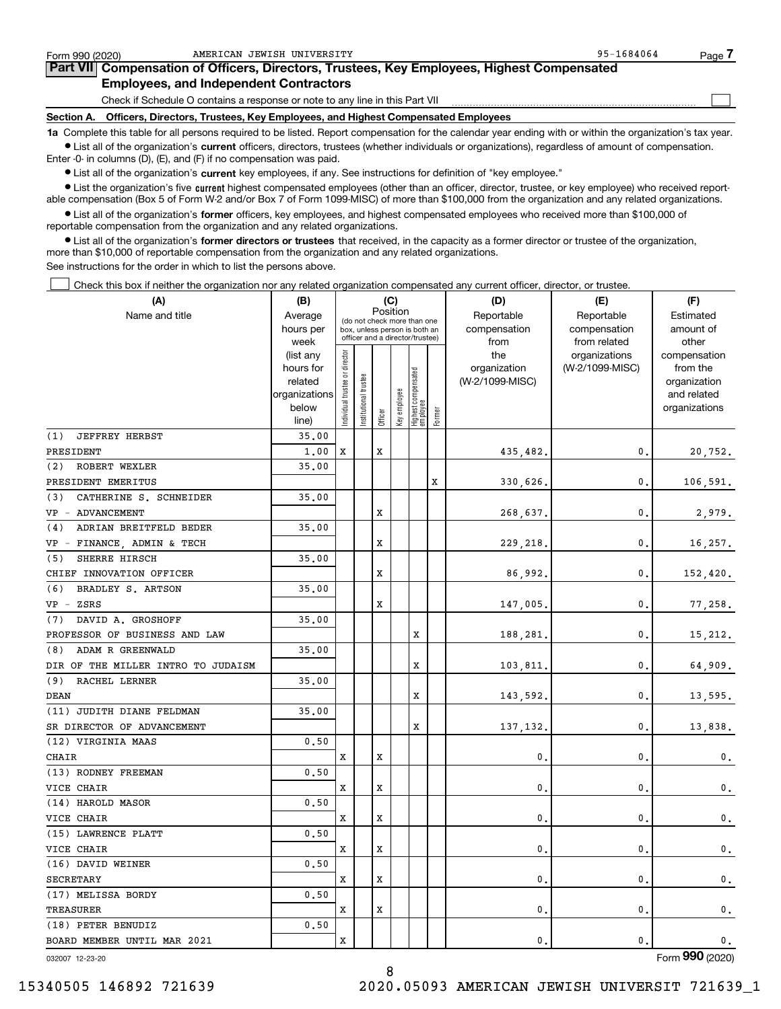| Form 990 (2020)                                                                            | AMERICAN JEWISH UNIVERSITY                                                                                                                                 | 95-1684064 | Page |  |  |  |  |  |
|--------------------------------------------------------------------------------------------|------------------------------------------------------------------------------------------------------------------------------------------------------------|------------|------|--|--|--|--|--|
| Part VII Compensation of Officers, Directors, Trustees, Key Employees, Highest Compensated |                                                                                                                                                            |            |      |  |  |  |  |  |
|                                                                                            | <b>Employees, and Independent Contractors</b>                                                                                                              |            |      |  |  |  |  |  |
|                                                                                            | Check if Schedule O contains a response or note to any line in this Part VII                                                                               |            |      |  |  |  |  |  |
| Section A.                                                                                 | Officers, Directors, Trustees, Key Employees, and Highest Compensated Employees                                                                            |            |      |  |  |  |  |  |
|                                                                                            | 1a Complete this table for all persons required to be listed. Report compensation for the calendar year ending with or within the organization's tax year. |            |      |  |  |  |  |  |

**•** List all of the organization's current officers, directors, trustees (whether individuals or organizations), regardless of amount of compensation. Enter -0- in columns (D), (E), and (F) if no compensation was paid.

 $\bullet$  List all of the organization's  $\,$ current key employees, if any. See instructions for definition of "key employee."

**•** List the organization's five current highest compensated employees (other than an officer, director, trustee, or key employee) who received reportable compensation (Box 5 of Form W-2 and/or Box 7 of Form 1099-MISC) of more than \$100,000 from the organization and any related organizations.

**•** List all of the organization's former officers, key employees, and highest compensated employees who received more than \$100,000 of reportable compensation from the organization and any related organizations.

**former directors or trustees**  ¥ List all of the organization's that received, in the capacity as a former director or trustee of the organization, more than \$10,000 of reportable compensation from the organization and any related organizations.

See instructions for the order in which to list the persons above.

Check this box if neither the organization nor any related organization compensated any current officer, director, or trustee.  $\mathcal{L}^{\text{max}}$ 

| (A)                                | (B)                    |                               |                                                                  |             | (C)          |                                 |        | (D)             | (E)                              | (F)                      |
|------------------------------------|------------------------|-------------------------------|------------------------------------------------------------------|-------------|--------------|---------------------------------|--------|-----------------|----------------------------------|--------------------------|
| Name and title                     | Average                |                               | (do not check more than one                                      |             | Position     |                                 |        | Reportable      | Reportable                       | Estimated                |
|                                    | hours per              |                               | box, unless person is both an<br>officer and a director/trustee) |             |              |                                 |        | compensation    | compensation                     | amount of                |
|                                    | week                   |                               |                                                                  |             |              |                                 |        | from<br>the     | from related                     | other                    |
|                                    | (list any<br>hours for |                               |                                                                  |             |              |                                 |        | organization    | organizations<br>(W-2/1099-MISC) | compensation<br>from the |
|                                    | related                |                               | trustee                                                          |             |              |                                 |        | (W-2/1099-MISC) |                                  | organization             |
|                                    | organizations          |                               |                                                                  |             |              |                                 |        |                 |                                  | and related              |
|                                    | below                  | ndividual trustee or director | Institutional t                                                  |             | Key employee | Highest compensated<br>employee |        |                 |                                  | organizations            |
|                                    | line)                  |                               |                                                                  | Officer     |              |                                 | Former |                 |                                  |                          |
| (1)<br><b>JEFFREY HERBST</b>       | 35.00                  |                               |                                                                  |             |              |                                 |        |                 |                                  |                          |
| PRESIDENT                          | 1,00                   | x                             |                                                                  | X           |              |                                 |        | 435,482.        | $\mathbf{0}$ .                   | 20,752.                  |
| ROBERT WEXLER<br>(2)               | 35.00                  |                               |                                                                  |             |              |                                 |        |                 |                                  |                          |
| PRESIDENT EMERITUS                 |                        |                               |                                                                  |             |              |                                 | X      | 330,626.        | $\mathbf{0}$ .                   | 106,591.                 |
| CATHERINE S. SCHNEIDER<br>(3)      | 35.00                  |                               |                                                                  |             |              |                                 |        |                 |                                  |                          |
| VP - ADVANCEMENT                   |                        |                               |                                                                  | X           |              |                                 |        | 268,637.        | 0.                               | 2,979.                   |
| ADRIAN BREITFELD BEDER<br>(4)      | 35.00                  |                               |                                                                  |             |              |                                 |        |                 |                                  |                          |
| VP - FINANCE, ADMIN & TECH         |                        |                               |                                                                  | $\mathbf x$ |              |                                 |        | 229,218.        | $\mathbf{0}$ .                   | 16,257.                  |
| (5)<br>SHERRE HIRSCH               | 35.00                  |                               |                                                                  |             |              |                                 |        |                 |                                  |                          |
| CHIEF INNOVATION OFFICER           |                        |                               |                                                                  | $\mathbf x$ |              |                                 |        | 86,992.         | $\mathbf{0}$ .                   | 152,420.                 |
| BRADLEY S. ARTSON<br>(6)           | 35.00                  |                               |                                                                  |             |              |                                 |        |                 |                                  |                          |
| $VP$ - $ZSRS$                      |                        |                               |                                                                  | X           |              |                                 |        | 147,005.        | $\mathbf{0}$ .                   | 77,258.                  |
| DAVID A. GROSHOFF<br>(7)           | 35.00                  |                               |                                                                  |             |              |                                 |        |                 |                                  |                          |
| PROFESSOR OF BUSINESS AND LAW      |                        |                               |                                                                  |             |              | X                               |        | 188,281.        | 0.                               | 15,212.                  |
| ADAM R GREENWALD<br>(8)            | 35.00                  |                               |                                                                  |             |              |                                 |        |                 |                                  |                          |
| DIR OF THE MILLER INTRO TO JUDAISM |                        |                               |                                                                  |             |              | X                               |        | 103,811.        | $\mathbf{0}$ .                   | 64,909.                  |
| (9)<br>RACHEL LERNER               | 35.00                  |                               |                                                                  |             |              |                                 |        |                 |                                  |                          |
| <b>DEAN</b>                        |                        |                               |                                                                  |             |              | X                               |        | 143,592.        | 0.                               | 13,595.                  |
| (11) JUDITH DIANE FELDMAN          | 35,00                  |                               |                                                                  |             |              |                                 |        |                 |                                  |                          |
| SR DIRECTOR OF ADVANCEMENT         |                        |                               |                                                                  |             |              | X                               |        | 137,132.        | $\mathbf{0}$ .                   | 13,838.                  |
| (12) VIRGINIA MAAS                 | 0.50                   |                               |                                                                  |             |              |                                 |        |                 |                                  |                          |
| <b>CHAIR</b>                       |                        | x                             |                                                                  | X           |              |                                 |        | $\mathbf{0}$ .  | $\mathbf{0}$ .                   | 0.                       |
| (13) RODNEY FREEMAN                | 0.50                   |                               |                                                                  |             |              |                                 |        |                 |                                  |                          |
| VICE CHAIR                         |                        | x                             |                                                                  | X           |              |                                 |        | $\mathbf{0}$ .  | $\mathbf{0}$ .                   | $\mathfrak{o}$ .         |
| (14) HAROLD MASOR                  | 0.50                   |                               |                                                                  |             |              |                                 |        |                 |                                  |                          |
| VICE CHAIR                         |                        | x                             |                                                                  | X           |              |                                 |        | 0.              | 0.                               | $0$ .                    |
| (15) LAWRENCE PLATT                | 0.50                   |                               |                                                                  |             |              |                                 |        |                 |                                  |                          |
| VICE CHAIR                         |                        | х                             |                                                                  | X           |              |                                 |        | $\mathbf 0$ .   | $\mathbf{0}$ .                   | 0.                       |
| (16) DAVID WEINER                  | 0.50                   |                               |                                                                  |             |              |                                 |        |                 |                                  |                          |
| <b>SECRETARY</b>                   |                        | x                             |                                                                  | X           |              |                                 |        | 0.              | $\mathbf{0}$ .                   | 0.                       |
| (17) MELISSA BORDY                 | 0.50                   |                               |                                                                  |             |              |                                 |        |                 |                                  |                          |
| TREASURER                          |                        | x                             |                                                                  | X           |              |                                 |        | $\mathbf 0$ .   | $\mathbf{0}$ .                   | 0.                       |
| (18) PETER BENUDIZ                 | 0.50                   |                               |                                                                  |             |              |                                 |        |                 |                                  |                          |
| BOARD MEMBER UNTIL MAR 2021        |                        | x                             |                                                                  |             |              |                                 |        | 0.              | 0.                               | $\mathbf 0$ .            |

032007 12-23-20

Form (2020) **990**

8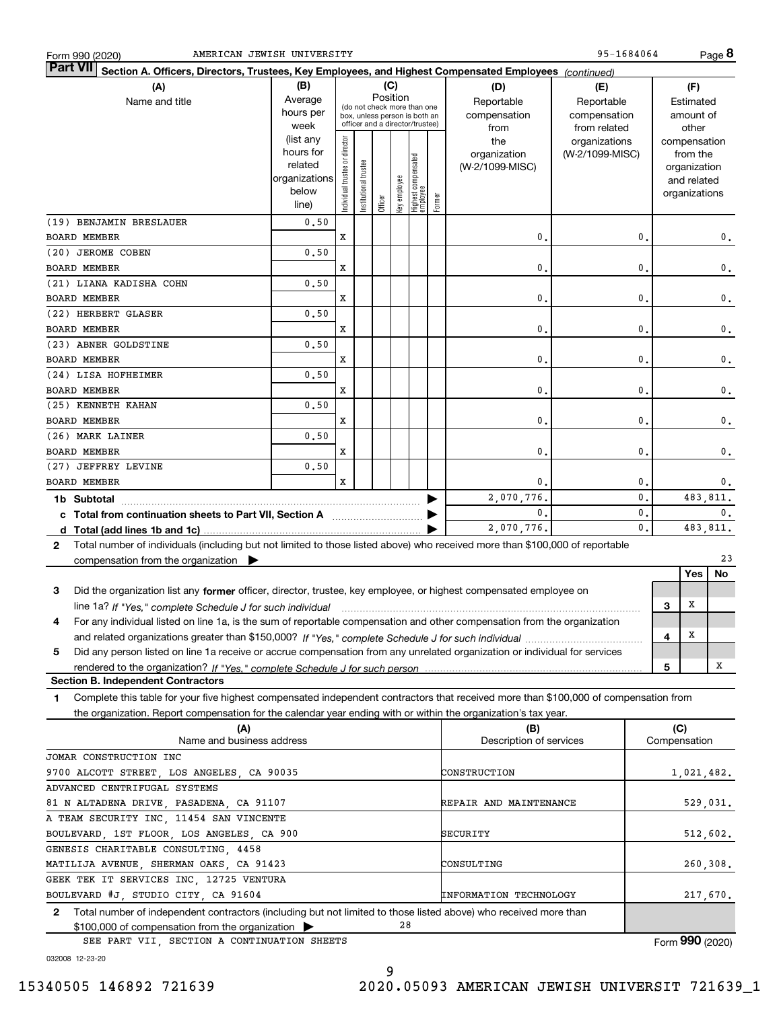| Form 990 (2020 |  |
|----------------|--|
|                |  |

95-1684064

**8**

| $\vert$ Part VII $\vert$ Section A. Officers, Directors, Trustees, Key Employees, and Highest Compensated Employees $\vert$ $_{\rm {Continued)}}$ |                      |                                |                                 |          |              |                                   |        |                               |                 |                |              |                              |                |
|---------------------------------------------------------------------------------------------------------------------------------------------------|----------------------|--------------------------------|---------------------------------|----------|--------------|-----------------------------------|--------|-------------------------------|-----------------|----------------|--------------|------------------------------|----------------|
| (A)                                                                                                                                               | (B)                  |                                |                                 |          | (C)          |                                   |        | (D)                           | (E)             |                |              | (F)                          |                |
| Name and title                                                                                                                                    | Average              |                                | (do not check more than one     | Position |              |                                   |        | Reportable                    | Reportable      |                |              | Estimated                    |                |
|                                                                                                                                                   | hours per            |                                | box, unless person is both an   |          |              |                                   |        | compensation                  | compensation    |                |              | amount of                    |                |
|                                                                                                                                                   | week                 |                                | officer and a director/trustee) |          |              |                                   |        | from                          | from related    |                |              | other                        |                |
|                                                                                                                                                   | (list any            |                                |                                 |          |              |                                   |        | the                           | organizations   |                |              | compensation                 |                |
|                                                                                                                                                   | hours for<br>related |                                |                                 |          |              |                                   |        | organization                  | (W-2/1099-MISC) |                |              | from the                     |                |
|                                                                                                                                                   | organizations        |                                |                                 |          |              |                                   |        | (W-2/1099-MISC)               |                 |                |              | organization                 |                |
|                                                                                                                                                   | below                |                                |                                 |          |              |                                   |        |                               |                 |                |              | and related<br>organizations |                |
|                                                                                                                                                   | line)                | Individual trustee or director | Institutional trustee           | Officer  | key employee | Highest compensated<br>  employee | Former |                               |                 |                |              |                              |                |
| (19) BENJAMIN BRESLAUER                                                                                                                           | 0.50                 |                                |                                 |          |              |                                   |        |                               |                 |                |              |                              |                |
| <b>BOARD MEMBER</b>                                                                                                                               |                      | X                              |                                 |          |              |                                   |        | 0.                            |                 | 0.             |              |                              | 0.             |
| (20) JEROME COBEN                                                                                                                                 | 0.50                 |                                |                                 |          |              |                                   |        |                               |                 |                |              |                              |                |
| BOARD MEMBER                                                                                                                                      |                      | x                              |                                 |          |              |                                   |        | 0.                            |                 | 0.             |              |                              | $\mathbf 0$ .  |
| (21) LIANA KADISHA COHN                                                                                                                           | 0.50                 |                                |                                 |          |              |                                   |        |                               |                 |                |              |                              |                |
| <b>BOARD MEMBER</b>                                                                                                                               |                      | X                              |                                 |          |              |                                   |        | 0.                            |                 | 0.             |              |                              | $\mathbf 0$ .  |
| (22) HERBERT GLASER                                                                                                                               | 0.50                 |                                |                                 |          |              |                                   |        |                               |                 |                |              |                              |                |
| BOARD MEMBER                                                                                                                                      |                      | X                              |                                 |          |              |                                   |        | $\mathbf 0$ .                 |                 | 0.             |              |                              | $\mathbf 0$ .  |
| (23) ABNER GOLDSTINE                                                                                                                              | 0.50                 |                                |                                 |          |              |                                   |        |                               |                 |                |              |                              |                |
| <b>BOARD MEMBER</b>                                                                                                                               |                      | X                              |                                 |          |              |                                   |        | $\mathbf 0$ .                 |                 | $\mathbf{0}$ . |              |                              | $\mathbf 0$ .  |
| (24) LISA HOFHEIMER                                                                                                                               | 0.50                 |                                |                                 |          |              |                                   |        |                               |                 |                |              |                              |                |
| <b>BOARD MEMBER</b>                                                                                                                               |                      | X                              |                                 |          |              |                                   |        | 0.                            |                 | $\mathbf{0}$ . |              |                              | $\mathbf 0$ .  |
| (25) KENNETH KAHAN                                                                                                                                | 0.50                 |                                |                                 |          |              |                                   |        |                               |                 |                |              |                              |                |
| <b>BOARD MEMBER</b>                                                                                                                               |                      | X                              |                                 |          |              |                                   |        | 0.                            |                 | $\mathbf{0}$ . |              |                              | $\mathbf 0$ .  |
| (26) MARK LAINER                                                                                                                                  | 0.50                 |                                |                                 |          |              |                                   |        |                               |                 |                |              |                              |                |
| <b>BOARD MEMBER</b>                                                                                                                               |                      | X                              |                                 |          |              |                                   |        | $\mathbf 0$ .                 |                 | $\mathbf{0}$ . |              |                              | $\mathbf 0$ .  |
| (27) JEFFREY LEVINE                                                                                                                               | 0.50                 |                                |                                 |          |              |                                   |        |                               |                 |                |              |                              |                |
| <b>BOARD MEMBER</b>                                                                                                                               |                      | X                              |                                 |          |              |                                   |        | 0.                            |                 | 0.             |              |                              | 0.             |
| 1b Subtotal                                                                                                                                       |                      |                                |                                 |          |              |                                   |        | 2,070,776                     |                 | $\mathbf{0}$ . |              |                              | 483,811.       |
| c Total from continuation sheets to Part VII, Section A [11] [12] Total from continuation sheets to Part VII, Section A                           |                      |                                |                                 |          |              |                                   |        | $\mathbf{0}$                  |                 | 0.             |              |                              | $\mathbf{0}$ . |
|                                                                                                                                                   |                      |                                |                                 |          |              |                                   |        | 2,070,776                     |                 | $\mathbf 0$ .  |              |                              | 483,811.       |
| Total number of individuals (including but not limited to those listed above) who received more than \$100,000 of reportable<br>$\mathbf{2}$      |                      |                                |                                 |          |              |                                   |        |                               |                 |                |              |                              |                |
| compensation from the organization                                                                                                                |                      |                                |                                 |          |              |                                   |        |                               |                 |                |              |                              | 23             |
|                                                                                                                                                   |                      |                                |                                 |          |              |                                   |        |                               |                 |                |              | Yes                          | No             |
| Did the organization list any former officer, director, trustee, key employee, or highest compensated employee on<br>3                            |                      |                                |                                 |          |              |                                   |        |                               |                 |                |              |                              |                |
|                                                                                                                                                   |                      |                                |                                 |          |              |                                   |        |                               |                 |                | 3            | Х                            |                |
| For any individual listed on line 1a, is the sum of reportable compensation and other compensation from the organization<br>4                     |                      |                                |                                 |          |              |                                   |        |                               |                 |                |              |                              |                |
|                                                                                                                                                   |                      |                                |                                 |          |              |                                   |        |                               |                 |                | 4            | X                            |                |
| Did any person listed on line 1a receive or accrue compensation from any unrelated organization or individual for services<br>5                   |                      |                                |                                 |          |              |                                   |        |                               |                 |                |              |                              |                |
|                                                                                                                                                   |                      |                                |                                 |          |              |                                   |        |                               |                 |                | 5            |                              | х              |
| <b>Section B. Independent Contractors</b>                                                                                                         |                      |                                |                                 |          |              |                                   |        |                               |                 |                |              |                              |                |
| Complete this table for your five highest compensated independent contractors that received more than \$100,000 of compensation from<br>1         |                      |                                |                                 |          |              |                                   |        |                               |                 |                |              |                              |                |
| the organization. Report compensation for the calendar year ending with or within the organization's tax year.                                    |                      |                                |                                 |          |              |                                   |        |                               |                 |                |              |                              |                |
| (A)                                                                                                                                               |                      |                                |                                 |          |              |                                   |        | (B)                           |                 |                | (C)          |                              |                |
| Name and business address                                                                                                                         |                      |                                |                                 |          |              |                                   |        | Description of services       |                 |                | Compensation |                              |                |
| JOMAR CONSTRUCTION INC                                                                                                                            |                      |                                |                                 |          |              |                                   |        |                               |                 |                |              |                              |                |
| 9700 ALCOTT STREET, LOS ANGELES, CA 90035                                                                                                         |                      |                                |                                 |          |              |                                   |        | CONSTRUCTION                  |                 |                |              |                              | 1,021,482.     |
| ADVANCED CENTRIFUGAL SYSTEMS                                                                                                                      |                      |                                |                                 |          |              |                                   |        |                               |                 |                |              |                              |                |
| 81 N ALTADENA DRIVE, PASADENA, CA 91107                                                                                                           |                      |                                |                                 |          |              |                                   |        | REPAIR AND MAINTENANCE        |                 |                |              |                              | 529,031.       |
| A TEAM SECURITY INC, 11454 SAN VINCENTE                                                                                                           |                      |                                |                                 |          |              |                                   |        |                               |                 |                |              |                              |                |
| BOULEVARD, 1ST FLOOR, LOS ANGELES, CA 900                                                                                                         |                      |                                |                                 |          |              |                                   |        | SECURITY                      |                 |                |              |                              | 512,602.       |
| GENESIS CHARITABLE CONSULTING, 4458                                                                                                               |                      |                                |                                 |          |              |                                   |        |                               |                 |                |              |                              |                |
| MATILIJA AVENUE, SHERMAN OAKS, CA 91423<br>GEEK TEK IT SERVICES INC, 12725 VENTURA                                                                |                      |                                |                                 |          |              |                                   |        | CONSULTING                    |                 |                |              |                              | 260,308.       |
| BOULEVARD #J, STUDIO CITY, CA 91604                                                                                                               |                      |                                |                                 |          |              |                                   |        | <b>INFORMATION TECHNOLOGY</b> |                 |                |              |                              | 217,670.       |
| 2 Total number of independent contractors (including but not limited to those listed above) who received more than                                |                      |                                |                                 |          |              |                                   |        |                               |                 |                |              |                              |                |
|                                                                                                                                                   |                      |                                |                                 |          |              |                                   |        |                               |                 |                |              |                              |                |

\$100,000 of compensation from the organization SEE PART VII, SECTION A CONTINUATION SHEETS

Form (2020) **990**

032008 12-23-20

15340505 146892 721639 2020.05093 AMERICAN JEWISH UNIVERSIT 721639\_1

28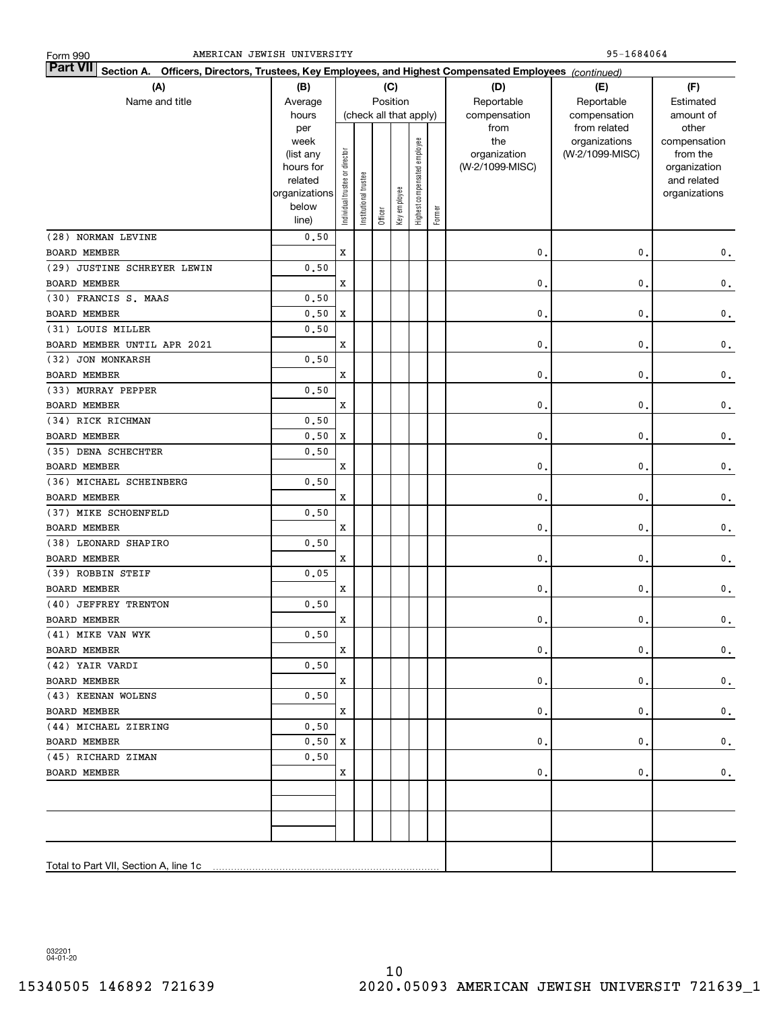| <b>Part VII</b> Section A. Officers, Directors, Trustees, Key Employees, and Highest Compensated Employees (continued) |                        |                                |                       |         |                        |                              |        |                 |                 |                             |  |
|------------------------------------------------------------------------------------------------------------------------|------------------------|--------------------------------|-----------------------|---------|------------------------|------------------------------|--------|-----------------|-----------------|-----------------------------|--|
| (A)                                                                                                                    | (B)                    |                                |                       |         | (C)                    |                              |        | (D)             | (E)             | (F)                         |  |
| Name and title                                                                                                         | Average                | Position                       |                       |         |                        |                              |        | Reportable      | Reportable      | Estimated                   |  |
|                                                                                                                        | hours                  |                                |                       |         | (check all that apply) |                              |        | compensation    | compensation    | amount of                   |  |
|                                                                                                                        | per                    |                                |                       |         |                        |                              |        | from            | from related    | other                       |  |
|                                                                                                                        | week                   |                                |                       |         |                        |                              |        | the             | organizations   | compensation                |  |
|                                                                                                                        | (list any              |                                |                       |         |                        |                              |        | organization    | (W-2/1099-MISC) | from the                    |  |
|                                                                                                                        | hours for<br>related   |                                |                       |         |                        |                              |        | (W-2/1099-MISC) |                 | organization<br>and related |  |
|                                                                                                                        | organizations          |                                |                       |         |                        |                              |        |                 |                 | organizations               |  |
|                                                                                                                        | below                  | Individual trustee or director | Institutional trustee |         |                        |                              |        |                 |                 |                             |  |
|                                                                                                                        | line)                  |                                |                       | Officer | Key employee           | Highest compensated employee | Former |                 |                 |                             |  |
| (28) NORMAN LEVINE                                                                                                     | 0.50                   |                                |                       |         |                        |                              |        |                 |                 |                             |  |
| <b>BOARD MEMBER</b>                                                                                                    |                        | X                              |                       |         |                        |                              |        | $\mathbf 0$ .   | 0.              | $\mathbf 0$ .               |  |
| (29) JUSTINE SCHREYER LEWIN                                                                                            | 0.50                   |                                |                       |         |                        |                              |        |                 |                 |                             |  |
| <b>BOARD MEMBER</b>                                                                                                    |                        | X                              |                       |         |                        |                              |        | $\mathbf 0$ .   | 0.              | $\mathbf 0$ .               |  |
| (30) FRANCIS S. MAAS                                                                                                   | 0.50                   |                                |                       |         |                        |                              |        |                 |                 |                             |  |
| <b>BOARD MEMBER</b>                                                                                                    | 0.50                   | X                              |                       |         |                        |                              |        | 0.              | 0.              | $\mathbf 0$ .               |  |
| (31) LOUIS MILLER                                                                                                      | 0.50                   |                                |                       |         |                        |                              |        |                 |                 |                             |  |
| BOARD MEMBER UNTIL APR 2021                                                                                            |                        | X                              |                       |         |                        |                              |        | 0.              | 0.              | $\mathbf 0$ .               |  |
| (32) JON MONKARSH                                                                                                      | 0.50                   |                                |                       |         |                        |                              |        |                 |                 |                             |  |
| <b>BOARD MEMBER</b>                                                                                                    |                        | X                              |                       |         |                        |                              |        | 0.              | 0.              | $\mathbf 0$ .               |  |
| (33) MURRAY PEPPER                                                                                                     | 0.50                   |                                |                       |         |                        |                              |        |                 |                 |                             |  |
| <b>BOARD MEMBER</b>                                                                                                    |                        | X                              |                       |         |                        |                              |        | 0.              | 0.              | $\mathbf 0$ .               |  |
| (34) RICK RICHMAN                                                                                                      | 0.50                   |                                |                       |         |                        |                              |        |                 |                 |                             |  |
| <b>BOARD MEMBER</b>                                                                                                    | 0.50                   | X                              |                       |         |                        |                              |        | 0.              | 0.              | $\mathbf 0$ .               |  |
| (35) DENA SCHECHTER                                                                                                    | 0.50                   |                                |                       |         |                        |                              |        |                 |                 |                             |  |
| <b>BOARD MEMBER</b>                                                                                                    |                        | X                              |                       |         |                        |                              |        | 0.              | 0.              | $\mathbf 0$ .               |  |
| (36) MICHAEL SCHEINBERG                                                                                                | 0.50                   |                                |                       |         |                        |                              |        |                 |                 |                             |  |
| <b>BOARD MEMBER</b>                                                                                                    |                        | X                              |                       |         |                        |                              |        | 0.              | 0.              | $\mathbf 0$ .               |  |
| (37) MIKE SCHOENFELD                                                                                                   | 0.50                   |                                |                       |         |                        |                              |        |                 |                 |                             |  |
| <b>BOARD MEMBER</b>                                                                                                    |                        | X                              |                       |         |                        |                              |        | 0.              | 0.              | $\mathbf 0$ .               |  |
| (38) LEONARD SHAPIRO                                                                                                   | 0.50                   |                                |                       |         |                        |                              |        |                 |                 |                             |  |
| <b>BOARD MEMBER</b>                                                                                                    |                        | X                              |                       |         |                        |                              |        | 0.              | 0.              | $\mathbf 0$ .               |  |
| (39) ROBBIN STEIF                                                                                                      | 0.05                   |                                |                       |         |                        |                              |        |                 |                 |                             |  |
| <b>BOARD MEMBER</b>                                                                                                    |                        | X                              |                       |         |                        |                              |        | 0.              | $\mathbf{0}$ .  | $\mathbf 0$ .               |  |
| (40) JEFFREY TRENTON                                                                                                   | 0.50                   |                                |                       |         |                        |                              |        |                 |                 |                             |  |
| <b>BOARD MEMBER</b>                                                                                                    |                        | X                              |                       |         |                        |                              |        | 0.              | 0.              | $\mathbf 0$ .               |  |
| (41) MIKE VAN WYK                                                                                                      | ${\bf 0}$ , ${\bf 50}$ |                                |                       |         |                        |                              |        |                 |                 |                             |  |
| <b>BOARD MEMBER</b>                                                                                                    |                        | x                              |                       |         |                        |                              |        | 0.              | 0.              | $\mathbf 0$ .               |  |
| (42) YAIR VARDI                                                                                                        | 0,50                   |                                |                       |         |                        |                              |        |                 |                 |                             |  |
| BOARD MEMBER                                                                                                           |                        | x                              |                       |         |                        |                              |        | 0.              | 0.              | $\mathbf 0$ .               |  |
| (43) KEENAN WOLENS                                                                                                     | 0,50                   |                                |                       |         |                        |                              |        |                 |                 |                             |  |
| <b>BOARD MEMBER</b>                                                                                                    |                        | x                              |                       |         |                        |                              |        | 0.              | 0.              | $\mathbf 0$ .               |  |
| (44) MICHAEL ZIERING                                                                                                   | 0,50                   |                                |                       |         |                        |                              |        |                 |                 |                             |  |
| <b>BOARD MEMBER</b>                                                                                                    | 0, 50                  | x                              |                       |         |                        |                              |        | 0.              | 0.              | $\mathbf 0$ .               |  |
| (45) RICHARD ZIMAN                                                                                                     | 0, 50                  |                                |                       |         |                        |                              |        |                 |                 |                             |  |
| <b>BOARD MEMBER</b>                                                                                                    |                        | x                              |                       |         |                        |                              |        | 0.              | 0.              | $\mathbf 0$ .               |  |
|                                                                                                                        |                        |                                |                       |         |                        |                              |        |                 |                 |                             |  |
|                                                                                                                        |                        |                                |                       |         |                        |                              |        |                 |                 |                             |  |
|                                                                                                                        |                        |                                |                       |         |                        |                              |        |                 |                 |                             |  |
|                                                                                                                        |                        |                                |                       |         |                        |                              |        |                 |                 |                             |  |
|                                                                                                                        |                        |                                |                       |         |                        |                              |        |                 |                 |                             |  |
| Total to Part VII, Section A, line 1c                                                                                  |                        |                                |                       |         |                        |                              |        |                 |                 |                             |  |

032201 04-01-20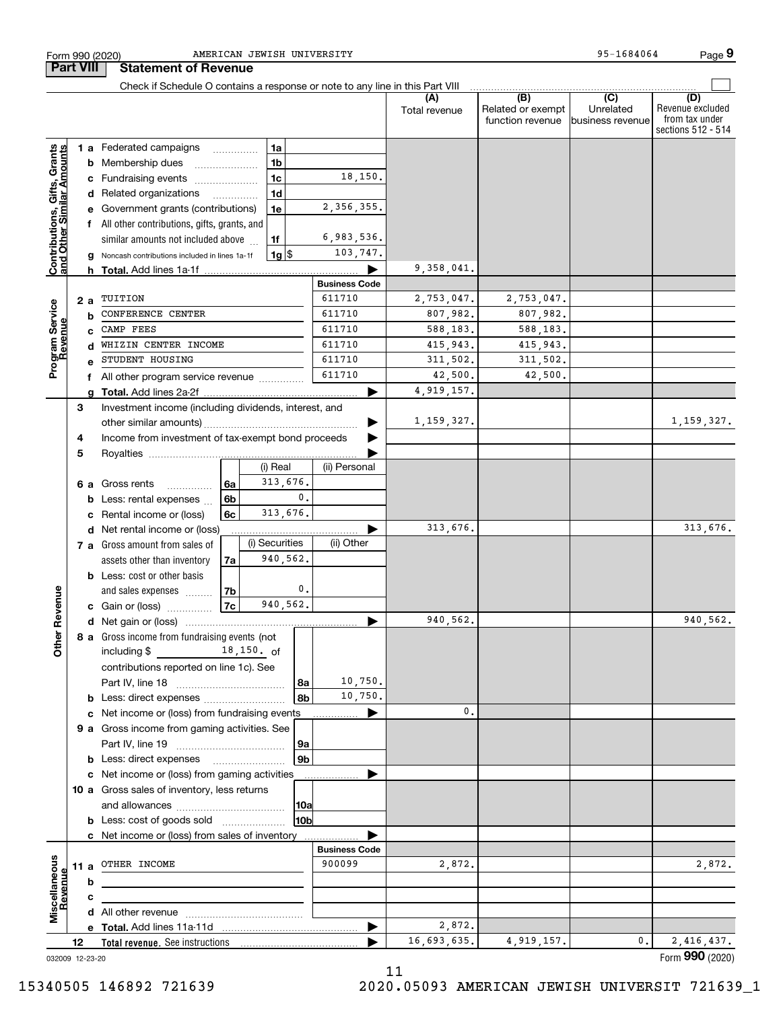|                                                           |                                  |                 | Check if Schedule O contains a response or note to any line in this Part VIII |          |                |                |                      |                       |                                              |                                                  |                                                                 |
|-----------------------------------------------------------|----------------------------------|-----------------|-------------------------------------------------------------------------------|----------|----------------|----------------|----------------------|-----------------------|----------------------------------------------|--------------------------------------------------|-----------------------------------------------------------------|
|                                                           |                                  |                 |                                                                               |          |                |                |                      | (A)<br>Total revenue  | (B)<br>Related or exempt<br>function revenue | $\overline{C}$<br>Unrelated<br> business revenue | (D)<br>Revenue excluded<br>from tax under<br>sections 512 - 514 |
|                                                           |                                  |                 | <b>1 a</b> Federated campaigns                                                |          | 1a             |                |                      |                       |                                              |                                                  |                                                                 |
|                                                           |                                  | b               | Membership dues                                                               |          | 1 <sub>b</sub> |                |                      |                       |                                              |                                                  |                                                                 |
|                                                           |                                  | с               | Fundraising events                                                            |          | 1 <sub>c</sub> |                | 18,150.              |                       |                                              |                                                  |                                                                 |
| Contributions, Gifts, Grants<br>and Other Similar Amounts |                                  | d               | Related organizations                                                         | .        | 1 <sub>d</sub> |                |                      |                       |                                              |                                                  |                                                                 |
|                                                           |                                  |                 | Government grants (contributions)                                             |          | 1e             |                | 2,356,355.           |                       |                                              |                                                  |                                                                 |
|                                                           |                                  | f               | All other contributions, gifts, grants, and                                   |          |                |                |                      |                       |                                              |                                                  |                                                                 |
|                                                           |                                  |                 | similar amounts not included above                                            |          | 1f             |                | 6,983,536.           |                       |                                              |                                                  |                                                                 |
|                                                           |                                  |                 | Noncash contributions included in lines 1a-1f                                 |          | $1g$ \$        |                | 103,747.             |                       |                                              |                                                  |                                                                 |
|                                                           |                                  | h.              |                                                                               |          |                |                |                      | 9,358,041.            |                                              |                                                  |                                                                 |
|                                                           |                                  |                 |                                                                               |          |                |                | <b>Business Code</b> |                       |                                              |                                                  |                                                                 |
|                                                           |                                  | 2а              | TUITION                                                                       |          |                |                | 611710<br>611710     | 2,753,047.            | 2,753,047.                                   |                                                  |                                                                 |
|                                                           |                                  | b               | CONFERENCE CENTER<br>CAMP FEES                                                |          |                |                | 611710               | 807,982.              | 807,982.                                     |                                                  |                                                                 |
|                                                           |                                  |                 | WHIZIN CENTER INCOME                                                          |          |                |                | 611710               | 588,183.<br>415,943.  | 588,183.<br>415,943.                         |                                                  |                                                                 |
| Program Service<br>Revenue                                |                                  | d               | STUDENT HOUSING                                                               |          |                |                | 611710               | 311,502.              | 311,502.                                     |                                                  |                                                                 |
|                                                           |                                  | f               |                                                                               |          |                |                | 611710               | 42,500.               | 42,500.                                      |                                                  |                                                                 |
|                                                           |                                  |                 | All other program service revenue                                             |          |                |                | ▶                    | 4,919,157.            |                                              |                                                  |                                                                 |
|                                                           | 3                                |                 | Investment income (including dividends, interest, and                         |          |                |                |                      |                       |                                              |                                                  |                                                                 |
|                                                           |                                  |                 |                                                                               |          |                |                |                      | 1,159,327.            |                                              |                                                  | 1,159,327.                                                      |
|                                                           | 4                                |                 | Income from investment of tax-exempt bond proceeds                            |          |                |                |                      |                       |                                              |                                                  |                                                                 |
|                                                           | 5                                |                 |                                                                               |          |                |                |                      |                       |                                              |                                                  |                                                                 |
|                                                           |                                  |                 |                                                                               |          | (i) Real       |                | (ii) Personal        |                       |                                              |                                                  |                                                                 |
|                                                           |                                  | 6а              | Gross rents<br>.                                                              | 6a       |                | 313,676.       |                      |                       |                                              |                                                  |                                                                 |
|                                                           |                                  | b               | Less: rental expenses                                                         | 6b       |                | 0.             |                      |                       |                                              |                                                  |                                                                 |
|                                                           |                                  | c               | Rental income or (loss)                                                       | 6c       |                | 313,676.       |                      |                       |                                              |                                                  |                                                                 |
|                                                           | Net rental income or (loss)<br>d |                 |                                                                               | 313,676. |                |                | 313,676.             |                       |                                              |                                                  |                                                                 |
|                                                           |                                  |                 | 7 a Gross amount from sales of                                                |          | (i) Securities |                | (ii) Other           |                       |                                              |                                                  |                                                                 |
|                                                           |                                  |                 | assets other than inventory                                                   | 7a       |                | 940,562.       |                      |                       |                                              |                                                  |                                                                 |
|                                                           |                                  |                 | <b>b</b> Less: cost or other basis                                            |          |                |                |                      |                       |                                              |                                                  |                                                                 |
|                                                           |                                  |                 | and sales expenses                                                            | 7b       |                | 0.<br>940,562. |                      |                       |                                              |                                                  |                                                                 |
| Revenue                                                   |                                  |                 | <b>c</b> Gain or (loss) $\ldots$                                              | 7c       |                |                |                      | 940,562.              |                                              |                                                  | 940,562.                                                        |
|                                                           |                                  |                 | 8 a Gross income from fundraising events (not                                 |          |                |                |                      |                       |                                              |                                                  |                                                                 |
| <b>Other</b>                                              |                                  |                 | $18,150.$ of<br>including $$$                                                 |          |                |                |                      |                       |                                              |                                                  |                                                                 |
|                                                           |                                  |                 | contributions reported on line 1c). See                                       |          |                |                |                      |                       |                                              |                                                  |                                                                 |
|                                                           |                                  |                 |                                                                               |          |                | 8a             | 10,750.              |                       |                                              |                                                  |                                                                 |
|                                                           |                                  |                 | <b>b</b> Less: direct expenses                                                |          |                | 8b             | 10,750.              |                       |                                              |                                                  |                                                                 |
|                                                           |                                  | c               | Net income or (loss) from fundraising events                                  |          |                |                | ▶                    | 0.                    |                                              |                                                  |                                                                 |
|                                                           |                                  |                 | 9 a Gross income from gaming activities. See                                  |          |                |                |                      |                       |                                              |                                                  |                                                                 |
|                                                           |                                  |                 |                                                                               |          |                | 9а             |                      |                       |                                              |                                                  |                                                                 |
|                                                           |                                  |                 | <b>b</b> Less: direct expenses <b>manually</b>                                |          |                | 9 <sub>b</sub> |                      |                       |                                              |                                                  |                                                                 |
|                                                           |                                  |                 | c Net income or (loss) from gaming activities                                 |          |                |                |                      |                       |                                              |                                                  |                                                                 |
|                                                           |                                  |                 | 10 a Gross sales of inventory, less returns                                   |          |                |                |                      |                       |                                              |                                                  |                                                                 |
|                                                           |                                  |                 |                                                                               |          |                | 10a            |                      |                       |                                              |                                                  |                                                                 |
|                                                           |                                  |                 | <b>b</b> Less: cost of goods sold                                             |          |                | 10b            |                      |                       |                                              |                                                  |                                                                 |
|                                                           |                                  |                 | c Net income or (loss) from sales of inventory                                |          |                |                |                      |                       |                                              |                                                  |                                                                 |
|                                                           |                                  |                 |                                                                               |          |                |                | <b>Business Code</b> |                       |                                              |                                                  |                                                                 |
| Miscellaneous                                             |                                  | 11 a            | OTHER INCOME                                                                  |          |                |                | 900099               | 2,872.                |                                              |                                                  | 2,872.                                                          |
| Revenue                                                   |                                  | b               |                                                                               |          |                |                |                      |                       |                                              |                                                  |                                                                 |
|                                                           |                                  | с               |                                                                               |          |                |                |                      |                       |                                              |                                                  |                                                                 |
|                                                           |                                  |                 |                                                                               |          |                |                |                      |                       |                                              |                                                  |                                                                 |
|                                                           |                                  |                 |                                                                               |          |                |                | ▶                    | 2,872.<br>16,693,635. | 4,919,157.                                   | 0.                                               | 2,416,437.                                                      |
|                                                           | 12                               | 032009 12-23-20 |                                                                               |          |                |                |                      |                       |                                              |                                                  | Form 990 (2020)                                                 |

Form 990 (2020) AMERICAN JEWISH UNIVERSITY 95-1684064 Page

AMERICAN JEWISH UNIVERSITY **1998** 2008 12:30 1684064

**9**

11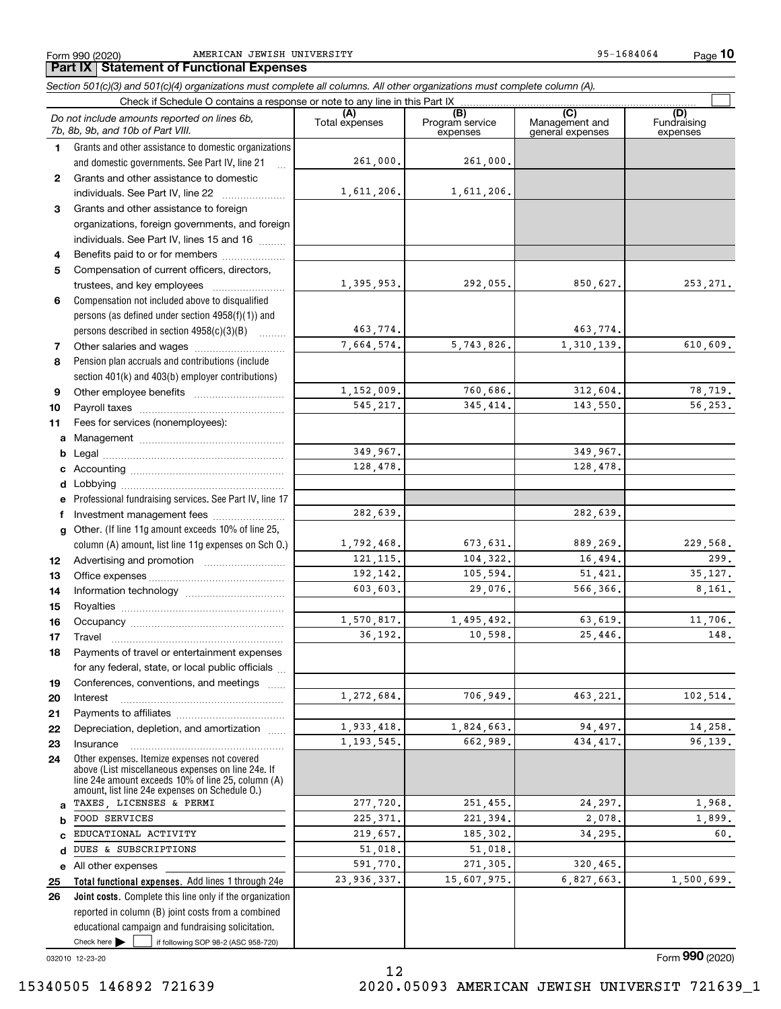Form 990 (2020) AMERICAN JEWISH UNIVERSITY 95-1684064 Page

**10**

#### Check here  $\bullet$  if following SOP 98-2 (ASC 958-720) **Total functional expenses.**  Add lines 1 through 24e **Joint costs.** Complete this line only if the organization **(A)**<br>Total expenses **(B) (C) (D) 1234567891011abcdefg12131415161718192021222324abcde2526***Section 501(c)(3) and 501(c)(4) organizations must complete all columns. All other organizations must complete column (A).* Grants and other assistance to domestic organizations and domestic governments. See Part IV, line 21 Compensation not included above to disqualified persons (as defined under section 4958(f)(1)) and persons described in section 4958(c)(3)(B)  $\quad \ldots \ldots \ldots$ Pension plan accruals and contributions (include section 401(k) and 403(b) employer contributions) Professional fundraising services. See Part IV, line 17 Other. (If line 11g amount exceeds 10% of line 25, column (A) amount, list line 11g expenses on Sch O.) Other expenses. Itemize expenses not covered above (List miscellaneous expenses on line 24e. If line 24e amount exceeds 10% of line 25, column (A) amount, list line 24e expenses on Schedule O.) reported in column (B) joint costs from a combined educational campaign and fundraising solicitation. Check if Schedule O contains a response or note to any line in this Part IX (C) (C) (C) (C) (C) (C) Program service expensesManagement and general expenses Fundraising expensesGrants and other assistance to domestic individuals. See Part IV, line 22 ..................... Grants and other assistance to foreign organizations, foreign governments, and foreign individuals. See Part IV, lines 15 and 16  $\ldots$ Benefits paid to or for members .................... Compensation of current officers, directors, trustees, and key employees  $\ldots$   $\ldots$   $\ldots$   $\ldots$   $\ldots$   $\ldots$ Other salaries and wages ~~~~~~~~~~ Other employee benefits ~~~~~~~~~~ Payroll taxes ~~~~~~~~~~~~~~~~ Fees for services (nonemployees): Management ~~~~~~~~~~~~~~~~ Legal ~~~~~~~~~~~~~~~~~~~~Accounting ~~~~~~~~~~~~~~~~~ Lobbying ~~~~~~~~~~~~~~~~~~ lnvestment management fees ....................... Advertising and promotion www.communication Office expenses ~~~~~~~~~~~~~~~ Information technology ~~~~~~~~~~~ Royalties ~~~~~~~~~~~~~~~~~~ Occupancy ~~~~~~~~~~~~~~~~~ Travel ……………………………………………… Payments of travel or entertainment expenses for any federal, state, or local public officials ... Conferences, conventions, and meetings InterestPayments to affiliates ~~~~~~~~~~~~ ~~~~~~~~~~~~~~~~~~Depreciation, depletion, and amortization  $\,\,\ldots\,\,$ Insurance~~~~~~~~~~~~~~~~~All other expenses Check here  $\blacktriangleright$ *Do not include amounts reported on lines 6b, 7b, 8b, 9b, and 10b of Part VIII.*  $\mathcal{L}^{\text{max}}$ 261,000. 1,611,206. 1,395,953. 463,774. 7,664,574. 1,152,009. 545,217. 349,967. 128,478. 1,792,468. 121,115. 192,142. 603,603. 1,570,817. 36,192. 1,272,684. 1,933,418. 1,193,545. 277,720. 225,371. 219,657. 51,018. 591,770. 23,936,337. 282,639. 261,000. 1,611,206. 292,055. 850,627. 253,271. 463,774. 5,743,826. 1,310,139. 610,609. 760,686. 312,604. 78,719. 345,414. 143,550. 56,253. 349,967. 128,478. 282,639. 673,631. 889,269. 229,568. 104,322. 16,494. 299. 105,594. 51,421. 35,127. 29,076. 566,366. 8,161. 1,495,492. 63,619. 11,706. 10,598. 25,446. 148. 706,949. 463,221. 102,514. 1,824,663. 94,497. 14,258. 662,989. 434,417. 96,139. 251,455. 24,297. 1,968. 221,394. 2,078. 1,899. 185,302. 34,295. 60. 51,018. 271,305. 320,465. 15,607,975. 6,827,663. 1,500,699. TAXES, LICENSES & PERMI FOOD SERVICES EDUCATIONAL ACTIVITY DUES & SUBSCRIPTIONS

12

032010 12-23-20

Form (2020) **990**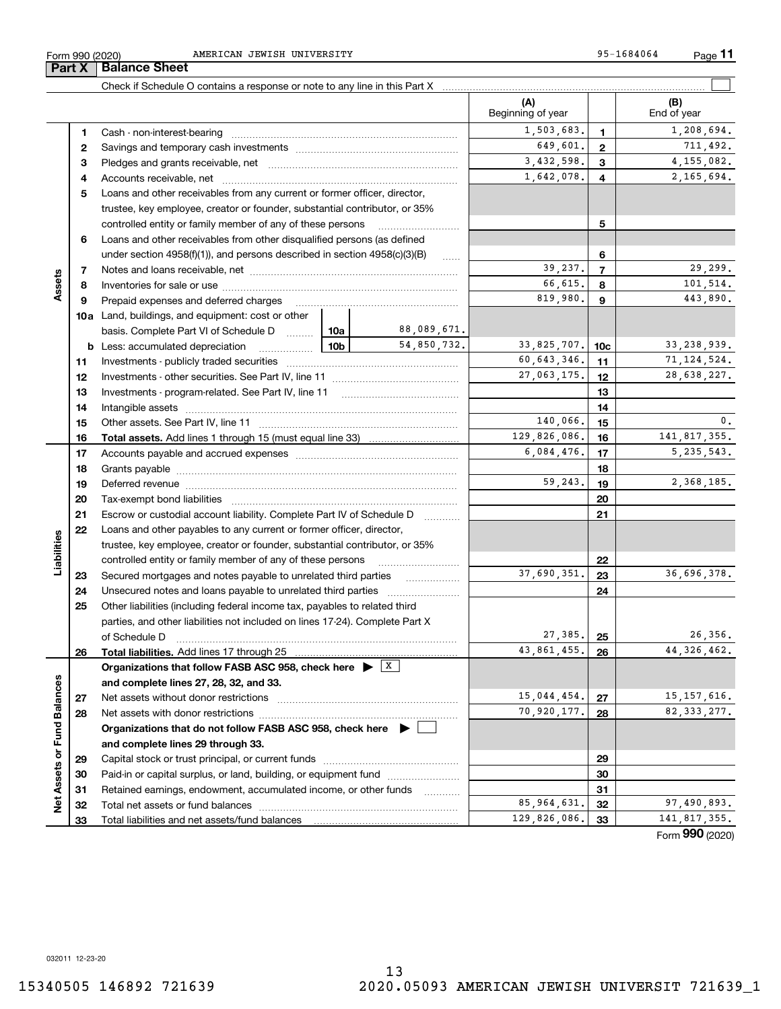**45**Loans and other receivables from any current or former officer, director, **678910a**Land, buildings, and equipment: cost or other **45678910c11121314151617181920212223242526b** Less: accumulated depreciation  $\ldots$  **10b** basis. Complete Part VI of Schedule D will aller **Total assets.**  Add lines 1 through 15 (must equal line 33) **Total liabilities.**  Add lines 17 through 25 **Organizations that follow FASB ASC 958, check here** | X **and complete lines 27, 28, 32, and 33. 2728Organizations that do not follow FASB ASC 958, check here** | **and complete lines 29 through 33. 29**Accounts receivable, net ~~~~~~~~~~~~~~~~~~~~~~~~~~ trustee, key employee, creator or founder, substantial contributor, or 35% controlled entity or family member of any of these persons ............................ Loans and other receivables from other disqualified persons (as defined under section  $4958(f)(1)$ , and persons described in section  $4958(c)(3)(B)$ Notes and loans receivable, net ~~~~~~~~~~~~~~~~~~~~~~~Inventories for sale or use ~~~~~~~~~~~~~~~~~~~~~~~~~~ Prepaid expenses and deferred charges ~~~~~~~~~~~~~~~~~~ Investments - publicly traded securities ~~~~~~~~~~~~~~~~~~~ Investments - other securities. See Part IV, line 11 ~~~~~~~~~~~~~~ Investments - program-related. See Part IV, line 11 [2010] [2010] [2010] [2010] [2010] [2010] [2010] [2010] [2 Intangible assets ~~~~~~~~~~~~~~~~~~~~~~~~~~~~~~ Other assets. See Part IV, line 11 ~~~~~~~~~~~~~~~~~~~~~~ Accounts payable and accrued expenses ~~~~~~~~~~~~~~~~~~ Grants payable ~~~~~~~~~~~~~~~~~~~~~~~~~~~~~~~ Deferred revenue ~~~~~~~~~~~~~~~~~~~~~~~~~~~~~~ Tax-exempt bond liabilities …………………………………………………………… Escrow or custodial account liability. Complete Part IV of Schedule D Loans and other payables to any current or former officer, director, trustee, key employee, creator or founder, substantial contributor, or 35% controlled entity or family member of any of these persons ~~~~~~~~~Secured mortgages and notes payable to unrelated third parties Unsecured notes and loans payable to unrelated third parties Other liabilities (including federal income tax, payables to related third parties, and other liabilities not included on lines 17-24). Complete Part X of Schedule D ~~~~~~~~~~~~~~~~~~~~~~~~~~~~~~~ Net assets without donor restrictions ~~~~~~~~~~~~~~~~~~~~ Net assets with donor restrictions ~~~~~~~~~~~~~~~~~~~~~~Capital stock or trust principal, or current funds ~~~~~~~~~~~~~~~ 1,642,078. 4 2,165,694.  $39,237.$   $7$   $29,299.$ 66,615. 101,514. 819,980. **9 143,890.** 88,089,671. 54,850,732. 33,825,707. 10c 33,238,939.

**3** Pledges and grants receivable, net  $\ldots$  **multimes contained and grants receivable**, net **multimes contained and grants receivable**, net **multimes contained and grants receivable** 

Cash - non-interest-bearing ~~~~~~~~~~~~~~~~~~~~~~~~~ Savings and temporary cash investments ~~~~~~~~~~~~~~~~~~

**(A) (B)** Check if Schedule O contains a response or note to any line in this Part X Beginning of year | | End of year

 $\mathcal{L}^{\text{max}}$ 

**123**

 $1,503,683$ ,  $1,208,694$ .

3,432,598. 4,155,082.

649,601. 711,492.

**111213141516171819202122232425262728293031323330313233**Paid-in or capital surplus, or land, building, or equipment fund www.commun.com Retained earnings, endowment, accumulated income, or other funds www.com Total net assets or fund balances ~~~~~~~~~~~~~~~~~~~~~~ Total liabilities and net assets/fund balances Form (2020) **990**60,643,346. 71,124,524.  $140,066$ ,  $15$  0. 129,826,086. 16 141,817,355.  $6,084,476$ . 17 | 5,235,543.  $59,243.$  19  $2,368,185.$  $37,690,351.$  23 36,696,378.  $27,385$ ,  $25$ 43,861,455. 44,326,462. 15,044,454. 27 15,157,616. 70,920,177. 28 82,333,277. 85,964,631. 32 97,490,893. 129,826,086. 33 141,817,355. 27,063,175. 12 28,638,227.

**Part X** Balance Sheet

**12**

**Assets**

**Liabilities**

iabilities

**Net Assets or Fund Balances**

Net Assets or Fund Balances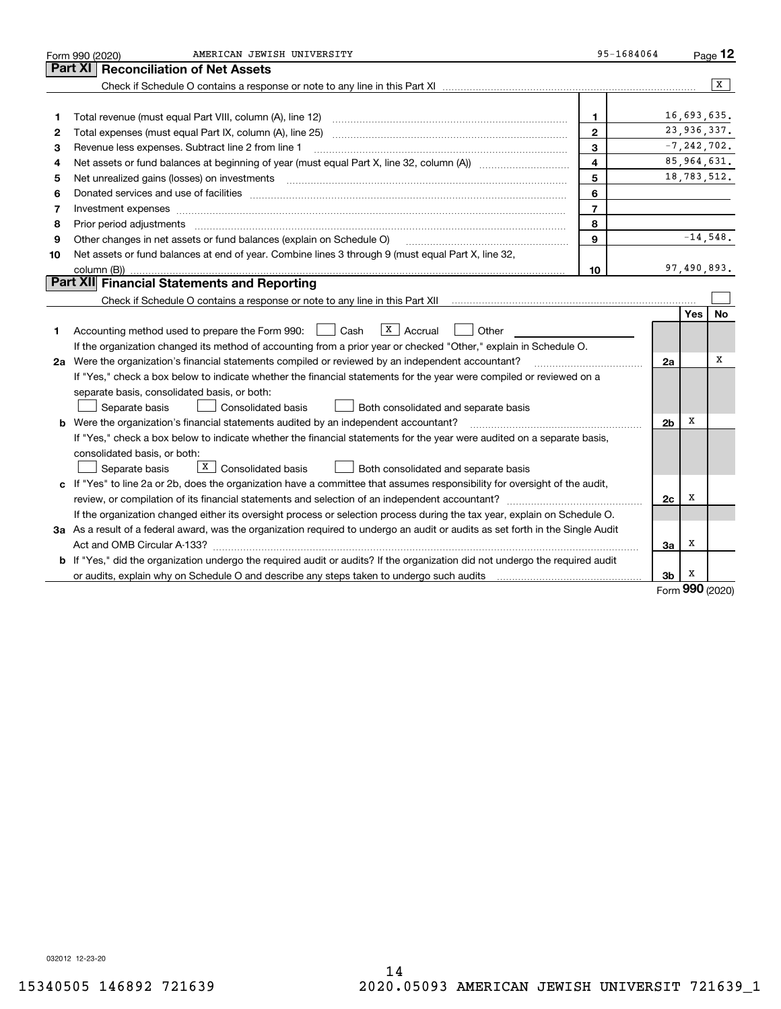|    | AMERICAN JEWISH UNIVERSITY<br>Form 990 (2020)                                                                                        | 95-1684064     |                |          | $P_{\text{aqe}}$ 12 |
|----|--------------------------------------------------------------------------------------------------------------------------------------|----------------|----------------|----------|---------------------|
|    | Part XI<br><b>Reconciliation of Net Assets</b>                                                                                       |                |                |          |                     |
|    |                                                                                                                                      |                |                |          | $\overline{X}$      |
|    |                                                                                                                                      |                |                |          |                     |
| 1  | Total revenue (must equal Part VIII, column (A), line 12)                                                                            | 1              |                |          | 16,693,635.         |
| 2  |                                                                                                                                      | $\mathbf{2}$   |                |          | 23,936,337.         |
| З  | Revenue less expenses. Subtract line 2 from line 1                                                                                   | 3              |                |          | $-7, 242, 702.$     |
| 4  |                                                                                                                                      | 4              |                |          | 85,964,631.         |
| 5  | Net unrealized gains (losses) on investments                                                                                         | 5              |                |          | 18,783,512.         |
| 6  |                                                                                                                                      | 6              |                |          |                     |
| 7  | Investment expenses www.communication.communication.com/www.communication.com/www.communication.com                                  | $\overline{7}$ |                |          |                     |
| 8  | Prior period adjustments                                                                                                             | 8              |                |          |                     |
| 9  | Other changes in net assets or fund balances (explain on Schedule O)                                                                 | 9              |                |          | $-14,548.$          |
| 10 | Net assets or fund balances at end of year. Combine lines 3 through 9 (must equal Part X, line 32,                                   |                |                |          |                     |
|    | column (B))                                                                                                                          | 10             |                |          | 97,490,893.         |
|    | Part XII Financial Statements and Reporting                                                                                          |                |                |          |                     |
|    |                                                                                                                                      |                |                |          |                     |
|    |                                                                                                                                      |                |                | Yes      | No                  |
| 1  | $X$ Accrual<br>Accounting method used to prepare the Form 990: <u>[</u> Cash<br>Other                                                |                |                |          |                     |
|    | If the organization changed its method of accounting from a prior year or checked "Other," explain in Schedule O.                    |                |                |          |                     |
|    | 2a Were the organization's financial statements compiled or reviewed by an independent accountant?                                   |                | 2a             |          | X                   |
|    | If "Yes," check a box below to indicate whether the financial statements for the year were compiled or reviewed on a                 |                |                |          |                     |
|    | separate basis, consolidated basis, or both:                                                                                         |                |                |          |                     |
|    | Both consolidated and separate basis<br>Separate basis<br>Consolidated basis                                                         |                |                |          |                     |
|    | <b>b</b> Were the organization's financial statements audited by an independent accountant?                                          |                | 2 <sub>b</sub> | X        |                     |
|    | If "Yes," check a box below to indicate whether the financial statements for the year were audited on a separate basis,              |                |                |          |                     |
|    | consolidated basis, or both:                                                                                                         |                |                |          |                     |
|    | X  <br>Consolidated basis<br>Both consolidated and separate basis<br>Separate basis                                                  |                |                |          |                     |
|    | c If "Yes" to line 2a or 2b, does the organization have a committee that assumes responsibility for oversight of the audit,          |                |                |          |                     |
|    |                                                                                                                                      |                | 2c             | x        |                     |
|    | If the organization changed either its oversight process or selection process during the tax year, explain on Schedule O.            |                |                |          |                     |
|    | 3a As a result of a federal award, was the organization required to undergo an audit or audits as set forth in the Single Audit      |                |                |          |                     |
|    |                                                                                                                                      |                | За             | х        |                     |
|    | <b>b</b> If "Yes," did the organization undergo the required audit or audits? If the organization did not undergo the required audit |                |                |          |                     |
|    |                                                                                                                                      |                | 3b             | x<br>റററ |                     |

Form (2020) **990**

032012 12-23-20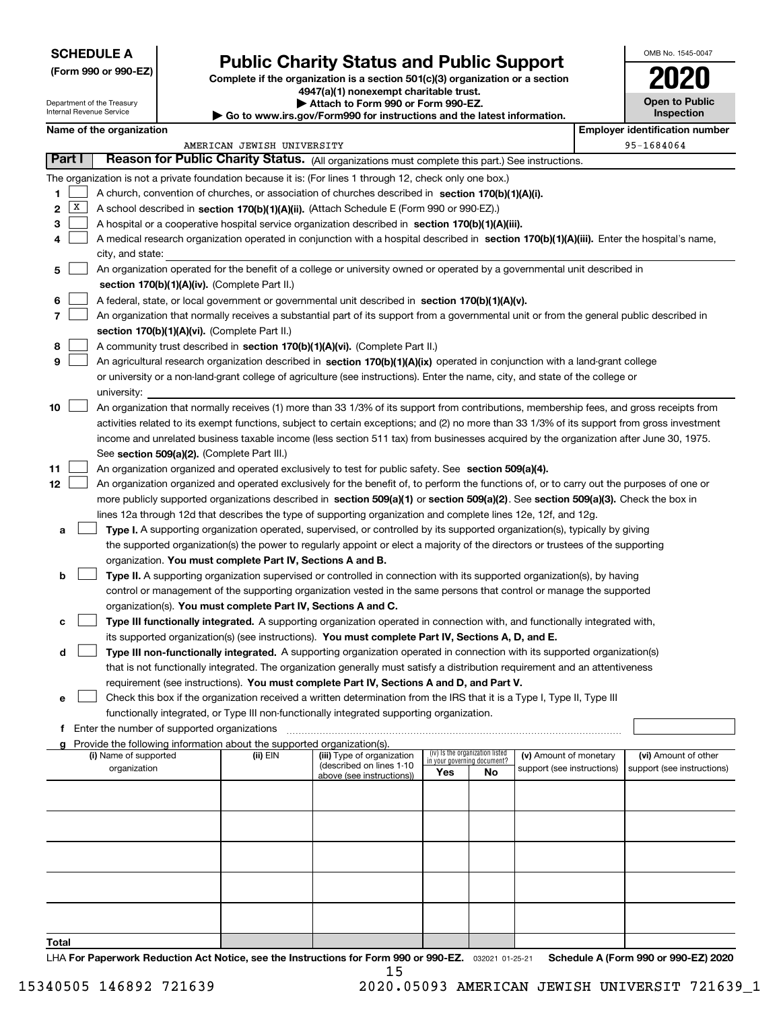| <b>SCHEDULE A</b> |  |
|-------------------|--|
|-------------------|--|

Department of the Treasury Internal Revenue Service

**(Form 990 or 990-EZ)**

# **Public Charity Status and Public Support**

**Complete if the organization is a section 501(c)(3) organization or a section 4947(a)(1) nonexempt charitable trust. | Attach to Form 990 or Form 990-EZ.** 

| <b>P</b> Allach to Form 330 or Form 330-LZ.                              |  |
|--------------------------------------------------------------------------|--|
| ► Go to www.irs.gov/Form990 for instructions and the latest information. |  |
|                                                                          |  |

| OMB No. 1545-0047                   |
|-------------------------------------|
| 2020                                |
| <b>Open to Public</b><br>Inspection |

|               | Name of the organization<br><b>Employer identification number</b> |                                                                                                                                              |                            |                                                       |     |                                                                |                            |  |                            |  |
|---------------|-------------------------------------------------------------------|----------------------------------------------------------------------------------------------------------------------------------------------|----------------------------|-------------------------------------------------------|-----|----------------------------------------------------------------|----------------------------|--|----------------------------|--|
|               |                                                                   |                                                                                                                                              | AMERICAN JEWISH UNIVERSITY |                                                       |     |                                                                |                            |  | 95-1684064                 |  |
| <b>Part I</b> |                                                                   | Reason for Public Charity Status. (All organizations must complete this part.) See instructions.                                             |                            |                                                       |     |                                                                |                            |  |                            |  |
|               |                                                                   | The organization is not a private foundation because it is: (For lines 1 through 12, check only one box.)                                    |                            |                                                       |     |                                                                |                            |  |                            |  |
| 1             |                                                                   | A church, convention of churches, or association of churches described in section 170(b)(1)(A)(i).                                           |                            |                                                       |     |                                                                |                            |  |                            |  |
| 2             | $\mathbf{X}$                                                      | A school described in section 170(b)(1)(A)(ii). (Attach Schedule E (Form 990 or 990-EZ).)                                                    |                            |                                                       |     |                                                                |                            |  |                            |  |
| з             |                                                                   | A hospital or a cooperative hospital service organization described in section 170(b)(1)(A)(iii).                                            |                            |                                                       |     |                                                                |                            |  |                            |  |
| 4             |                                                                   | A medical research organization operated in conjunction with a hospital described in section 170(b)(1)(A)(iii). Enter the hospital's name,   |                            |                                                       |     |                                                                |                            |  |                            |  |
|               |                                                                   | city, and state:                                                                                                                             |                            |                                                       |     |                                                                |                            |  |                            |  |
| 5             |                                                                   | An organization operated for the benefit of a college or university owned or operated by a governmental unit described in                    |                            |                                                       |     |                                                                |                            |  |                            |  |
|               |                                                                   | section 170(b)(1)(A)(iv). (Complete Part II.)                                                                                                |                            |                                                       |     |                                                                |                            |  |                            |  |
| 6             |                                                                   | A federal, state, or local government or governmental unit described in section 170(b)(1)(A)(v).                                             |                            |                                                       |     |                                                                |                            |  |                            |  |
| 7             |                                                                   | An organization that normally receives a substantial part of its support from a governmental unit or from the general public described in    |                            |                                                       |     |                                                                |                            |  |                            |  |
|               |                                                                   | section 170(b)(1)(A)(vi). (Complete Part II.)                                                                                                |                            |                                                       |     |                                                                |                            |  |                            |  |
| 8             |                                                                   | A community trust described in section 170(b)(1)(A)(vi). (Complete Part II.)                                                                 |                            |                                                       |     |                                                                |                            |  |                            |  |
| 9             |                                                                   | An agricultural research organization described in section 170(b)(1)(A)(ix) operated in conjunction with a land-grant college                |                            |                                                       |     |                                                                |                            |  |                            |  |
|               |                                                                   | or university or a non-land-grant college of agriculture (see instructions). Enter the name, city, and state of the college or               |                            |                                                       |     |                                                                |                            |  |                            |  |
|               |                                                                   | university:                                                                                                                                  |                            |                                                       |     |                                                                |                            |  |                            |  |
| 10            |                                                                   | An organization that normally receives (1) more than 33 1/3% of its support from contributions, membership fees, and gross receipts from     |                            |                                                       |     |                                                                |                            |  |                            |  |
|               |                                                                   | activities related to its exempt functions, subject to certain exceptions; and (2) no more than 33 1/3% of its support from gross investment |                            |                                                       |     |                                                                |                            |  |                            |  |
|               |                                                                   | income and unrelated business taxable income (less section 511 tax) from businesses acquired by the organization after June 30, 1975.        |                            |                                                       |     |                                                                |                            |  |                            |  |
|               |                                                                   | See section 509(a)(2). (Complete Part III.)                                                                                                  |                            |                                                       |     |                                                                |                            |  |                            |  |
| 11            |                                                                   | An organization organized and operated exclusively to test for public safety. See section 509(a)(4).                                         |                            |                                                       |     |                                                                |                            |  |                            |  |
| 12            |                                                                   | An organization organized and operated exclusively for the benefit of, to perform the functions of, or to carry out the purposes of one or   |                            |                                                       |     |                                                                |                            |  |                            |  |
|               |                                                                   | more publicly supported organizations described in section 509(a)(1) or section 509(a)(2). See section 509(a)(3). Check the box in           |                            |                                                       |     |                                                                |                            |  |                            |  |
|               |                                                                   | lines 12a through 12d that describes the type of supporting organization and complete lines 12e, 12f, and 12g.                               |                            |                                                       |     |                                                                |                            |  |                            |  |
| а             |                                                                   | Type I. A supporting organization operated, supervised, or controlled by its supported organization(s), typically by giving                  |                            |                                                       |     |                                                                |                            |  |                            |  |
|               |                                                                   | the supported organization(s) the power to regularly appoint or elect a majority of the directors or trustees of the supporting              |                            |                                                       |     |                                                                |                            |  |                            |  |
|               |                                                                   | organization. You must complete Part IV, Sections A and B.                                                                                   |                            |                                                       |     |                                                                |                            |  |                            |  |
| b             |                                                                   | Type II. A supporting organization supervised or controlled in connection with its supported organization(s), by having                      |                            |                                                       |     |                                                                |                            |  |                            |  |
|               |                                                                   | control or management of the supporting organization vested in the same persons that control or manage the supported                         |                            |                                                       |     |                                                                |                            |  |                            |  |
|               |                                                                   | organization(s). You must complete Part IV, Sections A and C.                                                                                |                            |                                                       |     |                                                                |                            |  |                            |  |
| c             |                                                                   | Type III functionally integrated. A supporting organization operated in connection with, and functionally integrated with,                   |                            |                                                       |     |                                                                |                            |  |                            |  |
|               |                                                                   | its supported organization(s) (see instructions). You must complete Part IV, Sections A, D, and E.                                           |                            |                                                       |     |                                                                |                            |  |                            |  |
| d             |                                                                   | Type III non-functionally integrated. A supporting organization operated in connection with its supported organization(s)                    |                            |                                                       |     |                                                                |                            |  |                            |  |
|               |                                                                   | that is not functionally integrated. The organization generally must satisfy a distribution requirement and an attentiveness                 |                            |                                                       |     |                                                                |                            |  |                            |  |
|               |                                                                   | requirement (see instructions). You must complete Part IV, Sections A and D, and Part V.                                                     |                            |                                                       |     |                                                                |                            |  |                            |  |
| е             |                                                                   | Check this box if the organization received a written determination from the IRS that it is a Type I, Type II, Type III                      |                            |                                                       |     |                                                                |                            |  |                            |  |
|               |                                                                   | functionally integrated, or Type III non-functionally integrated supporting organization.<br>f Enter the number of supported organizations   |                            |                                                       |     |                                                                |                            |  |                            |  |
|               |                                                                   | Provide the following information about the supported organization(s).                                                                       |                            |                                                       |     |                                                                |                            |  |                            |  |
|               |                                                                   | (i) Name of supported                                                                                                                        | (ii) EIN                   | (iii) Type of organization                            |     | (iv) Is the organization listed<br>in your governing document? | (v) Amount of monetary     |  | (vi) Amount of other       |  |
|               |                                                                   | organization                                                                                                                                 |                            | (described on lines 1-10<br>above (see instructions)) | Yes | No                                                             | support (see instructions) |  | support (see instructions) |  |
|               |                                                                   |                                                                                                                                              |                            |                                                       |     |                                                                |                            |  |                            |  |
|               |                                                                   |                                                                                                                                              |                            |                                                       |     |                                                                |                            |  |                            |  |
|               |                                                                   |                                                                                                                                              |                            |                                                       |     |                                                                |                            |  |                            |  |
|               |                                                                   |                                                                                                                                              |                            |                                                       |     |                                                                |                            |  |                            |  |
|               |                                                                   |                                                                                                                                              |                            |                                                       |     |                                                                |                            |  |                            |  |
|               |                                                                   |                                                                                                                                              |                            |                                                       |     |                                                                |                            |  |                            |  |
|               |                                                                   |                                                                                                                                              |                            |                                                       |     |                                                                |                            |  |                            |  |
|               |                                                                   |                                                                                                                                              |                            |                                                       |     |                                                                |                            |  |                            |  |
|               |                                                                   |                                                                                                                                              |                            |                                                       |     |                                                                |                            |  |                            |  |
|               |                                                                   |                                                                                                                                              |                            |                                                       |     |                                                                |                            |  |                            |  |
| Total         |                                                                   |                                                                                                                                              |                            |                                                       |     |                                                                |                            |  |                            |  |

LHA For Paperwork Reduction Act Notice, see the Instructions for Form 990 or 990-EZ. <sub>032021</sub> o1-25-21 Schedule A (Form 990 or 990-EZ) 2020 15

 <sup>15340505 146892 721639 2020.05093</sup> AMERICAN JEWISH UNIVERSIT 721639\_1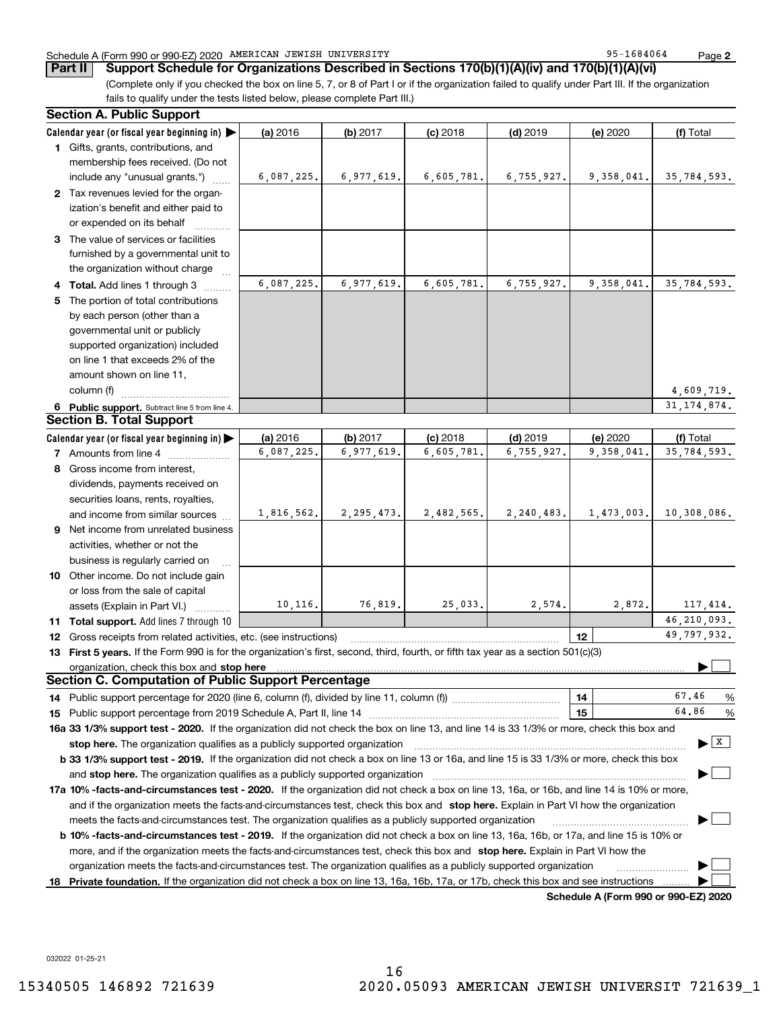### Schedule A (Form 990 or 990-EZ) 2020 Page AMERICAN JEWISH UNIVERSITY 95-1684064

**Part II Support Schedule for Organizations Described in Sections 170(b)(1)(A)(iv) and 170(b)(1)(A)(vi)**

(Complete only if you checked the box on line 5, 7, or 8 of Part I or if the organization failed to qualify under Part III. If the organization fails to qualify under the tests listed below, please complete Part III.)

|    | <b>Section A. Public Support</b>                                                                                                                                                                                                                                                 |            |              |            |            |                                      |                                      |
|----|----------------------------------------------------------------------------------------------------------------------------------------------------------------------------------------------------------------------------------------------------------------------------------|------------|--------------|------------|------------|--------------------------------------|--------------------------------------|
|    | Calendar year (or fiscal year beginning in)                                                                                                                                                                                                                                      | (a) 2016   | (b) 2017     | $(c)$ 2018 | $(d)$ 2019 | (e) 2020                             | (f) Total                            |
|    | 1 Gifts, grants, contributions, and<br>membership fees received. (Do not                                                                                                                                                                                                         |            |              |            |            |                                      |                                      |
|    | include any "unusual grants.")                                                                                                                                                                                                                                                   | 6,087,225. | 6,977,619.   | 6,605,781. | 6,755,927. | 9,358,041.                           | 35,784,593.                          |
|    | 2 Tax revenues levied for the organ-<br>ization's benefit and either paid to<br>or expended on its behalf                                                                                                                                                                        |            |              |            |            |                                      |                                      |
|    | 3 The value of services or facilities<br>furnished by a governmental unit to<br>the organization without charge                                                                                                                                                                  |            |              |            |            |                                      |                                      |
|    | 4 Total. Add lines 1 through 3                                                                                                                                                                                                                                                   | 6,087,225. | 6,977,619.   | 6,605,781. | 6,755,927. | 9,358,041.                           | 35,784,593.                          |
|    | 5 The portion of total contributions                                                                                                                                                                                                                                             |            |              |            |            |                                      |                                      |
|    | by each person (other than a                                                                                                                                                                                                                                                     |            |              |            |            |                                      |                                      |
|    | governmental unit or publicly                                                                                                                                                                                                                                                    |            |              |            |            |                                      |                                      |
|    | supported organization) included                                                                                                                                                                                                                                                 |            |              |            |            |                                      |                                      |
|    | on line 1 that exceeds 2% of the                                                                                                                                                                                                                                                 |            |              |            |            |                                      |                                      |
|    | amount shown on line 11,                                                                                                                                                                                                                                                         |            |              |            |            |                                      |                                      |
|    | column (f)                                                                                                                                                                                                                                                                       |            |              |            |            |                                      | 4,609,719.                           |
|    | 6 Public support. Subtract line 5 from line 4.                                                                                                                                                                                                                                   |            |              |            |            |                                      | 31, 174, 874.                        |
|    | <b>Section B. Total Support</b>                                                                                                                                                                                                                                                  |            |              |            |            |                                      |                                      |
|    | Calendar year (or fiscal year beginning in)                                                                                                                                                                                                                                      | (a) 2016   | (b) 2017     | $(c)$ 2018 | $(d)$ 2019 | (e) 2020                             | (f) Total                            |
|    | 7 Amounts from line 4                                                                                                                                                                                                                                                            | 6,087,225. | 6,977,619.   | 6,605,781. | 6,755,927. | 9,358,041.                           | 35,784,593.                          |
|    | 8 Gross income from interest,                                                                                                                                                                                                                                                    |            |              |            |            |                                      |                                      |
|    | dividends, payments received on                                                                                                                                                                                                                                                  |            |              |            |            |                                      |                                      |
|    | securities loans, rents, royalties,                                                                                                                                                                                                                                              |            |              |            |            |                                      |                                      |
|    | and income from similar sources                                                                                                                                                                                                                                                  | 1,816,562. | 2, 295, 473. | 2,482,565. | 2,240,483. | 1,473,003.                           | 10,308,086.                          |
|    | 9 Net income from unrelated business                                                                                                                                                                                                                                             |            |              |            |            |                                      |                                      |
|    | activities, whether or not the                                                                                                                                                                                                                                                   |            |              |            |            |                                      |                                      |
|    | business is regularly carried on                                                                                                                                                                                                                                                 |            |              |            |            |                                      |                                      |
|    | 10 Other income. Do not include gain                                                                                                                                                                                                                                             |            |              |            |            |                                      |                                      |
|    | or loss from the sale of capital                                                                                                                                                                                                                                                 |            |              |            |            |                                      |                                      |
|    | assets (Explain in Part VI.)                                                                                                                                                                                                                                                     | 10,116.    | 76,819.      | 25,033.    | 2,574.     | 2,872.                               | 117,414.                             |
|    | 11 Total support. Add lines 7 through 10                                                                                                                                                                                                                                         |            |              |            |            |                                      | 46, 210, 093.                        |
|    | 12 Gross receipts from related activities, etc. (see instructions)                                                                                                                                                                                                               |            |              |            |            | 12                                   | 49,797,932.                          |
|    | 13 First 5 years. If the Form 990 is for the organization's first, second, third, fourth, or fifth tax year as a section 501(c)(3)                                                                                                                                               |            |              |            |            |                                      |                                      |
|    | organization, check this box and stop here                                                                                                                                                                                                                                       |            |              |            |            |                                      |                                      |
|    | <b>Section C. Computation of Public Support Percentage</b>                                                                                                                                                                                                                       |            |              |            |            |                                      |                                      |
|    |                                                                                                                                                                                                                                                                                  |            |              |            |            | 14                                   | 67.46<br>%<br>64.86                  |
|    |                                                                                                                                                                                                                                                                                  |            |              |            |            | 15                                   | %                                    |
|    | 16a 33 1/3% support test - 2020. If the organization did not check the box on line 13, and line 14 is 33 1/3% or more, check this box and                                                                                                                                        |            |              |            |            |                                      | $\blacktriangleright$ $\overline{x}$ |
|    | stop here. The organization qualifies as a publicly supported organization                                                                                                                                                                                                       |            |              |            |            |                                      |                                      |
|    | b 33 1/3% support test - 2019. If the organization did not check a box on line 13 or 16a, and line 15 is 33 1/3% or more, check this box                                                                                                                                         |            |              |            |            |                                      |                                      |
|    | and stop here. The organization qualifies as a publicly supported organization                                                                                                                                                                                                   |            |              |            |            |                                      |                                      |
|    | 17a 10% -facts-and-circumstances test - 2020. If the organization did not check a box on line 13, 16a, or 16b, and line 14 is 10% or more,                                                                                                                                       |            |              |            |            |                                      |                                      |
|    | and if the organization meets the facts-and-circumstances test, check this box and stop here. Explain in Part VI how the organization                                                                                                                                            |            |              |            |            |                                      |                                      |
|    | meets the facts-and-circumstances test. The organization qualifies as a publicly supported organization                                                                                                                                                                          |            |              |            |            |                                      |                                      |
|    | <b>b 10% -facts-and-circumstances test - 2019.</b> If the organization did not check a box on line 13, 16a, 16b, or 17a, and line 15 is 10% or<br>more, and if the organization meets the facts-and-circumstances test, check this box and stop here. Explain in Part VI how the |            |              |            |            |                                      |                                      |
|    | organization meets the facts-and-circumstances test. The organization qualifies as a publicly supported organization                                                                                                                                                             |            |              |            |            |                                      |                                      |
| 18 | Private foundation. If the organization did not check a box on line 13, 16a, 16b, 17a, or 17b, check this box and see instructions                                                                                                                                               |            |              |            |            |                                      |                                      |
|    |                                                                                                                                                                                                                                                                                  |            |              |            |            | Schedule A (Form 990 or 990-EZ) 2020 |                                      |
|    |                                                                                                                                                                                                                                                                                  |            |              |            |            |                                      |                                      |

032022 01-25-21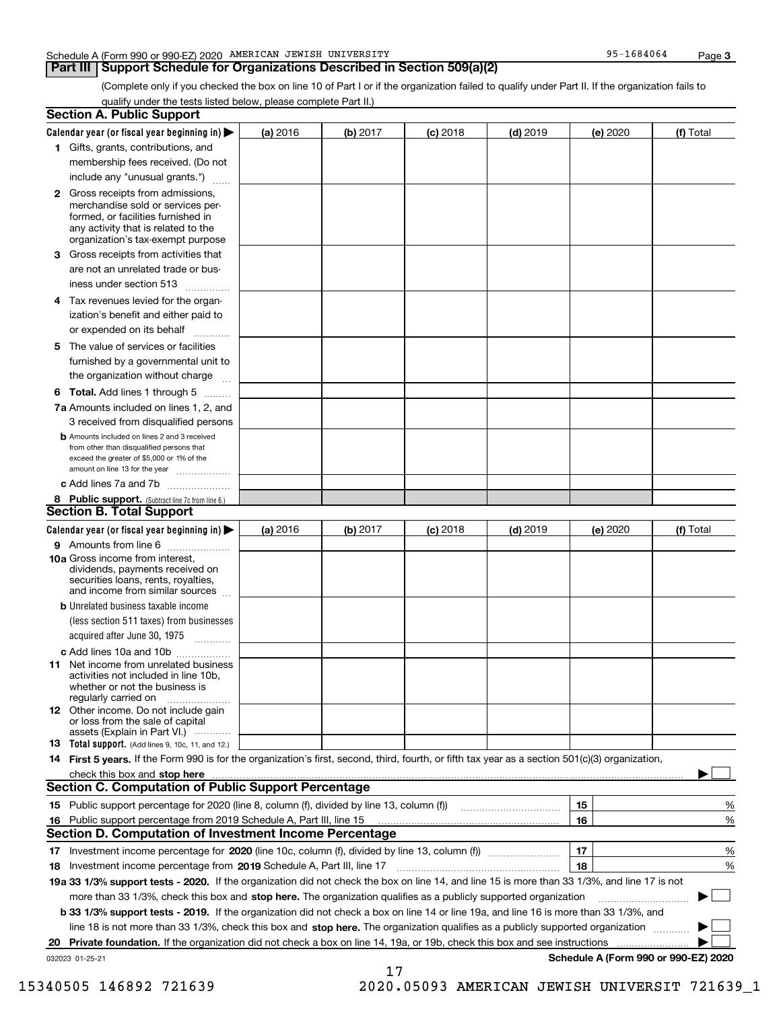### Schedule A (Form 990 or 990-EZ) 2020 Page AMERICAN JEWISH UNIVERSITY 95-1684064

## **Part III Support Schedule for Organizations Described in Section 509(a)(2)**

(Complete only if you checked the box on line 10 of Part I or if the organization failed to qualify under Part II. If the organization fails to qualify under the tests listed below, please complete Part II.)

|    | <b>Section A. Public Support</b>                                                                                                                                                                                               |          |          |            |            |          |                                      |
|----|--------------------------------------------------------------------------------------------------------------------------------------------------------------------------------------------------------------------------------|----------|----------|------------|------------|----------|--------------------------------------|
|    | Calendar year (or fiscal year beginning in) $\blacktriangleright$                                                                                                                                                              | (a) 2016 | (b) 2017 | $(c)$ 2018 | $(d)$ 2019 | (e) 2020 | (f) Total                            |
|    | 1 Gifts, grants, contributions, and                                                                                                                                                                                            |          |          |            |            |          |                                      |
|    | membership fees received. (Do not                                                                                                                                                                                              |          |          |            |            |          |                                      |
|    | include any "unusual grants.")                                                                                                                                                                                                 |          |          |            |            |          |                                      |
|    | 2 Gross receipts from admissions,<br>merchandise sold or services per-<br>formed, or facilities furnished in<br>any activity that is related to the<br>organization's tax-exempt purpose                                       |          |          |            |            |          |                                      |
|    | 3 Gross receipts from activities that<br>are not an unrelated trade or bus-                                                                                                                                                    |          |          |            |            |          |                                      |
|    | iness under section 513                                                                                                                                                                                                        |          |          |            |            |          |                                      |
|    | 4 Tax revenues levied for the organ-                                                                                                                                                                                           |          |          |            |            |          |                                      |
|    | ization's benefit and either paid to<br>or expended on its behalf<br>.                                                                                                                                                         |          |          |            |            |          |                                      |
|    | 5 The value of services or facilities                                                                                                                                                                                          |          |          |            |            |          |                                      |
|    | furnished by a governmental unit to                                                                                                                                                                                            |          |          |            |            |          |                                      |
|    | the organization without charge                                                                                                                                                                                                |          |          |            |            |          |                                      |
|    | <b>6 Total.</b> Add lines 1 through 5                                                                                                                                                                                          |          |          |            |            |          |                                      |
|    | 7a Amounts included on lines 1, 2, and<br>3 received from disqualified persons                                                                                                                                                 |          |          |            |            |          |                                      |
|    | <b>b</b> Amounts included on lines 2 and 3 received<br>from other than disqualified persons that<br>exceed the greater of \$5,000 or 1% of the<br>amount on line 13 for the year                                               |          |          |            |            |          |                                      |
|    | c Add lines 7a and 7b                                                                                                                                                                                                          |          |          |            |            |          |                                      |
|    | 8 Public support. (Subtract line 7c from line 6.)                                                                                                                                                                              |          |          |            |            |          |                                      |
|    | <b>Section B. Total Support</b>                                                                                                                                                                                                |          |          |            |            |          |                                      |
|    | Calendar year (or fiscal year beginning in) $\blacktriangleright$                                                                                                                                                              | (a) 2016 | (b) 2017 | $(c)$ 2018 | $(d)$ 2019 | (e) 2020 | (f) Total                            |
|    | 9 Amounts from line 6                                                                                                                                                                                                          |          |          |            |            |          |                                      |
|    | 10a Gross income from interest,<br>dividends, payments received on<br>securities loans, rents, royalties,<br>and income from similar sources                                                                                   |          |          |            |            |          |                                      |
|    | <b>b</b> Unrelated business taxable income<br>(less section 511 taxes) from businesses                                                                                                                                         |          |          |            |            |          |                                      |
|    | acquired after June 30, 1975                                                                                                                                                                                                   |          |          |            |            |          |                                      |
|    | c Add lines 10a and 10b<br>11 Net income from unrelated business<br>activities not included in line 10b,<br>whether or not the business is                                                                                     |          |          |            |            |          |                                      |
|    | regularly carried on<br>12 Other income. Do not include gain<br>or loss from the sale of capital                                                                                                                               |          |          |            |            |          |                                      |
|    | assets (Explain in Part VI.)<br><b>13</b> Total support. (Add lines 9, 10c, 11, and 12.)                                                                                                                                       |          |          |            |            |          |                                      |
|    | 14 First 5 years. If the Form 990 is for the organization's first, second, third, fourth, or fifth tax year as a section 501(c)(3) organization,                                                                               |          |          |            |            |          |                                      |
|    | check this box and stop here measured and contained a state of the state of the state of the state of the state of the state of the state of the state of the state of the state of the state of the state of the state of the |          |          |            |            |          |                                      |
|    | <b>Section C. Computation of Public Support Percentage</b>                                                                                                                                                                     |          |          |            |            |          |                                      |
|    | 15 Public support percentage for 2020 (line 8, column (f), divided by line 13, column (f))                                                                                                                                     |          |          |            |            | 15       | %                                    |
|    | 16 Public support percentage from 2019 Schedule A, Part III, line 15                                                                                                                                                           |          |          |            |            | 16       | %                                    |
|    | <b>Section D. Computation of Investment Income Percentage</b>                                                                                                                                                                  |          |          |            |            |          |                                      |
|    | 17 Investment income percentage for 2020 (line 10c, column (f), divided by line 13, column (f))                                                                                                                                |          |          |            |            | 17       | %                                    |
|    | <b>18</b> Investment income percentage from <b>2019</b> Schedule A, Part III, line 17                                                                                                                                          |          |          |            |            | 18       | %                                    |
|    | 19a 33 1/3% support tests - 2020. If the organization did not check the box on line 14, and line 15 is more than 33 1/3%, and line 17 is not                                                                                   |          |          |            |            |          |                                      |
|    | more than 33 1/3%, check this box and stop here. The organization qualifies as a publicly supported organization                                                                                                               |          |          |            |            |          | ▶                                    |
|    | b 33 1/3% support tests - 2019. If the organization did not check a box on line 14 or line 19a, and line 16 is more than 33 1/3%, and                                                                                          |          |          |            |            |          |                                      |
|    | line 18 is not more than 33 1/3%, check this box and stop here. The organization qualifies as a publicly supported organization                                                                                                |          |          |            |            |          |                                      |
| 20 | <b>Private foundation.</b> If the organization did not check a box on line 14, 19a, or 19b, check this box and see instructions                                                                                                |          |          |            |            |          |                                      |
|    | 032023 01-25-21                                                                                                                                                                                                                |          | 17       |            |            |          | Schedule A (Form 990 or 990-EZ) 2020 |

 <sup>15340505 146892 721639 2020.05093</sup> AMERICAN JEWISH UNIVERSIT 721639\_1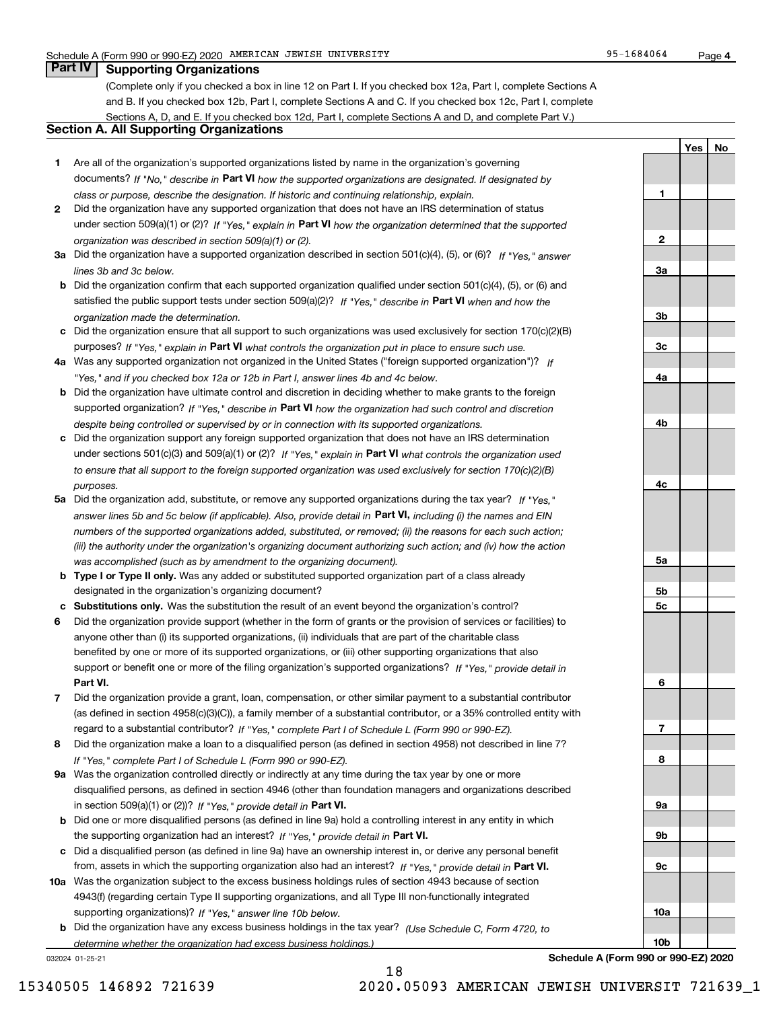**1**

**2**

**3a**

**3b**

**3c**

**4a**

**4b**

**4c**

**5a**

**5b5c**

**6**

**7**

**8**

**9a**

**9b**

**9c**

**10a**

**10b**

**YesNo**

## **Part IV Supporting Organizations**

(Complete only if you checked a box in line 12 on Part I. If you checked box 12a, Part I, complete Sections A and B. If you checked box 12b, Part I, complete Sections A and C. If you checked box 12c, Part I, complete Sections A, D, and E. If you checked box 12d, Part I, complete Sections A and D, and complete Part V.)

## **Section A. All Supporting Organizations**

- **1** Are all of the organization's supported organizations listed by name in the organization's governing documents? If "No," describe in **Part VI** how the supported organizations are designated. If designated by *class or purpose, describe the designation. If historic and continuing relationship, explain.*
- **2** Did the organization have any supported organization that does not have an IRS determination of status under section 509(a)(1) or (2)? If "Yes," explain in Part VI how the organization determined that the supported *organization was described in section 509(a)(1) or (2).*
- **3a** Did the organization have a supported organization described in section 501(c)(4), (5), or (6)? If "Yes," answer *lines 3b and 3c below.*
- **b** Did the organization confirm that each supported organization qualified under section 501(c)(4), (5), or (6) and satisfied the public support tests under section 509(a)(2)? If "Yes," describe in **Part VI** when and how the *organization made the determination.*
- **c**Did the organization ensure that all support to such organizations was used exclusively for section 170(c)(2)(B) purposes? If "Yes," explain in **Part VI** what controls the organization put in place to ensure such use.
- **4a***If* Was any supported organization not organized in the United States ("foreign supported organization")? *"Yes," and if you checked box 12a or 12b in Part I, answer lines 4b and 4c below.*
- **b** Did the organization have ultimate control and discretion in deciding whether to make grants to the foreign supported organization? If "Yes," describe in **Part VI** how the organization had such control and discretion *despite being controlled or supervised by or in connection with its supported organizations.*
- **c** Did the organization support any foreign supported organization that does not have an IRS determination under sections 501(c)(3) and 509(a)(1) or (2)? If "Yes," explain in **Part VI** what controls the organization used *to ensure that all support to the foreign supported organization was used exclusively for section 170(c)(2)(B) purposes.*
- **5a** Did the organization add, substitute, or remove any supported organizations during the tax year? If "Yes," answer lines 5b and 5c below (if applicable). Also, provide detail in **Part VI,** including (i) the names and EIN *numbers of the supported organizations added, substituted, or removed; (ii) the reasons for each such action; (iii) the authority under the organization's organizing document authorizing such action; and (iv) how the action was accomplished (such as by amendment to the organizing document).*
- **b** Type I or Type II only. Was any added or substituted supported organization part of a class already designated in the organization's organizing document?
- **cSubstitutions only.**  Was the substitution the result of an event beyond the organization's control?
- **6** Did the organization provide support (whether in the form of grants or the provision of services or facilities) to **Part VI.** *If "Yes," provide detail in* support or benefit one or more of the filing organization's supported organizations? anyone other than (i) its supported organizations, (ii) individuals that are part of the charitable class benefited by one or more of its supported organizations, or (iii) other supporting organizations that also
- **7**Did the organization provide a grant, loan, compensation, or other similar payment to a substantial contributor *If "Yes," complete Part I of Schedule L (Form 990 or 990-EZ).* regard to a substantial contributor? (as defined in section 4958(c)(3)(C)), a family member of a substantial contributor, or a 35% controlled entity with
- **8** Did the organization make a loan to a disqualified person (as defined in section 4958) not described in line 7? *If "Yes," complete Part I of Schedule L (Form 990 or 990-EZ).*
- **9a** Was the organization controlled directly or indirectly at any time during the tax year by one or more in section 509(a)(1) or (2))? If "Yes," *provide detail in* <code>Part VI.</code> disqualified persons, as defined in section 4946 (other than foundation managers and organizations described
- **b** Did one or more disqualified persons (as defined in line 9a) hold a controlling interest in any entity in which the supporting organization had an interest? If "Yes," provide detail in P**art VI**.
- **c**Did a disqualified person (as defined in line 9a) have an ownership interest in, or derive any personal benefit from, assets in which the supporting organization also had an interest? If "Yes," provide detail in P**art VI.**
- **10a** Was the organization subject to the excess business holdings rules of section 4943 because of section supporting organizations)? If "Yes," answer line 10b below. 4943(f) (regarding certain Type II supporting organizations, and all Type III non-functionally integrated
- **b** Did the organization have any excess business holdings in the tax year? (Use Schedule C, Form 4720, to *determine whether the organization had excess business holdings.)*

18

032024 01-25-21

**Schedule A (Form 990 or 990-EZ) 2020**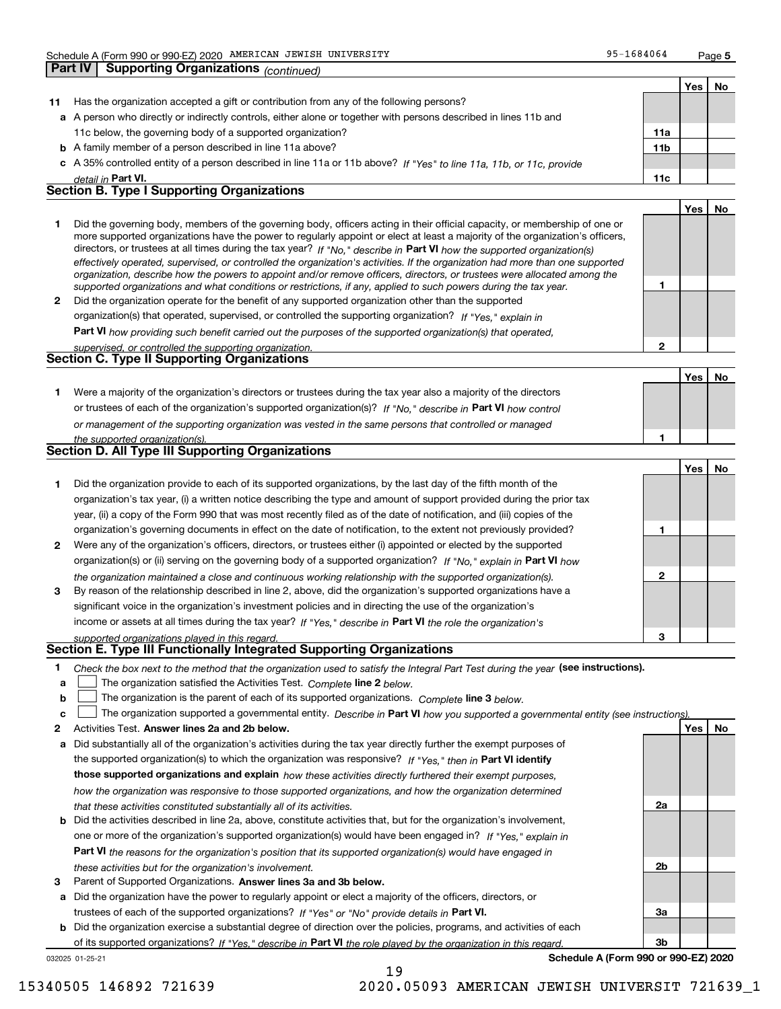**5**

**1**

**2**

**No**

|    |                                                                                                                          |                 | Yes | No |
|----|--------------------------------------------------------------------------------------------------------------------------|-----------------|-----|----|
| 11 | Has the organization accepted a gift or contribution from any of the following persons?                                  |                 |     |    |
|    | a A person who directly or indirectly controls, either alone or together with persons described in lines 11b and         |                 |     |    |
|    | 11c below, the governing body of a supported organization?                                                               | 11a             |     |    |
|    | <b>b</b> A family member of a person described in line 11a above?                                                        | 11 <sub>b</sub> |     |    |
|    | c A 35% controlled entity of a person described in line 11a or 11b above? If "Yes" to line 11a, 11b, or 11c, provide     |                 |     |    |
|    | detail in Part VI.                                                                                                       | 11c             |     |    |
|    | <b>Section B. Type I Supporting Organizations</b>                                                                        |                 |     |    |
|    |                                                                                                                          |                 | Yes |    |
|    | Did the governing body members of the governing body officers esting in their official conseity, or membership of ane or |                 |     |    |

|   | Did the governing body, members of the governing body, officers acting in their official capacity, or membership of one or     |
|---|--------------------------------------------------------------------------------------------------------------------------------|
|   | more supported organizations have the power to regularly appoint or elect at least a majority of the organization's officers,  |
|   | directors, or trustees at all times during the tax year? If "No," describe in Part VI how the supported organization(s)        |
|   | effectively operated, supervised, or controlled the organization's activities. If the organization had more than one supported |
|   | organization, describe how the powers to appoint and/or remove officers, directors, or trustees were allocated among the       |
|   | supported organizations and what conditions or restrictions, if any, applied to such powers during the tax year.               |
| 2 | Did the organization operate for the benefit of any supported organization other than the supported                            |
|   | organization(s) that operated, supervised, or controlled the supporting organization? If "Yes," explain in                     |

**Part VI**  *how providing such benefit carried out the purposes of the supported organization(s) that operated,*

| supervised, or controlled the supporting organization. |  |
|--------------------------------------------------------|--|
| <b>Section C. Type II Supporting Organizations</b>     |  |

**Yes1**or trustees of each of the organization's supported organization(s)? If "No," describe in **Part VI** how control **1***or management of the supporting organization was vested in the same persons that controlled or managed the supported organization(s).* Were a majority of the organization's directors or trustees during the tax year also a majority of the directors

| Section D. All Type III Supporting Organizations |  |
|--------------------------------------------------|--|
|                                                  |  |

|                |                                                                                                                        |   | Yes I | No |
|----------------|------------------------------------------------------------------------------------------------------------------------|---|-------|----|
|                | Did the organization provide to each of its supported organizations, by the last day of the fifth month of the         |   |       |    |
|                | organization's tax year, (i) a written notice describing the type and amount of support provided during the prior tax  |   |       |    |
|                | year, (ii) a copy of the Form 990 that was most recently filed as of the date of notification, and (iii) copies of the |   |       |    |
|                | organization's governing documents in effect on the date of notification, to the extent not previously provided?       |   |       |    |
| $\overline{2}$ | Were any of the organization's officers, directors, or trustees either (i) appointed or elected by the supported       |   |       |    |
|                | organization(s) or (ii) serving on the governing body of a supported organization? If "No," explain in Part VI how     |   |       |    |
|                | the organization maintained a close and continuous working relationship with the supported organization(s).            | 2 |       |    |
| 3              | By reason of the relationship described in line 2, above, did the organization's supported organizations have a        |   |       |    |
|                | significant voice in the organization's investment policies and in directing the use of the organization's             |   |       |    |
|                | income or assets at all times during the tax year? If "Yes," describe in Part VI the role the organization's           |   |       |    |
|                | supported organizations played in this regard.                                                                         | з |       |    |

# *supported organizations played in this regard.* **Section E. Type III Functionally Integrated Supporting Organizations**

- **1**Check the box next to the method that the organization used to satisfy the Integral Part Test during the year (see instructions).
- **alinupy** The organization satisfied the Activities Test. Complete line 2 below.
- **b**The organization is the parent of each of its supported organizations. *Complete* line 3 *below.*  $\mathcal{L}^{\text{max}}$

|  |  | c $\Box$ The organization supported a governmental entity. Describe in Part VI how you supported a governmental entity (see instructions). |  |  |  |  |
|--|--|--------------------------------------------------------------------------------------------------------------------------------------------|--|--|--|--|
|--|--|--------------------------------------------------------------------------------------------------------------------------------------------|--|--|--|--|

19

- **2Answer lines 2a and 2b below. Yes No** Activities Test.
- **a** Did substantially all of the organization's activities during the tax year directly further the exempt purposes of the supported organization(s) to which the organization was responsive? If "Yes," then in **Part VI identify those supported organizations and explain**  *how these activities directly furthered their exempt purposes, how the organization was responsive to those supported organizations, and how the organization determined that these activities constituted substantially all of its activities.*
- **b** Did the activities described in line 2a, above, constitute activities that, but for the organization's involvement, **Part VI**  *the reasons for the organization's position that its supported organization(s) would have engaged in* one or more of the organization's supported organization(s) would have been engaged in? If "Yes," e*xplain in these activities but for the organization's involvement.*
- **3** Parent of Supported Organizations. Answer lines 3a and 3b below.

**a** Did the organization have the power to regularly appoint or elect a majority of the officers, directors, or trustees of each of the supported organizations? If "Yes" or "No" provide details in **Part VI.** 

032025 01-25-21 **b** Did the organization exercise a substantial degree of direction over the policies, programs, and activities of each of its supported organizations? If "Yes," describe in Part VI the role played by the organization in this regard.

**Schedule A (Form 990 or 990-EZ) 2020**

**2a**

**2b**

**3a**

**3b**

**Part IV Supporting Organizations** *(continued)*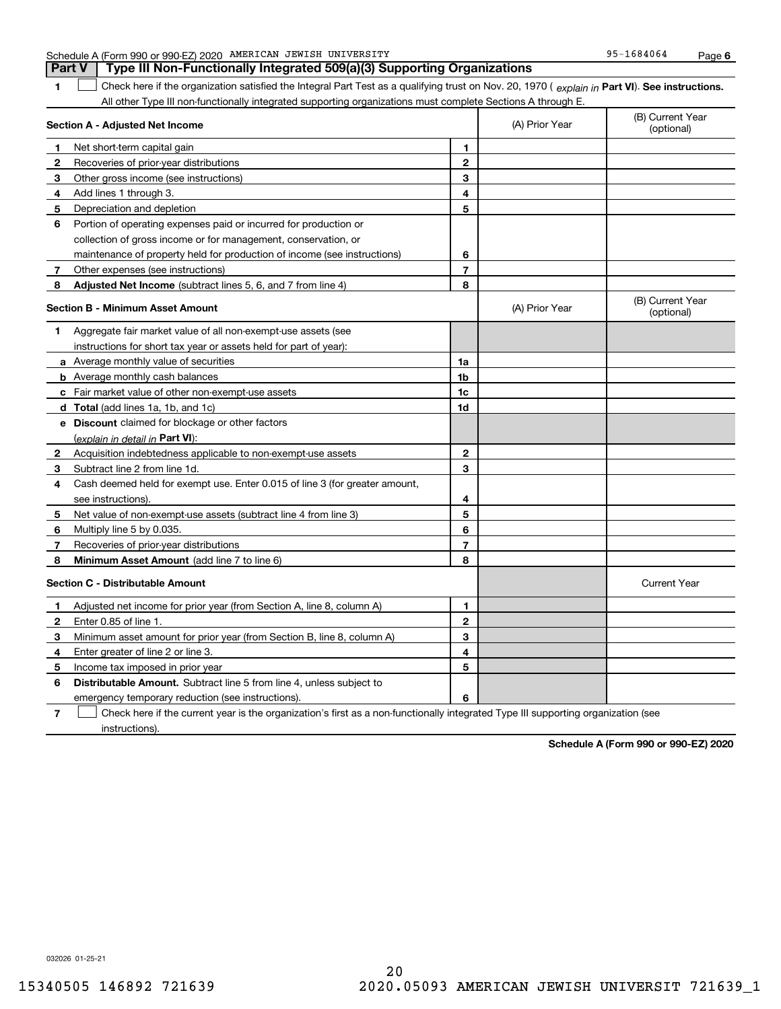| 1              | Check here if the organization satisfied the Integral Part Test as a qualifying trust on Nov. 20, 1970 (explain in Part VI). See instructions. |              |                |                                |
|----------------|------------------------------------------------------------------------------------------------------------------------------------------------|--------------|----------------|--------------------------------|
|                | All other Type III non-functionally integrated supporting organizations must complete Sections A through E.                                    |              |                |                                |
|                | Section A - Adjusted Net Income                                                                                                                |              | (A) Prior Year | (B) Current Year<br>(optional) |
| 1              | Net short-term capital gain                                                                                                                    | 1            |                |                                |
| 2              | Recoveries of prior-year distributions                                                                                                         | $\mathbf{2}$ |                |                                |
| з              | Other gross income (see instructions)                                                                                                          | 3            |                |                                |
| 4              | Add lines 1 through 3.                                                                                                                         | 4            |                |                                |
| 5              | Depreciation and depletion                                                                                                                     | 5            |                |                                |
| 6              | Portion of operating expenses paid or incurred for production or                                                                               |              |                |                                |
|                | collection of gross income or for management, conservation, or                                                                                 |              |                |                                |
|                | maintenance of property held for production of income (see instructions)                                                                       | 6            |                |                                |
| 7 <sup>7</sup> | Other expenses (see instructions)                                                                                                              | 7            |                |                                |
| 8              | Adjusted Net Income (subtract lines 5, 6, and 7 from line 4)                                                                                   | 8            |                |                                |
|                | <b>Section B - Minimum Asset Amount</b>                                                                                                        |              | (A) Prior Year | (B) Current Year<br>(optional) |
| 1.             | Aggregate fair market value of all non-exempt-use assets (see                                                                                  |              |                |                                |
|                | instructions for short tax year or assets held for part of year):                                                                              |              |                |                                |
|                | a Average monthly value of securities                                                                                                          | 1a           |                |                                |
|                | <b>b</b> Average monthly cash balances                                                                                                         | 1b           |                |                                |
|                | c Fair market value of other non-exempt-use assets                                                                                             | 1c           |                |                                |
|                | d Total (add lines 1a, 1b, and 1c)                                                                                                             | 1d           |                |                                |
|                | e Discount claimed for blockage or other factors                                                                                               |              |                |                                |
|                | (explain in detail in <b>Part VI</b> ):                                                                                                        |              |                |                                |
| 2              | Acquisition indebtedness applicable to non-exempt-use assets                                                                                   | $\mathbf 2$  |                |                                |
| 3              | Subtract line 2 from line 1d.                                                                                                                  | 3            |                |                                |
| 4              | Cash deemed held for exempt use. Enter 0.015 of line 3 (for greater amount,                                                                    |              |                |                                |
|                | see instructions).                                                                                                                             | 4            |                |                                |
| 5              | Net value of non-exempt-use assets (subtract line 4 from line 3)                                                                               | 5            |                |                                |
| 6              | Multiply line 5 by 0.035.                                                                                                                      | 6            |                |                                |
| 7              | Recoveries of prior-year distributions                                                                                                         | 7            |                |                                |
| 8              | <b>Minimum Asset Amount</b> (add line 7 to line 6)                                                                                             | 8            |                |                                |
|                | <b>Section C - Distributable Amount</b>                                                                                                        |              |                | <b>Current Year</b>            |
| 1              | Adjusted net income for prior year (from Section A, line 8, column A)                                                                          | 1            |                |                                |
| $\mathbf{2}$   | Enter 0.85 of line 1.                                                                                                                          | $\mathbf{2}$ |                |                                |
| 3              | Minimum asset amount for prior year (from Section B, line 8, column A)                                                                         | 3            |                |                                |
| 4              | Enter greater of line 2 or line 3.                                                                                                             | 4            |                |                                |
| 5              | Income tax imposed in prior year                                                                                                               | 5            |                |                                |
| 6              | <b>Distributable Amount.</b> Subtract line 5 from line 4, unless subject to                                                                    |              |                |                                |
|                | emergency temporary reduction (see instructions).                                                                                              | 6            |                |                                |
| $\overline{7}$ | Check here if the current year is the organization's first as a non-functionally integrated Type III supporting organization (see              |              |                |                                |

Schedule A (Form 990 or 990-EZ) 2020 Page AMERICAN JEWISH UNIVERSITY 95-1684064

**Part V Type III Non-Functionally Integrated 509(a)(3) Supporting Organizations** 

**Schedule A (Form 990 or 990-EZ) 2020**

032026 01-25-21

instructions).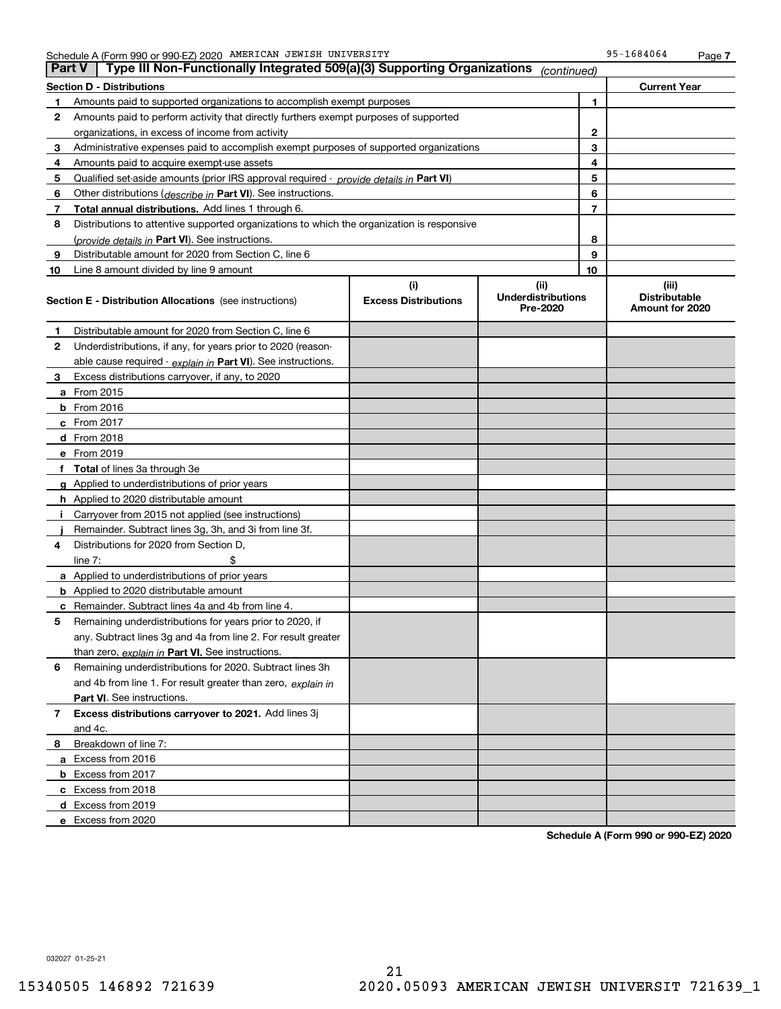| <b>Part V</b> | Type III Non-Functionally Integrated 509(a)(3) Supporting Organizations                    |                                    | (continued)                                   |    |                                                  |
|---------------|--------------------------------------------------------------------------------------------|------------------------------------|-----------------------------------------------|----|--------------------------------------------------|
|               | <b>Section D - Distributions</b>                                                           |                                    |                                               |    | <b>Current Year</b>                              |
| 1             | Amounts paid to supported organizations to accomplish exempt purposes                      |                                    |                                               | 1  |                                                  |
| 2             | Amounts paid to perform activity that directly furthers exempt purposes of supported       |                                    |                                               |    |                                                  |
|               | organizations, in excess of income from activity                                           |                                    |                                               |    |                                                  |
| 3             | Administrative expenses paid to accomplish exempt purposes of supported organizations      |                                    |                                               | 3  |                                                  |
| 4             | Amounts paid to acquire exempt-use assets                                                  |                                    |                                               | 4  |                                                  |
| 5             | Qualified set-aside amounts (prior IRS approval required - provide details in Part VI)     |                                    |                                               | 5  |                                                  |
| 6             | Other distributions ( <i>describe in</i> Part VI). See instructions.                       |                                    |                                               | 6  |                                                  |
| 7             | Total annual distributions. Add lines 1 through 6.                                         |                                    |                                               | 7  |                                                  |
| 8             | Distributions to attentive supported organizations to which the organization is responsive |                                    |                                               |    |                                                  |
|               | (provide details in Part VI). See instructions.                                            |                                    |                                               | 8  |                                                  |
| 9             | Distributable amount for 2020 from Section C, line 6                                       |                                    |                                               | 9  |                                                  |
| 10            | Line 8 amount divided by line 9 amount                                                     |                                    |                                               | 10 |                                                  |
|               | <b>Section E - Distribution Allocations</b> (see instructions)                             | (i)<br><b>Excess Distributions</b> | (ii)<br><b>Underdistributions</b><br>Pre-2020 |    | (iii)<br><b>Distributable</b><br>Amount for 2020 |
| 1             | Distributable amount for 2020 from Section C, line 6                                       |                                    |                                               |    |                                                  |
| 2             | Underdistributions, if any, for years prior to 2020 (reason-                               |                                    |                                               |    |                                                  |
|               | able cause required - explain in Part VI). See instructions.                               |                                    |                                               |    |                                                  |
| 3             | Excess distributions carryover, if any, to 2020                                            |                                    |                                               |    |                                                  |
|               | a From 2015                                                                                |                                    |                                               |    |                                                  |
|               | <b>b</b> From 2016                                                                         |                                    |                                               |    |                                                  |
|               | $c$ From 2017                                                                              |                                    |                                               |    |                                                  |
|               | d From 2018                                                                                |                                    |                                               |    |                                                  |
|               | e From 2019                                                                                |                                    |                                               |    |                                                  |
|               | f Total of lines 3a through 3e                                                             |                                    |                                               |    |                                                  |
|               | g Applied to underdistributions of prior years                                             |                                    |                                               |    |                                                  |
|               | <b>h</b> Applied to 2020 distributable amount                                              |                                    |                                               |    |                                                  |
|               | Carryover from 2015 not applied (see instructions)                                         |                                    |                                               |    |                                                  |
|               | Remainder. Subtract lines 3g, 3h, and 3i from line 3f.                                     |                                    |                                               |    |                                                  |
| 4             | Distributions for 2020 from Section D,                                                     |                                    |                                               |    |                                                  |
|               | line $7:$                                                                                  |                                    |                                               |    |                                                  |
|               | a Applied to underdistributions of prior years                                             |                                    |                                               |    |                                                  |
|               | <b>b</b> Applied to 2020 distributable amount                                              |                                    |                                               |    |                                                  |
|               | c Remainder. Subtract lines 4a and 4b from line 4.                                         |                                    |                                               |    |                                                  |
| 5.            | Remaining underdistributions for years prior to 2020, if                                   |                                    |                                               |    |                                                  |
|               | any. Subtract lines 3g and 4a from line 2. For result greater                              |                                    |                                               |    |                                                  |
|               | than zero, explain in Part VI. See instructions.                                           |                                    |                                               |    |                                                  |
| 6             | Remaining underdistributions for 2020. Subtract lines 3h                                   |                                    |                                               |    |                                                  |
|               | and 4b from line 1. For result greater than zero, explain in                               |                                    |                                               |    |                                                  |
|               | Part VI. See instructions.                                                                 |                                    |                                               |    |                                                  |
| 7             | Excess distributions carryover to 2021. Add lines 3j                                       |                                    |                                               |    |                                                  |
|               | and 4c.                                                                                    |                                    |                                               |    |                                                  |
| 8             | Breakdown of line 7:                                                                       |                                    |                                               |    |                                                  |
|               | a Excess from 2016                                                                         |                                    |                                               |    |                                                  |
|               | <b>b</b> Excess from 2017                                                                  |                                    |                                               |    |                                                  |
|               | c Excess from 2018                                                                         |                                    |                                               |    |                                                  |
|               | d Excess from 2019                                                                         |                                    |                                               |    |                                                  |
|               | e Excess from 2020                                                                         |                                    |                                               |    |                                                  |

**Schedule A (Form 990 or 990-EZ) 2020**

032027 01-25-21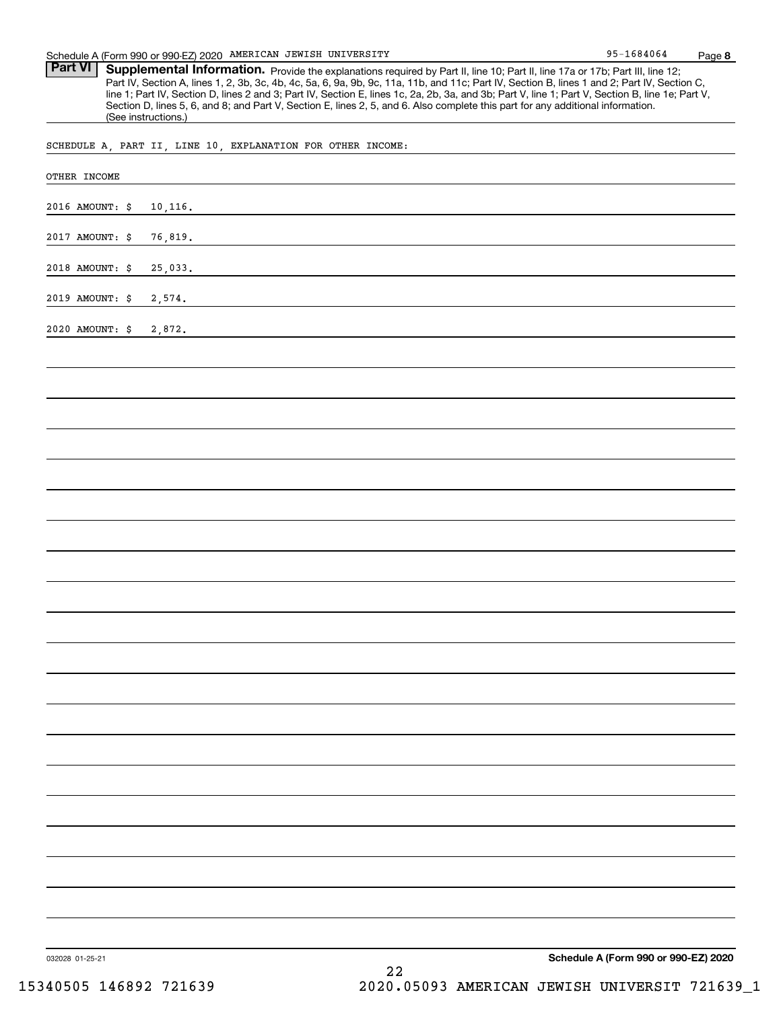**Part VI** | Supplemental Information. Provide the explanations required by Part II, line 10; Part II, line 17a or 17b; Part III, line 12; Part IV, Section A, lines 1, 2, 3b, 3c, 4b, 4c, 5a, 6, 9a, 9b, 9c, 11a, 11b, and 11c; Part IV, Section B, lines 1 and 2; Part IV, Section C, line 1; Part IV, Section D, lines 2 and 3; Part IV, Section E, lines 1c, 2a, 2b, 3a, and 3b; Part V, line 1; Part V, Section B, line 1e; Part V, Section D, lines 5, 6, and 8; and Part V, Section E, lines 2, 5, and 6. Also complete this part for any additional information. (See instructions.)

SCHEDULE A, PART II, LINE 10, EXPLANATION FOR OTHER INCOME:

| OTHER INCOME    |          |    |                                      |  |
|-----------------|----------|----|--------------------------------------|--|
| 2016 AMOUNT: \$ | 10, 116. |    |                                      |  |
| 2017 AMOUNT: \$ | 76,819.  |    |                                      |  |
| 2018 AMOUNT: \$ | 25,033.  |    |                                      |  |
| 2019 AMOUNT: \$ | 2,574.   |    |                                      |  |
| 2020 AMOUNT: \$ | 2,872.   |    |                                      |  |
|                 |          |    |                                      |  |
|                 |          |    |                                      |  |
|                 |          |    |                                      |  |
|                 |          |    |                                      |  |
|                 |          |    |                                      |  |
|                 |          |    |                                      |  |
|                 |          |    |                                      |  |
|                 |          |    |                                      |  |
|                 |          |    |                                      |  |
|                 |          |    |                                      |  |
|                 |          |    |                                      |  |
|                 |          |    |                                      |  |
|                 |          |    |                                      |  |
|                 |          |    |                                      |  |
|                 |          |    |                                      |  |
|                 |          |    |                                      |  |
|                 |          |    |                                      |  |
|                 |          |    |                                      |  |
|                 |          |    |                                      |  |
|                 |          |    |                                      |  |
| 032028 01-25-21 |          | 22 | Schedule A (Form 990 or 990-EZ) 2020 |  |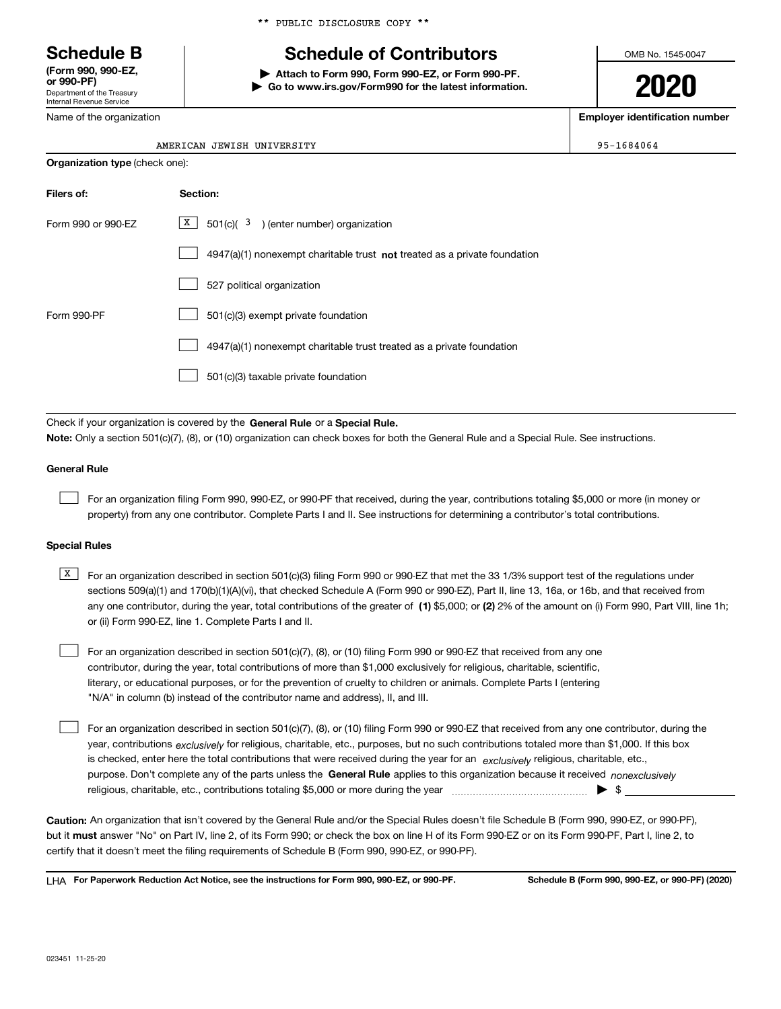Department of the Treasury Internal Revenue Service **(Form 990, 990-EZ, or 990-PF)**

Name of the organization

\*\* PUBLIC DISCLOSURE COPY \*\*

# **Schedule B Schedule of Contributors**

**| Attach to Form 990, Form 990-EZ, or Form 990-PF. | Go to www.irs.gov/Form990 for the latest information.** OMB No. 1545-0047

**2020**

**Employer identification number**

 $95 - 1684064$ 

|  | AMERICAN JEWISH UNIVERSITY |
|--|----------------------------|
|  |                            |

Check if your organization is covered by the **General Rule** or a **Special Rule. Note:**  Only a section 501(c)(7), (8), or (10) organization can check boxes for both the General Rule and a Special Rule. See instructions.

## **General Rule**

 $\mathcal{L}^{\text{max}}$ 

For an organization filing Form 990, 990-EZ, or 990-PF that received, during the year, contributions totaling \$5,000 or more (in money or property) from any one contributor. Complete Parts I and II. See instructions for determining a contributor's total contributions.

### **Special Rules**

any one contributor, during the year, total contributions of the greater of  $\,$  (1) \$5,000; or **(2)** 2% of the amount on (i) Form 990, Part VIII, line 1h;  $\overline{X}$  For an organization described in section 501(c)(3) filing Form 990 or 990-EZ that met the 33 1/3% support test of the regulations under sections 509(a)(1) and 170(b)(1)(A)(vi), that checked Schedule A (Form 990 or 990-EZ), Part II, line 13, 16a, or 16b, and that received from or (ii) Form 990-EZ, line 1. Complete Parts I and II.

For an organization described in section 501(c)(7), (8), or (10) filing Form 990 or 990-EZ that received from any one contributor, during the year, total contributions of more than \$1,000 exclusively for religious, charitable, scientific, literary, or educational purposes, or for the prevention of cruelty to children or animals. Complete Parts I (entering "N/A" in column (b) instead of the contributor name and address), II, and III.  $\mathcal{L}^{\text{max}}$ 

purpose. Don't complete any of the parts unless the **General Rule** applies to this organization because it received *nonexclusively* year, contributions <sub>exclusively</sub> for religious, charitable, etc., purposes, but no such contributions totaled more than \$1,000. If this box is checked, enter here the total contributions that were received during the year for an  $\;$ exclusively religious, charitable, etc., For an organization described in section 501(c)(7), (8), or (10) filing Form 990 or 990-EZ that received from any one contributor, during the religious, charitable, etc., contributions totaling \$5,000 or more during the year  $\Box$ — $\Box$  =  $\Box$  $\mathcal{L}^{\text{max}}$ 

**Caution:**  An organization that isn't covered by the General Rule and/or the Special Rules doesn't file Schedule B (Form 990, 990-EZ, or 990-PF),  **must** but it answer "No" on Part IV, line 2, of its Form 990; or check the box on line H of its Form 990-EZ or on its Form 990-PF, Part I, line 2, to certify that it doesn't meet the filing requirements of Schedule B (Form 990, 990-EZ, or 990-PF).

**For Paperwork Reduction Act Notice, see the instructions for Form 990, 990-EZ, or 990-PF. Schedule B (Form 990, 990-EZ, or 990-PF) (2020)** LHA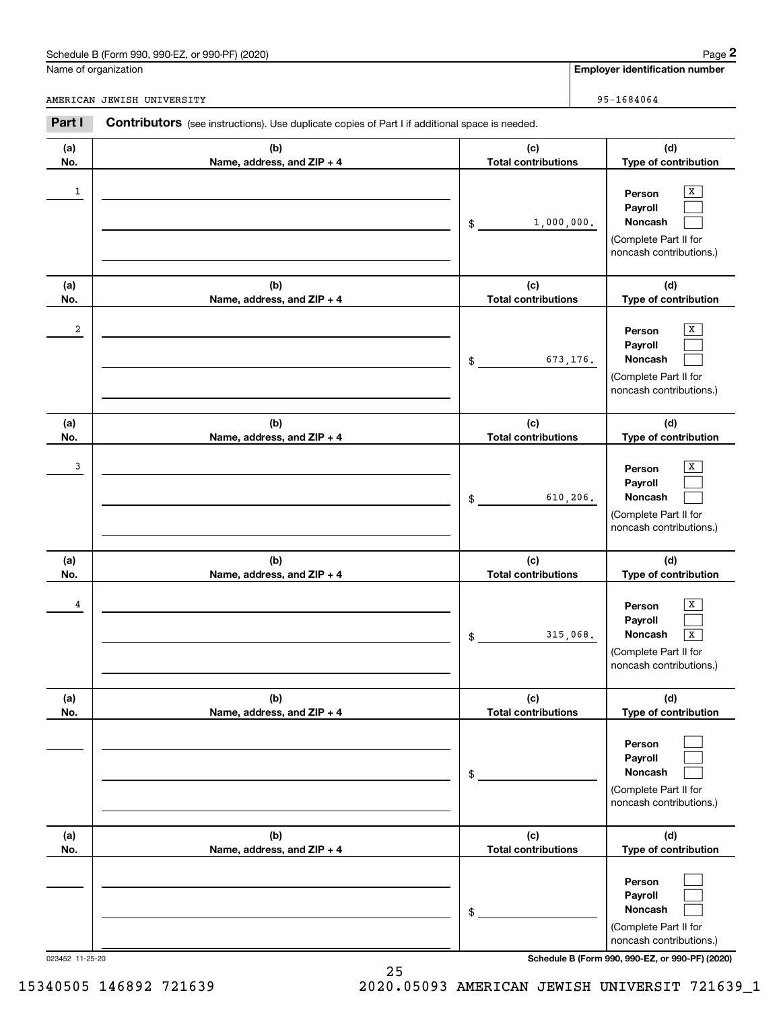## Schedule B (Form 990, 990-EZ, or 990-PF) (2020) Page 2

|              | Schedule B (Form 990, 990-EZ, or 990-PF) (2020)                                                       |                                   | Page 2                                                                                     |
|--------------|-------------------------------------------------------------------------------------------------------|-----------------------------------|--------------------------------------------------------------------------------------------|
|              | Name of organization                                                                                  |                                   | <b>Employer identification number</b>                                                      |
|              | AMERICAN JEWISH UNIVERSITY                                                                            |                                   | 95-1684064                                                                                 |
| Part I       | <b>Contributors</b> (see instructions). Use duplicate copies of Part I if additional space is needed. |                                   |                                                                                            |
| (a)<br>No.   | (b)<br>Name, address, and ZIP + 4                                                                     | (c)<br><b>Total contributions</b> | (d)<br>Type of contribution                                                                |
| $\mathbf{1}$ |                                                                                                       | 1,000,000.<br>\$                  | X<br>Person<br>Payroll<br>Noncash<br>(Complete Part II for<br>noncash contributions.)      |
| (a)<br>No.   | (b)<br>Name, address, and ZIP + 4                                                                     | (c)<br><b>Total contributions</b> | (d)<br>Type of contribution                                                                |
| 2            |                                                                                                       | 673,176.<br>\$                    | X<br>Person<br>Payroll<br>Noncash<br>(Complete Part II for<br>noncash contributions.)      |
| (a)<br>No.   | (b)<br>Name, address, and ZIP + 4                                                                     | (c)<br><b>Total contributions</b> | (d)<br>Type of contribution                                                                |
| 3            |                                                                                                       | 610,206.<br>\$                    | Х<br>Person<br>Payroll<br>Noncash<br>(Complete Part II for<br>noncash contributions.)      |
| (a)<br>No.   | (b)<br>Name, address, and ZIP + 4                                                                     | (c)<br><b>Total contributions</b> | (d)<br>Type of contribution                                                                |
| 4            |                                                                                                       | 315,068.<br>\$                    | х<br>Person<br>Payroll<br>Noncash<br>x<br>(Complete Part II for<br>noncash contributions.) |
| (a)<br>No.   | (b)<br>Name, address, and ZIP + 4                                                                     | (c)<br><b>Total contributions</b> | (d)<br>Type of contribution                                                                |
|              |                                                                                                       | \$                                | Person<br>Payroll<br>Noncash<br>(Complete Part II for<br>noncash contributions.)           |
| (a)<br>No.   | (b)<br>Name, address, and ZIP + 4                                                                     | (c)<br><b>Total contributions</b> | (d)<br>Type of contribution                                                                |
|              |                                                                                                       | \$                                | Person<br>Payroll<br>Noncash<br>(Complete Part II for<br>noncash contributions.)           |

023452 11-25-20 **Schedule B (Form 990, 990-EZ, or 990-PF) (2020)**

15340505 146892 721639 2020.05093 AMERICAN JEWISH UNIVERSIT 721639\_1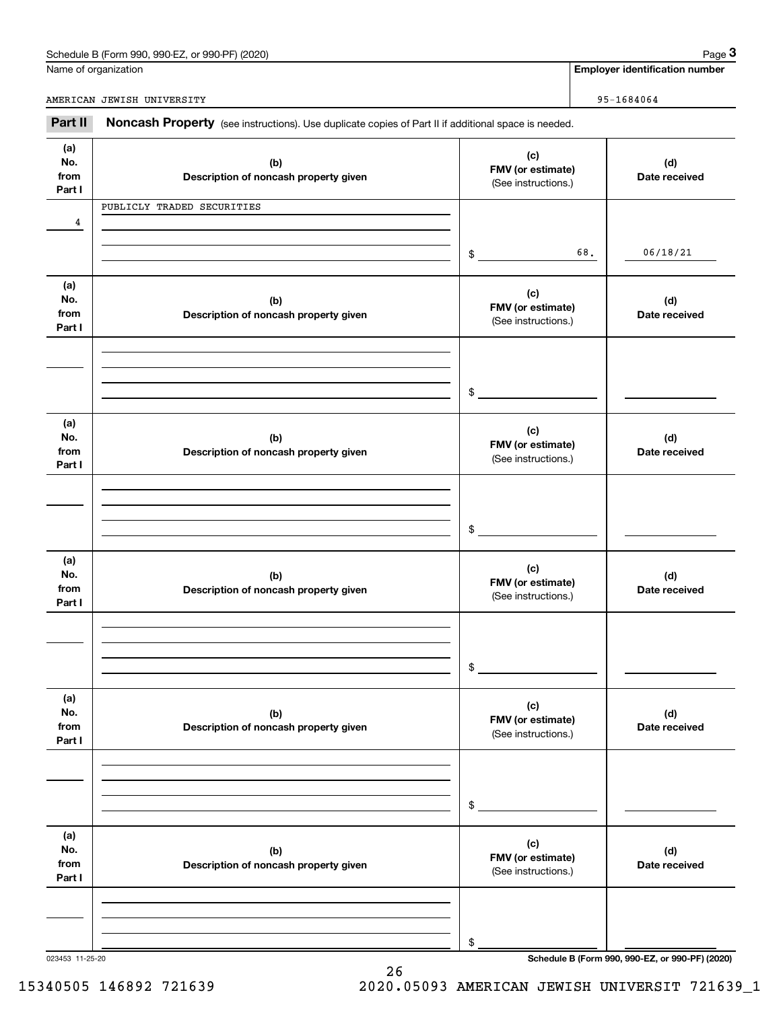| Schedule B (Form 990,<br>or 990-PF) (2020)<br>$.990-EZ$<br>Page |
|-----------------------------------------------------------------|
|-----------------------------------------------------------------|

|                              | Schedule B (Form 990, 990-EZ, or 990-PF) (2020)                                                     |                                                 |                      | Page 3                                |
|------------------------------|-----------------------------------------------------------------------------------------------------|-------------------------------------------------|----------------------|---------------------------------------|
|                              | Name of organization                                                                                |                                                 |                      | <b>Employer identification number</b> |
|                              | AMERICAN JEWISH UNIVERSITY                                                                          |                                                 |                      | $95 - 1684064$                        |
| Part II                      | Noncash Property (see instructions). Use duplicate copies of Part II if additional space is needed. |                                                 |                      |                                       |
| (a)<br>No.<br>from<br>Part I | (b)<br>Description of noncash property given                                                        | FMV (or estimate)<br>(See instructions.)        | (d)<br>Date received |                                       |
|                              | PUBLICLY TRADED SECURITIES                                                                          |                                                 |                      |                                       |
| 4                            |                                                                                                     |                                                 |                      |                                       |
|                              |                                                                                                     | \$                                              | 68.                  | 06/18/21                              |
| (a)<br>No.<br>from<br>Part I | (b)<br>Description of noncash property given                                                        | (c)<br>FMV (or estimate)<br>(See instructions.) |                      | (d)<br>Date received                  |
|                              |                                                                                                     |                                                 |                      |                                       |
|                              |                                                                                                     | \$                                              |                      |                                       |
| (a)<br>No.<br>from<br>Part I | (b)<br>Description of noncash property given                                                        | (c)<br>FMV (or estimate)<br>(See instructions.) |                      | (d)<br>Date received                  |
|                              |                                                                                                     |                                                 |                      |                                       |
|                              |                                                                                                     | \$                                              |                      |                                       |
| (a)<br>No.<br>from<br>Part I | (b)<br>Description of noncash property given                                                        | (c)<br>FMV (or estimate)<br>(See instructions.) |                      | (d)<br>Date received                  |
|                              |                                                                                                     |                                                 |                      |                                       |
|                              |                                                                                                     | \$                                              |                      |                                       |
| (a)<br>No.<br>from<br>Part I | (b)<br>Description of noncash property given                                                        | (c)<br>FMV (or estimate)<br>(See instructions.) |                      | (d)<br>Date received                  |
|                              |                                                                                                     |                                                 |                      |                                       |
|                              |                                                                                                     | \$                                              |                      |                                       |
| (a)<br>No.<br>from<br>Part I | (b)<br>Description of noncash property given                                                        | (c)<br>FMV (or estimate)<br>(See instructions.) |                      | (d)<br>Date received                  |
|                              |                                                                                                     |                                                 |                      |                                       |
|                              |                                                                                                     | \$                                              |                      |                                       |

26

023453 11-25-20 **Schedule B (Form 990, 990-EZ, or 990-PF) (2020)**

15340505 146892 721639 2020.05093 AMERICAN JEWISH UNIVERSIT 721639\_1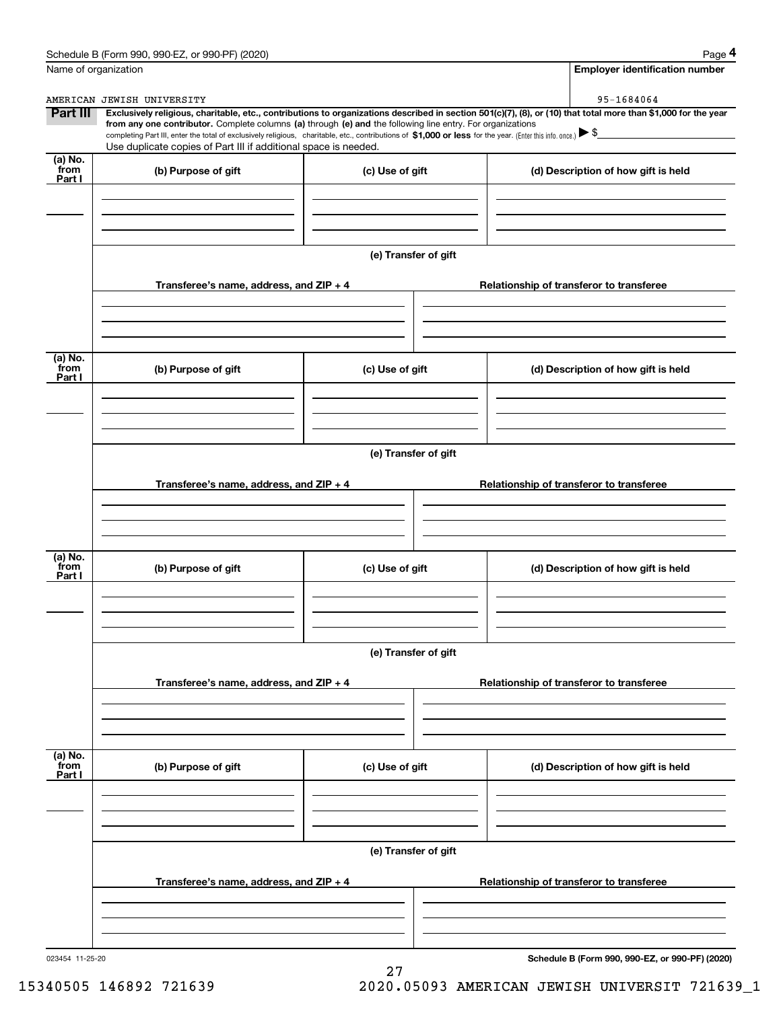|                           | Schedule B (Form 990, 990-EZ, or 990-PF) (2020)<br>Name of organization                                                                                                                                                         |                      | Page 4<br><b>Employer identification number</b>                                                                                                                              |
|---------------------------|---------------------------------------------------------------------------------------------------------------------------------------------------------------------------------------------------------------------------------|----------------------|------------------------------------------------------------------------------------------------------------------------------------------------------------------------------|
|                           |                                                                                                                                                                                                                                 |                      |                                                                                                                                                                              |
| Part III                  | AMERICAN JEWISH UNIVERSITY<br>from any one contributor. Complete columns (a) through (e) and the following line entry. For organizations                                                                                        |                      | 95-1684064<br>Exclusively religious, charitable, etc., contributions to organizations described in section 501(c)(7), (8), or (10) that total more than \$1,000 for the year |
|                           | completing Part III, enter the total of exclusively religious, charitable, etc., contributions of \$1,000 or less for the year. (Enter this info. once.) \\$<br>Use duplicate copies of Part III if additional space is needed. |                      |                                                                                                                                                                              |
| (a) No.<br>from<br>Part I | (b) Purpose of gift                                                                                                                                                                                                             | (c) Use of gift      | (d) Description of how gift is held                                                                                                                                          |
|                           |                                                                                                                                                                                                                                 | (e) Transfer of gift |                                                                                                                                                                              |
|                           | Transferee's name, address, and ZIP + 4                                                                                                                                                                                         |                      | Relationship of transferor to transferee                                                                                                                                     |
| (a) No.<br>from<br>Part I | (b) Purpose of gift                                                                                                                                                                                                             | (c) Use of gift      | (d) Description of how gift is held                                                                                                                                          |
|                           |                                                                                                                                                                                                                                 | (e) Transfer of gift |                                                                                                                                                                              |
|                           | Transferee's name, address, and ZIP + 4                                                                                                                                                                                         |                      | Relationship of transferor to transferee                                                                                                                                     |
| (a) No.<br>from<br>Part I | (b) Purpose of gift                                                                                                                                                                                                             | (c) Use of gift      | (d) Description of how gift is held                                                                                                                                          |
|                           |                                                                                                                                                                                                                                 | (e) Transfer of gift |                                                                                                                                                                              |
|                           | Transferee's name, address, and $ZIP + 4$                                                                                                                                                                                       |                      | Relationship of transferor to transferee                                                                                                                                     |
| (a) No.<br>from<br>Part I | (b) Purpose of gift                                                                                                                                                                                                             | (c) Use of gift      | (d) Description of how gift is held                                                                                                                                          |
|                           |                                                                                                                                                                                                                                 |                      |                                                                                                                                                                              |
|                           |                                                                                                                                                                                                                                 | (e) Transfer of gift |                                                                                                                                                                              |
|                           | Transferee's name, address, and $ZIP + 4$                                                                                                                                                                                       |                      | Relationship of transferor to transferee                                                                                                                                     |
|                           |                                                                                                                                                                                                                                 |                      |                                                                                                                                                                              |

27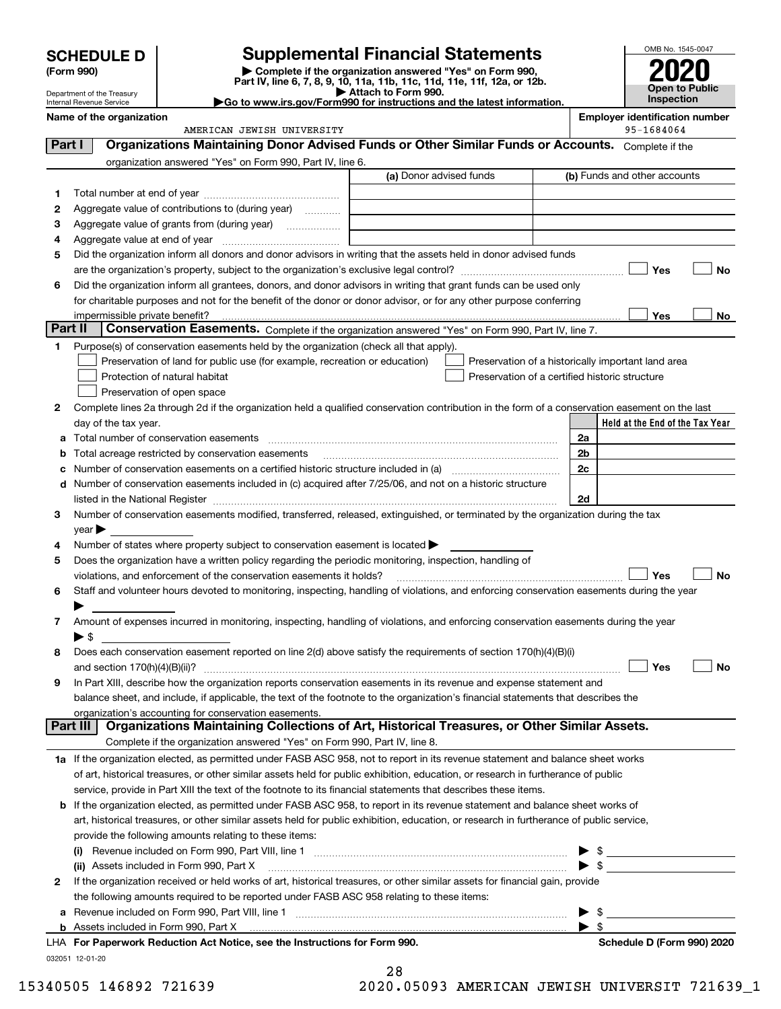| <b>HEDULE D</b> | Supplemen                                                                  |
|-----------------|----------------------------------------------------------------------------|
| m 990)          | $\blacktriangleright$ Complete if the $\circ$<br>Part IV, line 6, 7, 8, 9, |

Department of the Treasury Internal Revenue Service

# **SCHEDULE D Supplemental Financial Statements**

**(Form 990)** (**Form 990,**<br>Part IV, line 6, 7, 8, 9, 10, 11a, 11b, 11c, 11d, 11e, 11f, 12a, or 12b.<br>Department of the Treasury **and Exercise Connect Connect Connect Connect Connect Connect Connect Connect Connect** 

**Name of the organization Employer identification number**



| <b>P</b> Allaun lu Funn 990.                                           |
|------------------------------------------------------------------------|
| Go to www.irs.gov/Form990 for instructions and the latest information. |

|          | AMERICAN JEWISH UNIVERSITY                                                                                                                     |                         | 95-1684064                                                                                                                                                                                                                                                                                                          |
|----------|------------------------------------------------------------------------------------------------------------------------------------------------|-------------------------|---------------------------------------------------------------------------------------------------------------------------------------------------------------------------------------------------------------------------------------------------------------------------------------------------------------------|
| Part I   | Organizations Maintaining Donor Advised Funds or Other Similar Funds or Accounts. Complete if the                                              |                         |                                                                                                                                                                                                                                                                                                                     |
|          | organization answered "Yes" on Form 990, Part IV, line 6.                                                                                      |                         |                                                                                                                                                                                                                                                                                                                     |
|          |                                                                                                                                                | (a) Donor advised funds | (b) Funds and other accounts                                                                                                                                                                                                                                                                                        |
| 1.       |                                                                                                                                                |                         |                                                                                                                                                                                                                                                                                                                     |
| 2        | Aggregate value of contributions to (during year)                                                                                              |                         |                                                                                                                                                                                                                                                                                                                     |
| з        |                                                                                                                                                |                         |                                                                                                                                                                                                                                                                                                                     |
| 4        |                                                                                                                                                |                         |                                                                                                                                                                                                                                                                                                                     |
| 5        | Did the organization inform all donors and donor advisors in writing that the assets held in donor advised funds                               |                         |                                                                                                                                                                                                                                                                                                                     |
|          |                                                                                                                                                |                         | Yes<br><b>No</b>                                                                                                                                                                                                                                                                                                    |
| 6        | Did the organization inform all grantees, donors, and donor advisors in writing that grant funds can be used only                              |                         |                                                                                                                                                                                                                                                                                                                     |
|          | for charitable purposes and not for the benefit of the donor or donor advisor, or for any other purpose conferring                             |                         |                                                                                                                                                                                                                                                                                                                     |
|          | impermissible private benefit?                                                                                                                 |                         | Yes<br>No                                                                                                                                                                                                                                                                                                           |
| Part II  | Conservation Easements. Complete if the organization answered "Yes" on Form 990, Part IV, line 7.                                              |                         |                                                                                                                                                                                                                                                                                                                     |
| 1.       | Purpose(s) of conservation easements held by the organization (check all that apply).                                                          |                         |                                                                                                                                                                                                                                                                                                                     |
|          | Preservation of land for public use (for example, recreation or education)                                                                     |                         | Preservation of a historically important land area                                                                                                                                                                                                                                                                  |
|          | Protection of natural habitat                                                                                                                  |                         | Preservation of a certified historic structure                                                                                                                                                                                                                                                                      |
|          | Preservation of open space                                                                                                                     |                         |                                                                                                                                                                                                                                                                                                                     |
| 2        | Complete lines 2a through 2d if the organization held a qualified conservation contribution in the form of a conservation easement on the last |                         |                                                                                                                                                                                                                                                                                                                     |
|          | day of the tax year.                                                                                                                           |                         | Held at the End of the Tax Year                                                                                                                                                                                                                                                                                     |
| a        | Total number of conservation easements                                                                                                         |                         | 2a                                                                                                                                                                                                                                                                                                                  |
| b        | Total acreage restricted by conservation easements                                                                                             |                         | 2b                                                                                                                                                                                                                                                                                                                  |
| c        |                                                                                                                                                |                         | 2c                                                                                                                                                                                                                                                                                                                  |
|          | d Number of conservation easements included in (c) acquired after 7/25/06, and not on a historic structure                                     |                         |                                                                                                                                                                                                                                                                                                                     |
|          |                                                                                                                                                |                         | 2d                                                                                                                                                                                                                                                                                                                  |
| 3        | Number of conservation easements modified, transferred, released, extinguished, or terminated by the organization during the tax               |                         |                                                                                                                                                                                                                                                                                                                     |
|          | $year \rightarrow$                                                                                                                             |                         |                                                                                                                                                                                                                                                                                                                     |
| 4        | Number of states where property subject to conservation easement is located >                                                                  |                         |                                                                                                                                                                                                                                                                                                                     |
| 5        | Does the organization have a written policy regarding the periodic monitoring, inspection, handling of                                         |                         |                                                                                                                                                                                                                                                                                                                     |
|          | violations, and enforcement of the conservation easements it holds?                                                                            |                         | Yes<br><b>No</b>                                                                                                                                                                                                                                                                                                    |
| 6        | Staff and volunteer hours devoted to monitoring, inspecting, handling of violations, and enforcing conservation easements during the year      |                         |                                                                                                                                                                                                                                                                                                                     |
|          |                                                                                                                                                |                         |                                                                                                                                                                                                                                                                                                                     |
| 7        | Amount of expenses incurred in monitoring, inspecting, handling of violations, and enforcing conservation easements during the year            |                         |                                                                                                                                                                                                                                                                                                                     |
|          | $\blacktriangleright$ \$                                                                                                                       |                         |                                                                                                                                                                                                                                                                                                                     |
| 8        | Does each conservation easement reported on line 2(d) above satisfy the requirements of section 170(h)(4)(B)(i)                                |                         |                                                                                                                                                                                                                                                                                                                     |
|          |                                                                                                                                                |                         | Yes<br>No                                                                                                                                                                                                                                                                                                           |
| 9        | In Part XIII, describe how the organization reports conservation easements in its revenue and expense statement and                            |                         |                                                                                                                                                                                                                                                                                                                     |
|          | balance sheet, and include, if applicable, the text of the footnote to the organization's financial statements that describes the              |                         |                                                                                                                                                                                                                                                                                                                     |
|          | organization's accounting for conservation easements.                                                                                          |                         |                                                                                                                                                                                                                                                                                                                     |
| Part III | Organizations Maintaining Collections of Art, Historical Treasures, or Other Similar Assets.                                                   |                         |                                                                                                                                                                                                                                                                                                                     |
|          | Complete if the organization answered "Yes" on Form 990, Part IV, line 8.                                                                      |                         |                                                                                                                                                                                                                                                                                                                     |
|          | 1a If the organization elected, as permitted under FASB ASC 958, not to report in its revenue statement and balance sheet works                |                         |                                                                                                                                                                                                                                                                                                                     |
|          | of art, historical treasures, or other similar assets held for public exhibition, education, or research in furtherance of public              |                         |                                                                                                                                                                                                                                                                                                                     |
|          | service, provide in Part XIII the text of the footnote to its financial statements that describes these items.                                 |                         |                                                                                                                                                                                                                                                                                                                     |
|          | b If the organization elected, as permitted under FASB ASC 958, to report in its revenue statement and balance sheet works of                  |                         |                                                                                                                                                                                                                                                                                                                     |
|          | art, historical treasures, or other similar assets held for public exhibition, education, or research in furtherance of public service,        |                         |                                                                                                                                                                                                                                                                                                                     |
|          | provide the following amounts relating to these items:                                                                                         |                         |                                                                                                                                                                                                                                                                                                                     |
|          |                                                                                                                                                |                         | $\frac{1}{2}$ $\frac{1}{2}$ $\frac{1}{2}$ $\frac{1}{2}$ $\frac{1}{2}$ $\frac{1}{2}$ $\frac{1}{2}$ $\frac{1}{2}$ $\frac{1}{2}$ $\frac{1}{2}$ $\frac{1}{2}$ $\frac{1}{2}$ $\frac{1}{2}$ $\frac{1}{2}$ $\frac{1}{2}$ $\frac{1}{2}$ $\frac{1}{2}$ $\frac{1}{2}$ $\frac{1}{2}$ $\frac{1}{2}$ $\frac{1}{2}$ $\frac{1}{2}$ |
|          | (ii) Assets included in Form 990, Part X                                                                                                       |                         | $\blacktriangleright$ \$                                                                                                                                                                                                                                                                                            |
| 2        | If the organization received or held works of art, historical treasures, or other similar assets for financial gain, provide                   |                         |                                                                                                                                                                                                                                                                                                                     |
|          | the following amounts required to be reported under FASB ASC 958 relating to these items:                                                      |                         |                                                                                                                                                                                                                                                                                                                     |
|          |                                                                                                                                                |                         | \$                                                                                                                                                                                                                                                                                                                  |
|          | <b>b</b> Assets included in Form 990, Part X                                                                                                   |                         | -\$                                                                                                                                                                                                                                                                                                                 |
|          | LHA For Paperwork Reduction Act Notice, see the Instructions for Form 990.                                                                     |                         | Schedule D (Form 990) 2020                                                                                                                                                                                                                                                                                          |
|          | 032051 12-01-20                                                                                                                                |                         |                                                                                                                                                                                                                                                                                                                     |

28

15340505 146892 721639 2020.05093 AMERICAN JEWISH UNIVERSIT 721639\_1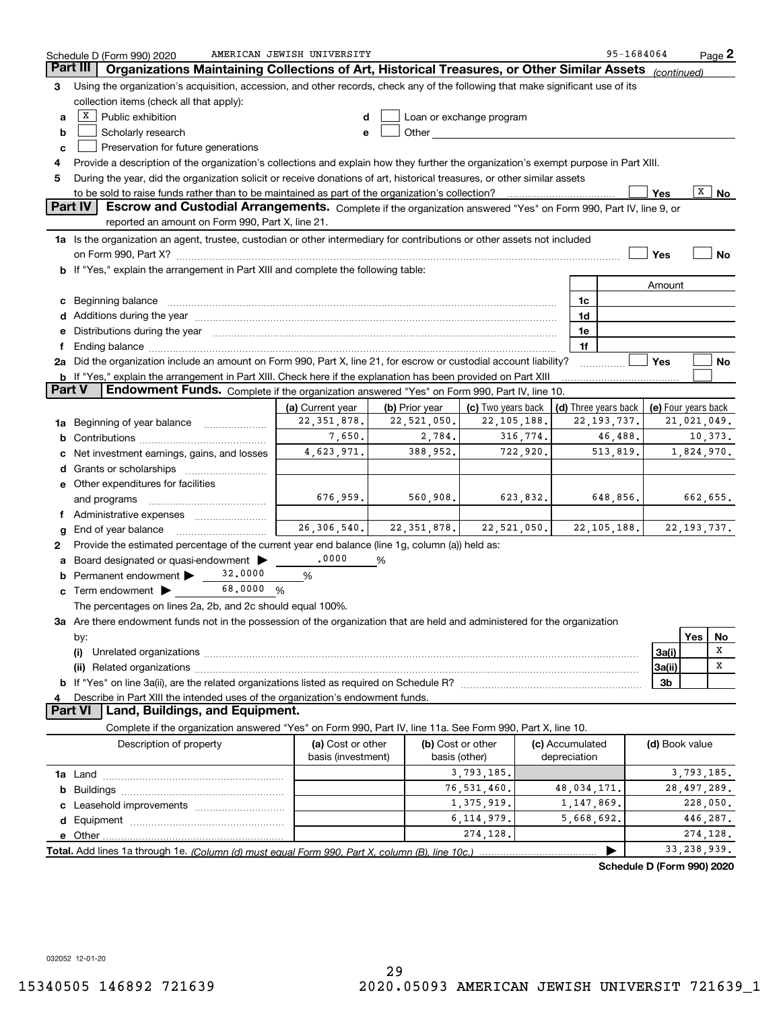|                 | Schedule D (Form 990) 2020                                                                                                                                                                                                     | AMERICAN JEWISH UNIVERSITY        |                                                 |                                                                                                                                                                                                                                      |          |                 | 95-1684064                                                  |                |              | $Page$ 2      |
|-----------------|--------------------------------------------------------------------------------------------------------------------------------------------------------------------------------------------------------------------------------|-----------------------------------|-------------------------------------------------|--------------------------------------------------------------------------------------------------------------------------------------------------------------------------------------------------------------------------------------|----------|-----------------|-------------------------------------------------------------|----------------|--------------|---------------|
| <b>Part III</b> | Organizations Maintaining Collections of Art, Historical Treasures, or Other Similar Assets                                                                                                                                    |                                   |                                                 |                                                                                                                                                                                                                                      |          |                 |                                                             | (continued)    |              |               |
| 3               | Using the organization's acquisition, accession, and other records, check any of the following that make significant use of its                                                                                                |                                   |                                                 |                                                                                                                                                                                                                                      |          |                 |                                                             |                |              |               |
|                 | collection items (check all that apply):                                                                                                                                                                                       |                                   |                                                 |                                                                                                                                                                                                                                      |          |                 |                                                             |                |              |               |
| a               | $\boxed{\text{X}}$ Public exhibition                                                                                                                                                                                           | d                                 |                                                 | Loan or exchange program                                                                                                                                                                                                             |          |                 |                                                             |                |              |               |
| b               | Scholarly research                                                                                                                                                                                                             | e                                 |                                                 | Other <b>Communist Communist Communist Communist Communist Communist Communist Communist Communist Communist Communist Communist Communist Communist Communist Communist Communist Communist Communist Communist Communist Commu</b> |          |                 |                                                             |                |              |               |
| c               | Preservation for future generations                                                                                                                                                                                            |                                   |                                                 |                                                                                                                                                                                                                                      |          |                 |                                                             |                |              |               |
| 4               | Provide a description of the organization's collections and explain how they further the organization's exempt purpose in Part XIII.                                                                                           |                                   |                                                 |                                                                                                                                                                                                                                      |          |                 |                                                             |                |              |               |
| 5               | During the year, did the organization solicit or receive donations of art, historical treasures, or other similar assets                                                                                                       |                                   |                                                 |                                                                                                                                                                                                                                      |          |                 |                                                             |                |              |               |
|                 |                                                                                                                                                                                                                                |                                   |                                                 |                                                                                                                                                                                                                                      |          |                 |                                                             | Yes            | $\mathbf{X}$ | No            |
|                 | Part IV<br>Escrow and Custodial Arrangements. Complete if the organization answered "Yes" on Form 990, Part IV, line 9, or                                                                                                     |                                   |                                                 |                                                                                                                                                                                                                                      |          |                 |                                                             |                |              |               |
|                 | reported an amount on Form 990, Part X, line 21.                                                                                                                                                                               |                                   |                                                 |                                                                                                                                                                                                                                      |          |                 |                                                             |                |              |               |
|                 | 1a Is the organization an agent, trustee, custodian or other intermediary for contributions or other assets not included                                                                                                       |                                   |                                                 |                                                                                                                                                                                                                                      |          |                 |                                                             |                |              |               |
|                 | on Form 990, Part X? [11] matter and the contract of the contract of the contract of the contract of the contract of the contract of the contract of the contract of the contract of the contract of the contract of the contr |                                   |                                                 |                                                                                                                                                                                                                                      |          |                 |                                                             | Yes            |              | No            |
|                 | b If "Yes," explain the arrangement in Part XIII and complete the following table:                                                                                                                                             |                                   |                                                 |                                                                                                                                                                                                                                      |          |                 |                                                             |                |              |               |
|                 |                                                                                                                                                                                                                                |                                   |                                                 |                                                                                                                                                                                                                                      |          |                 |                                                             | Amount         |              |               |
|                 |                                                                                                                                                                                                                                |                                   |                                                 |                                                                                                                                                                                                                                      |          | 1c              |                                                             |                |              |               |
| c               | Beginning balance <b>contract to the contract of the contract of the contract of the contract of the contract of t</b>                                                                                                         |                                   |                                                 |                                                                                                                                                                                                                                      |          | 1d              |                                                             |                |              |               |
|                 | Additions during the year manufactured and an annual contract of the year manufactured and a set of the year manufactured and a set of the year manufactured and a set of the year manufactured and set of the set of the set  |                                   |                                                 |                                                                                                                                                                                                                                      |          |                 |                                                             |                |              |               |
| е               | Distributions during the year manufactured and continuum control of the year manufactured and the year manufactured and the year manufactured and the year manufactured and the year manufactured and the year manufactured an |                                   |                                                 |                                                                                                                                                                                                                                      |          | 1e              |                                                             |                |              |               |
| f               |                                                                                                                                                                                                                                |                                   |                                                 |                                                                                                                                                                                                                                      |          | 1f              |                                                             | Yes            |              |               |
|                 | 2a Did the organization include an amount on Form 990, Part X, line 21, for escrow or custodial account liability?                                                                                                             |                                   |                                                 |                                                                                                                                                                                                                                      |          |                 |                                                             |                |              | No            |
| <b>Part V</b>   | b If "Yes," explain the arrangement in Part XIII. Check here if the explanation has been provided on Part XIII<br>Endowment Funds. Complete if the organization answered "Yes" on Form 990, Part IV, line 10.                  |                                   |                                                 |                                                                                                                                                                                                                                      |          |                 |                                                             |                |              |               |
|                 |                                                                                                                                                                                                                                |                                   |                                                 |                                                                                                                                                                                                                                      |          |                 |                                                             |                |              |               |
|                 |                                                                                                                                                                                                                                | (a) Current year<br>22, 351, 878. | (b) Prior year<br>22,521,050.                   | (c) Two years back<br>22, 105, 188.                                                                                                                                                                                                  |          |                 | (d) Three years back   (e) Four years back<br>22, 193, 737. |                |              | 21,021,049.   |
| 1a              | Beginning of year balance                                                                                                                                                                                                      | 7,650.                            | 2,784.                                          |                                                                                                                                                                                                                                      | 316,774. |                 | 46,488.                                                     |                |              | 10,373.       |
| b               |                                                                                                                                                                                                                                |                                   | 388,952.                                        |                                                                                                                                                                                                                                      | 722,920. |                 |                                                             |                |              |               |
|                 | Net investment earnings, gains, and losses                                                                                                                                                                                     | 4,623,971.                        |                                                 |                                                                                                                                                                                                                                      |          |                 | 513,819.                                                    |                |              | 1,824,970.    |
| d               |                                                                                                                                                                                                                                |                                   |                                                 |                                                                                                                                                                                                                                      |          |                 |                                                             |                |              |               |
|                 | e Other expenditures for facilities                                                                                                                                                                                            |                                   |                                                 |                                                                                                                                                                                                                                      |          |                 |                                                             |                |              |               |
|                 | and programs                                                                                                                                                                                                                   | 676,959.                          | 560,908.                                        | 623,832.                                                                                                                                                                                                                             |          |                 | 648,856.                                                    |                |              | 662,655.      |
|                 | f Administrative expenses                                                                                                                                                                                                      |                                   |                                                 |                                                                                                                                                                                                                                      |          |                 |                                                             |                |              |               |
| g               | End of year balance                                                                                                                                                                                                            |                                   | $26, 306, 540.$ $22, 351, 878.$ $22, 521, 050.$ |                                                                                                                                                                                                                                      |          |                 | 22, 105, 188.                                               |                |              | 22, 193, 737. |
| 2               | Provide the estimated percentage of the current year end balance (line 1g, column (a)) held as:                                                                                                                                |                                   |                                                 |                                                                                                                                                                                                                                      |          |                 |                                                             |                |              |               |
| а               | Board designated or quasi-endowment                                                                                                                                                                                            | .0000                             | %                                               |                                                                                                                                                                                                                                      |          |                 |                                                             |                |              |               |
| b               | 32,0000<br>Permanent endowment >                                                                                                                                                                                               | %                                 |                                                 |                                                                                                                                                                                                                                      |          |                 |                                                             |                |              |               |
|                 | 68.0000 %<br>$\mathbf c$ Term endowment $\blacktriangleright$                                                                                                                                                                  |                                   |                                                 |                                                                                                                                                                                                                                      |          |                 |                                                             |                |              |               |
|                 | The percentages on lines 2a, 2b, and 2c should equal 100%.                                                                                                                                                                     |                                   |                                                 |                                                                                                                                                                                                                                      |          |                 |                                                             |                |              |               |
|                 | 3a Are there endowment funds not in the possession of the organization that are held and administered for the organization                                                                                                     |                                   |                                                 |                                                                                                                                                                                                                                      |          |                 |                                                             |                |              |               |
|                 | by:                                                                                                                                                                                                                            |                                   |                                                 |                                                                                                                                                                                                                                      |          |                 |                                                             |                | Yes          | No            |
|                 |                                                                                                                                                                                                                                |                                   |                                                 |                                                                                                                                                                                                                                      |          |                 |                                                             | 3a(i)          |              | х             |
|                 |                                                                                                                                                                                                                                |                                   |                                                 |                                                                                                                                                                                                                                      |          |                 |                                                             | 3a(ii)         |              | х             |
|                 |                                                                                                                                                                                                                                |                                   |                                                 |                                                                                                                                                                                                                                      |          |                 |                                                             | 3 <sub>b</sub> |              |               |
| 4               | Describe in Part XIII the intended uses of the organization's endowment funds.                                                                                                                                                 |                                   |                                                 |                                                                                                                                                                                                                                      |          |                 |                                                             |                |              |               |
|                 | Land, Buildings, and Equipment.<br><b>Part VI</b>                                                                                                                                                                              |                                   |                                                 |                                                                                                                                                                                                                                      |          |                 |                                                             |                |              |               |
|                 | Complete if the organization answered "Yes" on Form 990, Part IV, line 11a. See Form 990, Part X, line 10.                                                                                                                     |                                   |                                                 |                                                                                                                                                                                                                                      |          |                 |                                                             |                |              |               |
|                 | Description of property                                                                                                                                                                                                        | (a) Cost or other                 |                                                 | (b) Cost or other                                                                                                                                                                                                                    |          | (c) Accumulated |                                                             | (d) Book value |              |               |
|                 |                                                                                                                                                                                                                                | basis (investment)                |                                                 | basis (other)                                                                                                                                                                                                                        |          | depreciation    |                                                             |                |              |               |
|                 |                                                                                                                                                                                                                                |                                   |                                                 | 3,793,185.                                                                                                                                                                                                                           |          |                 |                                                             |                |              | 3,793,185.    |
|                 |                                                                                                                                                                                                                                |                                   |                                                 | 76,531,460.                                                                                                                                                                                                                          |          | 48,034,171.     |                                                             |                |              | 28, 497, 289. |
|                 |                                                                                                                                                                                                                                |                                   |                                                 | 1,375,919.                                                                                                                                                                                                                           |          | 1,147,869.      |                                                             |                |              | 228,050.      |
|                 |                                                                                                                                                                                                                                |                                   |                                                 | 6, 114, 979.                                                                                                                                                                                                                         |          | 5,668,692.      |                                                             |                |              | 446,287.      |
|                 |                                                                                                                                                                                                                                |                                   |                                                 | 274,128.                                                                                                                                                                                                                             |          |                 |                                                             |                |              | 274,128.      |
|                 |                                                                                                                                                                                                                                |                                   |                                                 |                                                                                                                                                                                                                                      |          |                 |                                                             |                |              | 33, 238, 939. |
|                 |                                                                                                                                                                                                                                |                                   |                                                 |                                                                                                                                                                                                                                      |          |                 | Schedule D (Form 990) 2020                                  |                |              |               |

**Schedule D (Form 990) 2020**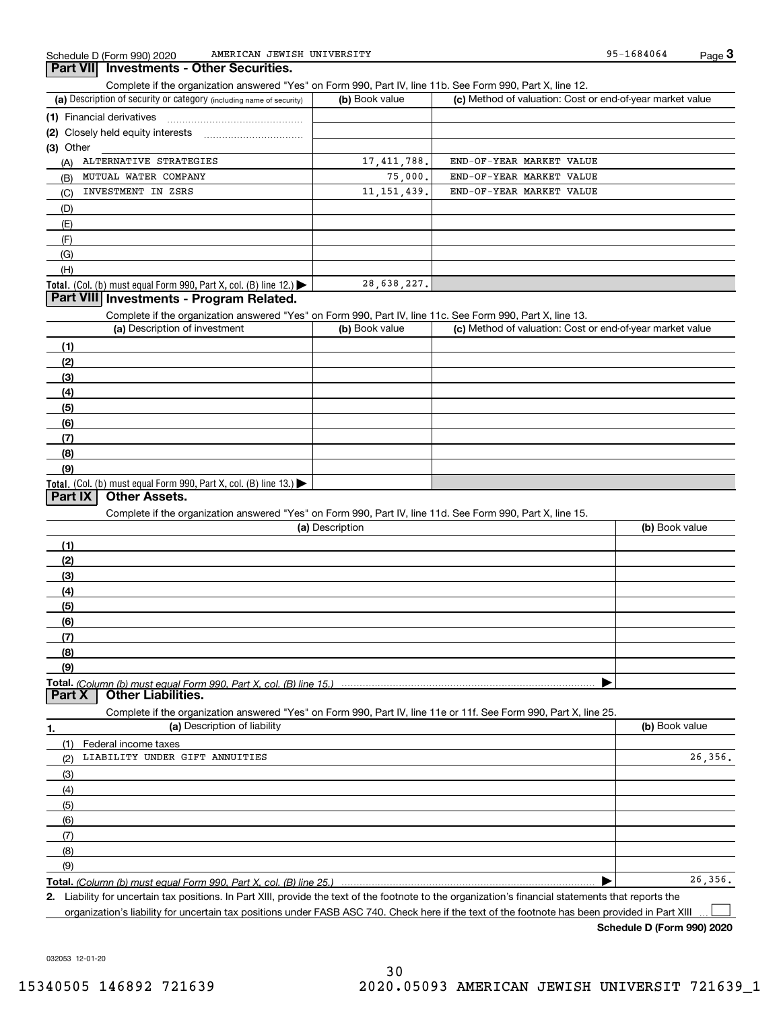95-1684064

| Part VIII  Investments - Other Securities |
|-------------------------------------------|
|-------------------------------------------|

Complete if the organization answered "Yes" on Form 990, Part IV, line 11b. See Form 990, Part X, line 12.

| (a) Description of security or category (including name of security)       | (b) Book value | (c) Method of valuation: Cost or end-of-year market value |
|----------------------------------------------------------------------------|----------------|-----------------------------------------------------------|
| (1) Financial derivatives                                                  |                |                                                           |
| (2) Closely held equity interests                                          |                |                                                           |
| (3) Other                                                                  |                |                                                           |
| ALTERNATIVE STRATEGIES<br>(A)                                              | 17,411,788.    | END-OF-YEAR MARKET VALUE                                  |
| MUTUAL WATER COMPANY<br>(B)                                                | 75,000.        | END-OF-YEAR MARKET VALUE                                  |
| INVESTMENT IN ZSRS<br>(C)                                                  | 11, 151, 439.  | END-OF-YEAR MARKET VALUE                                  |
| (D)                                                                        |                |                                                           |
| (E)                                                                        |                |                                                           |
| (F)                                                                        |                |                                                           |
| (G)                                                                        |                |                                                           |
| (H)                                                                        |                |                                                           |
| <b>Total.</b> (Col. (b) must equal Form 990, Part X, col. (B) line $12$ .) | 28,638,227.    |                                                           |

## **Part VIII Investments - Program Related.**

Complete if the organization answered "Yes" on Form 990, Part IV, line 11c. See Form 990, Part X, line 13.

| (a) Description of investment                                                                 | (b) Book value | (c) Method of valuation: Cost or end-of-year market value |
|-----------------------------------------------------------------------------------------------|----------------|-----------------------------------------------------------|
| (1)                                                                                           |                |                                                           |
| (2)                                                                                           |                |                                                           |
| $\frac{1}{2}$                                                                                 |                |                                                           |
| (4)                                                                                           |                |                                                           |
| $\left(5\right)$                                                                              |                |                                                           |
| (6)                                                                                           |                |                                                           |
| (7)                                                                                           |                |                                                           |
| (8)                                                                                           |                |                                                           |
| (9)                                                                                           |                |                                                           |
| <b>Total.</b> (Col. (b) must equal Form 990, Part X, col. (B) line 13.) $\blacktriangleright$ |                |                                                           |

## **Part IX Other Assets.**

Complete if the organization answered "Yes" on Form 990, Part IV, line 11d. See Form 990, Part X, line 15.

| (a) Description                                                                                                                       | (b) Book value |
|---------------------------------------------------------------------------------------------------------------------------------------|----------------|
|                                                                                                                                       |                |
| (2)                                                                                                                                   |                |
| (3)                                                                                                                                   |                |
| (4)                                                                                                                                   |                |
| (5)                                                                                                                                   |                |
| (6)                                                                                                                                   |                |
|                                                                                                                                       |                |
| (8)                                                                                                                                   |                |
| (9)                                                                                                                                   |                |
|                                                                                                                                       |                |
| Total. (Column (b) must equal Form 990, Part X, col. (B) line 15.) ………………………………………………………………………………………<br>  Part X   Other Liabilities. |                |

**1.(a)** Description of liability **Book value** Book value Book value Book value Book value Complete if the organization answered "Yes" on Form 990, Part IV, line 11e or 11f. See Form 990, Part X, line 25. (1)(2)(3)(4)(5) (6)(7)(8)(9)Federal income taxes  $\blacktriangleright$ LIABILITY UNDER GIFT ANNUITIES 26,356. 26,356.

**Total.**  *(Column (b) must equal Form 990, Part X, col. (B) line 25.)* 

**2.**Liability for uncertain tax positions. In Part XIII, provide the text of the footnote to the organization's financial statements that reports the organization's liability for uncertain tax positions under FASB ASC 740. Check here if the text of the footnote has been provided in Part XIII

**Schedule D (Form 990) 2020**

 $\mathcal{L}^{\text{max}}$ 

032053 12-01-20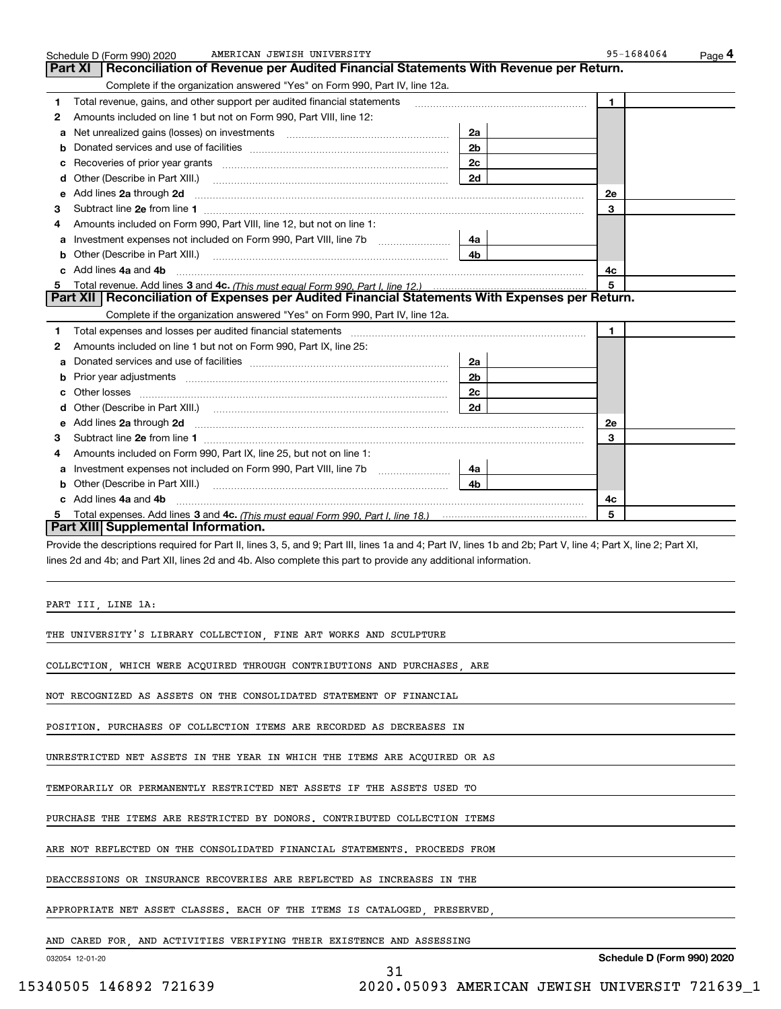|   | AMERICAN JEWISH UNIVERSITY<br>Schedule D (Form 990) 2020                                                                                                       |                | 95-1684064   | Page 4 |
|---|----------------------------------------------------------------------------------------------------------------------------------------------------------------|----------------|--------------|--------|
|   | Reconciliation of Revenue per Audited Financial Statements With Revenue per Return.<br>Part XI                                                                 |                |              |        |
|   | Complete if the organization answered "Yes" on Form 990, Part IV, line 12a.                                                                                    |                |              |        |
| 1 | Total revenue, gains, and other support per audited financial statements                                                                                       |                | 1.           |        |
| 2 | Amounts included on line 1 but not on Form 990, Part VIII, line 12:                                                                                            |                |              |        |
| а |                                                                                                                                                                | 2a             |              |        |
| b |                                                                                                                                                                | 2 <sub>b</sub> |              |        |
| c |                                                                                                                                                                | 2c             |              |        |
| d | Other (Describe in Part XIII.)                                                                                                                                 | 2d             |              |        |
| е | Add lines 2a through 2d                                                                                                                                        |                | <b>2e</b>    |        |
| з |                                                                                                                                                                |                | 3            |        |
| 4 | Amounts included on Form 990, Part VIII, line 12, but not on line 1:                                                                                           |                |              |        |
| а | Investment expenses not included on Form 990, Part VIII, line 7b                                                                                               | 4a             |              |        |
| b | Other (Describe in Part XIII.)                                                                                                                                 | 4b             |              |        |
| c | Add lines 4a and 4b                                                                                                                                            |                | 4c           |        |
| 5 |                                                                                                                                                                |                | 5            |        |
|   | Part XII   Reconciliation of Expenses per Audited Financial Statements With Expenses per Return.                                                               |                |              |        |
|   | Complete if the organization answered "Yes" on Form 990, Part IV, line 12a.                                                                                    |                |              |        |
| 1 | Total expenses and losses per audited financial statements                                                                                                     |                | $\mathbf{1}$ |        |
| 2 | Amounts included on line 1 but not on Form 990, Part IX, line 25:                                                                                              |                |              |        |
| а |                                                                                                                                                                | 2a             |              |        |
| b |                                                                                                                                                                | 2 <sub>b</sub> |              |        |
|   |                                                                                                                                                                | 2c             |              |        |
| с |                                                                                                                                                                | 2d             |              |        |
| d |                                                                                                                                                                |                |              |        |
| е | Add lines 2a through 2d                                                                                                                                        |                | 2e           |        |
| з |                                                                                                                                                                |                | 3            |        |
| 4 | Amounts included on Form 990, Part IX, line 25, but not on line 1:                                                                                             |                |              |        |
| a |                                                                                                                                                                | 4a             |              |        |
| b | Other (Describe in Part XIII.)                                                                                                                                 | 4b.            |              |        |
|   | c Add lines 4a and 4b                                                                                                                                          |                | 4c           |        |
| 5 | Part XIII Supplemental Information.                                                                                                                            |                | 5            |        |
|   |                                                                                                                                                                |                |              |        |
|   | Provide the descriptions required for Part II, lines 3, 5, and 9; Part III, lines 1a and 4; Part IV, lines 1b and 2b; Part V, line 4; Part X, line 2; Part XI, |                |              |        |
|   | lines 2d and 4b; and Part XII, lines 2d and 4b. Also complete this part to provide any additional information.                                                 |                |              |        |
|   |                                                                                                                                                                |                |              |        |
|   |                                                                                                                                                                |                |              |        |
|   | PART III, LINE 1A:                                                                                                                                             |                |              |        |
|   |                                                                                                                                                                |                |              |        |
|   | THE UNIVERSITY'S LIBRARY COLLECTION, FINE ART WORKS AND SCULPTURE                                                                                              |                |              |        |
|   |                                                                                                                                                                |                |              |        |
|   | COLLECTION, WHICH WERE ACQUIRED THROUGH CONTRIBUTIONS AND PURCHASES, ARE                                                                                       |                |              |        |
|   |                                                                                                                                                                |                |              |        |
|   | NOT RECOGNIZED AS ASSETS ON THE CONSOLIDATED STATEMENT OF FINANCIAL                                                                                            |                |              |        |
|   |                                                                                                                                                                |                |              |        |
|   | POSITION. PURCHASES OF COLLECTION ITEMS ARE RECORDED AS DECREASES IN                                                                                           |                |              |        |
|   |                                                                                                                                                                |                |              |        |
|   | UNRESTRICTED NET ASSETS IN THE YEAR IN WHICH THE ITEMS ARE ACQUIRED OR AS                                                                                      |                |              |        |
|   |                                                                                                                                                                |                |              |        |
|   | TEMPORARILY OR PERMANENTLY RESTRICTED NET ASSETS IF THE ASSETS USED TO                                                                                         |                |              |        |
|   |                                                                                                                                                                |                |              |        |
|   | PURCHASE THE ITEMS ARE RESTRICTED BY DONORS. CONTRIBUTED COLLECTION ITEMS                                                                                      |                |              |        |
|   |                                                                                                                                                                |                |              |        |
|   | ARE NOT REFLECTED ON THE CONSOLIDATED FINANCIAL STATEMENTS. PROCEEDS FROM                                                                                      |                |              |        |
|   |                                                                                                                                                                |                |              |        |

31

DEACCESSIONS OR INSURANCE RECOVERIES ARE REFLECTED AS INCREASES IN THE

APPROPRIATE NET ASSET CLASSES. EACH OF THE ITEMS IS CATALOGED, PRESERVED,

AND CARED FOR, AND ACTIVITIES VERIFYING THEIR EXISTENCE AND ASSESSING

032054 12-01-20

**Schedule D (Form 990) 2020**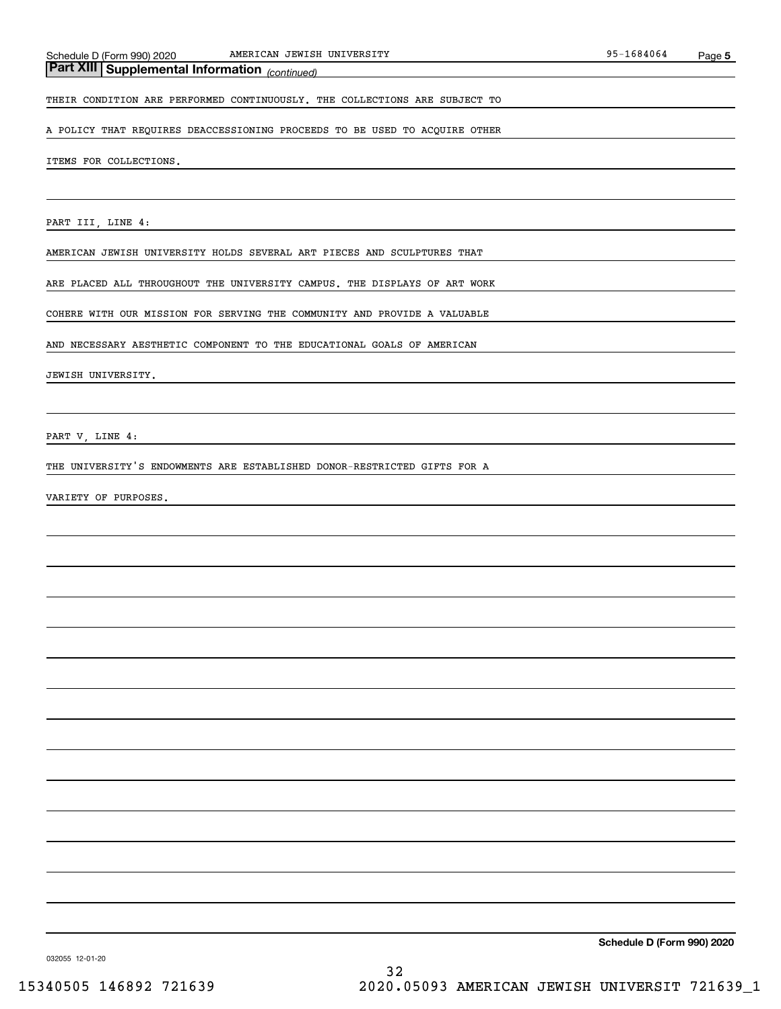## *(continued)* **Part XIII Supplemental Information**

THEIR CONDITION ARE PERFORMED CONTINUOUSLY. THE COLLECTIONS ARE SUBJECT TO

A POLICY THAT REQUIRES DEACCESSIONING PROCEEDS TO BE USED TO ACQUIRE OTHER

#### ITEMS FOR COLLECTIONS.

PART III, LINE 4:

AMERICAN JEWISH UNIVERSITY HOLDS SEVERAL ART PIECES AND SCULPTURES THAT

ARE PLACED ALL THROUGHOUT THE UNIVERSITY CAMPUS. THE DISPLAYS OF ART WORK

COHERE WITH OUR MISSION FOR SERVING THE COMMUNITY AND PROVIDE A VALUABLE

AND NECESSARY AESTHETIC COMPONENT TO THE EDUCATIONAL GOALS OF AMERICAN

JEWISH UNIVERSITY.

PART V, LINE 4:

THE UNIVERSITY'S ENDOWMENTS ARE ESTABLISHED DONOR-RESTRICTED GIFTS FOR A

VARIETY OF PURPOSES.

**Schedule D (Form 990) 2020**

032055 12-01-20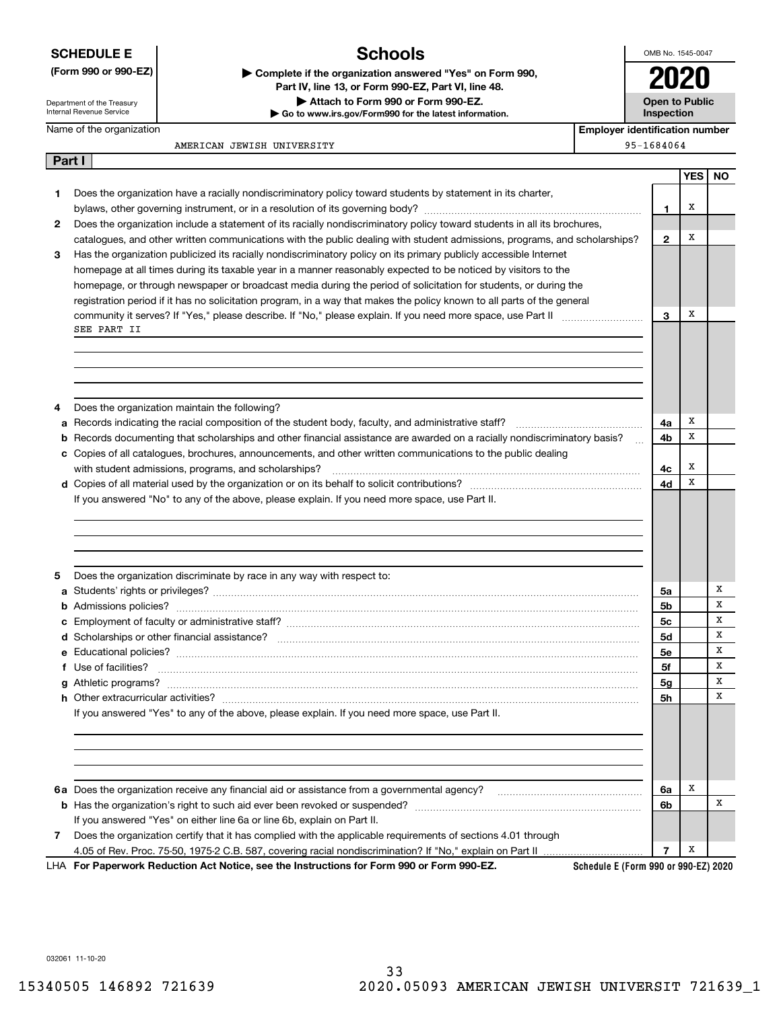|  |  |  |  | <b>SCHEDULE E</b> |  |
|--|--|--|--|-------------------|--|
|  |  |  |  |                   |  |

## **(Form 990 or 990-EZ) | Complete if the organization answered "Yes" on Form 990,**

## **Schools**

**| Go to www.irs.gov/Form990 for the latest information.**

**| Attach to Form 990 or Form 990-EZ.**

**Part IV, line 13, or Form 990-EZ, Part VI, line 48.**

OMB No. 1545-0047

| <b>Open to Public</b> |
|-----------------------|
| Inspection            |

Department of the Treasury Internal Revenue Service

**Part I**

#### Name of the organization

**Imber** 

AMERICAN JEWISH UNIVERSITY

| <b>Employer identification nu</b> |
|-----------------------------------|
| 95-1684064                        |

**YES NO 12312345ab** Records documenting that scholarships and other financial assistance are awarded on a racially nondiscriminatory basis? **c** Copies of all catalogues, brochures, announcements, and other written communications to the public dealing **d**Copies of all material used by the organization or on its behalf to solicit contributions? ~~~~~~~~~~~~~~~~~~~**ab**Admissions policies? ~~~~~~~~~~~~~~~~~~~~~~~~~~~~~~~~~~~~~~~~~~~~~~~~~~~**cd**Scholarships or other financial assistance? ~~~~~~~~~~~~~~~~~~~~~~~~~~~~~~~~~~~~~~~~ **ef** Use of facilities? ~~~~~~~~~~~~~~~~~~~~~~~~~~~~~~~~~~~~~~~~~~~~~~~~~~~~~**g**Athletic programs? ~~~~~~~~~~~~~~~~~~~~~~~~~~~~~~~~~~~~~~~~~~~~~~~~~~~~**h**Other extracurricular activities? ~~~~~~~~~~~~~~~~~~~~~~~~~~~~~~~~~~~~~~~~~~~~~~ **4a4b4c4d5a5b5c5d5e5f5g5h6a6b76a**Does the organization receive any financial aid or assistance from a governmental agency? ~~~~~~~~~~~~~~~~**7b**Has the organization's right to such aid ever been revoked or suspended? ~~~~~~~~~~~~~~~~~~~~~~~~~ Does the organization have a racially nondiscriminatory policy toward students by statement in its charter, bylaws, other governing instrument, or in a resolution of its governing body? ~~~~~~~~~~~~~~~~~~~~~~~~ Does the organization include a statement of its racially nondiscriminatory policy toward students in all its brochures, catalogues, and other written communications with the public dealing with student admissions, programs, and scholarships? Has the organization publicized its racially nondiscriminatory policy on its primary publicly accessible Internet homepage at all times during its taxable year in a manner reasonably expected to be noticed by visitors to the homepage, or through newspaper or broadcast media during the period of solicitation for students, or during the registration period if it has no solicitation program, in a way that makes the policy known to all parts of the general community it serves? If "Yes," please describe. If "No," please explain. If you need more space, use Part II ~~~~~~~~~ Does the organization maintain the following? Records indicating the racial composition of the student body, faculty, and administrative staff? ~~~~~~~~~~~~~~with student admissions, programs, and scholarships? If you answered "No" to any of the above, please explain. If you need more space, use Part II. Does the organization discriminate by race in any way with respect to: Students' rights or privileges? ~~~~~~~~~~~~~~~~~~~~~~~~~~~~~~~~~~~~~~~~~~~~~~~Employment of faculty or administrative staff? ~~~~~~~~~~~~~~~~~~~~~~~~~~~~~~~~~~~~~~~Educational policies? ~~~~~~~~~~~~~~~~~~~~~~~~~~~~~~~~~~~~~~~~~~~~~~~~~~~If you answered "Yes" to any of the above, please explain. If you need more space, use Part II. If you answered "Yes" on either line 6a or line 6b, explain on Part II. Does the organization certify that it has complied with the applicable requirements of sections 4.01 through 4.05 of Rev. Proc. 75-50, 1975-2 C.B. 587, covering racial nondiscrimination? If "No," explain on Part II SEE PART II XXXXXXXXXXXXXXXXXX

**For Paperwork Reduction Act Notice, see the Instructions for Form 990 or Form 990-EZ.** LHA

**Schedule E (Form 990 or 990-EZ) 2020**

032061 11-10-20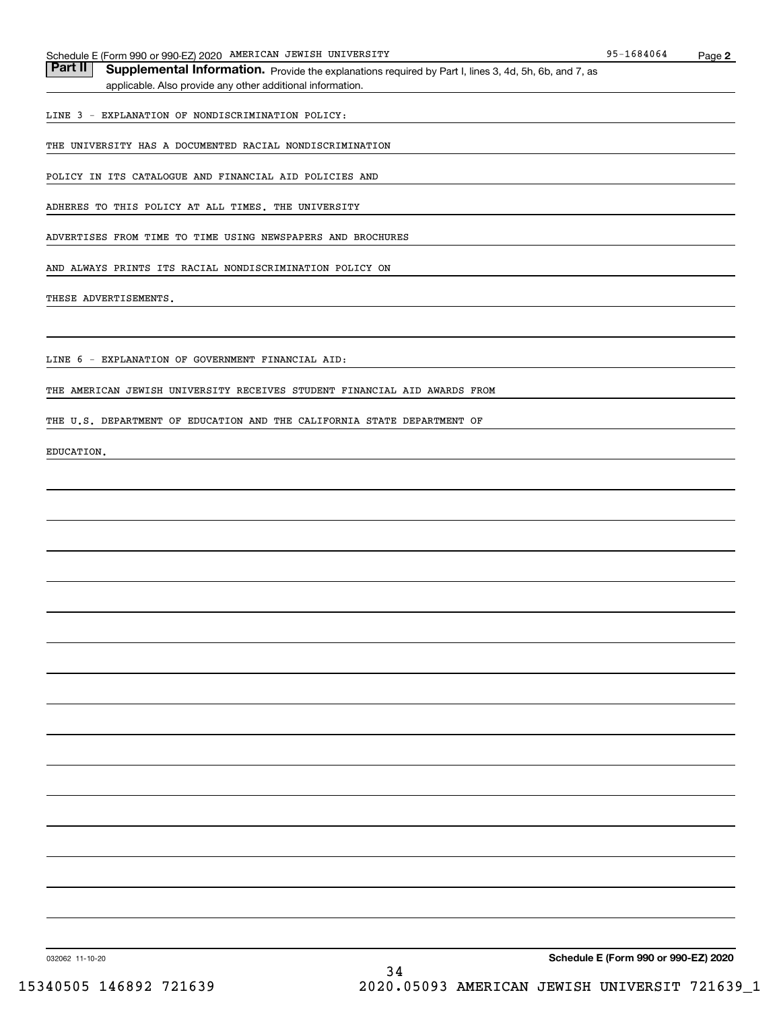| Schedule E (Form 990 or 990-EZ) 2020 AMERICAN JEWISH UNIVERSITY                                                  | 95-1684064 | Page 2 |
|------------------------------------------------------------------------------------------------------------------|------------|--------|
| Part II<br>Supplemental Information. Provide the explanations required by Part I, lines 3, 4d, 5h, 6b, and 7, as |            |        |
| applicable. Also provide any other additional information.                                                       |            |        |
|                                                                                                                  |            |        |
| LINE 3 - EXPLANATION OF NONDISCRIMINATION POLICY:                                                                |            |        |
| THE UNIVERSITY HAS A DOCUMENTED RACIAL NONDISCRIMINATION                                                         |            |        |
| POLICY IN ITS CATALOGUE AND FINANCIAL AID POLICIES AND                                                           |            |        |
| ADHERES TO THIS POLICY AT ALL TIMES. THE UNIVERSITY                                                              |            |        |
| ADVERTISES FROM TIME TO TIME USING NEWSPAPERS AND BROCHURES                                                      |            |        |
| AND ALWAYS PRINTS ITS RACIAL NONDISCRIMINATION POLICY ON                                                         |            |        |
| THESE ADVERTISEMENTS.                                                                                            |            |        |
|                                                                                                                  |            |        |
|                                                                                                                  |            |        |
| LINE 6 - EXPLANATION OF GOVERNMENT FINANCIAL AID:                                                                |            |        |
|                                                                                                                  |            |        |
| THE AMERICAN JEWISH UNIVERSITY RECEIVES STUDENT FINANCIAL AID AWARDS FROM                                        |            |        |
| THE U.S. DEPARTMENT OF EDUCATION AND THE CALIFORNIA STATE DEPARTMENT OF                                          |            |        |
|                                                                                                                  |            |        |
| EDUCATION.                                                                                                       |            |        |
|                                                                                                                  |            |        |
|                                                                                                                  |            |        |
|                                                                                                                  |            |        |
|                                                                                                                  |            |        |
|                                                                                                                  |            |        |
|                                                                                                                  |            |        |
|                                                                                                                  |            |        |
|                                                                                                                  |            |        |
|                                                                                                                  |            |        |
|                                                                                                                  |            |        |
|                                                                                                                  |            |        |

**Schedule E (Form 990 or 990-EZ) 2020**

032062 11-10-20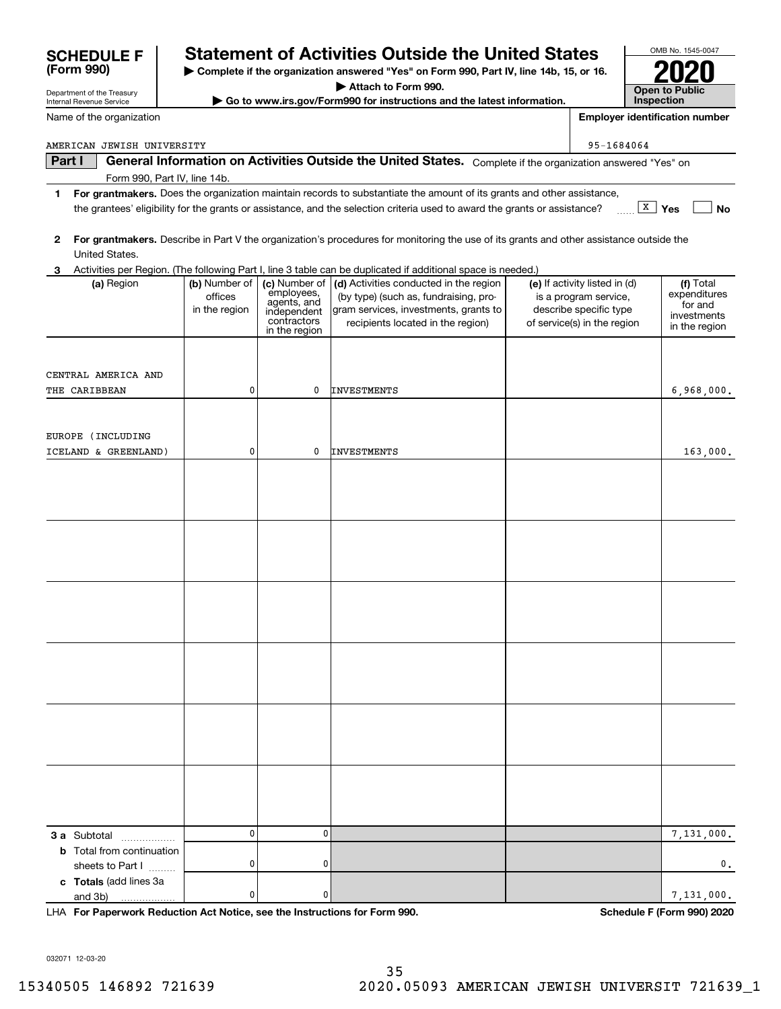| $\mathbf 0$<br>0<br>3 a Subtotal<br><b>b</b> Total from continuation                                | 7,131,000.                  |
|-----------------------------------------------------------------------------------------------------|-----------------------------|
| $\mathbf{0}$<br>0<br>sheets to Part I<br>c Totals (add lines 3a<br>0<br>$\mathbf 0$<br>and 3b)<br>. | $\mathbf 0$ .<br>7,131,000. |
| LHA For Paperwork Reduction Act Notice, see the Instructions for Form 990.                          | Schedule F (Form 990) 2020  |
| 032071 12-03-20<br>35                                                                               |                             |
| 15340505 146892 721639<br>2020.05093 AMERICAN JEWISH UNIVERSIT 721639_1                             |                             |

**For grantmakers.**  Describe in Part V the organization's procedures for monitoring the use of its grants and other assistance outside the United States.

**3** Activities per Region. (The following Part I, line 3 table can be duplicated if additional space is needed.)

employees, agents, and independent contractorsin the region

0

0

**1For grantmakers.**  Does the organization maintain records to substantiate the amount of its grants and other assistance,

the grantees' eligibility for the grants or assistance, and the selection criteria used to award the grants or assistance?

| Internal Revenue Service | $\blacktriangleright$ Go to www.irs.gov/Form990 |
|--------------------------|-------------------------------------------------|
| Name of the organization |                                                 |
|                          |                                                 |

Form 990, Part IV, line 14b.

(a) Region (b) Number of

officesin the region

0

0

## **| Complete if the organization answered "Yes" on Form 990, Part IV, line 14b, 15, or 16. Statement of Activities Outside the United States**

**| Attach to Form 990.**

for instructions and the latest information.

**Part I General Information on Activities Outside the United States.** Complete if the organization answered "Yes" on

**(a)** Region  $\begin{pmatrix} \mathbf{b} \end{pmatrix}$  Number of  $\begin{pmatrix} \mathbf{c} \end{pmatrix}$  Activities conducted in the region  $\begin{pmatrix} \mathbf{e} \end{pmatrix}$  If activity listed in (d)  $\begin{pmatrix} \mathbf{f} \end{pmatrix}$ 

INVESTMENTS

INVESTMENTS

(by type) (such as, fundraising, program services, investments, grants to recipients located in the region)

| <b>SCHEDULE F</b> |  |
|-------------------|--|
| (Form 990)        |  |

CENTRAL AMERICA AND

EUROPE (INCLUDING

ICELAND & GREENLAND)

THE CARIBBEAN

Department of the Treasury

**2**

## **InspectionEmployer identification number**

AMERICAN JEWISH UNIVERSITY 95-1684064

**X** Yes

 $(e)$  If activity listed in  $(d)$ is a program service, describe specific type of service(s) in the region **No**

Total expenditures for and investmentsin the region

6,968,000.

163,000.

**Open to Public** 

OMB No. 1545-0047

**2020**

| . |  |  |  |
|---|--|--|--|
|   |  |  |  |
|   |  |  |  |
|   |  |  |  |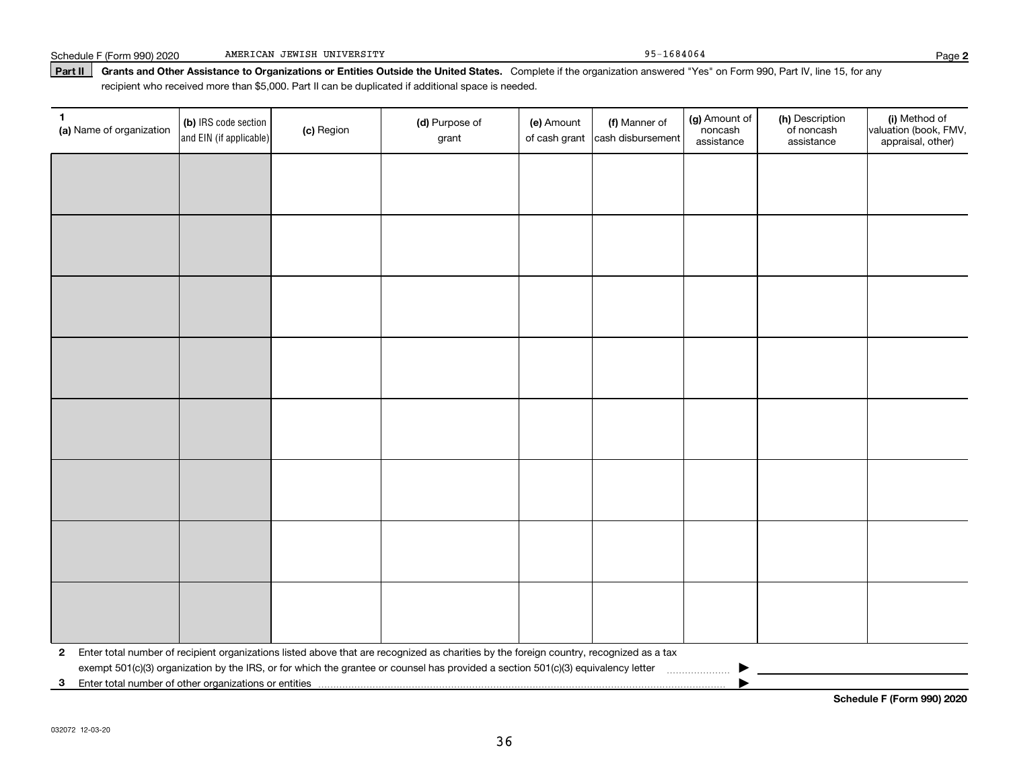### Part II | Grants and Other Assistance to Organizations or Entities Outside the United States. Complete if the organization answered "Yes" on Form 990, Part IV, line 15, for any recipient who received more than \$5,000. Part II can be duplicated if additional space is needed.

| 1<br>(a) Name of organization | (b) IRS code section<br>and EIN (if applicable) | (c) Region | (d) Purpose of<br>grant                                                                                                                 | (e) Amount<br>of cash grant | (f) Manner of<br>cash disbursement | (g) Amount of<br>noncash<br>assistance | (h) Description<br>of noncash<br>assistance | (i) Method of<br>valuation (book, FMV,<br>appraisal, other) |
|-------------------------------|-------------------------------------------------|------------|-----------------------------------------------------------------------------------------------------------------------------------------|-----------------------------|------------------------------------|----------------------------------------|---------------------------------------------|-------------------------------------------------------------|
|                               |                                                 |            |                                                                                                                                         |                             |                                    |                                        |                                             |                                                             |
|                               |                                                 |            |                                                                                                                                         |                             |                                    |                                        |                                             |                                                             |
|                               |                                                 |            |                                                                                                                                         |                             |                                    |                                        |                                             |                                                             |
|                               |                                                 |            |                                                                                                                                         |                             |                                    |                                        |                                             |                                                             |
|                               |                                                 |            |                                                                                                                                         |                             |                                    |                                        |                                             |                                                             |
|                               |                                                 |            |                                                                                                                                         |                             |                                    |                                        |                                             |                                                             |
|                               |                                                 |            |                                                                                                                                         |                             |                                    |                                        |                                             |                                                             |
|                               |                                                 |            |                                                                                                                                         |                             |                                    |                                        |                                             |                                                             |
|                               |                                                 |            |                                                                                                                                         |                             |                                    |                                        |                                             |                                                             |
|                               |                                                 |            |                                                                                                                                         |                             |                                    |                                        |                                             |                                                             |
|                               |                                                 |            |                                                                                                                                         |                             |                                    |                                        |                                             |                                                             |
|                               |                                                 |            |                                                                                                                                         |                             |                                    |                                        |                                             |                                                             |
|                               |                                                 |            |                                                                                                                                         |                             |                                    |                                        |                                             |                                                             |
|                               |                                                 |            |                                                                                                                                         |                             |                                    |                                        |                                             |                                                             |
|                               |                                                 |            |                                                                                                                                         |                             |                                    |                                        |                                             |                                                             |
|                               |                                                 |            |                                                                                                                                         |                             |                                    |                                        |                                             |                                                             |
| $\mathbf{2}$                  |                                                 |            | Enter total number of recipient organizations listed above that are recognized as charities by the foreign country, recognized as a tax |                             |                                    |                                        |                                             |                                                             |
|                               |                                                 |            |                                                                                                                                         |                             |                                    |                                        |                                             |                                                             |
| 3                             |                                                 |            |                                                                                                                                         |                             |                                    |                                        |                                             |                                                             |

**Schedule F (Form 990) 2020**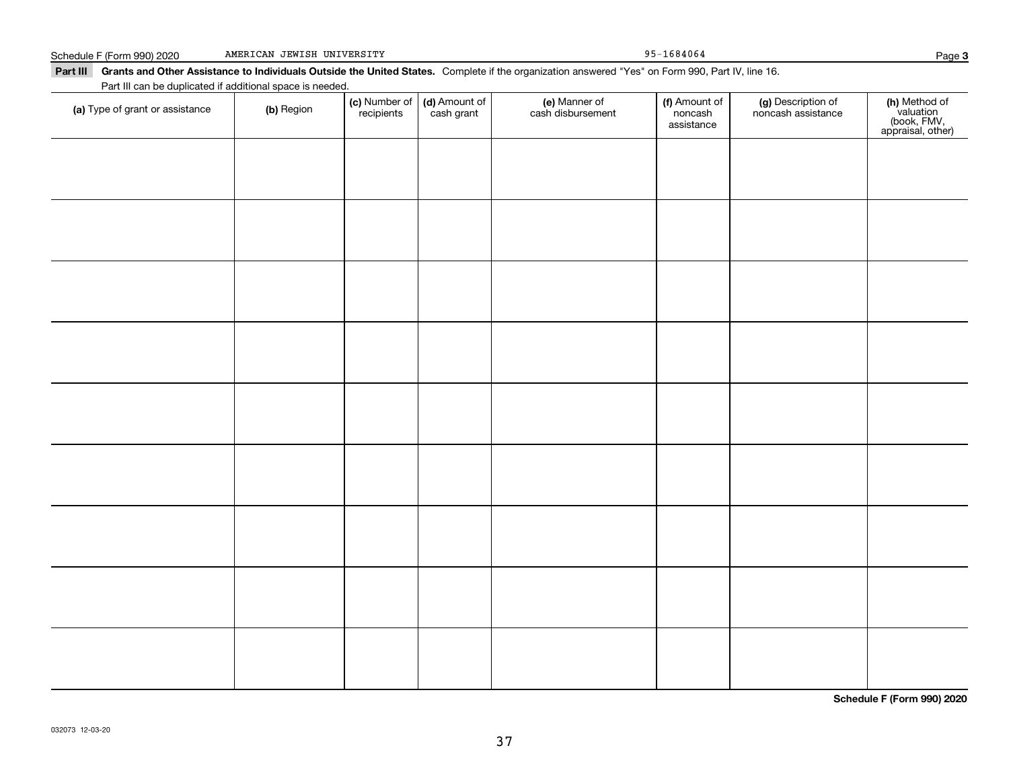#### Schedule F (Form 990) 2020 AMERICAN JEWISH UNIVERSITY 95-1684064 AMERICAN JEWISH UNIVERSITY

Part III Grants and Other Assistance to Individuals Outside the United States. Complete if the organization answered "Yes" on Form 990, Part IV, line 16.

| Part III can be duplicated if additional space is needed. |            |                             |                             |                                    |                                        |                                          |                                                                |
|-----------------------------------------------------------|------------|-----------------------------|-----------------------------|------------------------------------|----------------------------------------|------------------------------------------|----------------------------------------------------------------|
| (a) Type of grant or assistance                           | (b) Region | (c) Number of<br>recipients | (d) Amount of<br>cash grant | (e) Manner of<br>cash disbursement | (f) Amount of<br>noncash<br>assistance | (g) Description of<br>noncash assistance | (h) Method of<br>valuation<br>(book, FMV,<br>appraisal, other) |
|                                                           |            |                             |                             |                                    |                                        |                                          |                                                                |
|                                                           |            |                             |                             |                                    |                                        |                                          |                                                                |
|                                                           |            |                             |                             |                                    |                                        |                                          |                                                                |
|                                                           |            |                             |                             |                                    |                                        |                                          |                                                                |
|                                                           |            |                             |                             |                                    |                                        |                                          |                                                                |
|                                                           |            |                             |                             |                                    |                                        |                                          |                                                                |
|                                                           |            |                             |                             |                                    |                                        |                                          |                                                                |
|                                                           |            |                             |                             |                                    |                                        |                                          |                                                                |
|                                                           |            |                             |                             |                                    |                                        |                                          |                                                                |
|                                                           |            |                             |                             |                                    |                                        |                                          |                                                                |
|                                                           |            |                             |                             |                                    |                                        |                                          |                                                                |
|                                                           |            |                             |                             |                                    |                                        |                                          |                                                                |
|                                                           |            |                             |                             |                                    |                                        |                                          |                                                                |
|                                                           |            |                             |                             |                                    |                                        |                                          |                                                                |
|                                                           |            |                             |                             |                                    |                                        |                                          |                                                                |

**Schedule F (Form 990) 2020**

**3**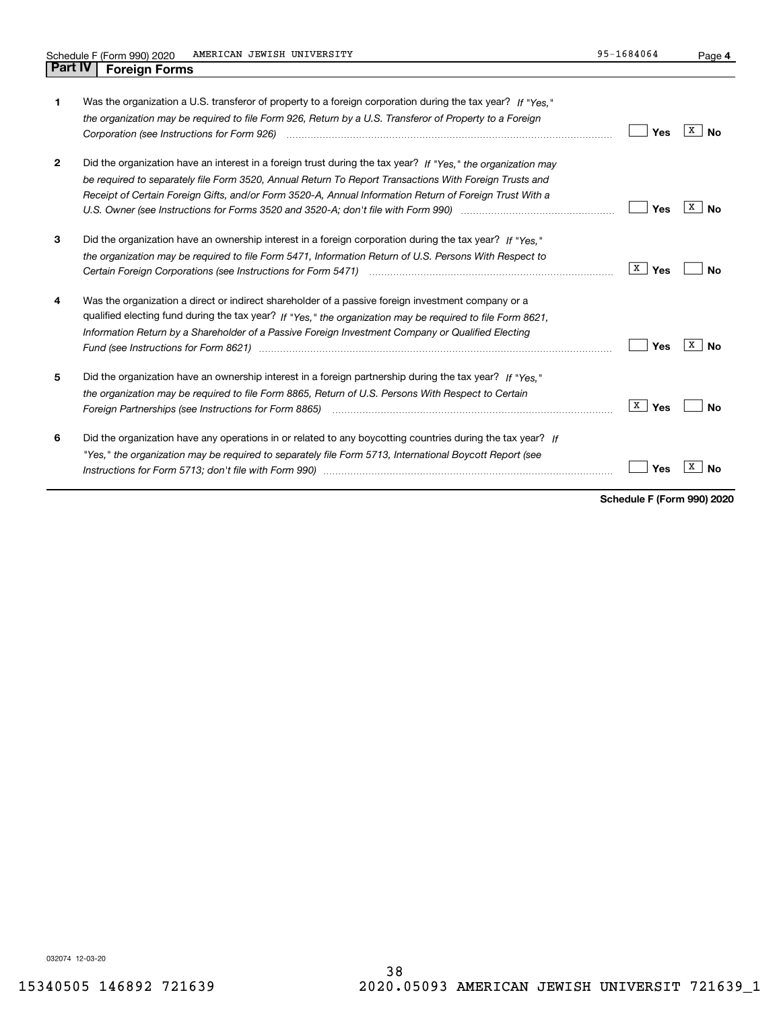| 1            | Was the organization a U.S. transferor of property to a foreign corporation during the tax year? If "Yes."<br>the organization may be required to file Form 926, Return by a U.S. Transferor of Property to a Foreign<br>Corporation (see Instructions for Form 926) <i>manual content content corporation</i> (see instructions for Form 926) | Yes      | x<br>Nο |
|--------------|------------------------------------------------------------------------------------------------------------------------------------------------------------------------------------------------------------------------------------------------------------------------------------------------------------------------------------------------|----------|---------|
| $\mathbf{2}$ | Did the organization have an interest in a foreign trust during the tax year? If "Yes." the organization may<br>be required to separately file Form 3520, Annual Return To Report Transactions With Foreign Trusts and<br>Receipt of Certain Foreign Gifts, and/or Form 3520-A, Annual Information Return of Foreign Trust With a              | Yes      | x<br>Nο |
| 3            | Did the organization have an ownership interest in a foreign corporation during the tax year? If "Yes."<br>the organization may be required to file Form 5471, Information Return of U.S. Persons With Respect to                                                                                                                              | X<br>Yes | N٥      |
| 4            | Was the organization a direct or indirect shareholder of a passive foreign investment company or a<br>qualified electing fund during the tax year? If "Yes," the organization may be required to file Form 8621.<br>Information Return by a Shareholder of a Passive Foreign Investment Company or Qualified Electing                          | Yes      | x<br>Nο |
| 5            | Did the organization have an ownership interest in a foreign partnership during the tax year? If "Yes."<br>the organization may be required to file Form 8865, Return of U.S. Persons With Respect to Certain                                                                                                                                  | X<br>Yes | Nο      |
| 6            | Did the organization have any operations in or related to any boycotting countries during the tax year? If<br>"Yes," the organization may be required to separately file Form 5713, International Boycott Report (see                                                                                                                          | Yes      |         |

**Schedule F (Form 990) 2020**

032074 12-03-20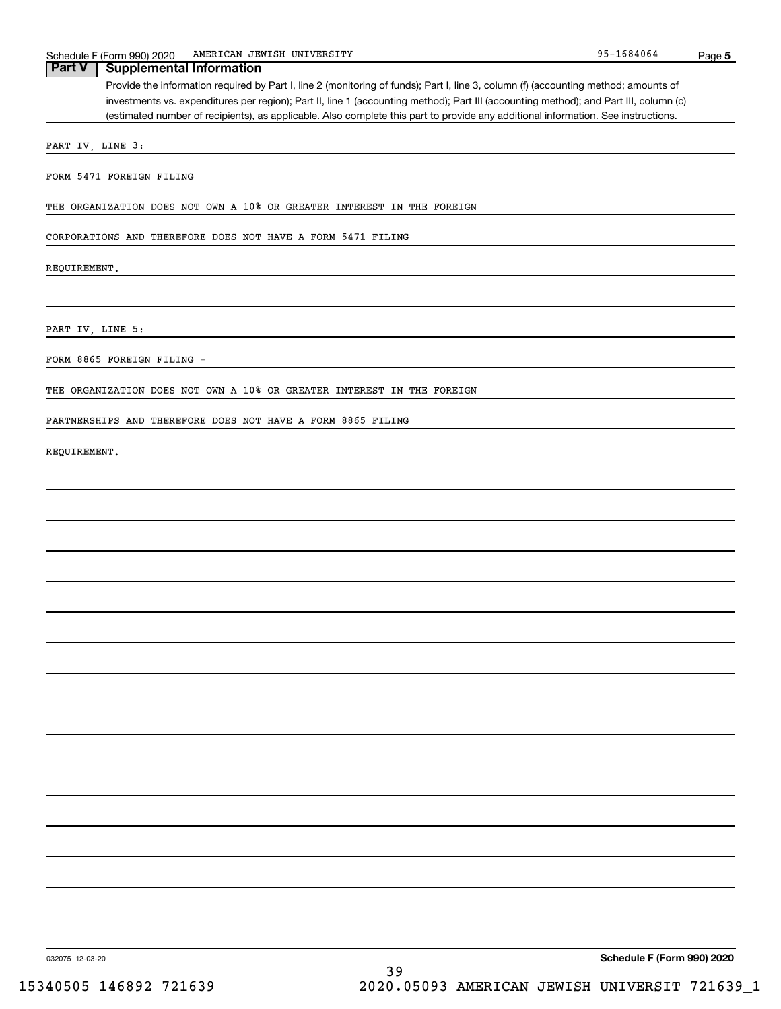| Part V<br><b>Supplemental Information</b>                                                                                             |
|---------------------------------------------------------------------------------------------------------------------------------------|
| Provide the information required by Part I, line 2 (monitoring of funds); Part I, line 3, column (f) (accounting method; amounts of   |
| investments vs. expenditures per region); Part II, line 1 (accounting method); Part III (accounting method); and Part III, column (c) |
| (estimated number of recipients), as applicable. Also complete this part to provide any additional information. See instructions.     |
| PART IV, LINE 3:                                                                                                                      |
|                                                                                                                                       |
| FORM 5471 FOREIGN FILING                                                                                                              |
|                                                                                                                                       |
| THE ORGANIZATION DOES NOT OWN A 10% OR GREATER INTEREST IN THE FOREIGN                                                                |
| CORPORATIONS AND THEREFORE DOES NOT HAVE A FORM 5471 FILING                                                                           |
|                                                                                                                                       |
| REQUIREMENT.                                                                                                                          |
|                                                                                                                                       |
|                                                                                                                                       |
| PART IV, LINE 5:                                                                                                                      |
|                                                                                                                                       |
| FORM 8865 FOREIGN FILING -                                                                                                            |
|                                                                                                                                       |
| THE ORGANIZATION DOES NOT OWN A 10% OR GREATER INTEREST IN THE FOREIGN                                                                |
| PARTNERSHIPS AND THEREFORE DOES NOT HAVE A FORM 8865 FILING                                                                           |
|                                                                                                                                       |
| REQUIREMENT.                                                                                                                          |
|                                                                                                                                       |
|                                                                                                                                       |
|                                                                                                                                       |
|                                                                                                                                       |
|                                                                                                                                       |
|                                                                                                                                       |
|                                                                                                                                       |
|                                                                                                                                       |
|                                                                                                                                       |
|                                                                                                                                       |
|                                                                                                                                       |
|                                                                                                                                       |
|                                                                                                                                       |
|                                                                                                                                       |
|                                                                                                                                       |
|                                                                                                                                       |
|                                                                                                                                       |
|                                                                                                                                       |
|                                                                                                                                       |
|                                                                                                                                       |
|                                                                                                                                       |
|                                                                                                                                       |
|                                                                                                                                       |
|                                                                                                                                       |
|                                                                                                                                       |
|                                                                                                                                       |
| Schedule F (Form 990) 2020<br>032075 12-03-20                                                                                         |
| 39                                                                                                                                    |

**5**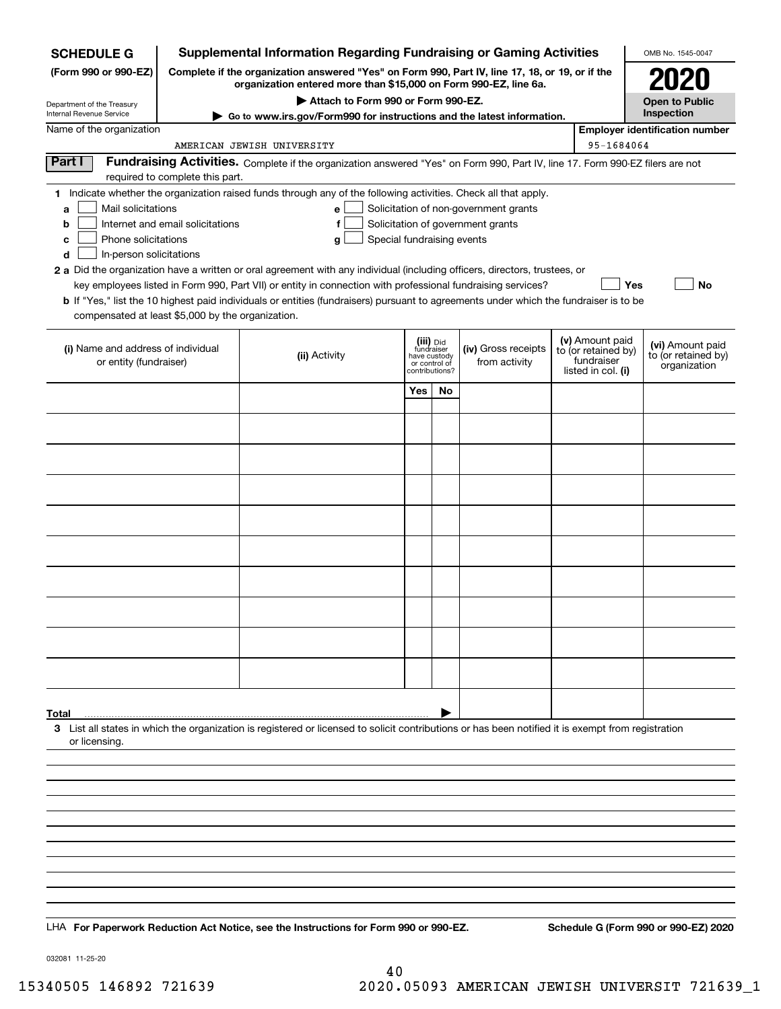| <b>SCHEDULE G</b>                                                                                                                             | <b>Supplemental Information Regarding Fundraising or Gaming Activities</b>                                                                                          |                                                                                                                                                                                                                                                                                                                                                                                                                                                                                                                                                    |                                                                            |    |                                                                            |  |                                                                            | OMB No. 1545-0047                                       |  |
|-----------------------------------------------------------------------------------------------------------------------------------------------|---------------------------------------------------------------------------------------------------------------------------------------------------------------------|----------------------------------------------------------------------------------------------------------------------------------------------------------------------------------------------------------------------------------------------------------------------------------------------------------------------------------------------------------------------------------------------------------------------------------------------------------------------------------------------------------------------------------------------------|----------------------------------------------------------------------------|----|----------------------------------------------------------------------------|--|----------------------------------------------------------------------------|---------------------------------------------------------|--|
| (Form 990 or 990-EZ)                                                                                                                          | Complete if the organization answered "Yes" on Form 990, Part IV, line 17, 18, or 19, or if the<br>organization entered more than \$15,000 on Form 990-EZ, line 6a. |                                                                                                                                                                                                                                                                                                                                                                                                                                                                                                                                                    |                                                                            |    |                                                                            |  |                                                                            | 2020                                                    |  |
| Department of the Treasury                                                                                                                    |                                                                                                                                                                     | Attach to Form 990 or Form 990-EZ.                                                                                                                                                                                                                                                                                                                                                                                                                                                                                                                 |                                                                            |    |                                                                            |  |                                                                            | <b>Open to Public</b>                                   |  |
| Internal Revenue Service                                                                                                                      | Go to www.irs.gov/Form990 for instructions and the latest information.                                                                                              |                                                                                                                                                                                                                                                                                                                                                                                                                                                                                                                                                    | Inspection                                                                 |    |                                                                            |  |                                                                            |                                                         |  |
| Name of the organization<br><b>Employer identification number</b><br>95-1684064<br>AMERICAN JEWISH UNIVERSITY                                 |                                                                                                                                                                     |                                                                                                                                                                                                                                                                                                                                                                                                                                                                                                                                                    |                                                                            |    |                                                                            |  |                                                                            |                                                         |  |
| Part I                                                                                                                                        | required to complete this part.                                                                                                                                     | Fundraising Activities. Complete if the organization answered "Yes" on Form 990, Part IV, line 17. Form 990-EZ filers are not                                                                                                                                                                                                                                                                                                                                                                                                                      |                                                                            |    |                                                                            |  |                                                                            |                                                         |  |
| Mail solicitations<br>a<br>b<br>Phone solicitations<br>с<br>In-person solicitations<br>d<br>compensated at least \$5,000 by the organization. | Internet and email solicitations                                                                                                                                    | 1 Indicate whether the organization raised funds through any of the following activities. Check all that apply.<br>е<br>f<br>Special fundraising events<br>g<br>2 a Did the organization have a written or oral agreement with any individual (including officers, directors, trustees, or<br>key employees listed in Form 990, Part VII) or entity in connection with professional fundraising services?<br>b If "Yes," list the 10 highest paid individuals or entities (fundraisers) pursuant to agreements under which the fundraiser is to be |                                                                            |    | Solicitation of non-government grants<br>Solicitation of government grants |  | Yes                                                                        | No                                                      |  |
| (i) Name and address of individual<br>or entity (fundraiser)                                                                                  |                                                                                                                                                                     | (ii) Activity                                                                                                                                                                                                                                                                                                                                                                                                                                                                                                                                      | (iii) Did<br>fundraiser<br>have custody<br>or control of<br>contributions? |    | (iv) Gross receipts<br>from activity                                       |  | (v) Amount paid<br>to (or retained by)<br>fundraiser<br>listed in col. (i) | (vi) Amount paid<br>to (or retained by)<br>organization |  |
|                                                                                                                                               |                                                                                                                                                                     |                                                                                                                                                                                                                                                                                                                                                                                                                                                                                                                                                    | Yes                                                                        | No |                                                                            |  |                                                                            |                                                         |  |
|                                                                                                                                               |                                                                                                                                                                     |                                                                                                                                                                                                                                                                                                                                                                                                                                                                                                                                                    |                                                                            |    |                                                                            |  |                                                                            |                                                         |  |
|                                                                                                                                               |                                                                                                                                                                     |                                                                                                                                                                                                                                                                                                                                                                                                                                                                                                                                                    |                                                                            |    |                                                                            |  |                                                                            |                                                         |  |
|                                                                                                                                               |                                                                                                                                                                     |                                                                                                                                                                                                                                                                                                                                                                                                                                                                                                                                                    |                                                                            |    |                                                                            |  |                                                                            |                                                         |  |
|                                                                                                                                               |                                                                                                                                                                     |                                                                                                                                                                                                                                                                                                                                                                                                                                                                                                                                                    |                                                                            |    |                                                                            |  |                                                                            |                                                         |  |
|                                                                                                                                               |                                                                                                                                                                     |                                                                                                                                                                                                                                                                                                                                                                                                                                                                                                                                                    |                                                                            |    |                                                                            |  |                                                                            |                                                         |  |
|                                                                                                                                               |                                                                                                                                                                     |                                                                                                                                                                                                                                                                                                                                                                                                                                                                                                                                                    |                                                                            |    |                                                                            |  |                                                                            |                                                         |  |
|                                                                                                                                               |                                                                                                                                                                     |                                                                                                                                                                                                                                                                                                                                                                                                                                                                                                                                                    |                                                                            |    |                                                                            |  |                                                                            |                                                         |  |
|                                                                                                                                               |                                                                                                                                                                     |                                                                                                                                                                                                                                                                                                                                                                                                                                                                                                                                                    |                                                                            |    |                                                                            |  |                                                                            |                                                         |  |
|                                                                                                                                               |                                                                                                                                                                     |                                                                                                                                                                                                                                                                                                                                                                                                                                                                                                                                                    |                                                                            |    |                                                                            |  |                                                                            |                                                         |  |
|                                                                                                                                               |                                                                                                                                                                     |                                                                                                                                                                                                                                                                                                                                                                                                                                                                                                                                                    |                                                                            |    |                                                                            |  |                                                                            |                                                         |  |
| Total                                                                                                                                         |                                                                                                                                                                     |                                                                                                                                                                                                                                                                                                                                                                                                                                                                                                                                                    |                                                                            |    |                                                                            |  |                                                                            |                                                         |  |
| or licensing.                                                                                                                                 |                                                                                                                                                                     | 3 List all states in which the organization is registered or licensed to solicit contributions or has been notified it is exempt from registration                                                                                                                                                                                                                                                                                                                                                                                                 |                                                                            |    |                                                                            |  |                                                                            |                                                         |  |
|                                                                                                                                               |                                                                                                                                                                     |                                                                                                                                                                                                                                                                                                                                                                                                                                                                                                                                                    |                                                                            |    |                                                                            |  |                                                                            |                                                         |  |
|                                                                                                                                               |                                                                                                                                                                     |                                                                                                                                                                                                                                                                                                                                                                                                                                                                                                                                                    |                                                                            |    |                                                                            |  |                                                                            |                                                         |  |
|                                                                                                                                               |                                                                                                                                                                     |                                                                                                                                                                                                                                                                                                                                                                                                                                                                                                                                                    |                                                                            |    |                                                                            |  |                                                                            |                                                         |  |
|                                                                                                                                               |                                                                                                                                                                     |                                                                                                                                                                                                                                                                                                                                                                                                                                                                                                                                                    |                                                                            |    |                                                                            |  |                                                                            |                                                         |  |
|                                                                                                                                               |                                                                                                                                                                     |                                                                                                                                                                                                                                                                                                                                                                                                                                                                                                                                                    |                                                                            |    |                                                                            |  |                                                                            |                                                         |  |
|                                                                                                                                               |                                                                                                                                                                     | LHA For Paperwork Reduction Act Notice, see the Instructions for Form 990 or 990-EZ.                                                                                                                                                                                                                                                                                                                                                                                                                                                               |                                                                            |    |                                                                            |  |                                                                            | Schedule G (Form 990 or 990-EZ) 2020                    |  |

032081 11-25-20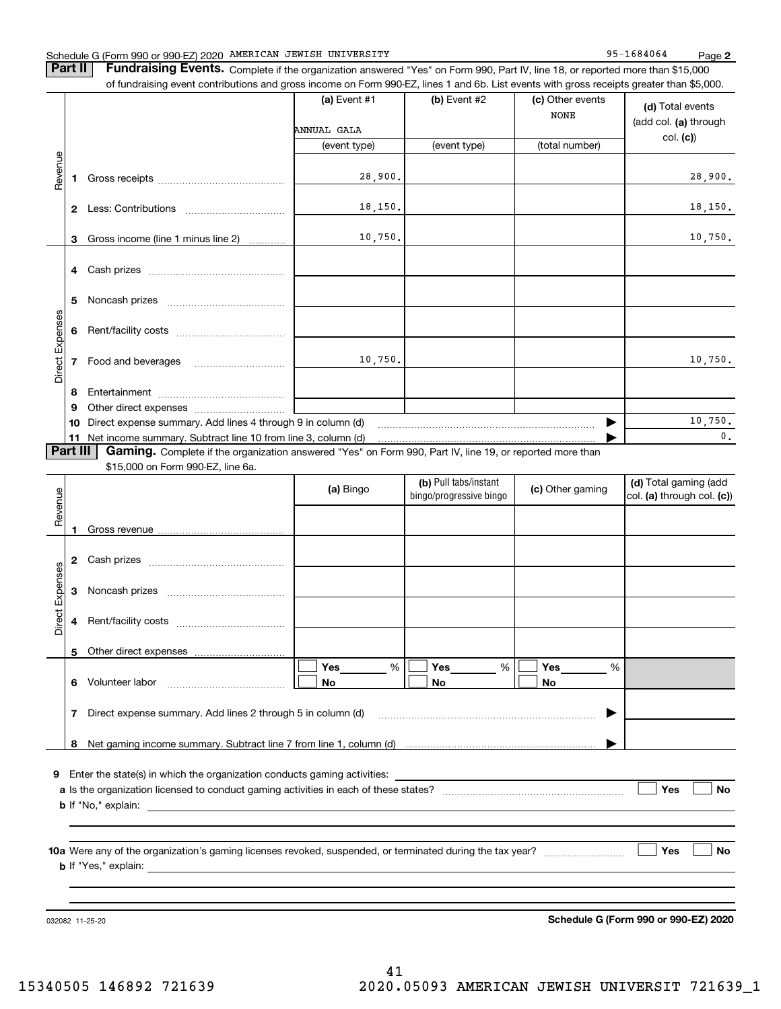### Schedule G (Form 990 or 990-EZ) 2020 Page AMERICAN JEWISH UNIVERSITY 95-1684064

**Part II** | Fundraising Events. Complete if the organization answered "Yes" on Form 990, Part IV, line 18, or reported more than \$15,000

|                 |          | of fundraising event contributions and gross income on Form 990-EZ, lines 1 and 6b. List events with gross receipts greater than \$5,000. |                                                               |                |                                 |                                           |
|-----------------|----------|-------------------------------------------------------------------------------------------------------------------------------------------|---------------------------------------------------------------|----------------|---------------------------------|-------------------------------------------|
|                 |          |                                                                                                                                           | (a) Event #1                                                  | $(b)$ Event #2 | (c) Other events<br><b>NONE</b> | (d) Total events<br>(add col. (a) through |
|                 |          |                                                                                                                                           | ANNUAL GALA                                                   |                |                                 | col. (c)                                  |
|                 |          |                                                                                                                                           | (event type)                                                  | (event type)   | (total number)                  |                                           |
| Revenue         |          |                                                                                                                                           |                                                               |                |                                 |                                           |
|                 |          |                                                                                                                                           | 28,900.                                                       |                |                                 | 28,900.                                   |
|                 |          |                                                                                                                                           |                                                               |                |                                 |                                           |
|                 |          |                                                                                                                                           | 18,150.                                                       |                |                                 | 18, 150.                                  |
|                 |          |                                                                                                                                           |                                                               |                |                                 |                                           |
|                 | 3        | Gross income (line 1 minus line 2)<br>.                                                                                                   | 10,750.                                                       |                |                                 | 10,750.                                   |
|                 |          |                                                                                                                                           |                                                               |                |                                 |                                           |
|                 |          |                                                                                                                                           |                                                               |                |                                 |                                           |
|                 | 5        |                                                                                                                                           |                                                               |                |                                 |                                           |
|                 |          |                                                                                                                                           |                                                               |                |                                 |                                           |
|                 |          |                                                                                                                                           |                                                               |                |                                 |                                           |
| Direct Expenses |          |                                                                                                                                           |                                                               |                |                                 |                                           |
|                 |          | <b>7</b> Food and beverages                                                                                                               | 10,750.                                                       |                |                                 | 10,750.                                   |
|                 |          |                                                                                                                                           |                                                               |                |                                 |                                           |
|                 | 8        |                                                                                                                                           |                                                               |                |                                 |                                           |
|                 | 9        |                                                                                                                                           |                                                               |                |                                 |                                           |
|                 |          | 10 Direct expense summary. Add lines 4 through 9 in column (d)                                                                            |                                                               |                |                                 | 10,750.                                   |
|                 |          | 11 Net income summary. Subtract line 10 from line 3, column (d)                                                                           |                                                               |                |                                 | 0.                                        |
|                 | Part III | <b>Gaming.</b> Complete if the organization answered "Yes" on Form 990, Part IV, line 19, or reported more than                           |                                                               |                |                                 |                                           |
|                 |          | \$15,000 on Form 990-EZ, line 6a.                                                                                                         |                                                               |                |                                 |                                           |
|                 |          |                                                                                                                                           | (b) Pull tabs/instant<br>(a) Bingo<br>bingo/progressive bingo |                | (c) Other gaming                | (d) Total gaming (add                     |
|                 |          |                                                                                                                                           |                                                               |                |                                 |                                           |
|                 |          |                                                                                                                                           |                                                               |                |                                 | col. (a) through col. (c))                |
| Revenue         |          |                                                                                                                                           |                                                               |                |                                 |                                           |
|                 | 1        |                                                                                                                                           |                                                               |                |                                 |                                           |
|                 |          |                                                                                                                                           |                                                               |                |                                 |                                           |
|                 |          |                                                                                                                                           |                                                               |                |                                 |                                           |
|                 | 3        |                                                                                                                                           |                                                               |                |                                 |                                           |
|                 |          |                                                                                                                                           |                                                               |                |                                 |                                           |
|                 | 4        |                                                                                                                                           |                                                               |                |                                 |                                           |
| Direct Expenses |          |                                                                                                                                           |                                                               |                |                                 |                                           |
|                 | 5.       | Other direct expenses                                                                                                                     |                                                               |                |                                 |                                           |
|                 |          |                                                                                                                                           | Yes<br>%                                                      | Yes<br>%       | Yes<br>%                        |                                           |
|                 | 6        | Volunteer labor                                                                                                                           | No                                                            | No             | No                              |                                           |
|                 |          |                                                                                                                                           |                                                               |                |                                 |                                           |
|                 | 7        | Direct expense summary. Add lines 2 through 5 in column (d)                                                                               |                                                               |                |                                 |                                           |
|                 |          |                                                                                                                                           |                                                               |                |                                 |                                           |
|                 | 8        |                                                                                                                                           |                                                               |                |                                 |                                           |
|                 |          |                                                                                                                                           |                                                               |                |                                 |                                           |
|                 |          | 9 Enter the state(s) in which the organization conducts gaming activities:                                                                |                                                               |                |                                 |                                           |
|                 |          |                                                                                                                                           |                                                               |                |                                 | Yes<br>No                                 |
|                 |          |                                                                                                                                           |                                                               |                |                                 |                                           |

**10 a Yes No** Were any of the organization's gaming licenses revoked, suspended, or terminated during the tax year? ~~~~~~~~~ **b** If "Yes," explain:

032082 11-25-20

**Schedule G (Form 990 or 990-EZ) 2020**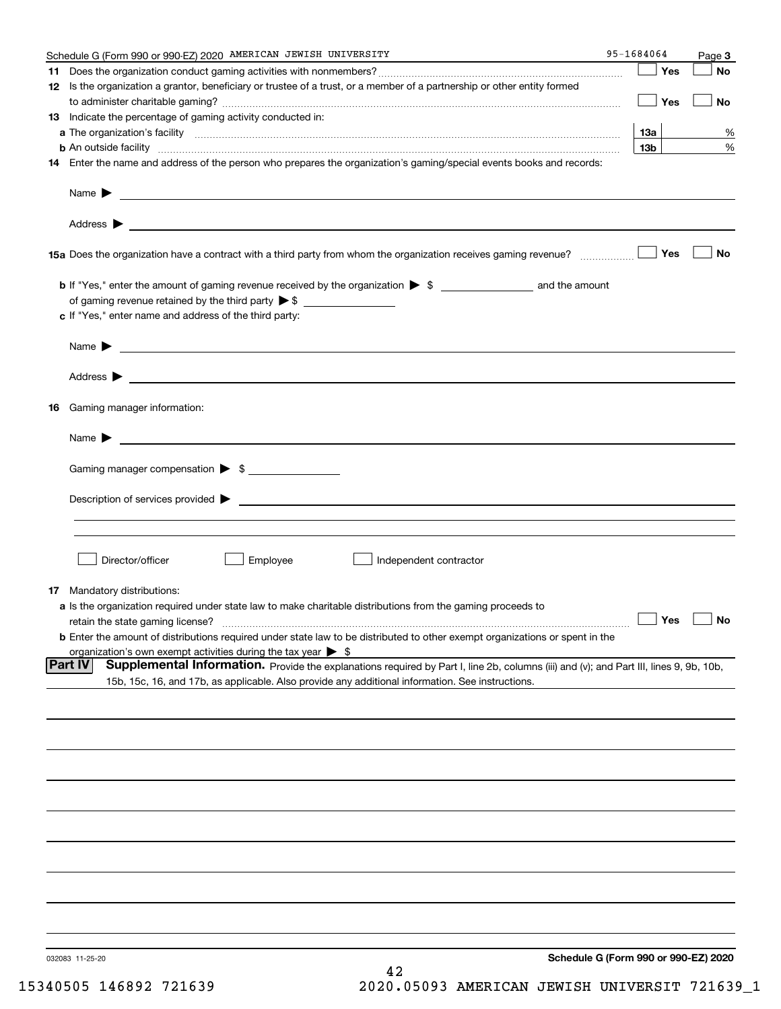|     | Schedule G (Form 990 or 990-EZ) 2020 AMERICAN JEWISH UNIVERSITY                                                                                                                                                                            | 95-1684064 |     | Page 3               |
|-----|--------------------------------------------------------------------------------------------------------------------------------------------------------------------------------------------------------------------------------------------|------------|-----|----------------------|
| 11. |                                                                                                                                                                                                                                            |            | Yes | No                   |
|     | 12 Is the organization a grantor, beneficiary or trustee of a trust, or a member of a partnership or other entity formed                                                                                                                   |            | Yes | No                   |
|     | 13 Indicate the percentage of gaming activity conducted in:                                                                                                                                                                                |            |     |                      |
|     |                                                                                                                                                                                                                                            |            | 13а | %                    |
|     | <b>b</b> An outside facility <i>www.communicality www.communicality.communicality www.communicality www.communicality.communicality www.communicality.com</i>                                                                              |            | 13b | %                    |
|     | 14 Enter the name and address of the person who prepares the organization's gaming/special events books and records:                                                                                                                       |            |     |                      |
|     | Name $\triangleright$ $\square$                                                                                                                                                                                                            |            |     |                      |
|     |                                                                                                                                                                                                                                            |            |     |                      |
|     |                                                                                                                                                                                                                                            |            | Yes | No                   |
|     | of gaming revenue retained by the third party $\triangleright$ \$                                                                                                                                                                          |            |     |                      |
|     | c If "Yes," enter name and address of the third party:                                                                                                                                                                                     |            |     |                      |
|     |                                                                                                                                                                                                                                            |            |     |                      |
|     |                                                                                                                                                                                                                                            |            |     |                      |
| 16  | Gaming manager information:                                                                                                                                                                                                                |            |     |                      |
|     | Name $\blacktriangleright$                                                                                                                                                                                                                 |            |     |                      |
|     | Gaming manager compensation > \$                                                                                                                                                                                                           |            |     |                      |
|     | $Description of services provided$ $\triangleright$                                                                                                                                                                                        |            |     |                      |
|     |                                                                                                                                                                                                                                            |            |     |                      |
|     |                                                                                                                                                                                                                                            |            |     |                      |
|     | Director/officer<br>Employee<br>Independent contractor                                                                                                                                                                                     |            |     |                      |
|     | <b>17</b> Mandatory distributions:                                                                                                                                                                                                         |            |     |                      |
|     | a Is the organization required under state law to make charitable distributions from the gaming proceeds to                                                                                                                                |            |     |                      |
|     | retain the state gaming license?                                                                                                                                                                                                           |            |     | $\Box$ Yes $\Box$ No |
|     | <b>b</b> Enter the amount of distributions required under state law to be distributed to other exempt organizations or spent in the                                                                                                        |            |     |                      |
|     | organization's own exempt activities during the tax year $\triangleright$ \$<br><b>Part IV</b>                                                                                                                                             |            |     |                      |
|     | Supplemental Information. Provide the explanations required by Part I, line 2b, columns (iii) and (v); and Part III, lines 9, 9b, 10b,<br>15b, 15c, 16, and 17b, as applicable. Also provide any additional information. See instructions. |            |     |                      |
|     |                                                                                                                                                                                                                                            |            |     |                      |
|     |                                                                                                                                                                                                                                            |            |     |                      |
|     |                                                                                                                                                                                                                                            |            |     |                      |
|     |                                                                                                                                                                                                                                            |            |     |                      |
|     |                                                                                                                                                                                                                                            |            |     |                      |
|     |                                                                                                                                                                                                                                            |            |     |                      |
|     |                                                                                                                                                                                                                                            |            |     |                      |
|     |                                                                                                                                                                                                                                            |            |     |                      |
|     |                                                                                                                                                                                                                                            |            |     |                      |
|     | Schedule G (Form 990 or 990-EZ) 2020<br>032083 11-25-20<br>42                                                                                                                                                                              |            |     |                      |

15340505 146892 721639 2020.05093 AMERICAN JEWISH UNIVERSIT 721639\_1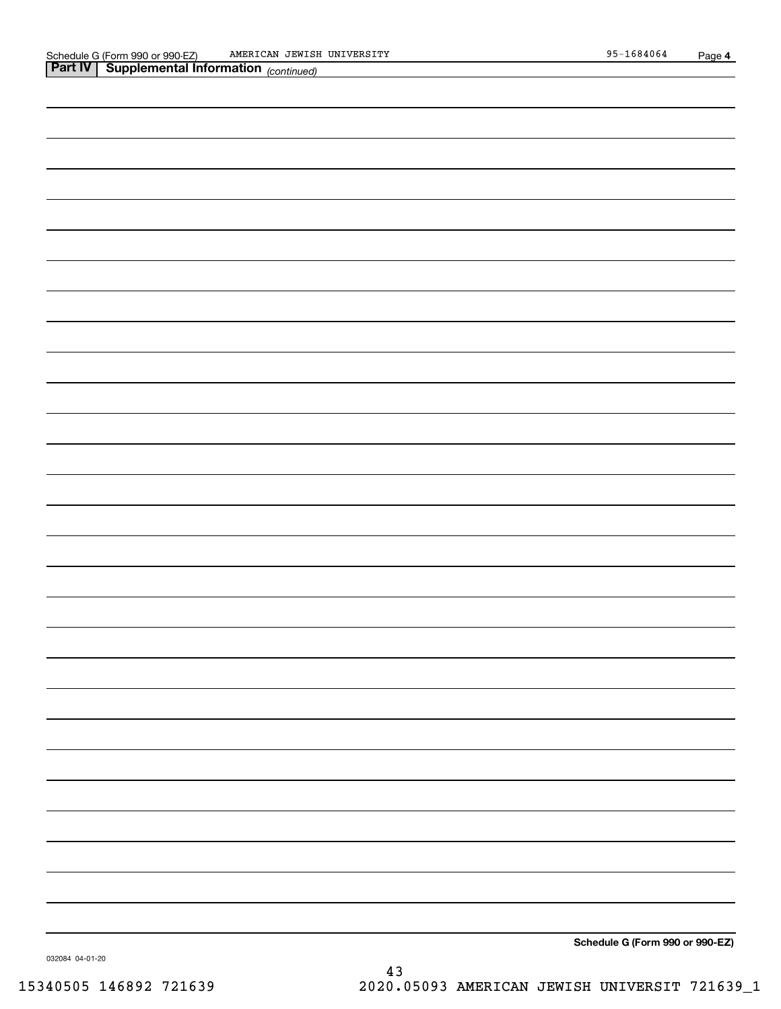| <b>Part IV   Supplemental Information (continued)</b> |
|-------------------------------------------------------|
|                                                       |
|                                                       |
|                                                       |
|                                                       |
|                                                       |
|                                                       |
|                                                       |
|                                                       |
|                                                       |
|                                                       |
|                                                       |
|                                                       |
|                                                       |
|                                                       |
|                                                       |
|                                                       |
|                                                       |
|                                                       |
|                                                       |
|                                                       |
|                                                       |
|                                                       |
|                                                       |
|                                                       |
|                                                       |
|                                                       |
|                                                       |
|                                                       |

**Schedule G (Form 990 or 990-EZ)**

032084 04-01-20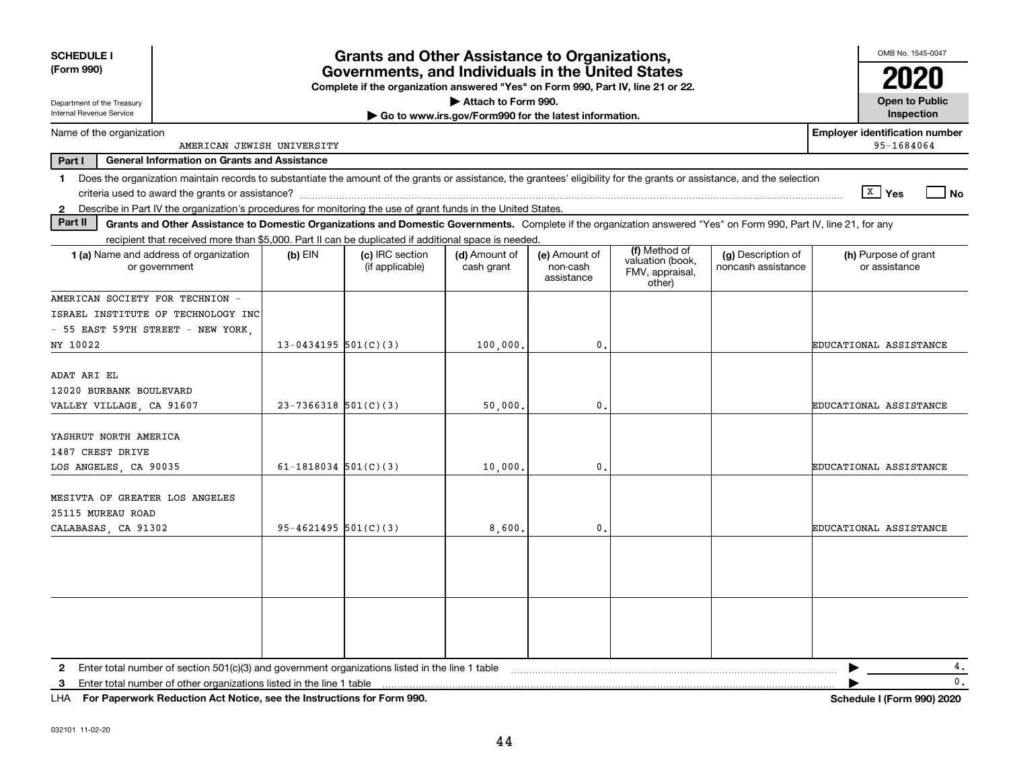| <b>SCHEDULE I</b><br>(Form 990)                                                                                                                                                         |                          | <b>Grants and Other Assistance to Organizations,</b><br>Governments, and Individuals in the United States<br>Complete if the organization answered "Yes" on Form 990, Part IV, line 21 or 22. |                                                       |                                         |                                                                |                                          | OMB No. 1545-0047                     |
|-----------------------------------------------------------------------------------------------------------------------------------------------------------------------------------------|--------------------------|-----------------------------------------------------------------------------------------------------------------------------------------------------------------------------------------------|-------------------------------------------------------|-----------------------------------------|----------------------------------------------------------------|------------------------------------------|---------------------------------------|
| Department of the Treasury<br>Internal Revenue Service                                                                                                                                  |                          |                                                                                                                                                                                               | Attach to Form 990.                                   |                                         |                                                                |                                          | <b>Open to Public</b><br>Inspection   |
| Name of the organization                                                                                                                                                                |                          |                                                                                                                                                                                               | Go to www.irs.gov/Form990 for the latest information. |                                         |                                                                |                                          | <b>Employer identification number</b> |
| AMERICAN JEWISH UNIVERSITY                                                                                                                                                              |                          |                                                                                                                                                                                               |                                                       |                                         |                                                                |                                          | 95-1684064                            |
| Part I<br><b>General Information on Grants and Assistance</b>                                                                                                                           |                          |                                                                                                                                                                                               |                                                       |                                         |                                                                |                                          |                                       |
| Does the organization maintain records to substantiate the amount of the grants or assistance, the grantees' eligibility for the grants or assistance, and the selection<br>$\mathbf 1$ |                          |                                                                                                                                                                                               |                                                       |                                         |                                                                |                                          | $\sqrt{X}$ Yes                        |
| Describe in Part IV the organization's procedures for monitoring the use of grant funds in the United States.<br>$2^{\circ}$                                                            |                          |                                                                                                                                                                                               |                                                       |                                         |                                                                |                                          | No                                    |
| Part II<br>Grants and Other Assistance to Domestic Organizations and Domestic Governments. Complete if the organization answered "Yes" on Form 990, Part IV, line 21, for any           |                          |                                                                                                                                                                                               |                                                       |                                         |                                                                |                                          |                                       |
| recipient that received more than \$5,000. Part II can be duplicated if additional space is needed.                                                                                     |                          |                                                                                                                                                                                               |                                                       |                                         |                                                                |                                          |                                       |
| <b>1 (a)</b> Name and address of organization<br>or government                                                                                                                          | $(b)$ EIN                | (c) IRC section<br>(if applicable)                                                                                                                                                            | (d) Amount of<br>cash grant                           | (e) Amount of<br>non-cash<br>assistance | (f) Method of<br>valuation (book,<br>FMV, appraisal,<br>other) | (g) Description of<br>noncash assistance | (h) Purpose of grant<br>or assistance |
| AMERICAN SOCIETY FOR TECHNION -                                                                                                                                                         |                          |                                                                                                                                                                                               |                                                       |                                         |                                                                |                                          |                                       |
| ISRAEL INSTITUTE OF TECHNOLOGY INC                                                                                                                                                      |                          |                                                                                                                                                                                               |                                                       |                                         |                                                                |                                          |                                       |
| - 55 EAST 59TH STREET - NEW YORK                                                                                                                                                        |                          |                                                                                                                                                                                               |                                                       |                                         |                                                                |                                          |                                       |
| NY 10022                                                                                                                                                                                | $13 - 0434195$ 501(C)(3) |                                                                                                                                                                                               | 100,000                                               | $\mathbf{0}$ .                          |                                                                |                                          | EDUCATIONAL ASSISTANCE                |
| ADAT ARI EL<br>12020 BURBANK BOULEVARD<br>VALLEY VILLAGE, CA 91607                                                                                                                      | $23-7366318$ 501(C)(3)   |                                                                                                                                                                                               | 50,000                                                | 0.                                      |                                                                |                                          | EDUCATIONAL ASSISTANCE                |
| YASHRUT NORTH AMERICA<br>1487 CREST DRIVE<br>LOS ANGELES, CA 90035                                                                                                                      | 61-1818034 $501(C)(3)$   |                                                                                                                                                                                               | 10,000                                                | $\mathbf{0}$ .                          |                                                                |                                          | EDUCATIONAL ASSISTANCE                |
| MESIVTA OF GREATER LOS ANGELES<br>25115 MUREAU ROAD<br>CALABASAS, CA 91302                                                                                                              | $95 - 4621495$ 501(C)(3) |                                                                                                                                                                                               | 8,600.                                                | $\mathbf{0}$ .                          |                                                                |                                          | EDUCATIONAL ASSISTANCE                |
|                                                                                                                                                                                         |                          |                                                                                                                                                                                               |                                                       |                                         |                                                                |                                          |                                       |
| Enter total number of section 501(c)(3) and government organizations listed in the line 1 table<br>2                                                                                    |                          |                                                                                                                                                                                               |                                                       |                                         |                                                                |                                          | 4.                                    |
| Enter total number of other organizations listed in the line 1 table<br>3                                                                                                               |                          |                                                                                                                                                                                               |                                                       |                                         |                                                                |                                          | 0.                                    |

**For Paperwork Reduction Act Notice, see the Instructions for Form 990. Schedule I (Form 990) 2020** LHA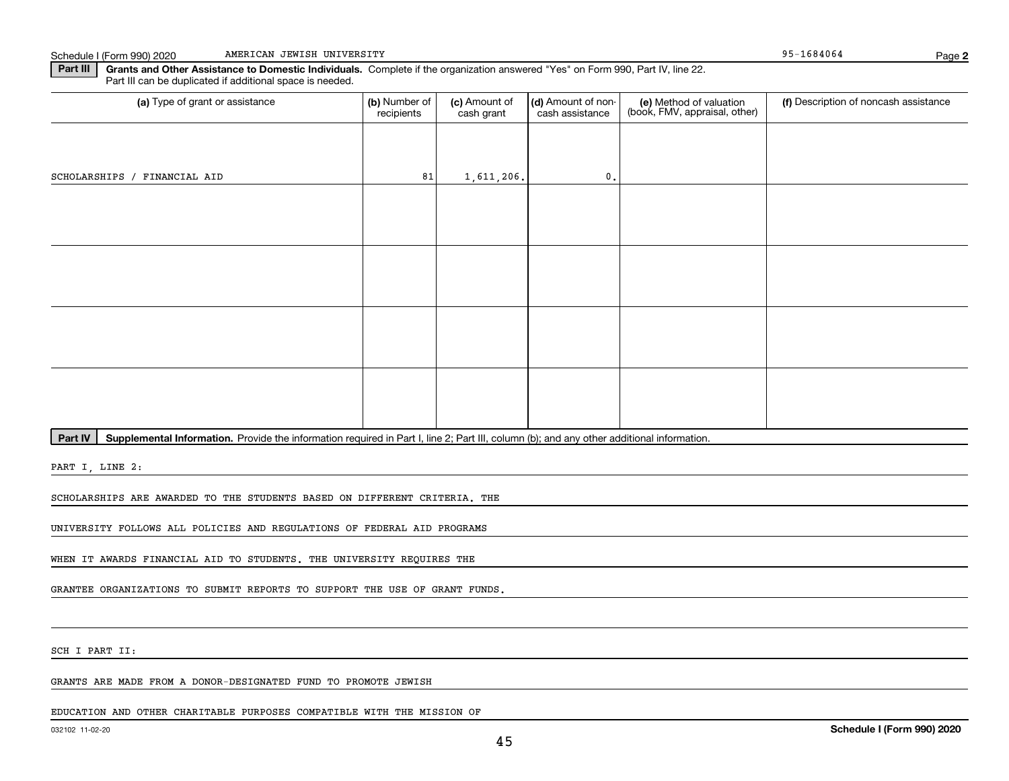Schedule I (Form 990) 2020 AMERICAN JEWISH UNIVERSITY NAMER (1999) 2020 295-1684064 AMERICAN JEWISH UNIVERSITY

**2**

**Part III** | Grants and Other Assistance to Domestic Individuals. Complete if the organization answered "Yes" on Form 990, Part IV, line 22. Part III can be duplicated if additional space is needed.

| (a) Type of grant or assistance | (b) Number of<br>recipients | (c) Amount of<br>cash grant | (d) Amount of non-<br>cash assistance | (e) Method of valuation<br>(book, FMV, appraisal, other) | (f) Description of noncash assistance |
|---------------------------------|-----------------------------|-----------------------------|---------------------------------------|----------------------------------------------------------|---------------------------------------|
|                                 |                             |                             |                                       |                                                          |                                       |
| SCHOLARSHIPS / FINANCIAL AID    | 81                          | 1,611,206.                  | $\mathbf{0}$ .                        |                                                          |                                       |
|                                 |                             |                             |                                       |                                                          |                                       |
|                                 |                             |                             |                                       |                                                          |                                       |
|                                 |                             |                             |                                       |                                                          |                                       |
|                                 |                             |                             |                                       |                                                          |                                       |
|                                 |                             |                             |                                       |                                                          |                                       |
|                                 |                             |                             |                                       |                                                          |                                       |
|                                 |                             |                             |                                       |                                                          |                                       |
|                                 |                             |                             |                                       |                                                          |                                       |

Part IV | Supplemental Information. Provide the information required in Part I, line 2; Part III, column (b); and any other additional information.

PART I, LINE 2:

SCHOLARSHIPS ARE AWARDED TO THE STUDENTS BASED ON DIFFERENT CRITERIA. THE

UNIVERSITY FOLLOWS ALL POLICIES AND REGULATIONS OF FEDERAL AID PROGRAMS

WHEN IT AWARDS FINANCIAL AID TO STUDENTS. THE UNIVERSITY REQUIRES THE

GRANTEE ORGANIZATIONS TO SUBMIT REPORTS TO SUPPORT THE USE OF GRANT FUNDS.

SCH I PART II:

GRANTS ARE MADE FROM A DONOR-DESIGNATED FUND TO PROMOTE JEWISH

EDUCATION AND OTHER CHARITABLE PURPOSES COMPATIBLE WITH THE MISSION OF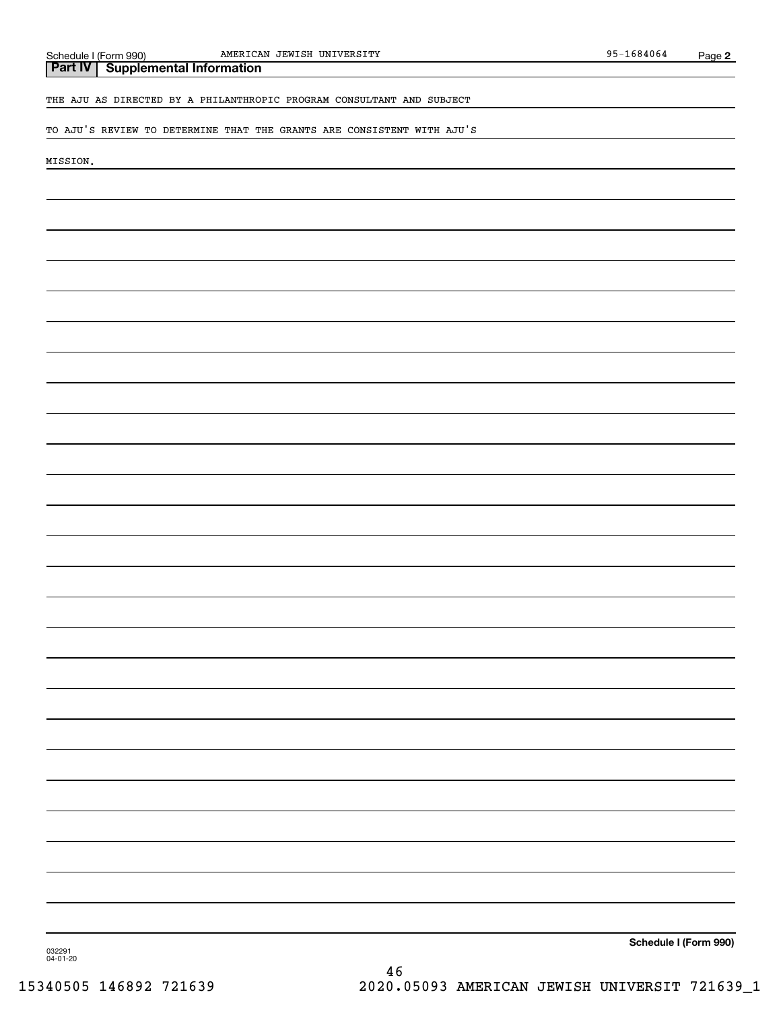# THE AJU AS DIRECTED BY A PHILANTHROPIC PROGRAM CONSULTANT AND SUBJECT

#### TO AJU'S REVIEW TO DETERMINE THAT THE GRANTS ARE CONSISTENT WITH AJU'S

MISSION.

**Schedule I (Form 990)**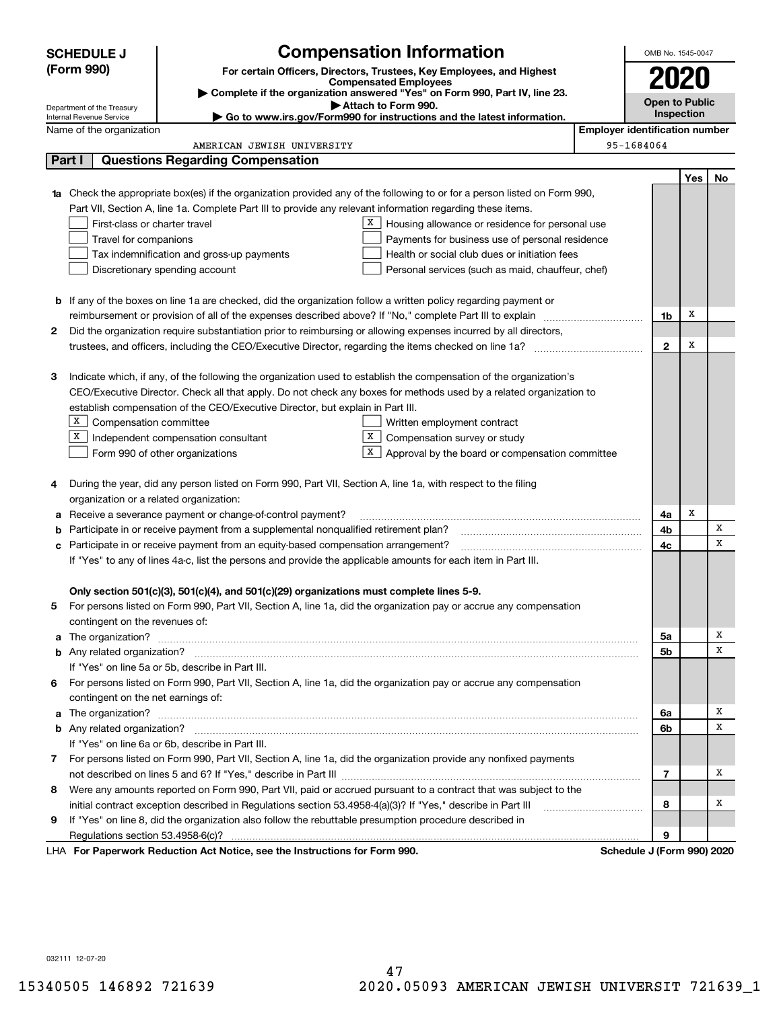|    | <b>SCHEDULE J</b>                       | <b>Compensation Information</b>                                                                                                                                                                                                      | OMB No. 1545-0047                     |     |    |  |  |
|----|-----------------------------------------|--------------------------------------------------------------------------------------------------------------------------------------------------------------------------------------------------------------------------------------|---------------------------------------|-----|----|--|--|
|    | (Form 990)                              | For certain Officers, Directors, Trustees, Key Employees, and Highest                                                                                                                                                                |                                       |     |    |  |  |
|    |                                         | <b>Compensated Employees</b>                                                                                                                                                                                                         | 2020                                  |     |    |  |  |
|    | Department of the Treasury              | Complete if the organization answered "Yes" on Form 990, Part IV, line 23.<br>Attach to Form 990.                                                                                                                                    | <b>Open to Public</b>                 |     |    |  |  |
|    | Internal Revenue Service                | Go to www.irs.gov/Form990 for instructions and the latest information.                                                                                                                                                               | Inspection                            |     |    |  |  |
|    | Name of the organization                |                                                                                                                                                                                                                                      | <b>Employer identification number</b> |     |    |  |  |
|    |                                         | AMERICAN JEWISH UNIVERSITY                                                                                                                                                                                                           | 95-1684064                            |     |    |  |  |
|    | Part I                                  | <b>Questions Regarding Compensation</b>                                                                                                                                                                                              |                                       |     |    |  |  |
|    |                                         |                                                                                                                                                                                                                                      |                                       | Yes | No |  |  |
| 1a |                                         | Check the appropriate box(es) if the organization provided any of the following to or for a person listed on Form 990,                                                                                                               |                                       |     |    |  |  |
|    |                                         | Part VII, Section A, line 1a. Complete Part III to provide any relevant information regarding these items.                                                                                                                           |                                       |     |    |  |  |
|    | First-class or charter travel           | X  <br>Housing allowance or residence for personal use                                                                                                                                                                               |                                       |     |    |  |  |
|    | Travel for companions                   | Payments for business use of personal residence                                                                                                                                                                                      |                                       |     |    |  |  |
|    |                                         | Health or social club dues or initiation fees<br>Tax indemnification and gross-up payments                                                                                                                                           |                                       |     |    |  |  |
|    |                                         | Discretionary spending account<br>Personal services (such as maid, chauffeur, chef)                                                                                                                                                  |                                       |     |    |  |  |
|    |                                         |                                                                                                                                                                                                                                      |                                       |     |    |  |  |
|    |                                         | <b>b</b> If any of the boxes on line 1a are checked, did the organization follow a written policy regarding payment or                                                                                                               |                                       |     |    |  |  |
|    |                                         | reimbursement or provision of all of the expenses described above? If "No," complete Part III to explain                                                                                                                             | 1b                                    | x   |    |  |  |
| 2  |                                         | Did the organization require substantiation prior to reimbursing or allowing expenses incurred by all directors,                                                                                                                     |                                       | X   |    |  |  |
|    |                                         |                                                                                                                                                                                                                                      | 2                                     |     |    |  |  |
|    |                                         |                                                                                                                                                                                                                                      |                                       |     |    |  |  |
| з  |                                         | Indicate which, if any, of the following the organization used to establish the compensation of the organization's                                                                                                                   |                                       |     |    |  |  |
|    |                                         | CEO/Executive Director. Check all that apply. Do not check any boxes for methods used by a related organization to                                                                                                                   |                                       |     |    |  |  |
|    | X                                       | establish compensation of the CEO/Executive Director, but explain in Part III.                                                                                                                                                       |                                       |     |    |  |  |
|    | Compensation committee<br>  X           | Written employment contract<br>X                                                                                                                                                                                                     |                                       |     |    |  |  |
|    |                                         | Independent compensation consultant<br>Compensation survey or study<br>X                                                                                                                                                             |                                       |     |    |  |  |
|    |                                         | Form 990 of other organizations<br>Approval by the board or compensation committee                                                                                                                                                   |                                       |     |    |  |  |
| 4  |                                         | During the year, did any person listed on Form 990, Part VII, Section A, line 1a, with respect to the filing                                                                                                                         |                                       |     |    |  |  |
|    | organization or a related organization: |                                                                                                                                                                                                                                      |                                       |     |    |  |  |
| а  |                                         | Receive a severance payment or change-of-control payment?                                                                                                                                                                            | 4a                                    | x   |    |  |  |
| b  |                                         | Participate in or receive payment from a supplemental nonqualified retirement plan?                                                                                                                                                  | 4b                                    |     | X  |  |  |
| с  |                                         | Participate in or receive payment from an equity-based compensation arrangement?                                                                                                                                                     | 4c                                    |     | X  |  |  |
|    |                                         | If "Yes" to any of lines 4a-c, list the persons and provide the applicable amounts for each item in Part III.                                                                                                                        |                                       |     |    |  |  |
|    |                                         |                                                                                                                                                                                                                                      |                                       |     |    |  |  |
|    |                                         | Only section 501(c)(3), 501(c)(4), and 501(c)(29) organizations must complete lines 5-9.                                                                                                                                             |                                       |     |    |  |  |
|    |                                         | For persons listed on Form 990, Part VII, Section A, line 1a, did the organization pay or accrue any compensation                                                                                                                    |                                       |     |    |  |  |
|    | contingent on the revenues of:          |                                                                                                                                                                                                                                      |                                       |     |    |  |  |
| a  |                                         |                                                                                                                                                                                                                                      | 5a                                    |     | x  |  |  |
|    |                                         |                                                                                                                                                                                                                                      | 5b                                    |     | х  |  |  |
|    |                                         | If "Yes" on line 5a or 5b, describe in Part III.                                                                                                                                                                                     |                                       |     |    |  |  |
| 6. |                                         | For persons listed on Form 990, Part VII, Section A, line 1a, did the organization pay or accrue any compensation                                                                                                                    |                                       |     |    |  |  |
|    | contingent on the net earnings of:      |                                                                                                                                                                                                                                      |                                       |     |    |  |  |
|    |                                         | The organization? <b>With the contract of the contract of the contract of the contract of the contract of the contract of the contract of the contract of the contract of the contract of the contract of the contract of the co</b> | 6a                                    |     | х  |  |  |
|    |                                         |                                                                                                                                                                                                                                      | 6b                                    |     | х  |  |  |
|    |                                         | If "Yes" on line 6a or 6b, describe in Part III.                                                                                                                                                                                     |                                       |     |    |  |  |
|    |                                         | 7 For persons listed on Form 990, Part VII, Section A, line 1a, did the organization provide any nonfixed payments                                                                                                                   |                                       |     |    |  |  |
|    |                                         |                                                                                                                                                                                                                                      | $\overline{7}$                        |     | x  |  |  |
| 8  |                                         | Were any amounts reported on Form 990, Part VII, paid or accrued pursuant to a contract that was subject to the                                                                                                                      |                                       |     |    |  |  |
|    |                                         | initial contract exception described in Regulations section 53.4958-4(a)(3)? If "Yes," describe in Part III                                                                                                                          | 8                                     |     | x  |  |  |
| 9  |                                         | If "Yes" on line 8, did the organization also follow the rebuttable presumption procedure described in                                                                                                                               |                                       |     |    |  |  |
|    | Regulations section 53.4958-6(c)?       |                                                                                                                                                                                                                                      | 9                                     |     |    |  |  |
|    |                                         | LHA For Paperwork Reduction Act Notice, see the Instructions for Form 990.                                                                                                                                                           | Schedule J (Form 990) 2020            |     |    |  |  |

032111 12-07-20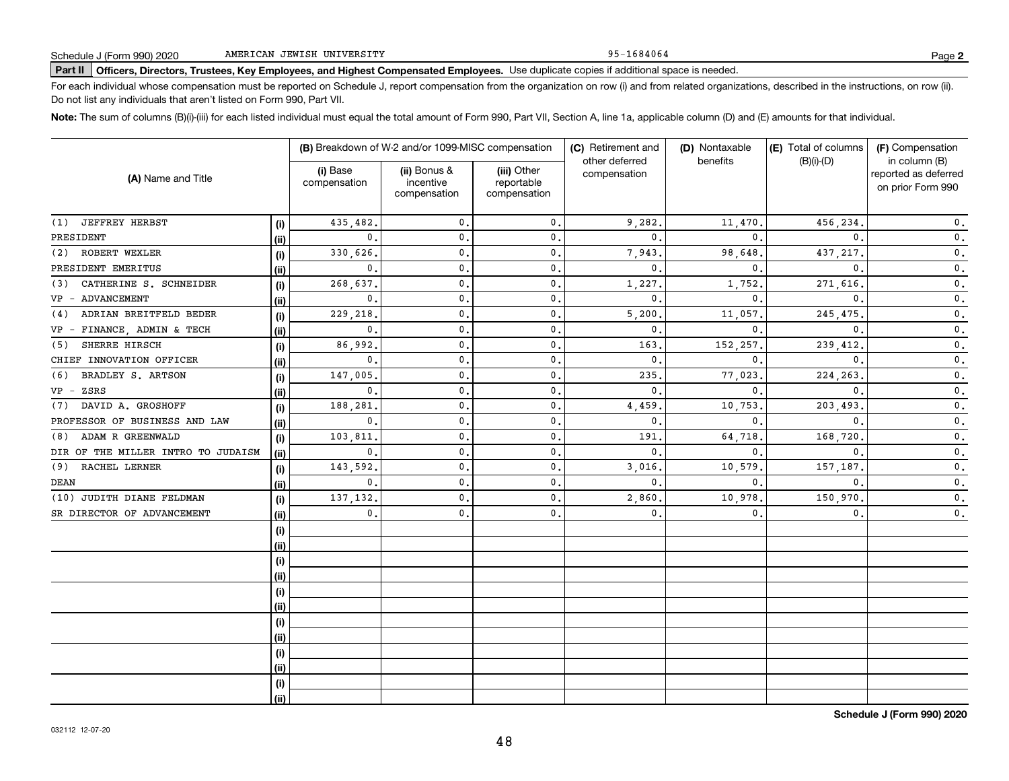95-1684064

# **Part II Officers, Directors, Trustees, Key Employees, and Highest Compensated Employees.**  Schedule J (Form 990) 2020 Page Use duplicate copies if additional space is needed.

For each individual whose compensation must be reported on Schedule J, report compensation from the organization on row (i) and from related organizations, described in the instructions, on row (ii). Do not list any individuals that aren't listed on Form 990, Part VII.

**Note:**  The sum of columns (B)(i)-(iii) for each listed individual must equal the total amount of Form 990, Part VII, Section A, line 1a, applicable column (D) and (E) amounts for that individual.

|                                    |      |                          | (B) Breakdown of W-2 and/or 1099-MISC compensation |                                           | (C) Retirement and<br>other deferred | (D) Nontaxable<br>benefits | (E) Total of columns<br>$(B)(i)$ - $(D)$ | (F) Compensation<br>in column (B)         |  |
|------------------------------------|------|--------------------------|----------------------------------------------------|-------------------------------------------|--------------------------------------|----------------------------|------------------------------------------|-------------------------------------------|--|
| (A) Name and Title                 |      | (i) Base<br>compensation | (ii) Bonus &<br>incentive<br>compensation          | (iii) Other<br>reportable<br>compensation | compensation                         |                            |                                          | reported as deferred<br>on prior Form 990 |  |
| JEFFREY HERBST<br>(1)              | (i)  | 435,482.                 | $^{\rm 0}$ .                                       | 0.                                        | 9,282                                | 11,470.                    | 456,234.                                 | $\mathbf 0$ .                             |  |
| PRESIDENT                          | (ii) | $\mathbf{0}$ .           | $\mathbf 0$ .                                      | $\mathbf{0}$ .                            | 0.                                   | $\Omega$                   | $\Omega$                                 | $\mathbf 0$ .                             |  |
| ROBERT WEXLER<br>(2)               | (i)  | 330,626.                 | $\mathfrak o$ .                                    | $\mathbf{0}$ .                            | 7,943                                | 98,648                     | 437, 217.                                | $\mathbf 0$ .                             |  |
| PRESIDENT EMERITUS                 | (i)  | $\mathbf{0}$ .           | $\mathbf{0}$ .                                     | $\mathbf{0}$ .                            | 0.                                   | $\Omega$                   | $\Omega$                                 | $\mathfrak o$ .                           |  |
| CATHERINE S. SCHNEIDER<br>(3)      | (i)  | 268,637.                 | $\mathbf 0$ .                                      | 0.                                        | 1,227                                | 1,752                      | 271,616.                                 | $\mathfrak o$ .                           |  |
| VP - ADVANCEMENT                   | (i)  | $\mathbf{0}$ .           | $\mathbf 0$ .                                      | 0.                                        | $\mathbf{0}$                         | $\mathbf{0}$ .             | $\mathbf{0}$ .                           | $\mathfrak o$ .                           |  |
| ADRIAN BREITFELD BEDER<br>(4)      | (i)  | 229,218.                 | $\mathbf 0$ .                                      | 0.                                        | 5,200                                | 11,057                     | 245, 475.                                | $\mathbf 0$ .                             |  |
| FINANCE, ADMIN & TECH<br>$VP -$    | (ii) | $\mathbf{0}$ .           | $\mathbf 0$ .                                      | 0.                                        | $\mathbf{0}$                         | $\mathbf{0}$               | $\mathbf{0}$ .                           | 0.                                        |  |
| (5)<br>SHERRE HIRSCH               | (i)  | 86,992.                  | $\mathbf 0$ .                                      | 0.                                        | 163                                  | 152,257                    | 239,412                                  | 0.                                        |  |
| CHIEF INNOVATION OFFICER           | (i)  | $\mathbf 0$ .            | $\mathbf 0$ .                                      | 0.                                        | $\mathbf{0}$                         | $\mathbf{0}$               | $\mathbf{0}$                             | 0.                                        |  |
| BRADLEY S. ARTSON<br>(6)           | (i)  | 147,005                  | $\mathbf{0}$                                       | 0.                                        | 235                                  | 77,023                     | 224,263                                  | $\mathbf 0$ .                             |  |
| ZSRS<br>$VP -$                     | (i)  | $\mathbf 0$ .            | $\mathbf{0}$                                       | 0.                                        | $\mathbf{0}$                         | $\mathbf{0}$ .             | $\mathbf{0}$                             | $\mathbf 0$ .                             |  |
| DAVID A. GROSHOFF<br>(7)           | (i)  | 188,281                  | $\mathbf{0}$                                       | 0.                                        | 4,459                                | 10,753.                    | 203,493                                  | $\mathbf 0$ .                             |  |
| PROFESSOR OF BUSINESS AND LAW      | (ii) | $\mathbf{0}$ .           | $\mathbf{0}$                                       | $\mathbf 0$ .                             | $\mathbf{0}$                         | $\mathbf{0}$ .             | $\mathbf{0}$                             | 0.                                        |  |
| ADAM R GREENWALD<br>(8)            | (i)  | 103,811                  | $\mathbf{0}$                                       | $\mathbf{0}$ .                            | 191                                  | 64,718                     | 168,720                                  | $\mathfrak o$ .                           |  |
| DIR OF THE MILLER INTRO TO JUDAISM | (ii) | $\mathbf 0$ .            | $\mathbf{0}$                                       | 0.                                        | $\mathbf{0}$                         | $\mathbf{0}$ .             | $\mathbf{0}$ .                           | 0.                                        |  |
| RACHEL LERNER<br>(9)               | (i)  | 143,592.                 | $\mathbf{0}$                                       | 0.                                        | 3,016                                | 10,579                     | 157,187                                  | 0.                                        |  |
| DEAN                               | (i)  | $\mathbf 0$ .            | $\mathbf{0}$                                       | 0.                                        | $\mathbf{0}$                         | 0.                         | $\mathbf{0}$ .                           | $\mathbf 0$ .                             |  |
| (10) JUDITH DIANE FELDMAN          | (i)  | 137,132.                 | $\mathbf 0$ .                                      | 0.                                        | 2,860                                | 10,978                     | 150,970.                                 | 0.                                        |  |
| SR DIRECTOR OF ADVANCEMENT         | (i)  | $\mathbf{0}$ .           | $\mathbf 0$ .                                      | $\mathbf{0}$ .                            | 0.                                   | 0.                         | $\mathbf 0$ .                            | 0.                                        |  |
|                                    | (i)  |                          |                                                    |                                           |                                      |                            |                                          |                                           |  |
|                                    | (ii) |                          |                                                    |                                           |                                      |                            |                                          |                                           |  |
|                                    | (i)  |                          |                                                    |                                           |                                      |                            |                                          |                                           |  |
|                                    | (ii) |                          |                                                    |                                           |                                      |                            |                                          |                                           |  |
|                                    | (i)  |                          |                                                    |                                           |                                      |                            |                                          |                                           |  |
|                                    | (ii) |                          |                                                    |                                           |                                      |                            |                                          |                                           |  |
|                                    | (i)  |                          |                                                    |                                           |                                      |                            |                                          |                                           |  |
|                                    | (ii) |                          |                                                    |                                           |                                      |                            |                                          |                                           |  |
|                                    | (i)  |                          |                                                    |                                           |                                      |                            |                                          |                                           |  |
|                                    | (ii) |                          |                                                    |                                           |                                      |                            |                                          |                                           |  |
|                                    | (i)  |                          |                                                    |                                           |                                      |                            |                                          |                                           |  |
|                                    | (ii) |                          |                                                    |                                           |                                      |                            |                                          |                                           |  |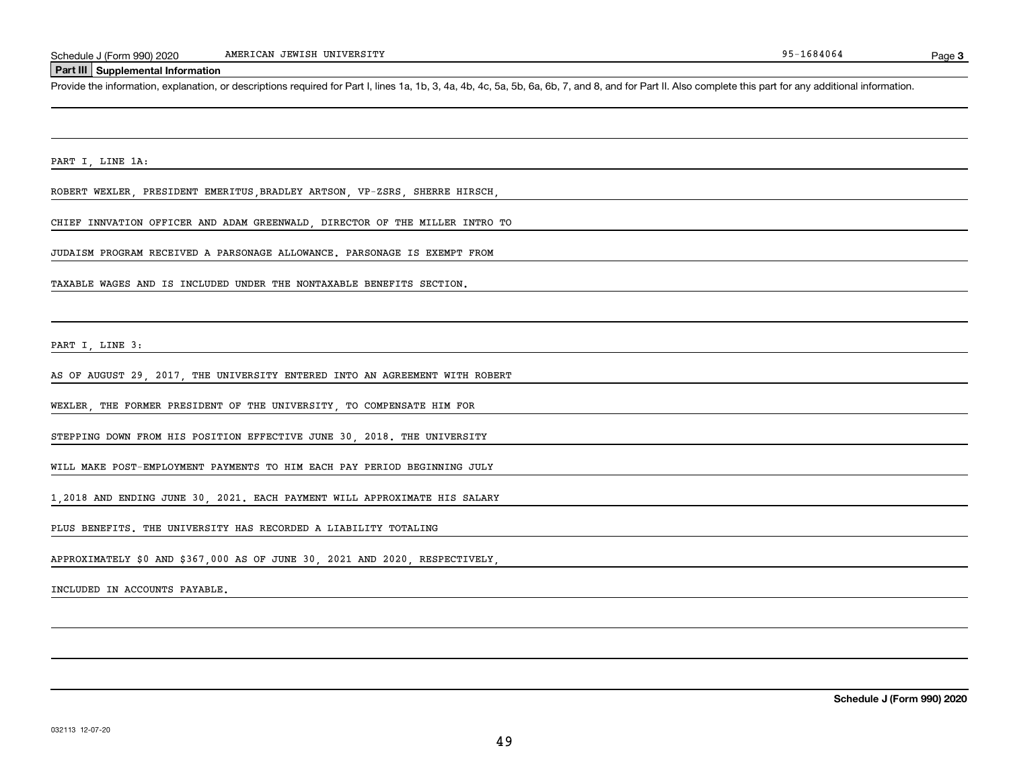#### **Part III Supplemental Information**

Schedule J (Form 990) 2020 MMERICAN JEWISH UNIVERSITY<br>Part III Supplemental Information<br>Provide the information, explanation, or descriptions required for Part I, lines 1a, 1b, 3, 4a, 4b, 4c, 5a, 5b, 6a, 6b, 7, and 8, and

PART I, LINE 1A:

ROBERT WEXLER, PRESIDENT EMERITUS,BRADLEY ARTSON, VP-ZSRS, SHERRE HIRSCH,

CHIEF INNVATION OFFICER AND ADAM GREENWALD, DIRECTOR OF THE MILLER INTRO TO

JUDAISM PROGRAM RECEIVED A PARSONAGE ALLOWANCE. PARSONAGE IS EXEMPT FROM

TAXABLE WAGES AND IS INCLUDED UNDER THE NONTAXABLE BENEFITS SECTION.

PART I, LINE 3:

AS OF AUGUST 29, 2017, THE UNIVERSITY ENTERED INTO AN AGREEMENT WITH ROBERT

WEXLER, THE FORMER PRESIDENT OF THE UNIVERSITY, TO COMPENSATE HIM FOR

STEPPING DOWN FROM HIS POSITION EFFECTIVE JUNE 30, 2018. THE UNIVERSITY

WILL MAKE POST-EMPLOYMENT PAYMENTS TO HIM EACH PAY PERIOD BEGINNING JULY

1,2018 AND ENDING JUNE 30, 2021. EACH PAYMENT WILL APPROXIMATE HIS SALARY

PLUS BENEFITS. THE UNIVERSITY HAS RECORDED A LIABILITY TOTALING

APPROXIMATELY \$0 AND \$367,000 AS OF JUNE 30, 2021 AND 2020, RESPECTIVELY,

INCLUDED IN ACCOUNTS PAYABLE.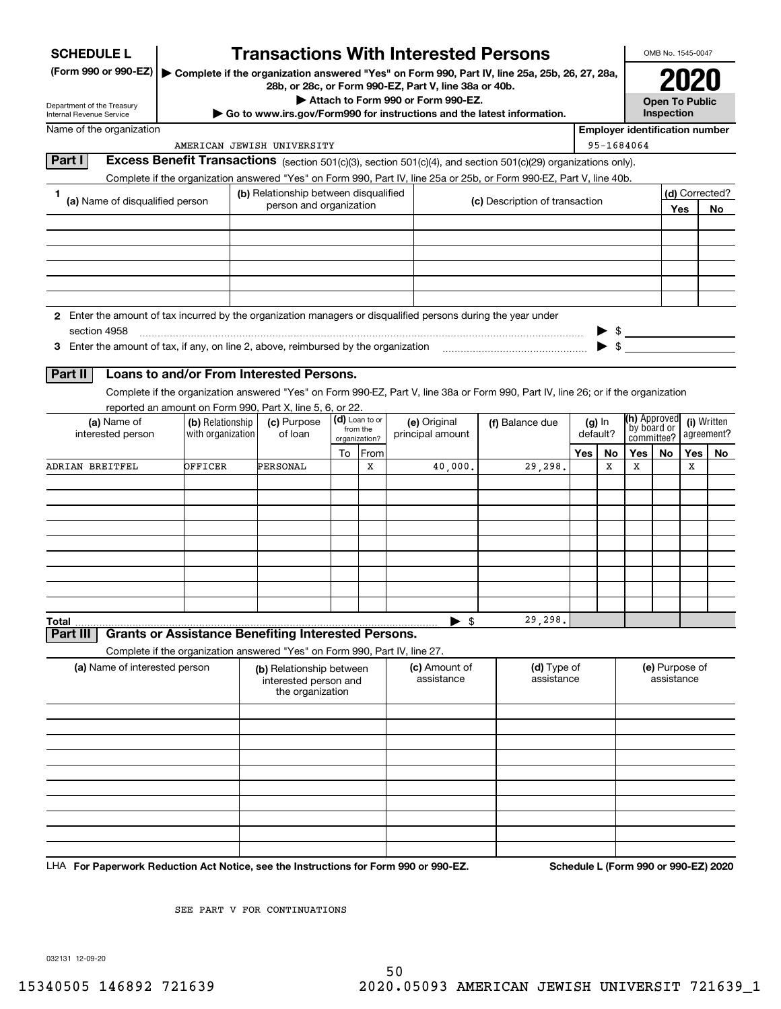| <b>SCHEDULE L</b>                                                                                             |                                                                                                                                          |                                           | <b>Transactions With Interested Persons</b>                      |              |               |                                                       |  |                                                                                               |                             |          |                                       | OMB No. 1545-0047 |            |                      |
|---------------------------------------------------------------------------------------------------------------|------------------------------------------------------------------------------------------------------------------------------------------|-------------------------------------------|------------------------------------------------------------------|--------------|---------------|-------------------------------------------------------|--|-----------------------------------------------------------------------------------------------|-----------------------------|----------|---------------------------------------|-------------------|------------|----------------------|
| (Form 990 or 990-EZ)                                                                                          |                                                                                                                                          |                                           |                                                                  |              |               |                                                       |  | Complete if the organization answered "Yes" on Form 990, Part IV, line 25a, 25b, 26, 27, 28a, |                             |          |                                       |                   |            |                      |
|                                                                                                               |                                                                                                                                          |                                           |                                                                  |              |               | 28b, or 28c, or Form 990-EZ, Part V, line 38a or 40b. |  |                                                                                               |                             |          |                                       |                   |            |                      |
| Department of the Treasury<br><b>Internal Revenue Service</b>                                                 |                                                                                                                                          |                                           |                                                                  |              |               | Attach to Form 990 or Form 990-EZ.                    |  | Go to www.irs.gov/Form990 for instructions and the latest information.                        |                             |          | <b>Open To Public</b><br>Inspection   |                   |            |                      |
| Name of the organization                                                                                      |                                                                                                                                          |                                           |                                                                  |              |               |                                                       |  |                                                                                               |                             |          | <b>Employer identification number</b> |                   |            |                      |
|                                                                                                               |                                                                                                                                          |                                           | AMERICAN JEWISH UNIVERSITY                                       |              |               |                                                       |  |                                                                                               |                             |          | 95-1684064                            |                   |            |                      |
| Part I                                                                                                        | Excess Benefit Transactions (section 501(c)(3), section 501(c)(4), and section 501(c)(29) organizations only).                           |                                           |                                                                  |              |               |                                                       |  |                                                                                               |                             |          |                                       |                   |            |                      |
|                                                                                                               | Complete if the organization answered "Yes" on Form 990, Part IV, line 25a or 25b, or Form 990-EZ, Part V, line 40b.                     |                                           |                                                                  |              |               |                                                       |  |                                                                                               |                             |          |                                       |                   |            |                      |
| 1<br>(a) Name of disqualified person                                                                          |                                                                                                                                          |                                           | (b) Relationship between disqualified<br>person and organization |              |               |                                                       |  | (c) Description of transaction                                                                |                             |          |                                       |                   | Yes        | (d) Corrected?<br>No |
|                                                                                                               |                                                                                                                                          |                                           |                                                                  |              |               |                                                       |  |                                                                                               |                             |          |                                       |                   |            |                      |
|                                                                                                               |                                                                                                                                          |                                           |                                                                  |              |               |                                                       |  |                                                                                               |                             |          |                                       |                   |            |                      |
|                                                                                                               |                                                                                                                                          |                                           |                                                                  |              |               |                                                       |  |                                                                                               |                             |          |                                       |                   |            |                      |
|                                                                                                               |                                                                                                                                          |                                           |                                                                  |              |               |                                                       |  |                                                                                               |                             |          |                                       |                   |            |                      |
|                                                                                                               |                                                                                                                                          |                                           |                                                                  |              |               |                                                       |  |                                                                                               |                             |          |                                       |                   |            |                      |
| 2 Enter the amount of tax incurred by the organization managers or disqualified persons during the year under |                                                                                                                                          |                                           |                                                                  |              |               |                                                       |  |                                                                                               |                             |          |                                       |                   |            |                      |
| section 4958                                                                                                  |                                                                                                                                          |                                           |                                                                  |              |               |                                                       |  |                                                                                               |                             |          | $$\overline{\phantom{a}3}$            |                   |            |                      |
| 3 Enter the amount of tax, if any, on line 2, above, reimbursed by the organization                           |                                                                                                                                          |                                           |                                                                  |              |               |                                                       |  |                                                                                               |                             |          |                                       |                   |            |                      |
| Part II                                                                                                       | Loans to and/or From Interested Persons.                                                                                                 |                                           |                                                                  |              |               |                                                       |  |                                                                                               |                             |          |                                       |                   |            |                      |
|                                                                                                               | Complete if the organization answered "Yes" on Form 990-EZ, Part V, line 38a or Form 990, Part IV, line 26; or if the organization       |                                           |                                                                  |              |               |                                                       |  |                                                                                               |                             |          |                                       |                   |            |                      |
|                                                                                                               | reported an amount on Form 990, Part X, line 5, 6, or 22.                                                                                |                                           |                                                                  |              |               |                                                       |  |                                                                                               |                             |          |                                       |                   |            |                      |
| (a) Name of<br>(b) Relationship                                                                               |                                                                                                                                          | (d) Loan to or<br>(c) Purpose<br>from the |                                                                  | (e) Original |               | (f) Balance due                                       |  | $(g)$ In                                                                                      | (h) Approved<br>by board or |          | (i) Written                           |                   |            |                      |
|                                                                                                               | of loan<br>interested person<br>with organization                                                                                        |                                           |                                                                  |              | organization? | principal amount                                      |  |                                                                                               |                             | default? | committee?                            |                   |            | agreement?           |
| ADRIAN BREITFEL                                                                                               | OFFICER                                                                                                                                  |                                           | PERSONAL                                                         | To           | From<br>х     | 40,000.                                               |  | 29,298.                                                                                       | Yes                         | No<br>х  | Yes $ $<br>х                          | No                | Yes  <br>х | No                   |
|                                                                                                               |                                                                                                                                          |                                           |                                                                  |              |               |                                                       |  |                                                                                               |                             |          |                                       |                   |            |                      |
|                                                                                                               |                                                                                                                                          |                                           |                                                                  |              |               |                                                       |  |                                                                                               |                             |          |                                       |                   |            |                      |
|                                                                                                               |                                                                                                                                          |                                           |                                                                  |              |               |                                                       |  |                                                                                               |                             |          |                                       |                   |            |                      |
|                                                                                                               |                                                                                                                                          |                                           |                                                                  |              |               |                                                       |  |                                                                                               |                             |          |                                       |                   |            |                      |
|                                                                                                               |                                                                                                                                          |                                           |                                                                  |              |               |                                                       |  |                                                                                               |                             |          |                                       |                   |            |                      |
|                                                                                                               |                                                                                                                                          |                                           |                                                                  |              |               |                                                       |  |                                                                                               |                             |          |                                       |                   |            |                      |
|                                                                                                               |                                                                                                                                          |                                           |                                                                  |              |               |                                                       |  |                                                                                               |                             |          |                                       |                   |            |                      |
|                                                                                                               |                                                                                                                                          |                                           |                                                                  |              |               |                                                       |  |                                                                                               |                             |          |                                       |                   |            |                      |
| <b>Total</b>                                                                                                  |                                                                                                                                          |                                           |                                                                  |              |               | \$                                                    |  | 29,298.                                                                                       |                             |          |                                       |                   |            |                      |
| Part III                                                                                                      | <b>Grants or Assistance Benefiting Interested Persons.</b><br>Complete if the organization answered "Yes" on Form 990, Part IV, line 27. |                                           |                                                                  |              |               |                                                       |  |                                                                                               |                             |          |                                       |                   |            |                      |
| (a) Name of interested person                                                                                 |                                                                                                                                          |                                           | (b) Relationship between                                         |              |               | (c) Amount of                                         |  | (d) Type of                                                                                   |                             |          |                                       | (e) Purpose of    |            |                      |
|                                                                                                               |                                                                                                                                          |                                           | interested person and<br>the organization                        |              |               | assistance                                            |  | assistance                                                                                    |                             |          |                                       | assistance        |            |                      |
|                                                                                                               |                                                                                                                                          |                                           |                                                                  |              |               |                                                       |  |                                                                                               |                             |          |                                       |                   |            |                      |
|                                                                                                               |                                                                                                                                          |                                           |                                                                  |              |               |                                                       |  |                                                                                               |                             |          |                                       |                   |            |                      |
|                                                                                                               |                                                                                                                                          |                                           |                                                                  |              |               |                                                       |  |                                                                                               |                             |          |                                       |                   |            |                      |
|                                                                                                               |                                                                                                                                          |                                           |                                                                  |              |               |                                                       |  |                                                                                               |                             |          |                                       |                   |            |                      |
|                                                                                                               |                                                                                                                                          |                                           |                                                                  |              |               |                                                       |  |                                                                                               |                             |          |                                       |                   |            |                      |
|                                                                                                               |                                                                                                                                          |                                           |                                                                  |              |               |                                                       |  |                                                                                               |                             |          |                                       |                   |            |                      |
|                                                                                                               |                                                                                                                                          |                                           |                                                                  |              |               |                                                       |  |                                                                                               |                             |          |                                       |                   |            |                      |
|                                                                                                               |                                                                                                                                          |                                           |                                                                  |              |               |                                                       |  |                                                                                               |                             |          |                                       |                   |            |                      |
|                                                                                                               |                                                                                                                                          |                                           |                                                                  |              |               |                                                       |  |                                                                                               |                             |          |                                       |                   |            |                      |

LHA For Paperwork Reduction Act Notice, see the Instructions for Form 990 or 990-EZ. Schedule L (Form 990 or 990-EZ) 2020

SEE PART V FOR CONTINUATIONS

032131 12-09-20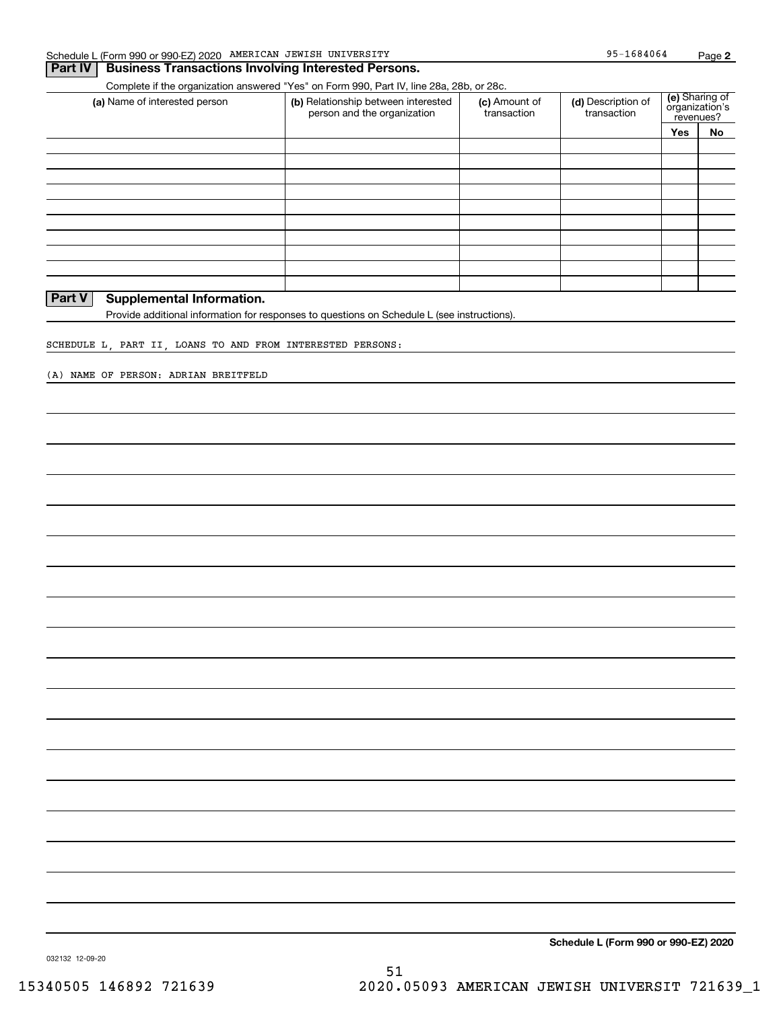## **Part IV Business Transactions Involving Interested Persons.**

Complete if the organization answered "Yes" on Form 990, Part IV, line 28a, 28b, or 28c.

| (a) Name of interested person | (b) Relationship between interested<br>person and the organization | (c) Amount of<br>transaction | (d) Description of<br>transaction |     | (e) Sharing of<br>organization's<br>revenues? |  |
|-------------------------------|--------------------------------------------------------------------|------------------------------|-----------------------------------|-----|-----------------------------------------------|--|
|                               |                                                                    |                              |                                   | Yes | No                                            |  |
|                               |                                                                    |                              |                                   |     |                                               |  |
|                               |                                                                    |                              |                                   |     |                                               |  |
|                               |                                                                    |                              |                                   |     |                                               |  |
|                               |                                                                    |                              |                                   |     |                                               |  |
|                               |                                                                    |                              |                                   |     |                                               |  |
|                               |                                                                    |                              |                                   |     |                                               |  |
|                               |                                                                    |                              |                                   |     |                                               |  |
|                               |                                                                    |                              |                                   |     |                                               |  |
|                               |                                                                    |                              |                                   |     |                                               |  |
|                               |                                                                    |                              |                                   |     |                                               |  |

## **Part V Supplemental Information.**

Provide additional information for responses to questions on Schedule L (see instructions).

SCHEDULE L, PART II, LOANS TO AND FROM INTERESTED PERSONS:

(A) NAME OF PERSON: ADRIAN BREITFELD

**Schedule L (Form 990 or 990-EZ) 2020**

032132 12-09-20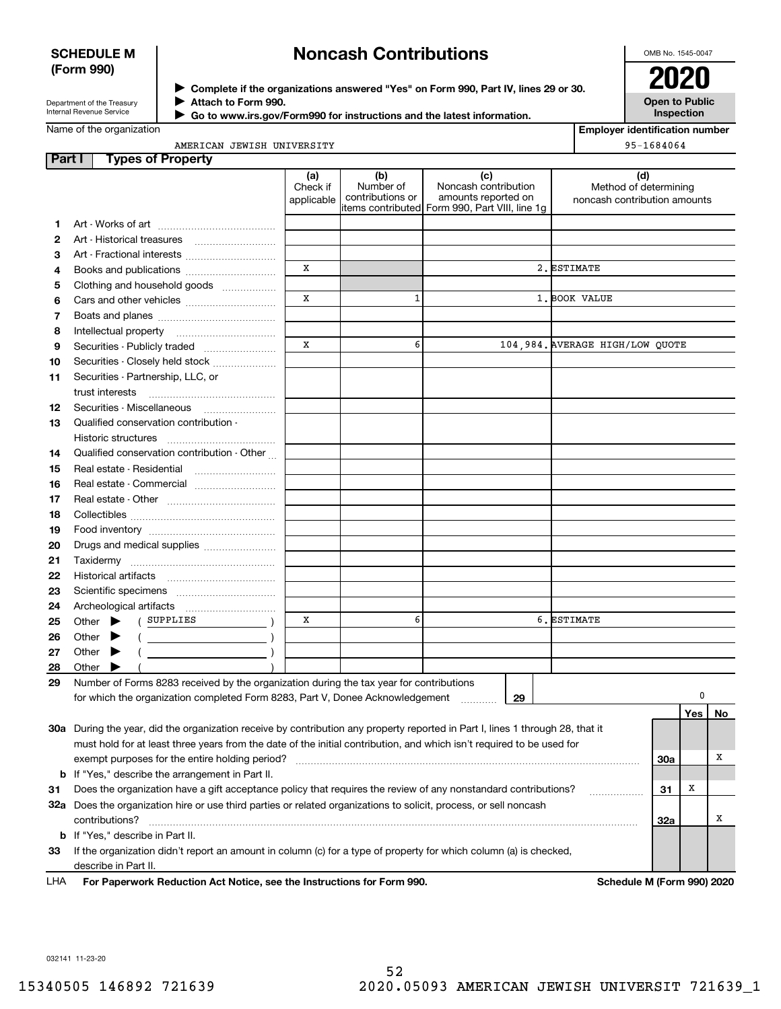## **SCHEDULE M (Form 990)**

# **Noncash Contributions**

OMB No. 1545-0047

| Department of the Treasury |  |
|----------------------------|--|
| Internal Revenue Service   |  |

**Complete if the organizations answered "Yes" on Form 990, Part IV, lines 29 or 30.** <sup>J</sup>**2020 Attach to Form 990.** J

 **Go to www.irs.gov/Form990 for instructions and the latest information.** J

**Open to Public Inspection**

**Employer identification number**

Name of the organization

|  | AMERICAN JEWISH UNIVERSITY |
|--|----------------------------|

|        | AMERICAN JEWISH UNIVERSITY                                                                                                          |                               | 95-1684064                           |                                                                                                      |                                                       |     |     |           |
|--------|-------------------------------------------------------------------------------------------------------------------------------------|-------------------------------|--------------------------------------|------------------------------------------------------------------------------------------------------|-------------------------------------------------------|-----|-----|-----------|
| Part I | <b>Types of Property</b>                                                                                                            |                               |                                      |                                                                                                      |                                                       |     |     |           |
|        |                                                                                                                                     | (a)<br>Check if<br>applicable | (b)<br>Number of<br>contributions or | (c)<br>Noncash contribution<br>amounts reported on<br>items contributed Form 990, Part VIII, line 1g | Method of determining<br>noncash contribution amounts | (d) |     |           |
| 1      |                                                                                                                                     |                               |                                      |                                                                                                      |                                                       |     |     |           |
| 2      | Art - Historical treasures                                                                                                          |                               |                                      |                                                                                                      |                                                       |     |     |           |
| З      | Art - Fractional interests                                                                                                          |                               |                                      |                                                                                                      |                                                       |     |     |           |
| 4      | Books and publications                                                                                                              | X                             |                                      |                                                                                                      | 2. ESTIMATE                                           |     |     |           |
| 5      | Clothing and household goods                                                                                                        |                               |                                      |                                                                                                      |                                                       |     |     |           |
| 6      |                                                                                                                                     | X                             | $\mathbf{1}$                         |                                                                                                      | 1. BOOK VALUE                                         |     |     |           |
| 7      |                                                                                                                                     |                               |                                      |                                                                                                      |                                                       |     |     |           |
| 8      |                                                                                                                                     |                               |                                      |                                                                                                      |                                                       |     |     |           |
| 9      | Securities - Publicly traded                                                                                                        | X                             | 6                                    |                                                                                                      | 104,984. AVERAGE HIGH/LOW QUOTE                       |     |     |           |
| 10     | Securities - Closely held stock                                                                                                     |                               |                                      |                                                                                                      |                                                       |     |     |           |
| 11     | Securities - Partnership, LLC, or<br>trust interests                                                                                |                               |                                      |                                                                                                      |                                                       |     |     |           |
| 12     | Securities - Miscellaneous                                                                                                          |                               |                                      |                                                                                                      |                                                       |     |     |           |
| 13     | Qualified conservation contribution -<br>Historic structures                                                                        |                               |                                      |                                                                                                      |                                                       |     |     |           |
| 14     | Qualified conservation contribution - Other                                                                                         |                               |                                      |                                                                                                      |                                                       |     |     |           |
| 15     |                                                                                                                                     |                               |                                      |                                                                                                      |                                                       |     |     |           |
| 16     | Real estate - Commercial                                                                                                            |                               |                                      |                                                                                                      |                                                       |     |     |           |
| 17     |                                                                                                                                     |                               |                                      |                                                                                                      |                                                       |     |     |           |
| 18     |                                                                                                                                     |                               |                                      |                                                                                                      |                                                       |     |     |           |
| 19     |                                                                                                                                     |                               |                                      |                                                                                                      |                                                       |     |     |           |
| 20     | Drugs and medical supplies                                                                                                          |                               |                                      |                                                                                                      |                                                       |     |     |           |
| 21     |                                                                                                                                     |                               |                                      |                                                                                                      |                                                       |     |     |           |
| 22     |                                                                                                                                     |                               |                                      |                                                                                                      |                                                       |     |     |           |
| 23     |                                                                                                                                     |                               |                                      |                                                                                                      |                                                       |     |     |           |
| 24     |                                                                                                                                     |                               |                                      |                                                                                                      |                                                       |     |     |           |
| 25     | ( SUPPLIES<br>Other $\blacktriangleright$                                                                                           | x                             | 6                                    |                                                                                                      | 6. ESTIMATE                                           |     |     |           |
| 26     | Other $\blacktriangleright$<br>$($ $)$                                                                                              |                               |                                      |                                                                                                      |                                                       |     |     |           |
| 27     | $($<br>Other $\blacktriangleright$                                                                                                  |                               |                                      |                                                                                                      |                                                       |     |     |           |
| 28     | Other $\triangleright$                                                                                                              |                               |                                      |                                                                                                      |                                                       |     |     |           |
| 29     | Number of Forms 8283 received by the organization during the tax year for contributions                                             |                               |                                      |                                                                                                      |                                                       |     |     |           |
|        | for which the organization completed Form 8283, Part V, Donee Acknowledgement                                                       |                               |                                      | 29<br>1.1.1.1.1.1.1.1.1.1                                                                            |                                                       |     | 0   |           |
|        |                                                                                                                                     |                               |                                      |                                                                                                      |                                                       |     | Yes | <b>No</b> |
|        | 30a During the year, did the organization receive by contribution any property reported in Part I, lines 1 through 28, that it      |                               |                                      |                                                                                                      |                                                       |     |     |           |
|        | must hold for at least three years from the date of the initial contribution, and which isn't required to be used for               |                               |                                      |                                                                                                      |                                                       |     |     |           |
|        | exempt purposes for the entire holding period?                                                                                      |                               |                                      |                                                                                                      |                                                       | 30a |     | х         |
| b      | If "Yes," describe the arrangement in Part II.                                                                                      |                               |                                      |                                                                                                      |                                                       |     |     |           |
| 31     | Does the organization have a gift acceptance policy that requires the review of any nonstandard contributions?                      |                               |                                      |                                                                                                      |                                                       | 31  | x   |           |
|        | 32a Does the organization hire or use third parties or related organizations to solicit, process, or sell noncash<br>contributions? |                               |                                      |                                                                                                      |                                                       | 32a |     | x         |
| b      | If "Yes," describe in Part II.                                                                                                      |                               |                                      |                                                                                                      |                                                       |     |     |           |
| 33     | If the organization didn't report an amount in column (c) for a type of property for which column (a) is checked,                   |                               |                                      |                                                                                                      |                                                       |     |     |           |
|        | describe in Part II.                                                                                                                |                               |                                      |                                                                                                      |                                                       |     |     |           |
| LHA    | For Paperwork Reduction Act Notice, see the Instructions for Form 990.                                                              |                               |                                      |                                                                                                      | Schedule M (Form 990) 2020                            |     |     |           |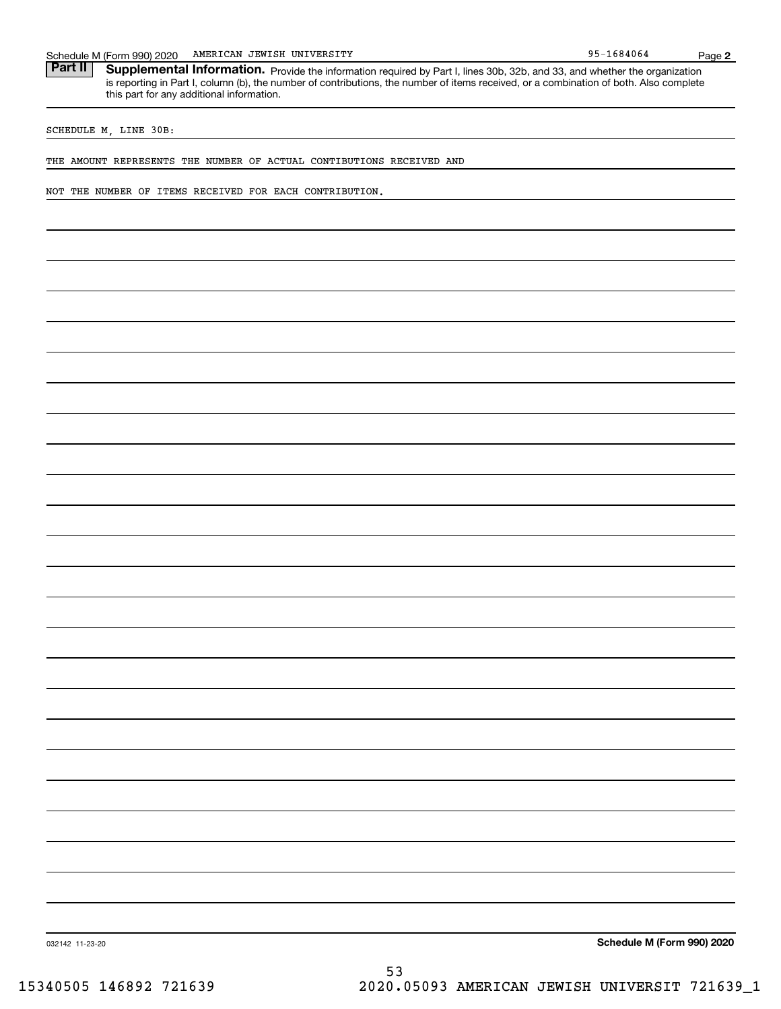95-1684064 Schedule M (Form 990) 2020 AMERICAN JEWISH UNIVERSITY<br>**Part II** Supplemental Information. Provide the information required by Part I. lines 30b. 32b. and 33. and whether the c Part II | Supplemental Information. Provide the information required by Part I, lines 30b, 32b, and 33, and whether the organization is reporting in Part I, column (b), the number of contributions, the number of items received, or a combination of both. Also complete this part for any additional information.

SCHEDULE M, LINE 30B:

THE AMOUNT REPRESENTS THE NUMBER OF ACTUAL CONTIBUTIONS RECEIVED AND

NOT THE NUMBER OF ITEMS RECEIVED FOR EACH CONTRIBUTION.

**Schedule M (Form 990) 2020**

032142 11-23-20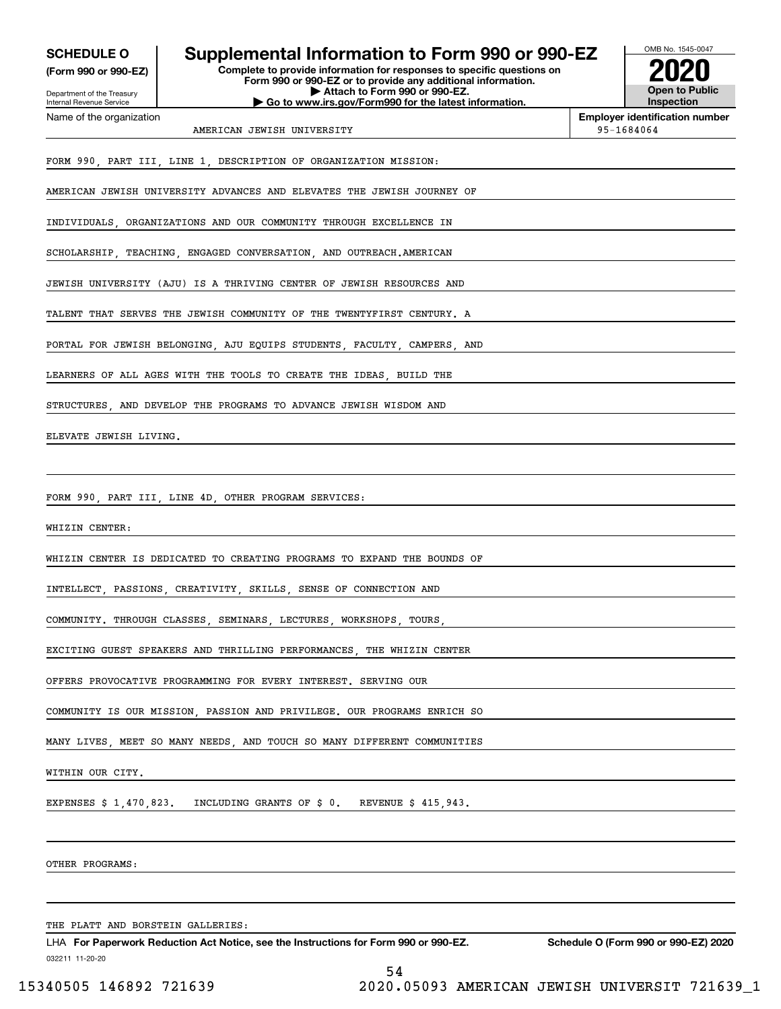| <b>SCHEDULE O</b> |  |
|-------------------|--|
|-------------------|--|

**(Form 990 or 990-EZ)**

Department of the Treasury Internal Revenue Service Name of the organization

## **Supplemental Information to Form 990 or 990-EZ**

**Complete to provide information for responses to specific questions on Form 990 or 990-EZ or to provide any additional information. | Attach to Form 990 or 990-EZ. | Go to www.irs.gov/Form990 for the latest information.**



**Employer identification number**

AMERICAN JEWISH UNIVERSITY **1998** and 2008 and 2011 12:30 and 2012 12:30 and 2012 12:30 and 2013

FORM 990, PART III, LINE 1, DESCRIPTION OF ORGANIZATION MISSION:

AMERICAN JEWISH UNIVERSITY ADVANCES AND ELEVATES THE JEWISH JOURNEY OF

INDIVIDUALS, ORGANIZATIONS AND OUR COMMUNITY THROUGH EXCELLENCE IN

SCHOLARSHIP, TEACHING, ENGAGED CONVERSATION, AND OUTREACH.AMERICAN

JEWISH UNIVERSITY (AJU) IS A THRIVING CENTER OF JEWISH RESOURCES AND

TALENT THAT SERVES THE JEWISH COMMUNITY OF THE TWENTYFIRST CENTURY. A

PORTAL FOR JEWISH BELONGING, AJU EQUIPS STUDENTS, FACULTY, CAMPERS, AND

LEARNERS OF ALL AGES WITH THE TOOLS TO CREATE THE IDEAS BUILD THE

STRUCTURES AND DEVELOP THE PROGRAMS TO ADVANCE JEWISH WISDOM AND

ELEVATE JEWISH LIVING.

FORM 990, PART III, LINE 4D, OTHER PROGRAM SERVICES:

WHIZIN CENTER:

WHIZIN CENTER IS DEDICATED TO CREATING PROGRAMS TO EXPAND THE BOUNDS OF

INTELLECT, PASSIONS, CREATIVITY, SKILLS, SENSE OF CONNECTION AND

COMMUNITY. THROUGH CLASSES, SEMINARS, LECTURES, WORKSHOPS, TOURS,

EXCITING GUEST SPEAKERS AND THRILLING PERFORMANCES, THE WHIZIN CENTER

OFFERS PROVOCATIVE PROGRAMMING FOR EVERY INTEREST. SERVING OUR

COMMUNITY IS OUR MISSION, PASSION AND PRIVILEGE. OUR PROGRAMS ENRICH SO

MANY LIVES, MEET SO MANY NEEDS, AND TOUCH SO MANY DIFFERENT COMMUNITIES

WITHIN OUR CITY.

EXPENSES \$ 1,470,823. INCLUDING GRANTS OF \$ 0. REVENUE \$ 415,943.

OTHER PROGRAMS:

THE PLATT AND BORSTEIN GALLERIES:

032211 11-20-20 LHA For Paperwork Reduction Act Notice, see the Instructions for Form 990 or 990-EZ. Schedule O (Form 990 or 990-EZ) 2020 54

15340505 146892 721639 2020.05093 AMERICAN JEWISH UNIVERSIT 721639\_1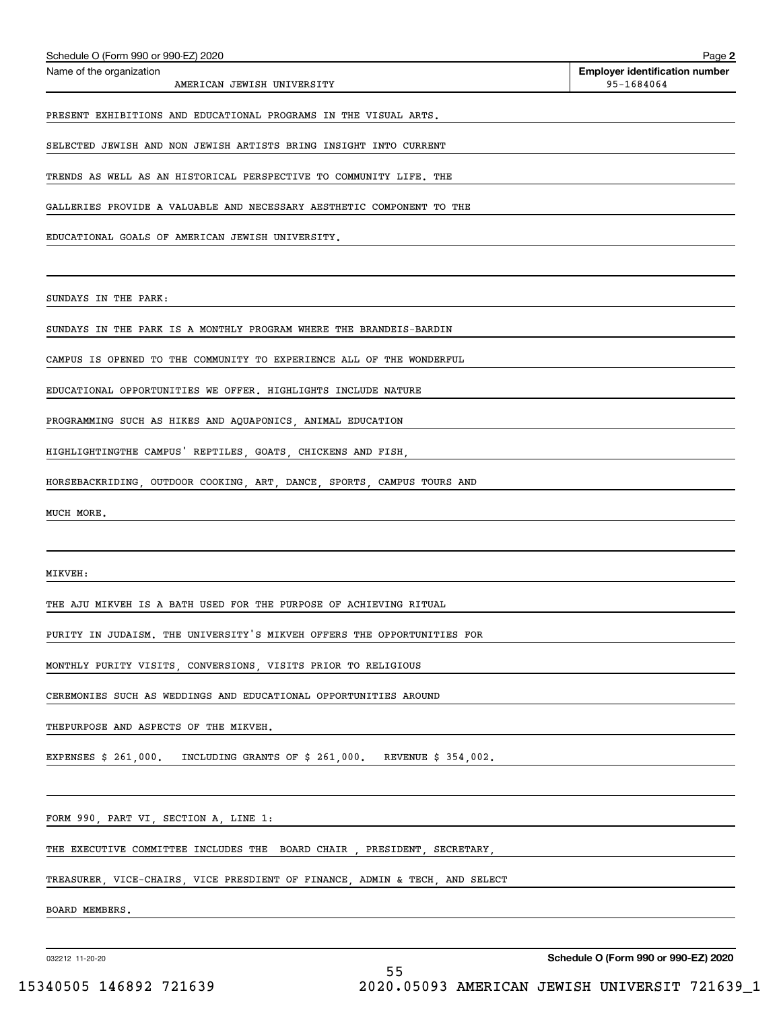| Schedule O (Form 990 or 990-EZ) 2020                                        | Page 2                                              |
|-----------------------------------------------------------------------------|-----------------------------------------------------|
| Name of the organization<br>AMERICAN JEWISH UNIVERSITY                      | <b>Employer identification number</b><br>95-1684064 |
| PRESENT EXHIBITIONS AND EDUCATIONAL PROGRAMS IN THE VISUAL ARTS.            |                                                     |
| SELECTED JEWISH AND NON JEWISH ARTISTS BRING INSIGHT INTO CURRENT           |                                                     |
| TRENDS AS WELL AS AN HISTORICAL PERSPECTIVE TO COMMUNITY LIFE. THE          |                                                     |
| GALLERIES PROVIDE A VALUABLE AND NECESSARY AESTHETIC COMPONENT TO THE       |                                                     |
| EDUCATIONAL GOALS OF AMERICAN JEWISH UNIVERSITY.                            |                                                     |
|                                                                             |                                                     |
| SUNDAYS IN THE PARK:                                                        |                                                     |
| SUNDAYS IN THE PARK IS A MONTHLY PROGRAM WHERE THE BRANDEIS-BARDIN          |                                                     |
| CAMPUS IS OPENED TO THE COMMUNITY TO EXPERIENCE ALL OF THE WONDERFUL        |                                                     |
| EDUCATIONAL OPPORTUNITIES WE OFFER. HIGHLIGHTS INCLUDE NATURE               |                                                     |
| PROGRAMMING SUCH AS HIKES AND AQUAPONICS, ANIMAL EDUCATION                  |                                                     |
| HIGHLIGHTINGTHE CAMPUS' REPTILES, GOATS, CHICKENS AND FISH,                 |                                                     |
| HORSEBACKRIDING, OUTDOOR COOKING, ART, DANCE, SPORTS, CAMPUS TOURS AND      |                                                     |
| MUCH MORE.                                                                  |                                                     |
|                                                                             |                                                     |
| MIKVEH:                                                                     |                                                     |
| THE AJU MIKVEH IS A BATH USED FOR THE PURPOSE OF ACHIEVING RITUAL           |                                                     |
| PURITY IN JUDAISM. THE UNIVERSITY'S MIKVEH OFFERS THE OPPORTUNITIES FOR     |                                                     |
| MONTHLY PURITY VISITS, CONVERSIONS, VISITS PRIOR TO RELIGIOUS               |                                                     |
| CEREMONIES SUCH AS WEDDINGS AND EDUCATIONAL OPPORTUNITIES AROUND            |                                                     |
| THEPURPOSE AND ASPECTS OF THE MIKVEH.                                       |                                                     |
| EXPENSES \$ 261,000. INCLUDING GRANTS OF \$ 261,000. REVENUE \$ 354,002.    |                                                     |
|                                                                             |                                                     |
| FORM 990, PART VI, SECTION A, LINE 1:                                       |                                                     |
| THE EXECUTIVE COMMITTEE INCLUDES THE BOARD CHAIR, PRESIDENT, SECRETARY,     |                                                     |
| TREASURER, VICE-CHAIRS, VICE PRESDIENT OF FINANCE, ADMIN & TECH, AND SELECT |                                                     |
| BOARD MEMBERS.                                                              |                                                     |
|                                                                             |                                                     |

032212 11-20-20

**Schedule O (Form 990 or 990-EZ) 2020**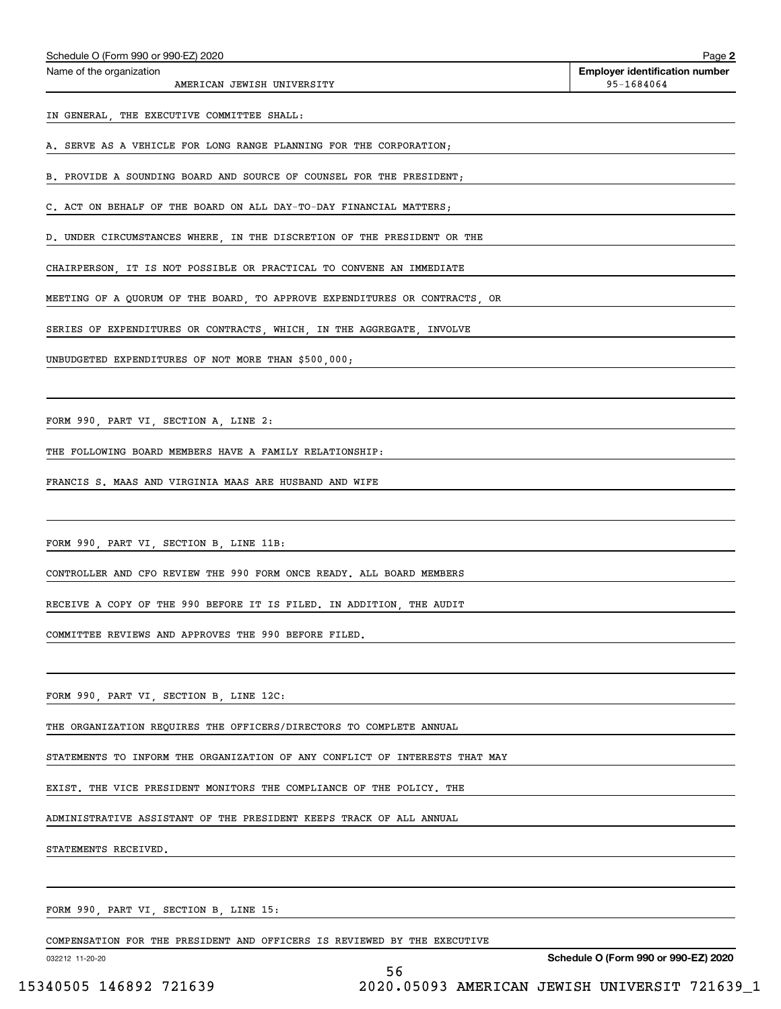AMERICAN JEWISH UNIVERSITY **1998** 1684064

Echedule O (Form 990 or 990-EZ) 2020<br>Name of the organization **number** Name of the organization **number** 

IN GENERAL, THE EXECUTIVE COMMITTEE SHALL:

A. SERVE AS A VEHICLE FOR LONG RANGE PLANNING FOR THE CORPORATION;

B. PROVIDE A SOUNDING BOARD AND SOURCE OF COUNSEL FOR THE PRESIDENT;

C. ACT ON BEHALF OF THE BOARD ON ALL DAY-TO-DAY FINANCIAL MATTERS;

D. UNDER CIRCUMSTANCES WHERE, IN THE DISCRETION OF THE PRESIDENT OR THE

CHAIRPERSON, IT IS NOT POSSIBLE OR PRACTICAL TO CONVENE AN IMMEDIATE

MEETING OF A QUORUM OF THE BOARD, TO APPROVE EXPENDITURES OR CONTRACTS, OR

SERIES OF EXPENDITURES OR CONTRACTS, WHICH, IN THE AGGREGATE, INVOLVE

UNBUDGETED EXPENDITURES OF NOT MORE THAN \$500,000;

FORM 990, PART VI, SECTION A, LINE 2:

THE FOLLOWING BOARD MEMBERS HAVE A FAMILY RELATIONSHIP:

FRANCIS S. MAAS AND VIRGINIA MAAS ARE HUSBAND AND WIFE

FORM 990, PART VI, SECTION B, LINE 11B:

CONTROLLER AND CFO REVIEW THE 990 FORM ONCE READY. ALL BOARD MEMBERS

RECEIVE A COPY OF THE 990 BEFORE IT IS FILED. IN ADDITION, THE AUDIT

COMMITTEE REVIEWS AND APPROVES THE 990 BEFORE FILED.

FORM 990, PART VI, SECTION B, LINE 12C:

THE ORGANIZATION REQUIRES THE OFFICERS/DIRECTORS TO COMPLETE ANNUAL

STATEMENTS TO INFORM THE ORGANIZATION OF ANY CONFLICT OF INTERESTS THAT MAY

EXIST. THE VICE PRESIDENT MONITORS THE COMPLIANCE OF THE POLICY. THE

ADMINISTRATIVE ASSISTANT OF THE PRESIDENT KEEPS TRACK OF ALL ANNUAL

STATEMENTS RECEIVED.

FORM 990, PART VI, SECTION B, LINE 15:

COMPENSATION FOR THE PRESIDENT AND OFFICERS IS REVIEWED BY THE EXECUTIVE

032212 11-20-20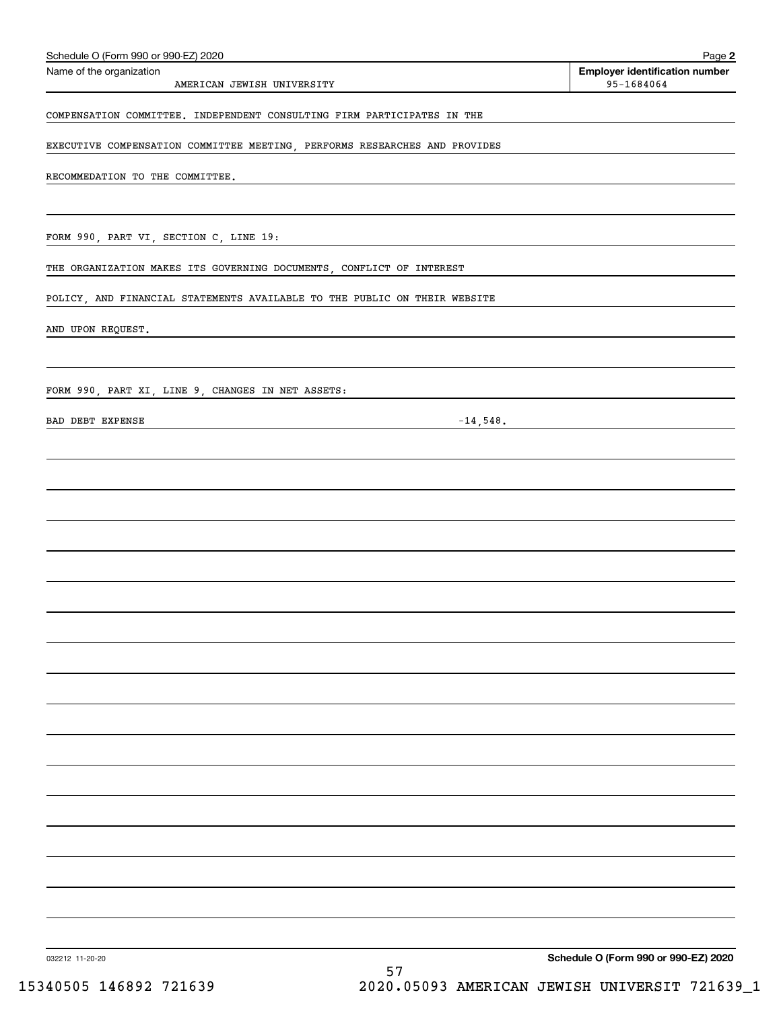| Schedule O (Form 990 or 990-EZ) 2020                                                                  | Page 2                                              |
|-------------------------------------------------------------------------------------------------------|-----------------------------------------------------|
| Name of the organization<br>AMERICAN JEWISH UNIVERSITY                                                | <b>Employer identification number</b><br>95-1684064 |
| COMPENSATION COMMITTEE. INDEPENDENT CONSULTING FIRM PARTICIPATES IN THE                               |                                                     |
| EXECUTIVE COMPENSATION COMMITTEE MEETING, PERFORMS RESEARCHES AND PROVIDES                            |                                                     |
| RECOMMEDATION TO THE COMMITTEE.                                                                       |                                                     |
|                                                                                                       |                                                     |
| FORM 990, PART VI, SECTION C, LINE 19:<br><u> 1989 - Johann Stoff, Amerikaansk politiker († 1908)</u> |                                                     |
| THE ORGANIZATION MAKES ITS GOVERNING DOCUMENTS, CONFLICT OF INTEREST                                  |                                                     |
| POLICY, AND FINANCIAL STATEMENTS AVAILABLE TO THE PUBLIC ON THEIR WEBSITE                             |                                                     |
| AND UPON REQUEST.                                                                                     |                                                     |
| FORM 990, PART XI, LINE 9, CHANGES IN NET ASSETS:                                                     |                                                     |
| BAD DEBT EXPENSE<br>$-14,548.$                                                                        |                                                     |
|                                                                                                       |                                                     |
|                                                                                                       |                                                     |
|                                                                                                       |                                                     |
|                                                                                                       |                                                     |
|                                                                                                       |                                                     |
|                                                                                                       |                                                     |
|                                                                                                       |                                                     |
|                                                                                                       |                                                     |
|                                                                                                       |                                                     |
|                                                                                                       |                                                     |
|                                                                                                       |                                                     |
|                                                                                                       |                                                     |
|                                                                                                       |                                                     |
|                                                                                                       |                                                     |
|                                                                                                       |                                                     |
|                                                                                                       |                                                     |
|                                                                                                       |                                                     |
| 032212 11-20-20                                                                                       | Schedule O (Form 990 or 990-EZ) 2020                |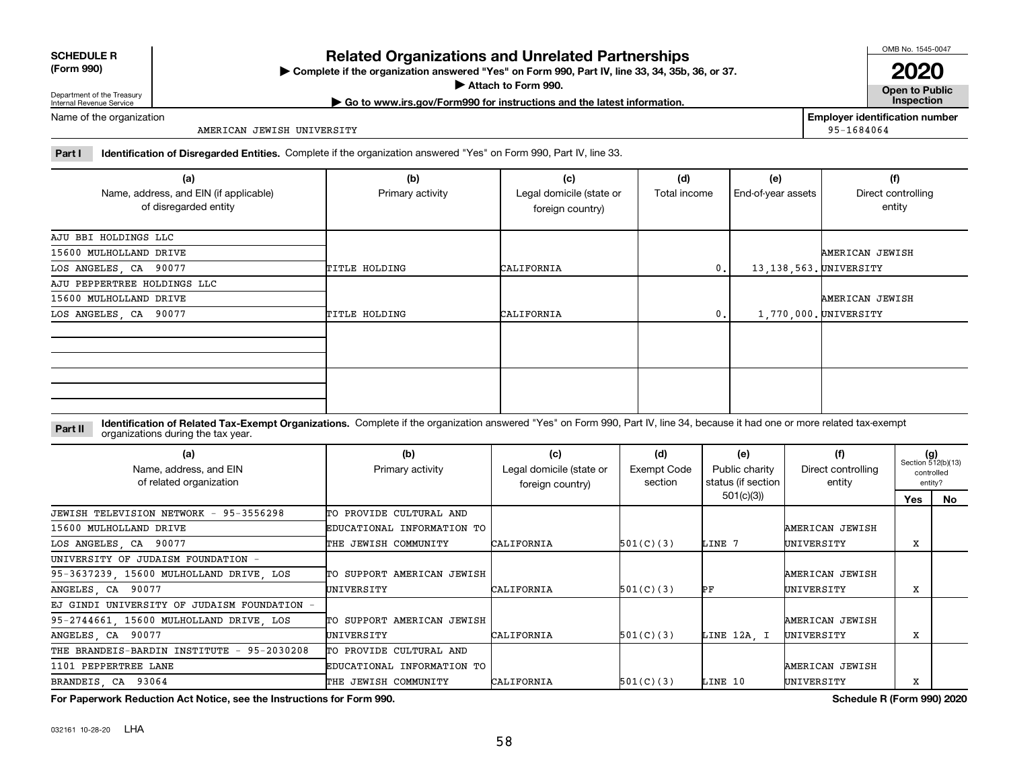| <b>SCHEDULE R</b>   |  |
|---------------------|--|
| $T_{\rm arm}$ $000$ |  |

**(Form 990)**

## **Related Organizations and Unrelated Partnerships**

**Complete if the organization answered "Yes" on Form 990, Part IV, line 33, 34, 35b, 36, or 37.** |

**Attach to Form 990.**  |

OMB No. 1545-0047

**Open to Public 2020**

Department of the Treasury Internal Revenue Service

**| Go to www.irs.gov/Form990 for instructions and the latest information. Inspection**

Name of the organization

AMERICAN JEWISH UNIVERSITY

**Employer identification number** 95-1684064

**Part I Identification of Disregarded Entities.**  Complete if the organization answered "Yes" on Form 990, Part IV, line 33.

| (a)<br>Name, address, and EIN (if applicable)<br>of disregarded entity | (b)<br>Primary activity | (c)<br>Legal domicile (state or<br>foreign country) | (d)<br>Total income | (e)<br>End-of-year assets | (f)<br>Direct controlling<br>entity |
|------------------------------------------------------------------------|-------------------------|-----------------------------------------------------|---------------------|---------------------------|-------------------------------------|
| AJU BBI HOLDINGS LLC                                                   |                         |                                                     |                     |                           |                                     |
| 15600 MULHOLLAND DRIVE                                                 |                         |                                                     |                     |                           | AMERICAN JEWISH                     |
| LOS ANGELES, CA 90077                                                  | TITLE HOLDING           | <b>CALIFORNIA</b>                                   | $\mathbf{0}$ .      | 13, 138, 563. UNIVERSITY  |                                     |
| AJU PEPPERTREE HOLDINGS LLC                                            |                         |                                                     |                     |                           |                                     |
| 15600 MULHOLLAND DRIVE                                                 |                         |                                                     |                     |                           | AMERICAN JEWISH                     |
| LOS ANGELES, CA 90077                                                  | TITLE HOLDING           | <b>CALIFORNIA</b>                                   | $\mathbf{0}$ .      | 1,770,000. UNIVERSITY     |                                     |
|                                                                        |                         |                                                     |                     |                           |                                     |
|                                                                        |                         |                                                     |                     |                           |                                     |

**Identification of Related Tax-Exempt Organizations.** Complete if the organization answered "Yes" on Form 990, Part IV, line 34, because it had one or more related tax-exempt **Part II** organizations during the tax year.

| (a)<br>Name, address, and EIN<br>of related organization | (b)<br>Primary activity    | (c)<br>Legal domicile (state or<br>foreign country) | (d)<br>Exempt Code<br>section | (e)<br>Public charity<br>status (if section | (f)<br>Direct controlling<br>entity | $(g)$<br>Section 512(b)(13)<br>controlled<br>entity? |    |
|----------------------------------------------------------|----------------------------|-----------------------------------------------------|-------------------------------|---------------------------------------------|-------------------------------------|------------------------------------------------------|----|
|                                                          |                            |                                                     |                               | 501(c)(3)                                   |                                     | Yes                                                  | No |
| JEWISH TELEVISION NETWORK - 95-3556298                   | TO PROVIDE CULTURAL AND    |                                                     |                               |                                             |                                     |                                                      |    |
| 15600 MULHOLLAND DRIVE                                   | EDUCATIONAL INFORMATION TO |                                                     |                               |                                             | AMERICAN JEWISH                     |                                                      |    |
| LOS ANGELES, CA 90077                                    | THE JEWISH COMMUNITY       | CALIFORNIA                                          | 501(C)(3)                     | LINE 7                                      | UNIVERSITY                          | x                                                    |    |
| UNIVERSITY OF JUDAISM FOUNDATION -                       |                            |                                                     |                               |                                             |                                     |                                                      |    |
| 95-3637239, 15600 MULHOLLAND DRIVE, LOS                  | TO SUPPORT AMERICAN JEWISH |                                                     |                               |                                             | AMERICAN JEWISH                     |                                                      |    |
| ANGELES, CA 90077                                        | UNIVERSITY                 | CALIFORNIA                                          | 501(C)(3)                     | PF                                          | UNIVERSITY                          | x                                                    |    |
| EJ GINDI UNIVERSITY OF JUDAISM FOUNDATION -              |                            |                                                     |                               |                                             |                                     |                                                      |    |
| 95-2744661, 15600 MULHOLLAND DRIVE, LOS                  | TO SUPPORT AMERICAN JEWISH |                                                     |                               |                                             | AMERICAN JEWISH                     |                                                      |    |
| ANGELES, CA 90077                                        | UNIVERSITY                 | CALIFORNIA                                          | 501(C)(3)                     | LINE 12A. I                                 | UNIVERSITY                          | x                                                    |    |
| THE BRANDEIS-BARDIN INSTITUTE - 95-2030208               | TO PROVIDE CULTURAL AND    |                                                     |                               |                                             |                                     |                                                      |    |
| 1101 PEPPERTREE LANE                                     | EDUCATIONAL INFORMATION TO |                                                     |                               |                                             | AMERICAN JEWISH                     |                                                      |    |
| BRANDEIS CA 93064                                        | THE JEWISH COMMUNITY       | CALIFORNIA                                          | 501(C)(3)                     | LINE 10                                     | UNIVERSITY                          | x                                                    |    |

**For Paperwork Reduction Act Notice, see the Instructions for Form 990. Schedule R (Form 990) 2020**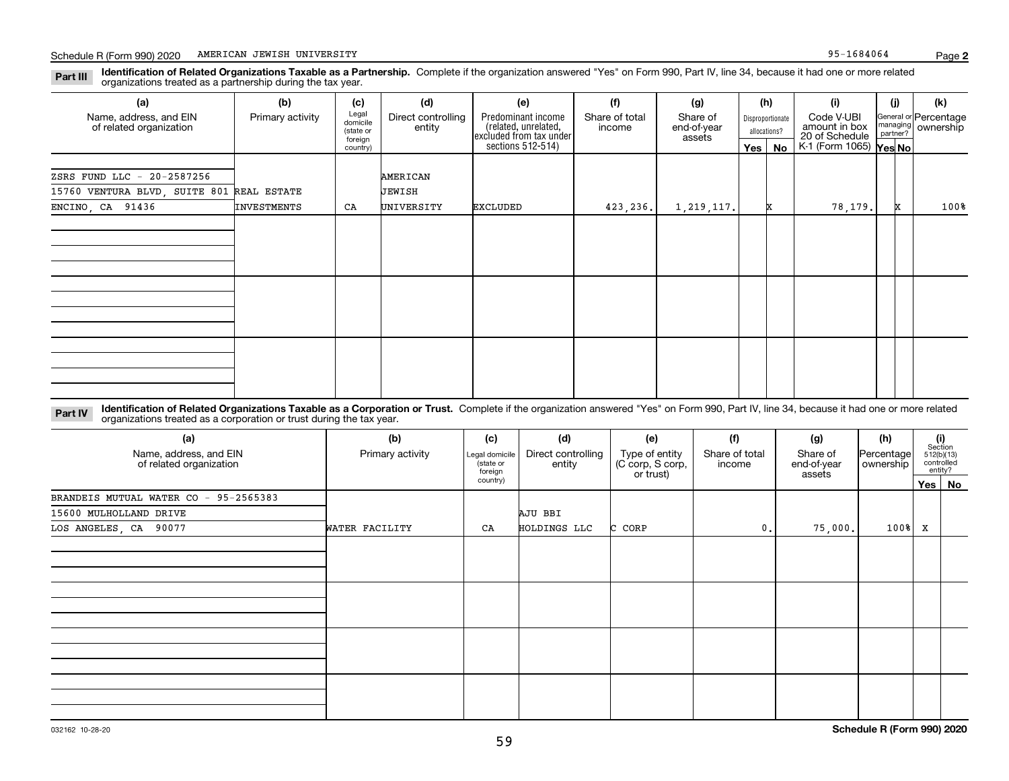**Identification of Related Organizations Taxable as a Partnership.** Complete if the organization answered "Yes" on Form 990, Part IV, line 34, because it had one or more related **Part III** organizations treated as a partnership during the tax year.

| (b)                                       | (c)                  | (d)                           | (e)                                        |                          | (g)                                                 |                                  |  | (i)             | (i)                             | (k)                                                          |
|-------------------------------------------|----------------------|-------------------------------|--------------------------------------------|--------------------------|-----------------------------------------------------|----------------------------------|--|-----------------|---------------------------------|--------------------------------------------------------------|
| Primary activity                          | (state or<br>foreign | Direct controlling<br>entity  | Predominant income<br>(related, unrelated, | Share of total<br>income | Share of<br>end-of-year<br>assets                   | Disproportionate<br>allocations? |  | Code V-UBI      |                                 | General or Percentage<br>ownership                           |
|                                           |                      |                               |                                            |                          |                                                     |                                  |  |                 |                                 |                                                              |
|                                           |                      |                               |                                            |                          |                                                     |                                  |  |                 |                                 |                                                              |
|                                           |                      |                               |                                            |                          |                                                     |                                  |  |                 |                                 |                                                              |
| 15760 VENTURA BLVD, SUITE 801 REAL ESTATE |                      |                               |                                            |                          |                                                     |                                  |  |                 |                                 |                                                              |
| INVESTMENTS                               | CA                   |                               |                                            | 423,236.                 | 1, 219, 117.                                        |                                  |  |                 |                                 | 100%                                                         |
|                                           |                      |                               |                                            |                          |                                                     |                                  |  |                 |                                 |                                                              |
|                                           |                      |                               |                                            |                          |                                                     |                                  |  |                 |                                 |                                                              |
|                                           |                      |                               |                                            |                          |                                                     |                                  |  |                 |                                 |                                                              |
|                                           |                      |                               |                                            |                          |                                                     |                                  |  |                 |                                 |                                                              |
|                                           |                      |                               |                                            |                          |                                                     |                                  |  |                 |                                 |                                                              |
|                                           |                      |                               |                                            |                          |                                                     |                                  |  |                 |                                 |                                                              |
|                                           |                      |                               |                                            |                          |                                                     |                                  |  |                 |                                 |                                                              |
|                                           |                      |                               |                                            |                          |                                                     |                                  |  |                 |                                 |                                                              |
|                                           |                      |                               |                                            |                          |                                                     |                                  |  |                 |                                 |                                                              |
|                                           |                      |                               |                                            |                          |                                                     |                                  |  |                 |                                 |                                                              |
|                                           |                      |                               |                                            |                          |                                                     |                                  |  |                 |                                 |                                                              |
|                                           |                      |                               |                                            |                          |                                                     |                                  |  |                 |                                 |                                                              |
|                                           |                      | Legal<br>domicile<br>country) | AMERICAN<br>JEWISH<br>UNIVERSITY           | EXCLUDED                 | (f)<br>excluded from tax under<br>sections 512-514) |                                  |  | (h)<br>Yes   No | amount in box<br>20 of Schedule | managing<br>partner?<br>$K-1$ (Form 1065) $YesNo$<br>78,179. |

**Identification of Related Organizations Taxable as a Corporation or Trust.** Complete if the organization answered "Yes" on Form 990, Part IV, line 34, because it had one or more related **Part IV** organizations treated as a corporation or trust during the tax year.

| (a)<br>Name, address, and EIN<br>of related organization | (b)<br>Primary activity | (c)<br>Legal domicile<br>(state or<br>foreign | (d)<br>Direct controlling<br>entity | (e)<br>Type of entity<br>(C corp, S corp,<br>or trust) | (f)<br>Share of total<br>income | (g)<br>Share of<br>end-of-year<br>assets | (h)<br> Percentage <br>ownership |         | (i)<br>Section<br>512(b)(13)<br>controlled<br>entity? |
|----------------------------------------------------------|-------------------------|-----------------------------------------------|-------------------------------------|--------------------------------------------------------|---------------------------------|------------------------------------------|----------------------------------|---------|-------------------------------------------------------|
|                                                          |                         | country)                                      |                                     |                                                        |                                 |                                          |                                  | Yes $ $ | <b>No</b>                                             |
| BRANDEIS MUTUAL WATER CO - 95-2565383                    |                         |                                               |                                     |                                                        |                                 |                                          |                                  |         |                                                       |
| 15600 MULHOLLAND DRIVE                                   |                         |                                               | AJU BBI                             |                                                        |                                 |                                          |                                  |         |                                                       |
| LOS ANGELES, CA 90077                                    | WATER FACILITY          | CA                                            | HOLDINGS LLC                        | C CORP                                                 | 0.                              | 75,000.                                  | 100%                             | x       |                                                       |
|                                                          |                         |                                               |                                     |                                                        |                                 |                                          |                                  |         |                                                       |
|                                                          |                         |                                               |                                     |                                                        |                                 |                                          |                                  |         |                                                       |
|                                                          |                         |                                               |                                     |                                                        |                                 |                                          |                                  |         |                                                       |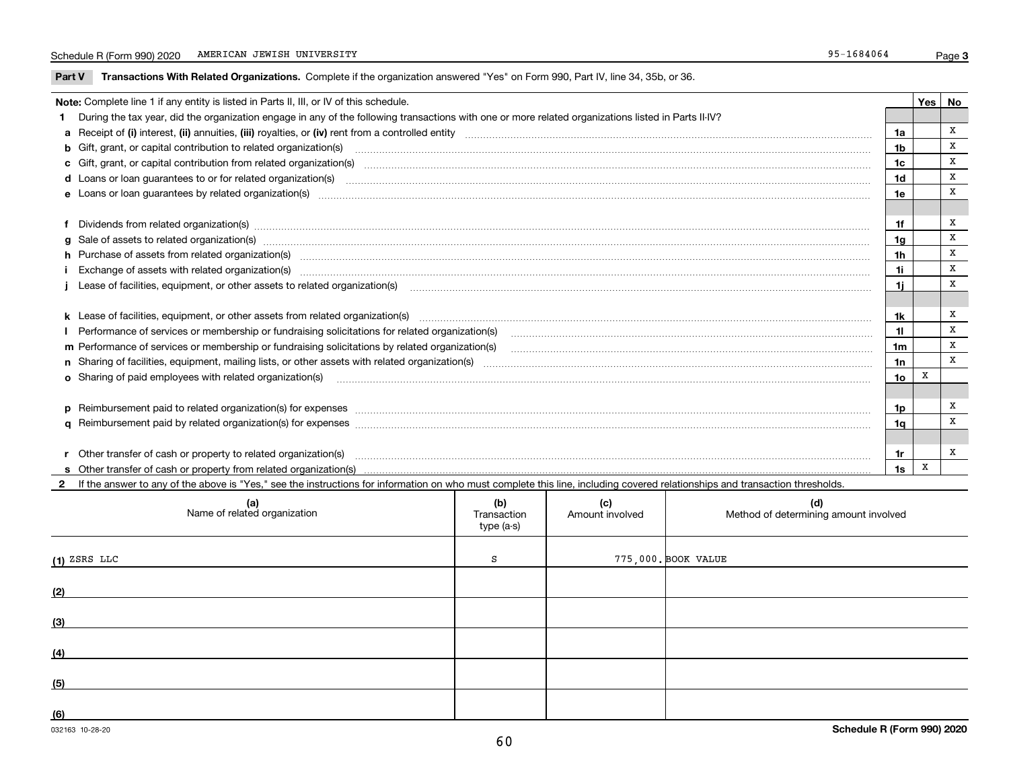**Part V** T**ransactions With Related Organizations.** Complete if the organization answered "Yes" on Form 990, Part IV, line 34, 35b, or 36.

|  | Note: Complete line 1 if any entity is listed in Parts II, III, or IV of this schedule.                                                                                                                                        |                 | Yes l | No |  |  |  |  |  |
|--|--------------------------------------------------------------------------------------------------------------------------------------------------------------------------------------------------------------------------------|-----------------|-------|----|--|--|--|--|--|
|  | During the tax year, did the organization engage in any of the following transactions with one or more related organizations listed in Parts II-IV?                                                                            |                 |       |    |  |  |  |  |  |
|  |                                                                                                                                                                                                                                | 1a              |       | х  |  |  |  |  |  |
|  | b Gift, grant, or capital contribution to related organization(s) manufactured contains and contribution to related organization(s)                                                                                            | 1 <sub>b</sub>  |       | х  |  |  |  |  |  |
|  | c Gift, grant, or capital contribution from related organization(s) matches contains and content and contribution from related organization(s) matches contains and contribution from related organization(s) matches contains | 1c              |       | X  |  |  |  |  |  |
|  |                                                                                                                                                                                                                                | 1d              |       | X  |  |  |  |  |  |
|  |                                                                                                                                                                                                                                | 1e              |       | X  |  |  |  |  |  |
|  |                                                                                                                                                                                                                                |                 |       |    |  |  |  |  |  |
|  | f Dividends from related organization(s) manufactured contains and contained a series of the contact of the contact of the contact of the contact of the contact of the contact of the contact of the contact of the contact o | 1f              |       | X  |  |  |  |  |  |
|  | g Sale of assets to related organization(s) www.assettion.com/www.assettion.com/www.assettion.com/www.assettion.com/www.assettion.com/www.assettion.com/www.assettion.com/www.assettion.com/www.assettion.com/www.assettion.co | 1 <sub>q</sub>  |       | x  |  |  |  |  |  |
|  | h Purchase of assets from related organization(s) manufactured and content to content the content of assets from related organization(s)                                                                                       | 1h              |       | X  |  |  |  |  |  |
|  | Exchange of assets with related organization(s) manufactured manufactured manufactured manufactured manufactured manufactured manufactured manufactured manufactured manufactured manufactured manufactured manufactured manuf | 1i              |       | X  |  |  |  |  |  |
|  | Lease of facilities, equipment, or other assets to related organization(s) manufaction content to the content of the content of the content of the content of the content of the content of the content of the content of the  | 1i.             |       | X  |  |  |  |  |  |
|  |                                                                                                                                                                                                                                |                 |       |    |  |  |  |  |  |
|  | k Lease of facilities, equipment, or other assets from related organization(s) manufaction content and content to the content of facilities, equipment, or other assets from related organization(s) manufaction content and c | 1k              |       | x  |  |  |  |  |  |
|  | Performance of services or membership or fundraising solicitations for related organization(s)                                                                                                                                 | 11              |       | X  |  |  |  |  |  |
|  |                                                                                                                                                                                                                                | 1m              |       | X  |  |  |  |  |  |
|  |                                                                                                                                                                                                                                | 1n              |       | X  |  |  |  |  |  |
|  | o Sharing of paid employees with related organization(s) <b>contracts</b> and account to the contract of the contract or starting of paid employees with related organization(s)                                               | 10 <sub>o</sub> | X     |    |  |  |  |  |  |
|  |                                                                                                                                                                                                                                |                 |       |    |  |  |  |  |  |
|  | p Reimbursement paid to related organization(s) for expenses [111] and the material content of the set of the set of the set of the set of the set of the set of the set of the set of the set of the set of the set of the se | 1p              |       | x  |  |  |  |  |  |
|  |                                                                                                                                                                                                                                | 1a              |       | X  |  |  |  |  |  |
|  |                                                                                                                                                                                                                                |                 |       |    |  |  |  |  |  |
|  |                                                                                                                                                                                                                                | 1r              |       | х  |  |  |  |  |  |
|  |                                                                                                                                                                                                                                | 1s              | X     |    |  |  |  |  |  |
|  |                                                                                                                                                                                                                                |                 |       |    |  |  |  |  |  |

**2**If the answer to any of the above is "Yes," see the instructions for information on who must complete this line, including covered relationships and transaction thresholds.

| (a)<br>Name of related organization | (b)<br>Transaction<br>type (a-s) | (c)<br>Amount involved | (d)<br>Method of determining amount involved |
|-------------------------------------|----------------------------------|------------------------|----------------------------------------------|
| $(1)$ ZSRS LLC                      | S                                |                        | 775,000. BOOK VALUE                          |
| (2)                                 |                                  |                        |                                              |
| (3)                                 |                                  |                        |                                              |
| (4)                                 |                                  |                        |                                              |
| (5)                                 |                                  |                        |                                              |
| (6)                                 |                                  |                        |                                              |

 $\overline{\phantom{a}}$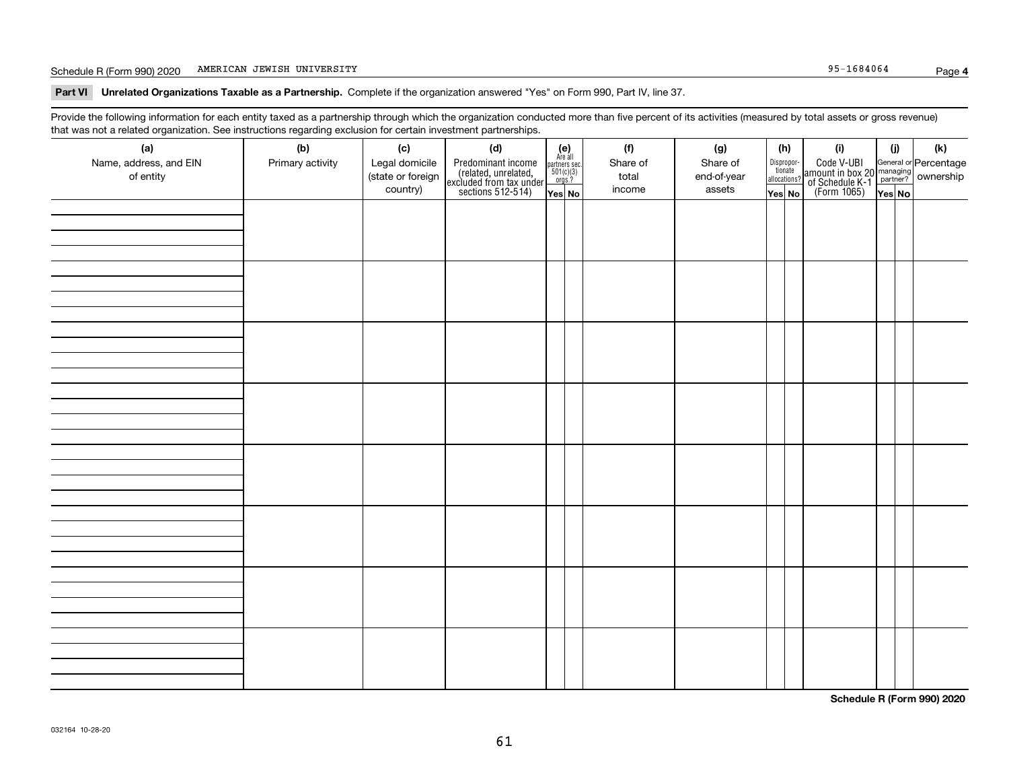### Schedule R (Form 990) 2020 Page AMERICAN JEWISH UNIVERSITY 95-1684064

**Part VI Unrelated Organizations Taxable as a Partnership. Complete if the organization answered "Yes" on Form 990, Part IV, line 37.** 

Provide the following information for each entity taxed as a partnership through which the organization conducted more than five percent of its activities (measured by total assets or gross revenue) that was not a related organization. See instructions regarding exclusion for certain investment partnerships.

| (a)<br>Name, address, and EIN<br>of entity | (b)<br>Primary activity | (c)<br>Legal domicile<br>(state or foreign<br>country) | (d)<br>Predominant income<br>(related, unrelated,<br>excluded from tax under<br>sections 512-514) | $\begin{array}{c} \textbf{(e)}\\ \text{Are all} \\ \text{partners sec.}\\ 501(c)(3)\\ \text{orgs.?} \end{array}$<br>Yes No | (f)<br>Share of<br>total<br>income | (g)<br>Share of<br>end-of-year<br>assets | (h)<br>Dispropor-<br>tionate<br>allocations?<br>Yes No | (i)<br>Code V-UBI<br>amount in box 20 managing<br>of Schedule K-1 partner? ownership<br>(Form 1065)<br>ves No | (i)<br>Yes No | (k) |
|--------------------------------------------|-------------------------|--------------------------------------------------------|---------------------------------------------------------------------------------------------------|----------------------------------------------------------------------------------------------------------------------------|------------------------------------|------------------------------------------|--------------------------------------------------------|---------------------------------------------------------------------------------------------------------------|---------------|-----|
|                                            |                         |                                                        |                                                                                                   |                                                                                                                            |                                    |                                          |                                                        |                                                                                                               |               |     |
|                                            |                         |                                                        |                                                                                                   |                                                                                                                            |                                    |                                          |                                                        |                                                                                                               |               |     |
|                                            |                         |                                                        |                                                                                                   |                                                                                                                            |                                    |                                          |                                                        |                                                                                                               |               |     |
|                                            |                         |                                                        |                                                                                                   |                                                                                                                            |                                    |                                          |                                                        |                                                                                                               |               |     |
|                                            |                         |                                                        |                                                                                                   |                                                                                                                            |                                    |                                          |                                                        |                                                                                                               |               |     |
|                                            |                         |                                                        |                                                                                                   |                                                                                                                            |                                    |                                          |                                                        |                                                                                                               |               |     |
|                                            |                         |                                                        |                                                                                                   |                                                                                                                            |                                    |                                          |                                                        |                                                                                                               |               |     |
|                                            |                         |                                                        |                                                                                                   |                                                                                                                            |                                    |                                          |                                                        |                                                                                                               |               |     |

**Schedule R (Form 990) 2020**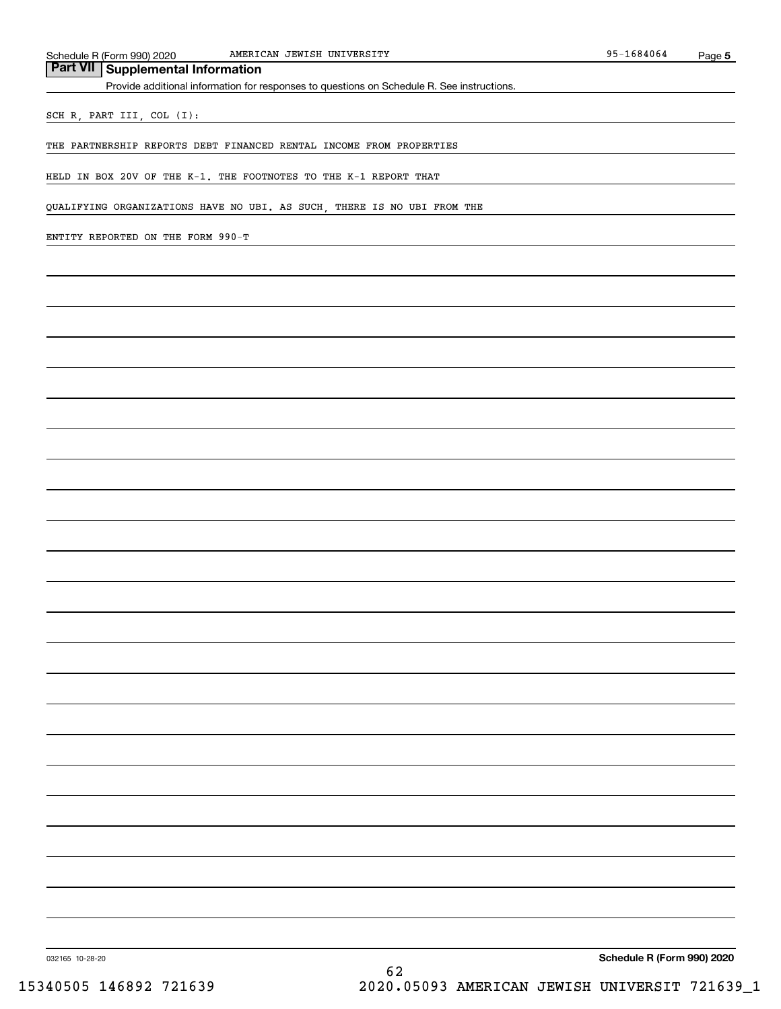## **Part VII Supplemental Information**

Provide additional information for responses to questions on Schedule R. See instructions.

SCH R, PART III, COL (I):

THE PARTNERSHIP REPORTS DEBT FINANCED RENTAL INCOME FROM PROPERTIES

HELD IN BOX 20V OF THE K-1. THE FOOTNOTES TO THE K-1 REPORT THAT

QUALIFYING ORGANIZATIONS HAVE NO UBI. AS SUCH, THERE IS NO UBI FROM THE

ENTITY REPORTED ON THE FORM 990-T

**Schedule R (Form 990) 2020**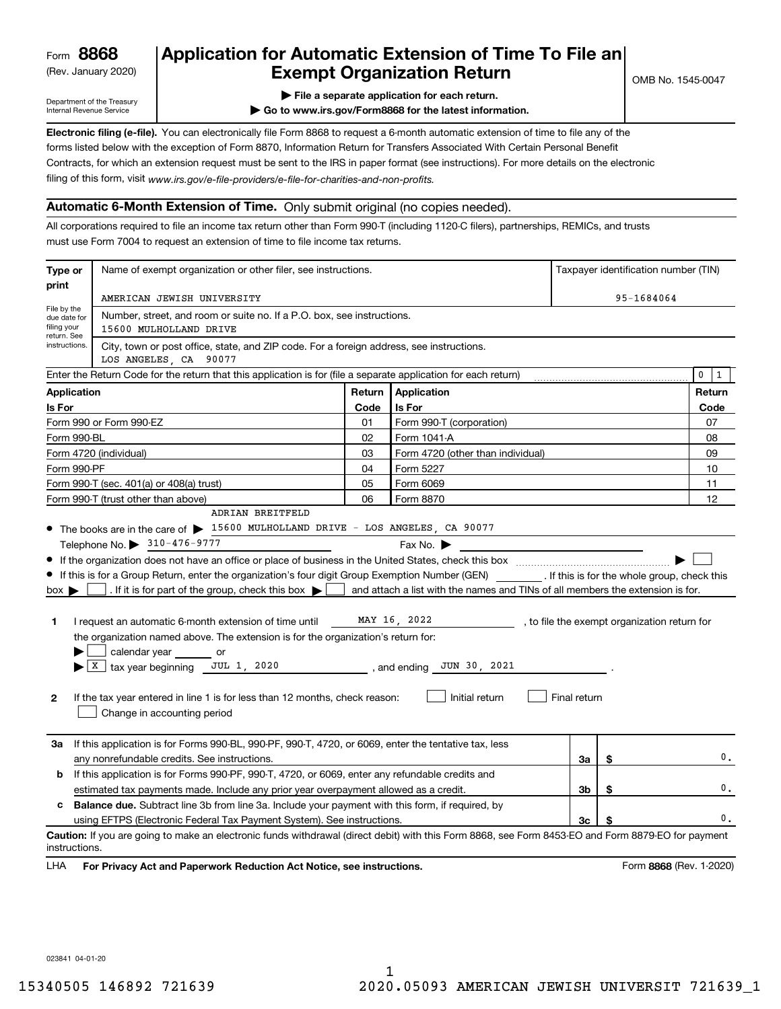(Rev. January 2020)

## **Application for Automatic Extension of Time To File an Exempt Organization Return**

Department of the Treasury Internal Revenue Service

**| File a separate application for each return.**

**| Go to www.irs.gov/Form8868 for the latest information.**

**Electronic filing (e-file).**  You can electronically file Form 8868 to request a 6-month automatic extension of time to file any of the filing of this form, visit www.irs.gov/e-file-providers/e-file-for-charities-and-non-profits. forms listed below with the exception of Form 8870, Information Return for Transfers Associated With Certain Personal Benefit Contracts, for which an extension request must be sent to the IRS in paper format (see instructions). For more details on the electronic

## **Automatic 6-Month Extension of Time.** Only submit original (no copies needed).

All corporations required to file an income tax return other than Form 990-T (including 1120-C filers), partnerships, REMICs, and trusts must use Form 7004 to request an extension of time to file income tax returns.

| Type or                                         | Name of exempt organization or other filer, see instructions.                                                                                                                                                                                                                                                                                                                                                                                                                                                                                                                       | Taxpayer identification number (TIN) |                                                                                                                                               |              |    |                                              |  |  |  |  |  |  |
|-------------------------------------------------|-------------------------------------------------------------------------------------------------------------------------------------------------------------------------------------------------------------------------------------------------------------------------------------------------------------------------------------------------------------------------------------------------------------------------------------------------------------------------------------------------------------------------------------------------------------------------------------|--------------------------------------|-----------------------------------------------------------------------------------------------------------------------------------------------|--------------|----|----------------------------------------------|--|--|--|--|--|--|
| print                                           | AMERICAN JEWISH UNIVERSITY                                                                                                                                                                                                                                                                                                                                                                                                                                                                                                                                                          |                                      | 95-1684064                                                                                                                                    |              |    |                                              |  |  |  |  |  |  |
| File by the<br>due date for<br>filing your      | Number, street, and room or suite no. If a P.O. box, see instructions.<br>15600 MULHOLLAND DRIVE                                                                                                                                                                                                                                                                                                                                                                                                                                                                                    |                                      |                                                                                                                                               |              |    |                                              |  |  |  |  |  |  |
| return. See<br>instructions.                    | City, town or post office, state, and ZIP code. For a foreign address, see instructions.<br>LOS ANGELES, CA 90077                                                                                                                                                                                                                                                                                                                                                                                                                                                                   |                                      |                                                                                                                                               |              |    |                                              |  |  |  |  |  |  |
|                                                 | Enter the Return Code for the return that this application is for (file a separate application for each return)                                                                                                                                                                                                                                                                                                                                                                                                                                                                     |                                      |                                                                                                                                               |              |    | $\mathbf 0$<br>1                             |  |  |  |  |  |  |
| <b>Application</b>                              |                                                                                                                                                                                                                                                                                                                                                                                                                                                                                                                                                                                     | Return                               | Application                                                                                                                                   |              |    | Return                                       |  |  |  |  |  |  |
| Is For                                          |                                                                                                                                                                                                                                                                                                                                                                                                                                                                                                                                                                                     | Code                                 | Is For                                                                                                                                        |              |    | Code                                         |  |  |  |  |  |  |
|                                                 | Form 990 or Form 990-EZ                                                                                                                                                                                                                                                                                                                                                                                                                                                                                                                                                             | 01                                   | Form 990-T (corporation)                                                                                                                      |              |    | 07                                           |  |  |  |  |  |  |
| Form 990-BL                                     |                                                                                                                                                                                                                                                                                                                                                                                                                                                                                                                                                                                     | 02                                   | Form 1041-A                                                                                                                                   |              |    | 08                                           |  |  |  |  |  |  |
|                                                 | Form 4720 (individual)                                                                                                                                                                                                                                                                                                                                                                                                                                                                                                                                                              | 03                                   | Form 4720 (other than individual)                                                                                                             |              |    | 09                                           |  |  |  |  |  |  |
| Form 990-PF                                     |                                                                                                                                                                                                                                                                                                                                                                                                                                                                                                                                                                                     | 04                                   | Form 5227                                                                                                                                     |              |    | 10                                           |  |  |  |  |  |  |
|                                                 | Form 990-T (sec. 401(a) or 408(a) trust)                                                                                                                                                                                                                                                                                                                                                                                                                                                                                                                                            | 05                                   | Form 6069                                                                                                                                     |              |    | 11                                           |  |  |  |  |  |  |
|                                                 | Form 990-T (trust other than above)                                                                                                                                                                                                                                                                                                                                                                                                                                                                                                                                                 | 06                                   | Form 8870                                                                                                                                     |              |    | 12                                           |  |  |  |  |  |  |
|                                                 | ADRIAN BREITFELD<br>• The books are in the care of > 15600 MULHOLLAND DRIVE - LOS ANGELES, CA 90077                                                                                                                                                                                                                                                                                                                                                                                                                                                                                 |                                      |                                                                                                                                               |              |    |                                              |  |  |  |  |  |  |
| $box \blacktriangleright$<br>1.<br>$\mathbf{2}$ | If this is for a Group Return, enter the organization's four digit Group Exemption Number (GEN) [f this is for the whole group, check this<br>. If it is for part of the group, check this box $\blacktriangleright$<br>I request an automatic 6-month extension of time until<br>the organization named above. The extension is for the organization's return for:<br>calendar year or<br>$\blacktriangleright$ $\lfloor$ X $\rfloor$ tax year beginning JUL 1, 2020<br>If the tax year entered in line 1 is for less than 12 months, check reason:<br>Change in accounting period |                                      | and attach a list with the names and TINs of all members the extension is for.<br>MAY 16, 2022<br>, and ending JUN 30, 2021<br>Initial return | Final return |    | , to file the exempt organization return for |  |  |  |  |  |  |
| За                                              | If this application is for Forms 990-BL, 990-PF, 990-T, 4720, or 6069, enter the tentative tax, less<br>any nonrefundable credits. See instructions.                                                                                                                                                                                                                                                                                                                                                                                                                                |                                      |                                                                                                                                               | За           | \$ | 0.                                           |  |  |  |  |  |  |
| b                                               | If this application is for Forms 990-PF, 990-T, 4720, or 6069, enter any refundable credits and                                                                                                                                                                                                                                                                                                                                                                                                                                                                                     |                                      |                                                                                                                                               |              |    |                                              |  |  |  |  |  |  |
|                                                 | estimated tax payments made. Include any prior year overpayment allowed as a credit.<br>3b<br>\$                                                                                                                                                                                                                                                                                                                                                                                                                                                                                    |                                      |                                                                                                                                               |              |    |                                              |  |  |  |  |  |  |
| c                                               | <b>Balance due.</b> Subtract line 3b from line 3a. Include your payment with this form, if required, by                                                                                                                                                                                                                                                                                                                                                                                                                                                                             |                                      |                                                                                                                                               |              |    |                                              |  |  |  |  |  |  |
|                                                 | using EFTPS (Electronic Federal Tax Payment System). See instructions.                                                                                                                                                                                                                                                                                                                                                                                                                                                                                                              |                                      |                                                                                                                                               | Зс           | \$ | 0.                                           |  |  |  |  |  |  |
| instructions.                                   | Caution: If you are going to make an electronic funds withdrawal (direct debit) with this Form 8868, see Form 8453-EO and Form 8879-EO for payment                                                                                                                                                                                                                                                                                                                                                                                                                                  |                                      |                                                                                                                                               |              |    |                                              |  |  |  |  |  |  |

**HA** For Privacy Act and Paperwork Reduction Act Notice, see instructions. **But a struction of the Constantion Constant** Form 8868 (Rev. 1-2020) LHA

023841 04-01-20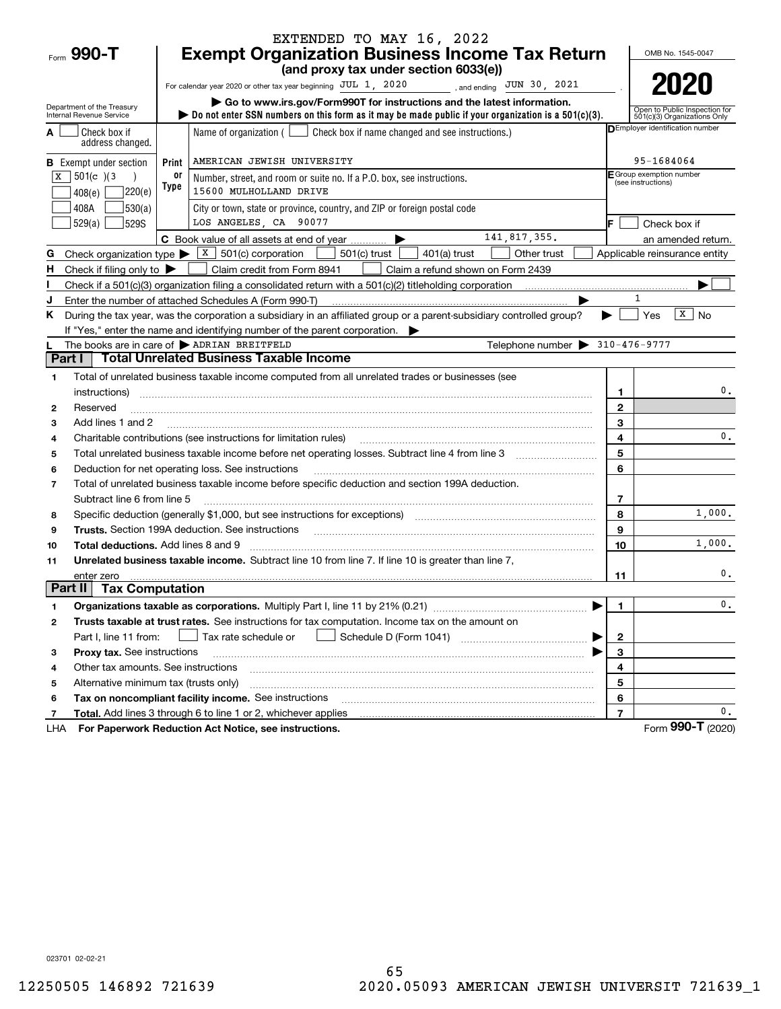|                          |                                               |       | EXTENDED TO MAY 16, 2022                                                                                                                                                          |                          |                                                               |
|--------------------------|-----------------------------------------------|-------|-----------------------------------------------------------------------------------------------------------------------------------------------------------------------------------|--------------------------|---------------------------------------------------------------|
| Form 990-T               |                                               |       | <b>Exempt Organization Business Income Tax Return</b>                                                                                                                             |                          | OMB No. 1545-0047                                             |
|                          |                                               |       | (and proxy tax under section 6033(e))                                                                                                                                             |                          |                                                               |
|                          |                                               |       | For calendar year 2020 or other tax year beginning JUL 1, 2020<br>, and ending $JUN$ 30, 2021                                                                                     |                          | 2021                                                          |
| Internal Revenue Service | Department of the Treasury                    |       | Go to www.irs.gov/Form990T for instructions and the latest information.<br>bo not enter SSN numbers on this form as it may be made public if your organization is a $501(c)(3)$ . |                          | Open to Public Inspection for<br>501(c)(3) Organizations Only |
|                          | Check box if<br>address changed.              |       | Name of organization $($ $\Box$ Check box if name changed and see instructions.)                                                                                                  |                          | DEmployer identification number                               |
|                          | <b>B</b> Exempt under section                 | Print | AMERICAN JEWISH UNIVERSITY                                                                                                                                                        |                          | 95-1684064                                                    |
| ΙX                       | $501(c)$ (3)                                  | 0ľ    | Number, street, and room or suite no. If a P.O. box, see instructions.                                                                                                            |                          | E Group exemption number<br>(see instructions)                |
| 408(e)                   | 220(e)                                        | Type  | 15600 MULHOLLAND DRIVE                                                                                                                                                            |                          |                                                               |
| 408A                     | 530(a)                                        |       | City or town, state or province, country, and ZIP or foreign postal code                                                                                                          |                          |                                                               |
|                          | 529(a)<br>529S                                |       | LOS ANGELES, CA 90077                                                                                                                                                             |                          | Check box if                                                  |
|                          |                                               |       | 141,817,355.<br>C Book value of all assets at end of year                                                                                                                         |                          | an amended return.                                            |
| G                        |                                               |       | Check organization type $\triangleright$ $\boxed{\text{X}}$ 501(c) corporation<br>501(c) trust<br>$401(a)$ trust<br>Other trust                                                   |                          | Applicable reinsurance entity                                 |
| H                        | Check if filing only to $\blacktriangleright$ |       | Claim credit from Form 8941<br>Claim a refund shown on Form 2439                                                                                                                  |                          |                                                               |
|                          |                                               |       | Check if a 501 $(c)(3)$ organization filing a consolidated return with a 501 $(c)(2)$ titleholding corporation                                                                    |                          |                                                               |
|                          |                                               |       | Enter the number of attached Schedules A (Form 990-T)                                                                                                                             |                          | 1                                                             |
| ĸ.                       |                                               |       | During the tax year, was the corporation a subsidiary in an affiliated group or a parent-subsidiary controlled group?                                                             |                          | $\sqrt{X}$ No<br>$ Y$ es                                      |
|                          |                                               |       | If "Yes," enter the name and identifying number of the parent corporation.                                                                                                        |                          |                                                               |
|                          |                                               |       | Telephone number $\triangleright$ 310-476-9777<br>The books are in care of > ADRIAN BREITFELD                                                                                     |                          |                                                               |
| Part I                   |                                               |       | <b>Total Unrelated Business Taxable Income</b>                                                                                                                                    |                          |                                                               |
| 1                        |                                               |       | Total of unrelated business taxable income computed from all unrelated trades or businesses (see                                                                                  |                          |                                                               |
|                          | instructions)                                 |       |                                                                                                                                                                                   | 1                        | 0.                                                            |
| 2                        | Reserved                                      |       |                                                                                                                                                                                   | $\mathbf{2}$             |                                                               |
| 3                        | Add lines 1 and 2                             |       |                                                                                                                                                                                   | 3                        |                                                               |
| 4                        |                                               |       | Charitable contributions (see instructions for limitation rules)                                                                                                                  | $\overline{\mathbf{4}}$  | 0.                                                            |
| 5                        |                                               |       |                                                                                                                                                                                   | 5                        |                                                               |
| 6                        |                                               |       | Deduction for net operating loss. See instructions                                                                                                                                | 6                        |                                                               |
| $\overline{7}$           | Subtract line 6 from line 5                   |       | Total of unrelated business taxable income before specific deduction and section 199A deduction.                                                                                  | $\overline{\phantom{a}}$ |                                                               |
| 8                        |                                               |       | Specific deduction (generally \$1,000, but see instructions for exceptions) manufactured contains an exception of                                                                 | 8                        | 1,000.                                                        |
| 9                        |                                               |       | <b>Trusts.</b> Section 199A deduction. See instructions                                                                                                                           | 9                        |                                                               |
| 10                       | <b>Total deductions.</b> Add lines 8 and 9    |       |                                                                                                                                                                                   | 10                       | 1,000.                                                        |
| 11                       |                                               |       | Unrelated business taxable income. Subtract line 10 from line 7. If line 10 is greater than line 7,                                                                               |                          |                                                               |
|                          | enter zero                                    |       |                                                                                                                                                                                   | 11                       | 0.                                                            |
| Part II                  | <b>Tax Computation</b>                        |       |                                                                                                                                                                                   |                          |                                                               |
| 1                        |                                               |       |                                                                                                                                                                                   | 1.                       | $\mathsf{0}\,.$                                               |
| 2                        |                                               |       | Trusts taxable at trust rates. See instructions for tax computation. Income tax on the amount on                                                                                  |                          |                                                               |
|                          | Part I, line 11 from:                         |       | Schedule D (Form 1041)<br>Tax rate schedule or                                                                                                                                    | 2                        |                                                               |
| з                        | Proxy tax. See instructions                   |       |                                                                                                                                                                                   | 3                        |                                                               |
| 4                        | Other tax amounts. See instructions           |       |                                                                                                                                                                                   | 4                        |                                                               |
| 5                        | Alternative minimum tax (trusts only)         |       |                                                                                                                                                                                   | 5                        |                                                               |
| 6                        |                                               |       | Tax on noncompliant facility income. See instructions                                                                                                                             | 6                        |                                                               |
| 7                        |                                               |       | Total. Add lines 3 through 6 to line 1 or 2, whichever applies                                                                                                                    | $\overline{7}$           | 0.                                                            |
| LHA                      |                                               |       | For Paperwork Reduction Act Notice, see instructions.                                                                                                                             |                          | Form 990-T (2020)                                             |

023701 02-02-21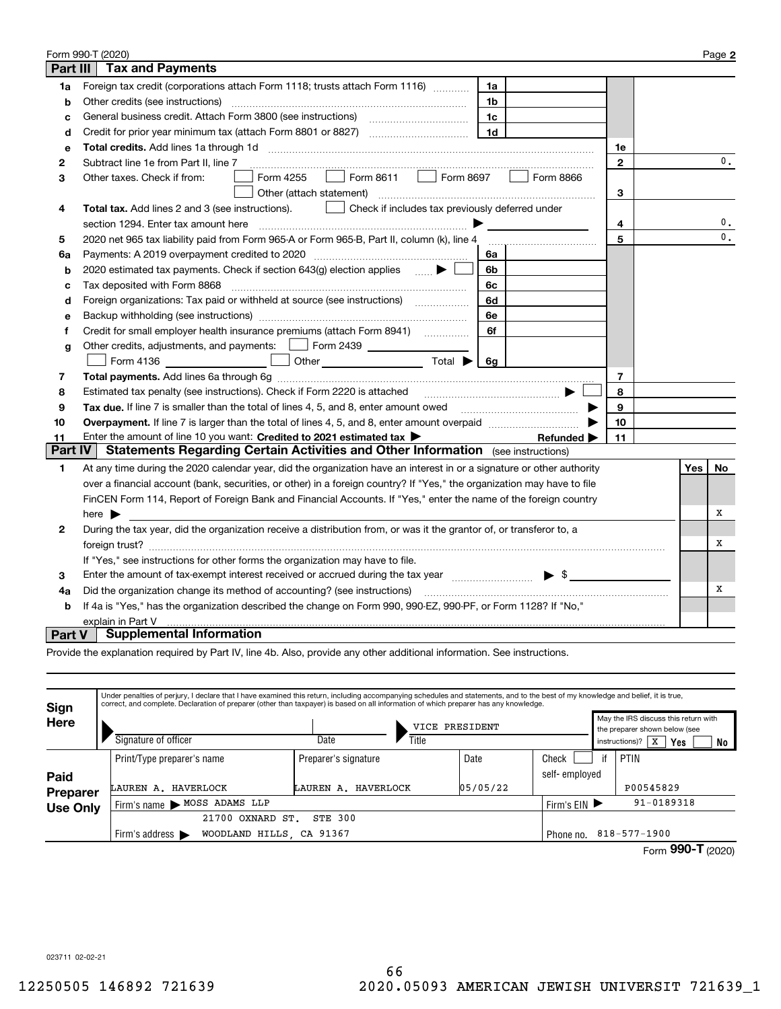|          | Form 990-T (2020)                                                                                                                                                       |              |     | Page 2        |
|----------|-------------------------------------------------------------------------------------------------------------------------------------------------------------------------|--------------|-----|---------------|
| Part III | <b>Tax and Payments</b>                                                                                                                                                 |              |     |               |
| 1a       | Foreign tax credit (corporations attach Form 1118; trusts attach Form 1116)<br>1a                                                                                       |              |     |               |
| b        | Other credits (see instructions)<br>1b                                                                                                                                  |              |     |               |
| с        | 1c                                                                                                                                                                      |              |     |               |
| d        | 1 <sub>d</sub><br>Credit for prior year minimum tax (attach Form 8801 or 8827)                                                                                          |              |     |               |
| е        |                                                                                                                                                                         | 1e           |     |               |
| 2        | Subtract line 1e from Part II, line 7                                                                                                                                   | $\mathbf{2}$ |     | 0.            |
| 3        | Form 8611   Form 8697<br>Form 4255<br>Form 8866<br>Other taxes. Check if from:                                                                                          |              |     |               |
|          | Other (attach statement)                                                                                                                                                | 3            |     |               |
| 4        | Check if includes tax previously deferred under<br>Total tax. Add lines 2 and 3 (see instructions).                                                                     |              |     |               |
|          | section 1294. Enter tax amount here                                                                                                                                     | 4            |     | 0.            |
| 5        | 2020 net 965 tax liability paid from Form 965-A or Form 965-B, Part II, column (k), line 4                                                                              | 5            |     | $\mathbf 0$ . |
| 6a       | Payments: A 2019 overpayment credited to 2020 [11] [12] maximum materials and Payments: A 2019 overpayment credited to 2020 [11] maximum materials and Payments A<br>6a |              |     |               |
| b        | 2020 estimated tax payments. Check if section 643(g) election applies $\qquad \qquad \bullet$<br>6b                                                                     |              |     |               |
| c        | Tax deposited with Form 8868<br>6с                                                                                                                                      |              |     |               |
| d        | Foreign organizations: Tax paid or withheld at source (see instructions) [<br>6d                                                                                        |              |     |               |
| е        | 6e                                                                                                                                                                      |              |     |               |
| f        | Credit for small employer health insurance premiums (attach Form 8941) [[[[[[[[[[[[[[[[[[[[[[[[[[[[[<br>6f                                                              |              |     |               |
| g        |                                                                                                                                                                         |              |     |               |
|          | Form 4136<br>6g                                                                                                                                                         |              |     |               |
| 7        |                                                                                                                                                                         | 7            |     |               |
| 8        | Estimated tax penalty (see instructions). Check if Form 2220 is attached                                                                                                | 8            |     |               |
| 9        | Tax due. If line 7 is smaller than the total of lines 4, 5, and 8, enter amount owed <b>Face and Conservers</b> in the                                                  | 9            |     |               |
| 10       |                                                                                                                                                                         | 10           |     |               |
| 11       | Enter the amount of line 10 you want: Credited to 2021 estimated tax ><br>Refunded $\blacktriangleright$                                                                | 11           |     |               |
| Part IV  | <b>Statements Regarding Certain Activities and Other Information</b> (see instructions)                                                                                 |              |     |               |
| 1        | At any time during the 2020 calendar year, did the organization have an interest in or a signature or other authority                                                   |              | Yes | No.           |
|          | over a financial account (bank, securities, or other) in a foreign country? If "Yes," the organization may have to file                                                 |              |     |               |
|          | FinCEN Form 114, Report of Foreign Bank and Financial Accounts. If "Yes," enter the name of the foreign country                                                         |              |     |               |
|          | here $\blacktriangleright$                                                                                                                                              |              |     | x             |
| 2        | During the tax year, did the organization receive a distribution from, or was it the grantor of, or transferor to, a                                                    |              |     |               |
|          |                                                                                                                                                                         |              |     | х             |
|          | If "Yes," see instructions for other forms the organization may have to file.                                                                                           |              |     |               |
| 3        |                                                                                                                                                                         |              |     |               |
| 4a       | Did the organization change its method of accounting? (see instructions)                                                                                                |              |     | х             |
| b        | If 4a is "Yes," has the organization described the change on Form 990, 990-EZ, 990-PF, or Form 1128? If "No,"                                                           |              |     |               |
|          | explain in Part V                                                                                                                                                       |              |     |               |
| Part V   | <b>Supplemental Information</b>                                                                                                                                         |              |     |               |

Provide the explanation required by Part IV, line 4b. Also, provide any other additional information. See instructions.

| Sign            | Under penalties of perjury, I declare that I have examined this return, including accompanying schedules and statements, and to the best of my knowledge and belief, it is true,<br>correct, and complete. Declaration of preparer (other than taxpayer) is based on all information of which preparer has any knowledge. |                                       |            |                                                                                                           |      |               |  |  |
|-----------------|---------------------------------------------------------------------------------------------------------------------------------------------------------------------------------------------------------------------------------------------------------------------------------------------------------------------------|---------------------------------------|------------|-----------------------------------------------------------------------------------------------------------|------|---------------|--|--|
| Here            | Signature of officer                                                                                                                                                                                                                                                                                                      | VICE PRESIDENT<br>Date<br>Title       |            | May the IRS discuss this return with<br>the preparer shown below (see<br>X<br>Yes<br>instructions)?<br>No |      |               |  |  |
|                 | Print/Type preparer's name                                                                                                                                                                                                                                                                                                | Preparer's signature                  | Date       | Check                                                                                                     | PTIN |               |  |  |
| Paid            |                                                                                                                                                                                                                                                                                                                           |                                       |            | self- employed                                                                                            |      |               |  |  |
| <b>Preparer</b> | LAUREN A. HAVERLOCK                                                                                                                                                                                                                                                                                                       | LAUREN A. HAVERLOCK                   | 05/05/22   |                                                                                                           |      | P00545829     |  |  |
| <b>Use Only</b> | Firm's name MOSS ADAMS LLP                                                                                                                                                                                                                                                                                                | Firm's $EIN$                          | 91-0189318 |                                                                                                           |      |               |  |  |
|                 | 21700 OXNARD ST.                                                                                                                                                                                                                                                                                                          |                                       |            |                                                                                                           |      |               |  |  |
|                 | Firm's address $\blacktriangleright$                                                                                                                                                                                                                                                                                      | WOODLAND HILLS, CA 91367<br>Phone no. |            |                                                                                                           |      |               |  |  |
|                 |                                                                                                                                                                                                                                                                                                                           |                                       |            |                                                                                                           |      | $\sim$ $\sim$ |  |  |

Form (2020)  **990-T**

023711 02-02-21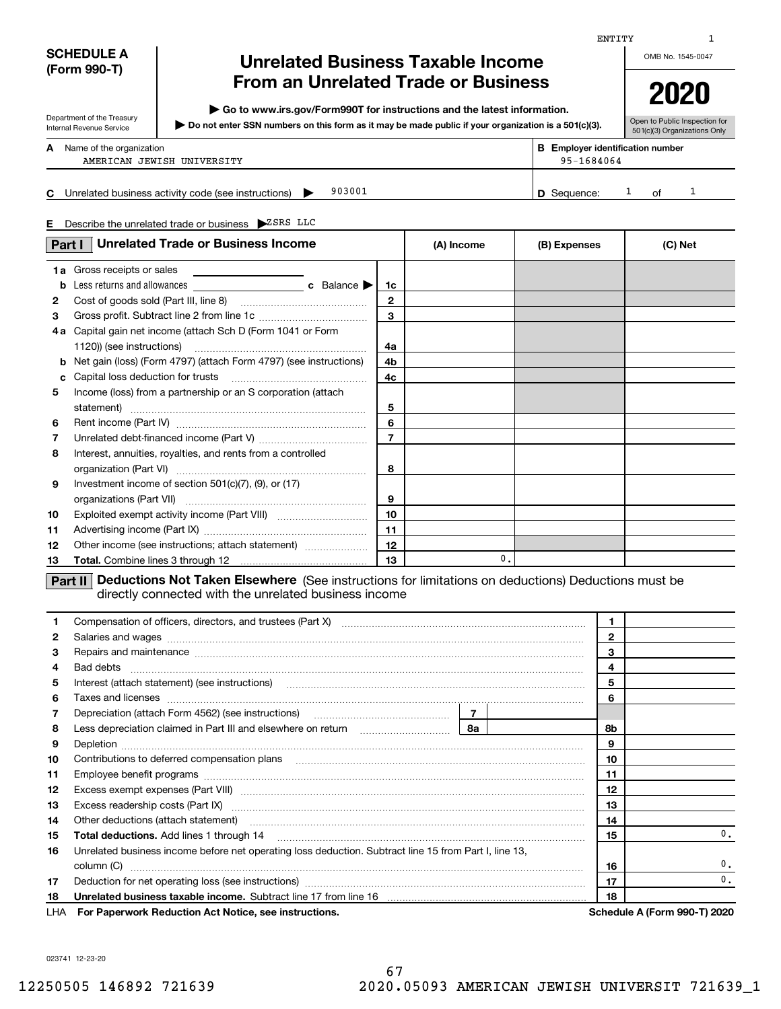| ×<br>_<br>_<br>__<br>___ |
|--------------------------|
|--------------------------|

| SCHEDULE A   |  |  |
|--------------|--|--|
| (Form 990-T) |  |  |

Department of the Treasury Internal Revenue Service

# **Unrelated Business Taxable Income From an Unrelated Trade or Business**

**| Go to www.irs.gov/Form990T for instructions and the latest information.**

**Do not enter SSN numbers on this form as it may be made public if your organization is a 501(c)(3). |** 

OMB No. 1545-0047 **2020**

Open to Public Inspection for 501(c)(3) Organizations Only

| A  | Name of the organization<br>AMERICAN JEWISH UNIVERSITY        | <b>B</b> Employer identification number<br>95-1684064 |    |  |
|----|---------------------------------------------------------------|-------------------------------------------------------|----|--|
| C. | 903001<br>Unrelated business activity code (see instructions) | <b>D</b> Sequence:                                    | ∩f |  |

**E** Describe the unrelated trade or business  $\blacktriangleright$ <sup>ZSRS</sup> LLC

|    | <b>Unrelated Trade or Business Income</b><br>Part I                                                                                                                                                                            |                | (A) Income    | (B) Expenses | (C) Net |
|----|--------------------------------------------------------------------------------------------------------------------------------------------------------------------------------------------------------------------------------|----------------|---------------|--------------|---------|
|    | 1a Gross receipts or sales                                                                                                                                                                                                     |                |               |              |         |
| b  |                                                                                                                                                                                                                                | 1c             |               |              |         |
| 2  |                                                                                                                                                                                                                                | $\mathbf{2}$   |               |              |         |
| 3  |                                                                                                                                                                                                                                | 3              |               |              |         |
|    | 4a Capital gain net income (attach Sch D (Form 1041 or Form                                                                                                                                                                    |                |               |              |         |
|    | 1120)) (see instructions)                                                                                                                                                                                                      | 4a             |               |              |         |
| b  | Net gain (loss) (Form 4797) (attach Form 4797) (see instructions)                                                                                                                                                              | 4b             |               |              |         |
| c  | Capital loss deduction for trusts                                                                                                                                                                                              | 4c             |               |              |         |
| 5  | Income (loss) from a partnership or an S corporation (attach                                                                                                                                                                   |                |               |              |         |
|    |                                                                                                                                                                                                                                | 5              |               |              |         |
| 6  |                                                                                                                                                                                                                                | 6              |               |              |         |
| 7  |                                                                                                                                                                                                                                | $\overline{7}$ |               |              |         |
| 8  | Interest, annuities, royalties, and rents from a controlled                                                                                                                                                                    |                |               |              |         |
|    |                                                                                                                                                                                                                                | 8              |               |              |         |
| 9  | Investment income of section 501(c)(7), (9), or (17)                                                                                                                                                                           |                |               |              |         |
|    |                                                                                                                                                                                                                                | 9              |               |              |         |
| 10 |                                                                                                                                                                                                                                | 10             |               |              |         |
| 11 |                                                                                                                                                                                                                                | 11             |               |              |         |
| 12 | Other income (see instructions; attach statement)                                                                                                                                                                              | 12             |               |              |         |
| 13 |                                                                                                                                                                                                                                | 13             | $\mathbf 0$ . |              |         |
|    | Deductions Not Taken Elsewhere (See instructions for limitations on deductions) Deductions must be<br>Part II<br>directly connected with the unrelated business income                                                         |                |               |              |         |
| 1  |                                                                                                                                                                                                                                |                |               | 1            |         |
| 2  |                                                                                                                                                                                                                                |                |               | $\mathbf{2}$ |         |
| з  | Repairs and maintenance measurements are all and the series of the series and maintenance measurements and maintenance                                                                                                         |                |               | 3            |         |
| 4  | Bad debts                                                                                                                                                                                                                      |                |               | 4            |         |
| 5  | Interest (attach statement) (see instructions) [11] manufacture in the statement of the statement of the statement of the statement of the statement of the statement of the statement of the statement of the statement of th |                |               | 5            |         |
|    |                                                                                                                                                                                                                                |                |               |              |         |

|                 | <b>LUA</b> For Department Reduction Act Notice, and instructions.                                                                           |                |    | Cabadula A (Carm 000 T) 2020 |
|-----------------|---------------------------------------------------------------------------------------------------------------------------------------------|----------------|----|------------------------------|
| 18              |                                                                                                                                             |                | 18 |                              |
| 17              |                                                                                                                                             |                | 17 | 0.                           |
|                 | column (C)                                                                                                                                  |                | 16 | 0.                           |
| 16              | Unrelated business income before net operating loss deduction. Subtract line 15 from Part I, line 13,                                       |                |    |                              |
| 15              | Total deductions. Add lines 1 through 14                                                                                                    |                | 15 | $\mathbf{0}$ .               |
| 14              | Other deductions (attach statement) manufactured and content of the deductions (attach statement)                                           |                | 14 |                              |
| 13              |                                                                                                                                             |                | 13 |                              |
| 12 <sup>2</sup> |                                                                                                                                             |                | 12 |                              |
| 11              |                                                                                                                                             |                | 11 |                              |
| 10              | Contributions to deferred compensation plans entitled and contributions to deferred compensation plans                                      |                | 10 |                              |
| 9               |                                                                                                                                             |                | 9  |                              |
| 8               | Less depreciation claimed in Part III and elsewhere on return [111] [11] [12] Less depreciation claimed in Part III and elsewhere on return | 8а             | 8b |                              |
|                 | Depreciation (attach Form 4562) (see instructions) maturities and the contract of the Depreciation (attach                                  | $\overline{7}$ |    |                              |
| 6               | Taxes and licenses                                                                                                                          |                | 6  |                              |
| 5               | Interest (attach statement) (see instructions)                                                                                              |                | 5  |                              |

LHA **For Paperwork Reduction Act Notice, see instructions. Schedule A (Form 990-T) 2020** 

023741 12-23-20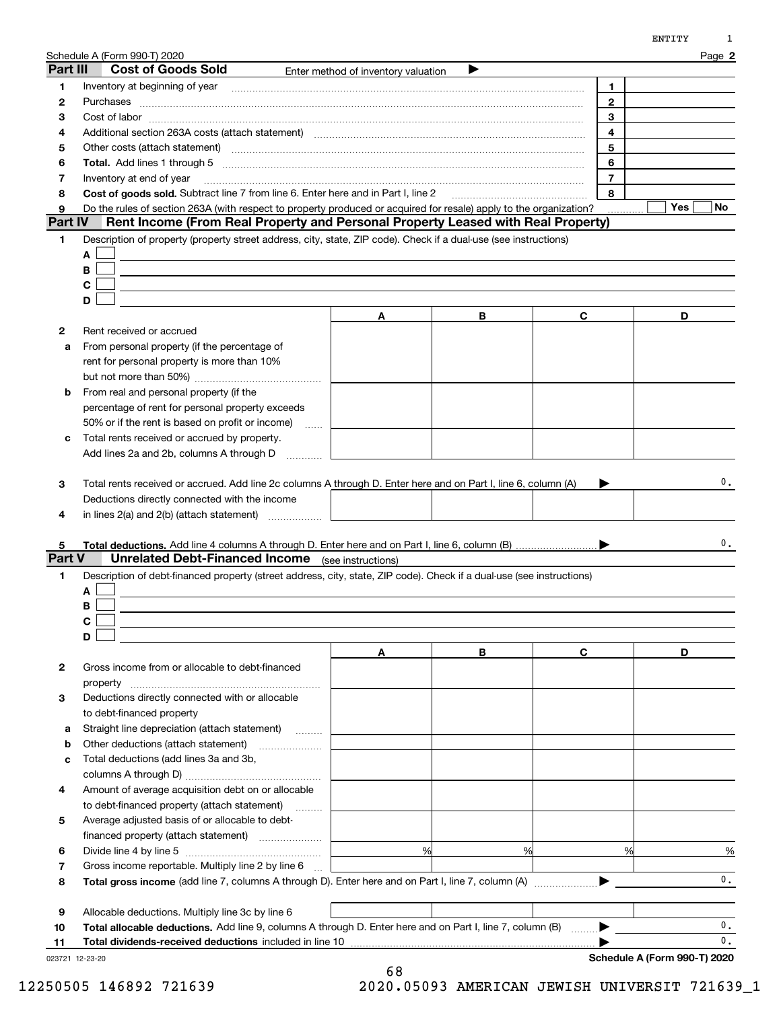|                | Schedule A (Form 990-T) 2020<br>Part III<br><b>Cost of Goods Sold</b>                                                                                                                                                          |        | Enter method of inventory valuation          |   |                | Page 2         |
|----------------|--------------------------------------------------------------------------------------------------------------------------------------------------------------------------------------------------------------------------------|--------|----------------------------------------------|---|----------------|----------------|
| 1              |                                                                                                                                                                                                                                |        |                                              |   | 1.             |                |
|                |                                                                                                                                                                                                                                |        |                                              |   | $\overline{2}$ |                |
| 2              |                                                                                                                                                                                                                                |        |                                              |   |                |                |
| З              |                                                                                                                                                                                                                                |        |                                              |   | 3              |                |
| 4              | Additional section 263A costs (attach statement) material content and according to the Additional section 263A                                                                                                                 |        |                                              |   | $\overline{4}$ |                |
| 5              | Other costs (attach statement) with a construction of the costs (attach statement)                                                                                                                                             |        |                                              |   | 5              |                |
| 6              | Total. Add lines 1 through 5 [11, 12] manuscription of the contract of the contract of the contract of the contract of the contract of the contract of the contract of the contract of the contract of the contract of the con |        |                                              |   | 6              |                |
| 7              | Inventory at end of year                                                                                                                                                                                                       |        |                                              |   | $\overline{7}$ |                |
| 8              | Cost of goods sold. Subtract line 7 from line 6. Enter here and in Part I. line 2                                                                                                                                              |        |                                              |   | 8              |                |
| 9              | Do the rules of section 263A (with respect to property produced or acquired for resale) apply to the organization?                                                                                                             |        |                                              |   |                | Yes<br>No.     |
| <b>Part IV</b> | Rent Income (From Real Property and Personal Property Leased with Real Property)                                                                                                                                               |        |                                              |   |                |                |
| 1              | Description of property (property street address, city, state, ZIP code). Check if a dual-use (see instructions)                                                                                                               |        |                                              |   |                |                |
|                | A                                                                                                                                                                                                                              |        |                                              |   |                |                |
|                | В                                                                                                                                                                                                                              |        |                                              |   |                |                |
|                | C                                                                                                                                                                                                                              |        |                                              |   |                |                |
|                | D                                                                                                                                                                                                                              |        |                                              |   |                |                |
|                |                                                                                                                                                                                                                                |        | Α                                            | В | C              | D              |
| $\mathbf{2}$   | Rent received or accrued                                                                                                                                                                                                       |        |                                              |   |                |                |
|                | From personal property (if the percentage of                                                                                                                                                                                   |        |                                              |   |                |                |
| a              | rent for personal property is more than 10%                                                                                                                                                                                    |        |                                              |   |                |                |
|                |                                                                                                                                                                                                                                |        |                                              |   |                |                |
|                |                                                                                                                                                                                                                                |        |                                              |   |                |                |
| b              | From real and personal property (if the                                                                                                                                                                                        |        |                                              |   |                |                |
|                | percentage of rent for personal property exceeds                                                                                                                                                                               |        |                                              |   |                |                |
|                | 50% or if the rent is based on profit or income)                                                                                                                                                                               | $\sim$ |                                              |   |                |                |
| с              | Total rents received or accrued by property.                                                                                                                                                                                   |        |                                              |   |                |                |
|                | Add lines 2a and 2b, columns A through D                                                                                                                                                                                       |        |                                              |   |                |                |
| 5              |                                                                                                                                                                                                                                |        |                                              |   |                | 0.             |
| Part V         | <b>Unrelated Debt-Financed Income</b> (see instructions)                                                                                                                                                                       |        |                                              |   |                |                |
| 1              | Description of debt-financed property (street address, city, state, ZIP code). Check if a dual-use (see instructions)                                                                                                          |        |                                              |   |                |                |
|                |                                                                                                                                                                                                                                |        |                                              |   |                |                |
|                | A                                                                                                                                                                                                                              |        |                                              |   |                |                |
|                | В                                                                                                                                                                                                                              |        |                                              |   |                |                |
|                |                                                                                                                                                                                                                                |        |                                              |   |                |                |
|                | C                                                                                                                                                                                                                              |        |                                              |   |                |                |
|                | D                                                                                                                                                                                                                              |        |                                              |   |                |                |
|                |                                                                                                                                                                                                                                |        | Α                                            | В | C              | D              |
| 2              | Gross income from or allocable to debt-financed                                                                                                                                                                                |        |                                              |   |                |                |
|                | property                                                                                                                                                                                                                       |        |                                              |   |                |                |
| 3              | Deductions directly connected with or allocable                                                                                                                                                                                |        |                                              |   |                |                |
|                | to debt-financed property                                                                                                                                                                                                      |        |                                              |   |                |                |
| а              | Straight line depreciation (attach statement)                                                                                                                                                                                  |        |                                              |   |                |                |
| b              |                                                                                                                                                                                                                                |        |                                              |   |                |                |
| с              | Total deductions (add lines 3a and 3b,                                                                                                                                                                                         |        |                                              |   |                |                |
|                |                                                                                                                                                                                                                                |        |                                              |   |                |                |
| 4              | Amount of average acquisition debt on or allocable                                                                                                                                                                             |        |                                              |   |                |                |
|                | to debt-financed property (attach statement)                                                                                                                                                                                   |        |                                              |   |                |                |
| 5              | Average adjusted basis of or allocable to debt-                                                                                                                                                                                |        |                                              |   |                |                |
|                |                                                                                                                                                                                                                                |        | the control of the control of the control of |   |                |                |
| 6              | financed property (attach statement)                                                                                                                                                                                           |        | %                                            | % | %              |                |
|                |                                                                                                                                                                                                                                |        |                                              |   |                | $\frac{9}{6}$  |
| 7              | Gross income reportable. Multiply line 2 by line 6                                                                                                                                                                             |        |                                              |   |                | $\mathbf{0}$ . |
| 8              |                                                                                                                                                                                                                                |        |                                              |   |                |                |
|                |                                                                                                                                                                                                                                |        |                                              |   |                |                |
| 9<br>10        | Allocable deductions. Multiply line 3c by line 6<br>Total allocable deductions. Add line 9, columns A through D. Enter here and on Part I, line 7, column (B)                                                                  |        |                                              |   |                | 0.             |

|  | Total dividends-received deductions included in line 10 |  |
|--|---------------------------------------------------------|--|
|  |                                                         |  |

023721 12-23-20

ENTITY 1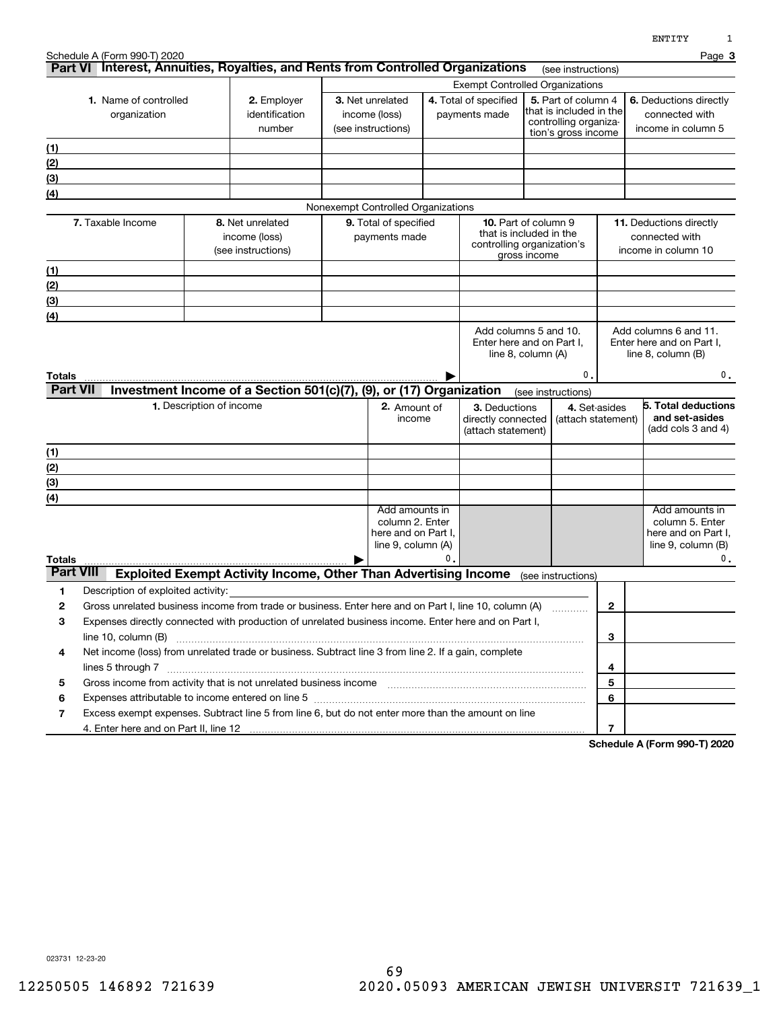|                            | Schedule A (Form 990-T) 2020<br>Part VI Interest, Annuities, Royalties, and Rents from Controlled Organizations                                                                                                               |                          |                                                                        |                                                                                     |    |                                                                                      |              |                                                                                                |               |                                                                  | Page 3                                                                              |
|----------------------------|-------------------------------------------------------------------------------------------------------------------------------------------------------------------------------------------------------------------------------|--------------------------|------------------------------------------------------------------------|-------------------------------------------------------------------------------------|----|--------------------------------------------------------------------------------------|--------------|------------------------------------------------------------------------------------------------|---------------|------------------------------------------------------------------|-------------------------------------------------------------------------------------|
|                            |                                                                                                                                                                                                                               |                          |                                                                        |                                                                                     |    | <b>Exempt Controlled Organizations</b>                                               |              | (see instructions)                                                                             |               |                                                                  |                                                                                     |
|                            | 1. Name of controlled<br>organization                                                                                                                                                                                         |                          | 2. Employer<br>identification<br>number                                | 3. Net unrelated<br>income (loss)<br>(see instructions)                             |    | 4. Total of specified<br>payments made                                               |              | 5. Part of column 4<br>that is included in the<br>controlling organiza-<br>tion's gross income |               | income in column 5                                               | 6. Deductions directly<br>connected with                                            |
| (1)                        |                                                                                                                                                                                                                               |                          |                                                                        |                                                                                     |    |                                                                                      |              |                                                                                                |               |                                                                  |                                                                                     |
| (2)                        |                                                                                                                                                                                                                               |                          |                                                                        |                                                                                     |    |                                                                                      |              |                                                                                                |               |                                                                  |                                                                                     |
| (3)                        |                                                                                                                                                                                                                               |                          |                                                                        |                                                                                     |    |                                                                                      |              |                                                                                                |               |                                                                  |                                                                                     |
| (4)                        |                                                                                                                                                                                                                               |                          |                                                                        |                                                                                     |    |                                                                                      |              |                                                                                                |               |                                                                  |                                                                                     |
|                            |                                                                                                                                                                                                                               |                          |                                                                        | Nonexempt Controlled Organizations                                                  |    |                                                                                      |              |                                                                                                |               |                                                                  |                                                                                     |
|                            | 7. Taxable Income                                                                                                                                                                                                             |                          | 8. Net unrelated<br>income (loss)<br>(see instructions)                | 9. Total of specified<br>payments made                                              |    | <b>10.</b> Part of column 9<br>that is included in the<br>controlling organization's | gross income |                                                                                                |               | 11. Deductions directly<br>connected with<br>income in column 10 |                                                                                     |
| (1)                        |                                                                                                                                                                                                                               |                          |                                                                        |                                                                                     |    |                                                                                      |              |                                                                                                |               |                                                                  |                                                                                     |
| (2)                        |                                                                                                                                                                                                                               |                          |                                                                        |                                                                                     |    |                                                                                      |              |                                                                                                |               |                                                                  |                                                                                     |
| (3)                        |                                                                                                                                                                                                                               |                          |                                                                        |                                                                                     |    |                                                                                      |              |                                                                                                |               |                                                                  |                                                                                     |
| (4)                        |                                                                                                                                                                                                                               |                          |                                                                        |                                                                                     |    |                                                                                      |              |                                                                                                |               |                                                                  |                                                                                     |
| Totals<br><b>Part VII</b>  |                                                                                                                                                                                                                               |                          | Investment Income of a Section 501(c)(7), (9), or (17) Organization    |                                                                                     |    | line 8, column (A)                                                                   |              | 0.<br>(see instructions)                                                                       |               | line 8, column (B)                                               | 0.                                                                                  |
|                            |                                                                                                                                                                                                                               | 1. Description of income |                                                                        | 2. Amount of<br>income                                                              |    | 3. Deductions<br>directly connected<br>(attach statement)                            |              | (attach statement)                                                                             | 4. Set-asides |                                                                  | 5. Total deductions<br>and set-asides<br>(add cols 3 and 4)                         |
| (1)                        |                                                                                                                                                                                                                               |                          |                                                                        |                                                                                     |    |                                                                                      |              |                                                                                                |               |                                                                  |                                                                                     |
| (2)                        |                                                                                                                                                                                                                               |                          |                                                                        |                                                                                     |    |                                                                                      |              |                                                                                                |               |                                                                  |                                                                                     |
| (3)                        |                                                                                                                                                                                                                               |                          |                                                                        |                                                                                     |    |                                                                                      |              |                                                                                                |               |                                                                  |                                                                                     |
| (4)                        |                                                                                                                                                                                                                               |                          |                                                                        |                                                                                     |    |                                                                                      |              |                                                                                                |               |                                                                  |                                                                                     |
|                            |                                                                                                                                                                                                                               |                          |                                                                        | Add amounts in<br>column 2. Enter<br>here and on Part I,<br>line $9$ , column $(A)$ | 0. |                                                                                      |              |                                                                                                |               |                                                                  | Add amounts in<br>column 5. Enter<br>here and on Part I,<br>line $9$ , column $(B)$ |
| Totals<br><b>Part VIII</b> |                                                                                                                                                                                                                               |                          | <b>Exploited Exempt Activity Income, Other Than Advertising Income</b> |                                                                                     |    |                                                                                      |              |                                                                                                |               |                                                                  | $\mathbf 0$ .                                                                       |
|                            | Description of exploited activity:                                                                                                                                                                                            |                          |                                                                        |                                                                                     |    |                                                                                      |              | (see instructions)                                                                             |               |                                                                  |                                                                                     |
| 1<br>2                     | Gross unrelated business income from trade or business. Enter here and on Part I, line 10, column (A)                                                                                                                         |                          |                                                                        |                                                                                     |    |                                                                                      |              |                                                                                                | $\mathbf{2}$  |                                                                  |                                                                                     |
| з                          | Expenses directly connected with production of unrelated business income. Enter here and on Part I,                                                                                                                           |                          |                                                                        |                                                                                     |    |                                                                                      |              |                                                                                                |               |                                                                  |                                                                                     |
|                            | line 10, column (B)                                                                                                                                                                                                           |                          |                                                                        |                                                                                     |    |                                                                                      |              |                                                                                                | 3             |                                                                  |                                                                                     |
| 4                          | Net income (loss) from unrelated trade or business. Subtract line 3 from line 2. If a gain, complete                                                                                                                          |                          |                                                                        |                                                                                     |    |                                                                                      |              |                                                                                                |               |                                                                  |                                                                                     |
|                            |                                                                                                                                                                                                                               |                          |                                                                        |                                                                                     |    |                                                                                      |              |                                                                                                | 4             |                                                                  |                                                                                     |
| 5                          |                                                                                                                                                                                                                               |                          |                                                                        |                                                                                     |    |                                                                                      |              |                                                                                                | 5             |                                                                  |                                                                                     |
| 6                          | Expenses attributable to income entered on line 5 [11] manufacture in the contract of the set of the set of the set of the set of the set of the set of the set of the set of the set of the set of the set of the set of the |                          |                                                                        |                                                                                     |    |                                                                                      |              |                                                                                                | 6             |                                                                  |                                                                                     |
| 7                          | Excess exempt expenses. Subtract line 5 from line 6, but do not enter more than the amount on line                                                                                                                            |                          |                                                                        |                                                                                     |    |                                                                                      |              |                                                                                                |               |                                                                  |                                                                                     |
|                            |                                                                                                                                                                                                                               |                          |                                                                        |                                                                                     |    |                                                                                      |              |                                                                                                | 7             |                                                                  |                                                                                     |

**Schedule A (Form 990-T) 2020**

023731 12-23-20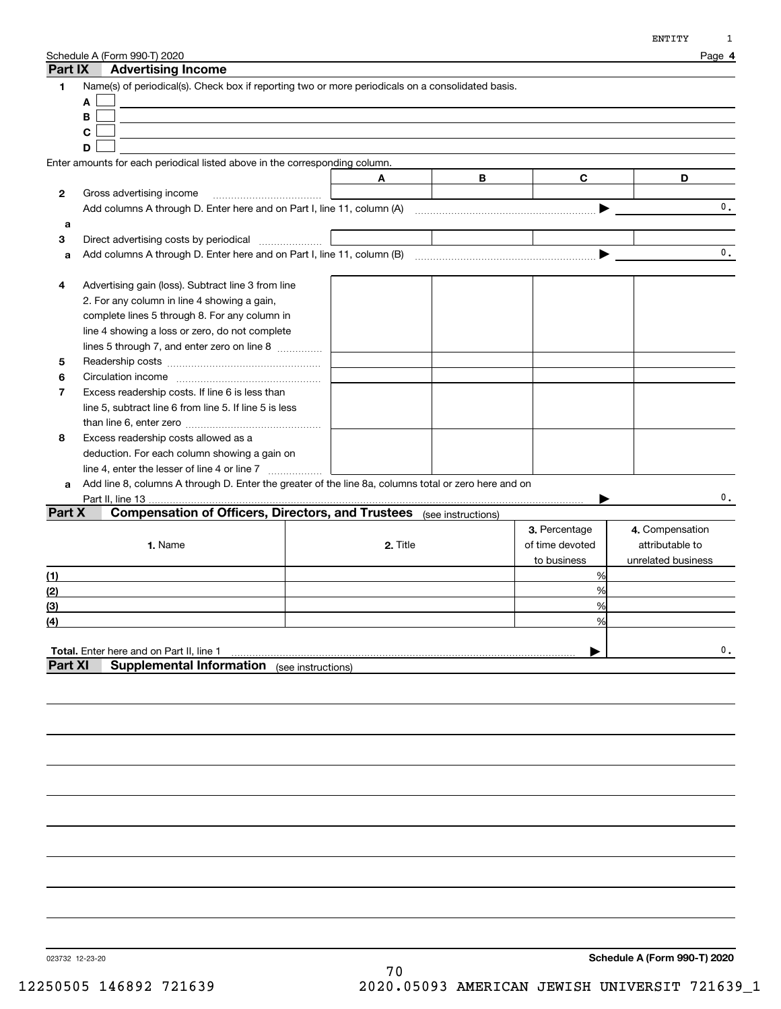| Part IX                    | Schedule A (Form 990-T) 2020<br><b>Advertising Income</b>                                                                                                                                                                                                                                                                                                                                                                                                                                                                                                                            |          |                    |                                                 | Page 4                                                   |
|----------------------------|--------------------------------------------------------------------------------------------------------------------------------------------------------------------------------------------------------------------------------------------------------------------------------------------------------------------------------------------------------------------------------------------------------------------------------------------------------------------------------------------------------------------------------------------------------------------------------------|----------|--------------------|-------------------------------------------------|----------------------------------------------------------|
| $\mathbf{1}$               | Name(s) of periodical(s). Check box if reporting two or more periodicals on a consolidated basis.<br>A<br>В<br>C<br>D                                                                                                                                                                                                                                                                                                                                                                                                                                                                |          |                    |                                                 |                                                          |
|                            | Enter amounts for each periodical listed above in the corresponding column.                                                                                                                                                                                                                                                                                                                                                                                                                                                                                                          |          |                    |                                                 |                                                          |
|                            |                                                                                                                                                                                                                                                                                                                                                                                                                                                                                                                                                                                      | A        | В                  | C                                               | D                                                        |
| 2                          | Gross advertising income                                                                                                                                                                                                                                                                                                                                                                                                                                                                                                                                                             |          |                    |                                                 |                                                          |
|                            |                                                                                                                                                                                                                                                                                                                                                                                                                                                                                                                                                                                      |          |                    |                                                 | 0.                                                       |
| a                          |                                                                                                                                                                                                                                                                                                                                                                                                                                                                                                                                                                                      |          |                    |                                                 |                                                          |
| 3                          | Direct advertising costs by periodical                                                                                                                                                                                                                                                                                                                                                                                                                                                                                                                                               |          |                    |                                                 |                                                          |
| a                          |                                                                                                                                                                                                                                                                                                                                                                                                                                                                                                                                                                                      |          |                    | ▶                                               | $\mathbf{0}$ .                                           |
| 4<br>5<br>6<br>7<br>8<br>a | Advertising gain (loss). Subtract line 3 from line<br>2. For any column in line 4 showing a gain,<br>complete lines 5 through 8. For any column in<br>line 4 showing a loss or zero, do not complete<br>lines 5 through 7, and enter zero on line 8<br>Excess readership costs. If line 6 is less than<br>line 5, subtract line 6 from line 5. If line 5 is less<br>Excess readership costs allowed as a<br>deduction. For each column showing a gain on<br>Add line 8, columns A through D. Enter the greater of the line 8a, columns total or zero here and on<br>Part II, line 13 |          |                    |                                                 | 0.                                                       |
| Part X                     | <b>Compensation of Officers, Directors, and Trustees</b>                                                                                                                                                                                                                                                                                                                                                                                                                                                                                                                             |          | (see instructions) |                                                 |                                                          |
|                            | 1. Name                                                                                                                                                                                                                                                                                                                                                                                                                                                                                                                                                                              | 2. Title |                    | 3. Percentage<br>of time devoted<br>to business | 4. Compensation<br>attributable to<br>unrelated business |
| (1)                        |                                                                                                                                                                                                                                                                                                                                                                                                                                                                                                                                                                                      |          |                    | %                                               |                                                          |
| (2)                        |                                                                                                                                                                                                                                                                                                                                                                                                                                                                                                                                                                                      |          |                    | %                                               |                                                          |
| (3)<br>(4)                 |                                                                                                                                                                                                                                                                                                                                                                                                                                                                                                                                                                                      |          |                    | %<br>%                                          |                                                          |
| <b>Part XI</b>             | Total. Enter here and on Part II, line 1<br><b>Supplemental Information</b> (see instructions)                                                                                                                                                                                                                                                                                                                                                                                                                                                                                       |          |                    |                                                 | $\mathbf{0}$ .                                           |

023732 12-23-20